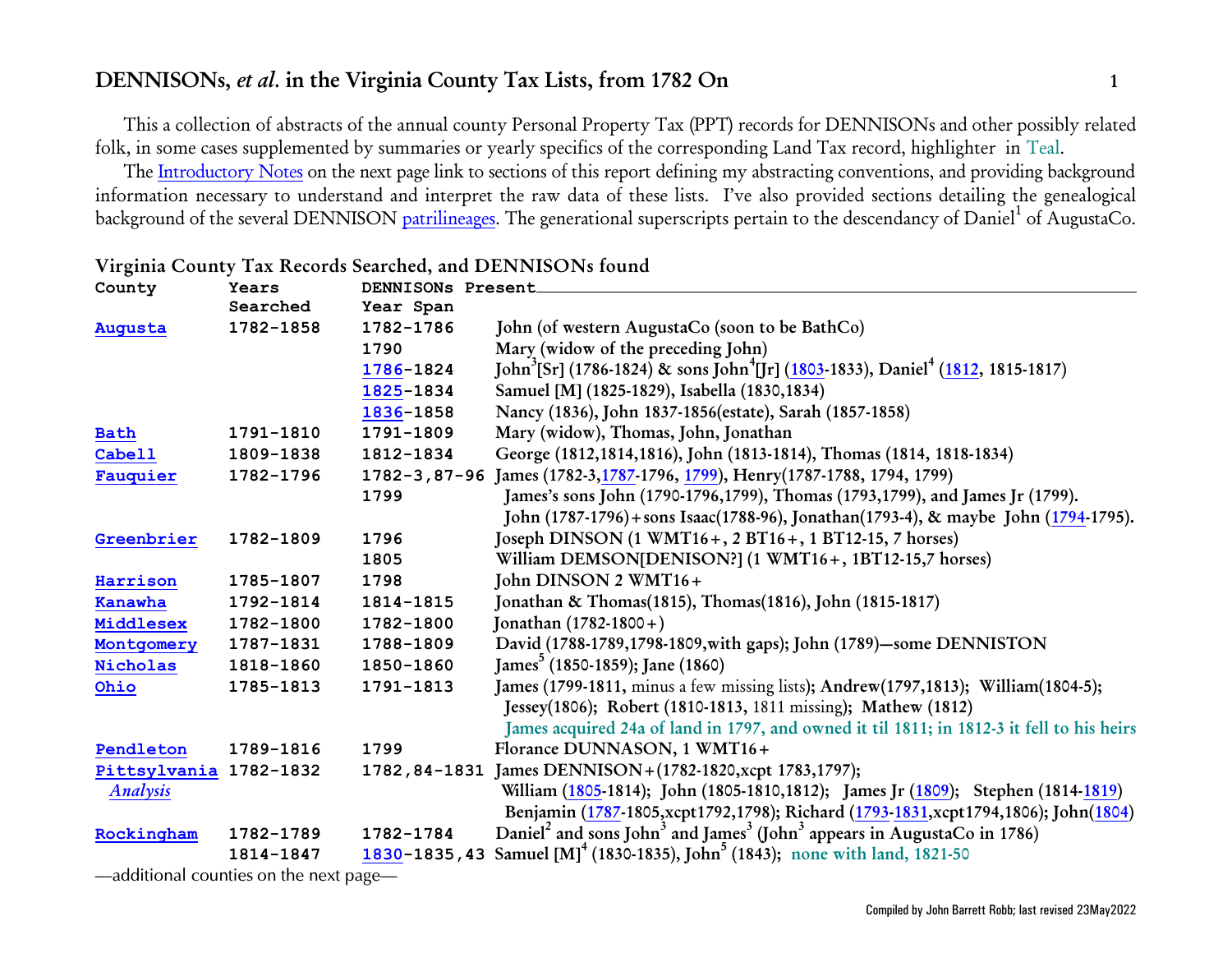This a collection of abstracts of the annual county Personal Property Tax (PPT) records for DENNISONs and other possibly related folk, in some cases supplemented by summaries or yearly specifics of the corresponding Land Tax record, highlighter in Teal.

The [Introductory Notes](#page-2-0) on the next page link to sections of this report defining my abstracting conventions, and providing background information necessary to understand and interpret the raw data of these lists. I've also provided sections detailing the genealogical background of the several DENNISON <u>[patrilineages](http://www.johnbrobb.com/JBRdna.htm#patrilineage)</u>. The generational superscripts pertain to the descendancy of Daniel<sup>1</sup> of AugustaCo.

| County       | Years     | DENNISONs Present  |                                                                                                                        |
|--------------|-----------|--------------------|------------------------------------------------------------------------------------------------------------------------|
|              | Searched  | Year Span          |                                                                                                                        |
| Augusta      | 1782-1858 | 1782-1786          | John (of western AugustaCo (soon to be BathCo)                                                                         |
|              |           | 1790               | Mary (widow of the preceding John)                                                                                     |
|              |           | 1786-1824          | John <sup>3</sup> [Sr] (1786-1824) & sons John <sup>4</sup> [Jr] (1803-1833), Daniel <sup>4</sup> (1812, 1815-1817)    |
|              |           | 1825-1834          | Samuel [M] (1825-1829), Isabella (1830,1834)                                                                           |
|              |           | 1836-1858          | Nancy (1836), John 1837-1856(estate), Sarah (1857-1858)                                                                |
| <b>Bath</b>  | 1791-1810 | 1791-1809          | Mary (widow), Thomas, John, Jonathan                                                                                   |
| Cabel1       | 1809-1838 | 1812-1834          | George (1812,1814,1816), John (1813-1814), Thomas (1814, 1818-1834)                                                    |
| Fauquier     | 1782-1796 | $1782 - 3,87 - 96$ | James (1782-3, 1787-1796, 1799), Henry (1787-1788, 1794, 1799)                                                         |
|              |           | 1799               | James's sons John (1790-1796, 1799), Thomas (1793, 1799), and James Jr (1799).                                         |
|              |           |                    | John (1787-1796) + sons Isaac(1788-96), Jonathan(1793-4), & maybe John (1794-1795).                                    |
| Greenbrier   | 1782-1809 | 1796               | Joseph DINSON (1 WMT16+, 2 BT16+, 1 BT12-15, 7 horses)                                                                 |
|              |           | 1805               | William DEMSON[DENISON?] (1 WMT16+, 1BT12-15,7 horses)                                                                 |
| Harrison     | 1785-1807 | 1798               | John DINSON 2 WMT16+                                                                                                   |
| Kanawha      | 1792-1814 | 1814-1815          | Jonathan & Thomas(1815), Thomas(1816), John (1815-1817)                                                                |
| Middlesex    | 1782-1800 | 1782-1800          | Jonathan (1782-1800+)                                                                                                  |
| Montgomery   | 1787-1831 | 1788-1809          | David (1788-1789,1798-1809, with gaps); John (1789)-some DENNISTON                                                     |
| Nicholas     | 1818-1860 | 1850-1860          | James <sup>5</sup> (1850-1859); Jane (1860)                                                                            |
| Ohio         | 1785-1813 | 1791-1813          | James (1799-1811, minus a few missing lists); Andrew(1797,1813); William(1804-5);                                      |
|              |           |                    | Jessey(1806); Robert (1810-1813, 1811 missing); Mathew (1812)                                                          |
|              |           |                    | James acquired 24a of land in 1797, and owned it til 1811; in 1812-3 it fell to his heirs                              |
| Pendleton    | 1789-1816 | 1799               | Florance DUNNASON, 1 WMT16+                                                                                            |
| Pittsylvania | 1782-1832 | 1782,84-1831       | James DENNISON + (1782-1820, xcpt 1783, 1797);                                                                         |
| Analysis     |           |                    | William (1805-1814); John (1805-1810,1812); James Jr (1809); Stephen (1814-1819)                                       |
|              |           |                    | Benjamin (1787-1805, xcpt1792, 1798); Richard (1793-1831, xcpt1794, 1806); John(1804)                                  |
| Rockingham   | 1782-1789 | 1782-1784          | Daniel <sup>2</sup> and sons John <sup>3</sup> and James <sup>3</sup> (John <sup>3</sup> appears in AugustaCo in 1786) |
|              | 1814-1847 | 1830-1835,43       | Samuel [M] <sup>4</sup> (1830-1835), John <sup>5</sup> (1843); none with land, 1821-50                                 |

### **Virginia County Tax Records Searched, and DENNISONs found**

*—additional counties on the next page—*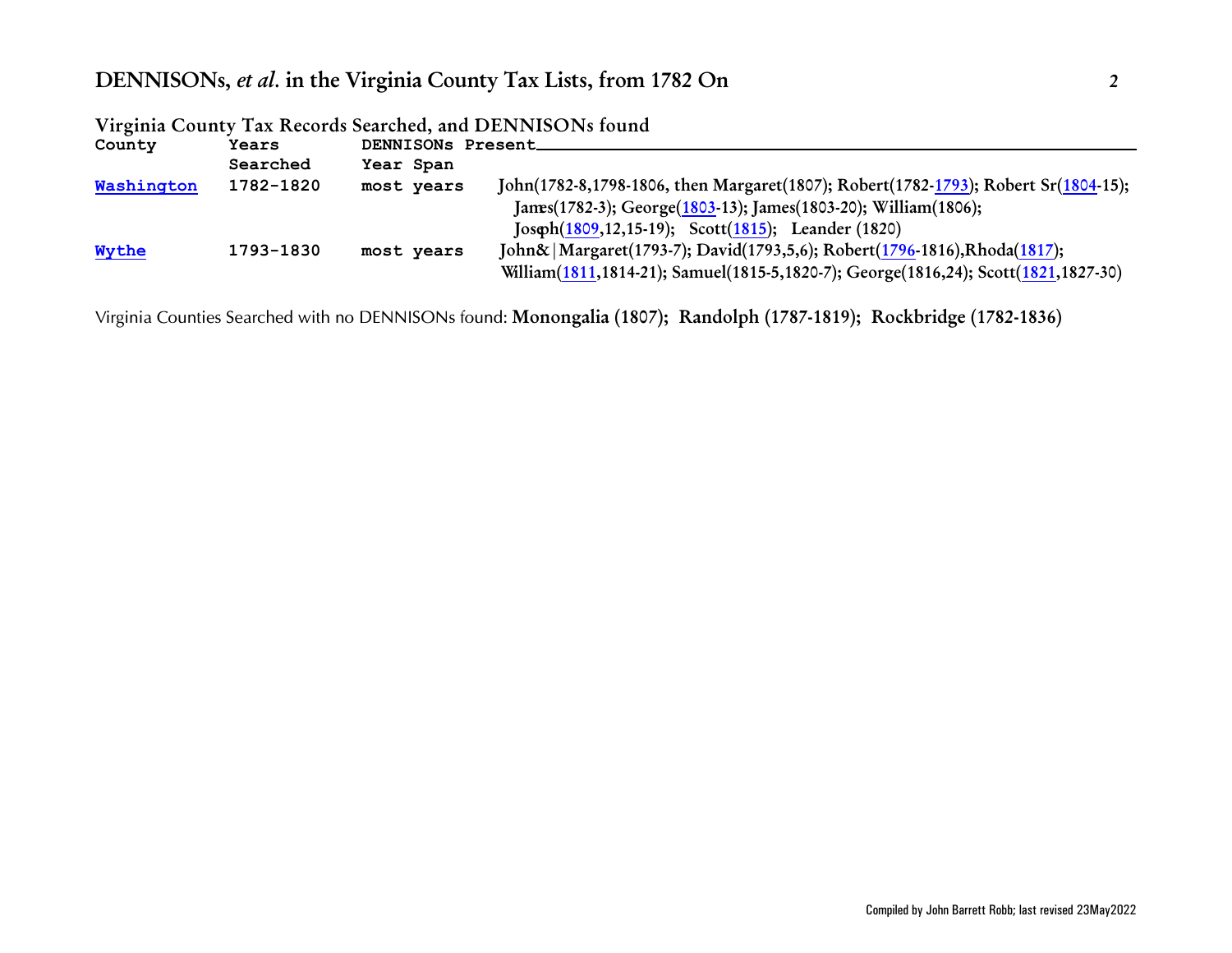| County     | <b>Years</b> | DENNISONs Present |                                                                                    |
|------------|--------------|-------------------|------------------------------------------------------------------------------------|
|            | Searched     | Year Span         |                                                                                    |
| Washington | 1782-1820    | most years        | John(1782-8,1798-1806, then Margaret(1807); Robert(1782-1793); Robert Sr(1804-15); |
|            |              |                   | James(1782-3); George(1803-13); James(1803-20); William(1806);                     |
|            |              |                   | Joseph(1809,12,15-19); Scott(1815); Leander (1820)                                 |
| Wythe      | 1793-1830    | most years        | John&   Margaret(1793-7); David(1793,5,6); Robert(1796-1816), Rhoda(1817);         |
|            |              |                   | William(1811,1814-21); Samuel(1815-5,1820-7); George(1816,24); Scott(1821,1827-30) |

**Virginia County Tax Records Searched, and DENNISONs found**

*Virginia Counties Searched with no DENNISONs found:* **Monongalia (1807); Randolph (1787-1819); Rockbridge (1782-1836)**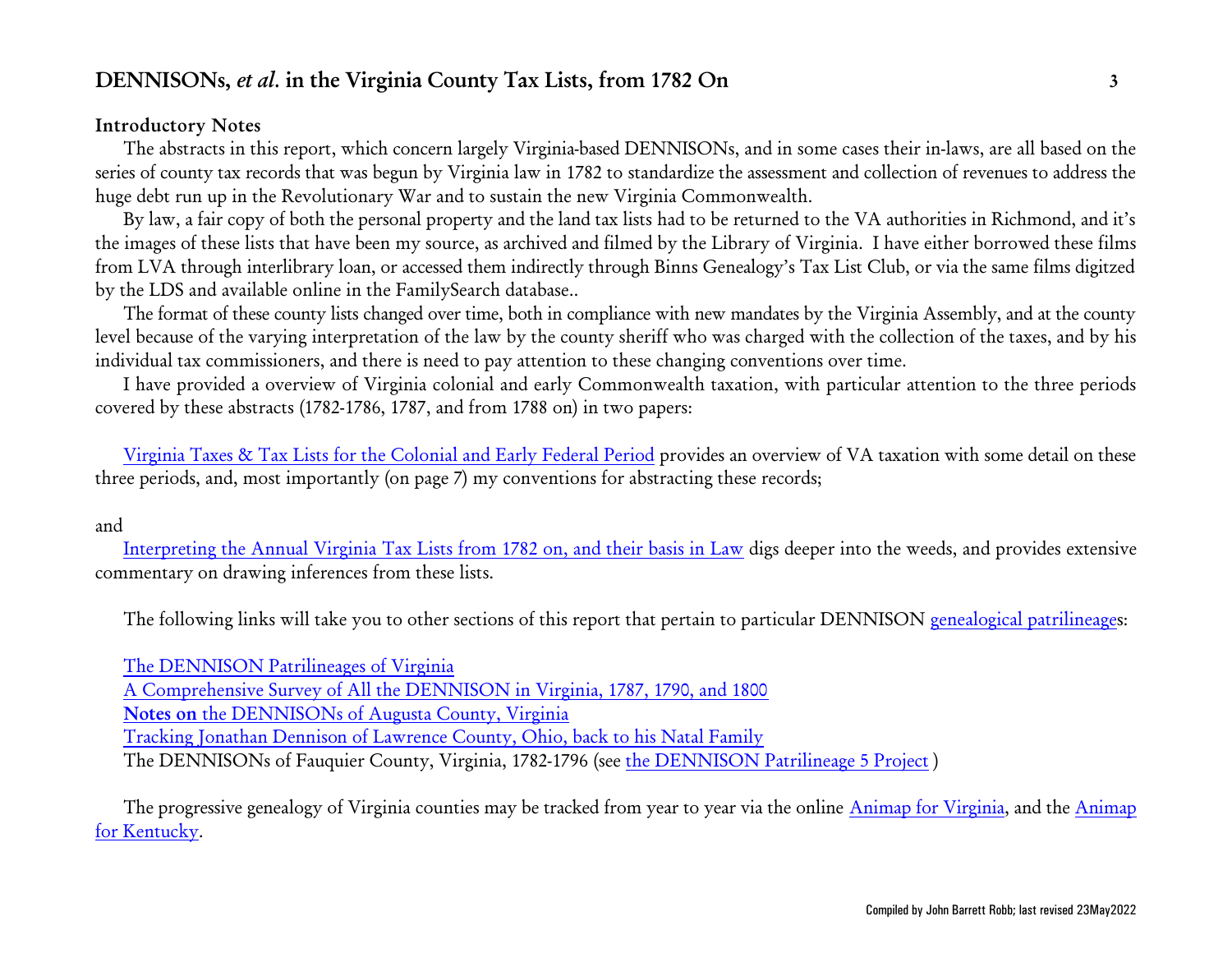### <span id="page-2-0"></span>**Introductory Notes**

The abstracts in this report, which concern largely Virginia-based DENNISONs, and in some cases their in-laws, are all based on the series of county tax records that was begun by Virginia law in 1782 to standardize the assessment and collection of revenues to address the huge debt run up in the Revolutionary War and to sustain the new Virginia Commonwealth.

By law, a fair copy of both the personal property and the land tax lists had to be returned to the VA authorities in Richmond, and it's the images of these lists that have been my source, as archived and filmed by the Library of Virginia. I have either borrowed these films from LVA through interlibrary loan, or accessed them indirectly through Binns Genealogy's Tax List Club, or via the same films digitzed by the LDS and available online in the FamilySearch database..

The format of these county lists changed over time, both in compliance with new mandates by the Virginia Assembly, and at the county level because of the varying interpretation of the law by the county sheriff who was charged with the collection of the taxes, and by his individual tax commissioners, and there is need to pay attention to these changing conventions over time.

I have provided a overview of Virginia colonial and early Commonwealth taxation, with particular attention to the three periods covered by these abstracts (1782-1786, 1787, and from 1788 on) in two papers:

[Virginia Taxes & Tax Lists for the Colonial and Early Federal Period](http://www.johnbrobb.com/Content/VA/VA-Taxes.pdf) provides an overview of VA taxation with some detail on these three periods, and, most importantly (on page 7) my conventions for abstracting these records;

### and

[Interpreting the Annual Virginia Tax Lists from 1782 on, and their basis in Law](http://www.johnbrobb.com/Content/VA/VA-Taxes-Law&Interpretation.pdf) digs deeper into the weeds, and provides extensive commentary on drawing inferences from these lists.

The following links will take you to other sections of this report that pertain to particular DENNISON [genealogical patrilineage](http://www.johnbrobb.com/JBRdna.htm#patrilineage)s:

[The DENNISON Patrilineages of Virginia](#page-105-1) [A Comprehensive Survey of All the DENNISON in Virginia, 1787, 1790, and 1800](#page-122-0) **Notes on** [the DENNISONs of Augusta County, Virginia](#page-124-0) [Tracking Jonathan Dennison of Lawrence County, Ohio, back to his Natal Family](#page-123-0) The DENNISONs of Fauquier County, Virginia, 1782-1796 (see [the DENNISON Patrilineage 5 Project](http://www.johnbrobb.com/JBR-DEN-5.htm) )

The progressive genealogy of Virginia counties may be tracked from year to year via the online [Animap for Virginia](https://www.mapofus.org/virginia/), and the [Animap](https://www.mapofus.org/kentucky/) [for Kentucky](https://www.mapofus.org/kentucky/).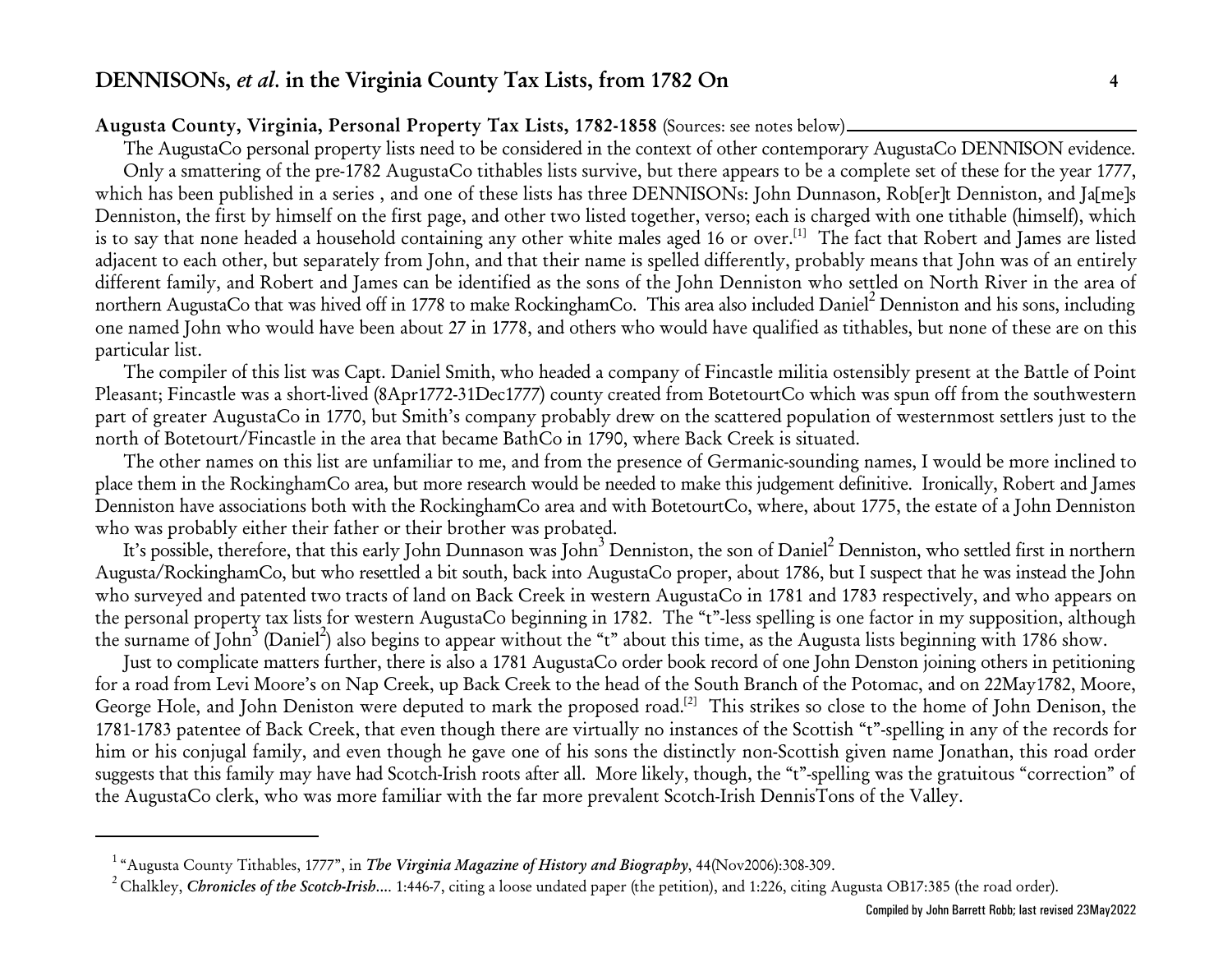### <span id="page-3-0"></span>**Augusta County, Virginia, Personal Property Tax Lists, 1782-1858** (Sources: see notes below)

The AugustaCo personal property lists need to be considered in the context of other contemporary AugustaCo DENNISON evidence. Only a smattering of the pre-1782 AugustaCo tithables lists survive, but there appears to be a complete set of these for the year 1777, which has been published in a series , and one of these lists has three DENNISONs: John Dunnason, Rob[er]t Denniston, and Ja[me]s Denniston, the first by himself on the first page, and other two listed together, verso; each is charged with one tithable (himself), which is to say that none headed a household containing any other white males aged 16 or over. $^{[1]}$  The fact that Robert and James are listed adjacent to each other, but separately from John, and that their name is spelled differently, probably means that John was of an entirely different family, and Robert and James can be identified as the sons of the John Denniston who settled on North River in the area of northern AugustaCo that was hived off in 1778 to make RockinghamCo. This area also included Daniel 2 Denniston and his sons, including one named John who would have been about 27 in 1778, and others who would have qualified as tithables, but none of these are on this particular list.

The compiler of this list was Capt. Daniel Smith, who headed a company of Fincastle militia ostensibly present at the Battle of Point Pleasant; Fincastle was a short-lived (8Apr1772-31Dec1777) county created from BotetourtCo which was spun off from the southwestern part of greater AugustaCo in 1770, but Smith's company probably drew on the scattered population of westernmost settlers just to the north of Botetourt/Fincastle in the area that became BathCo in 1790, where Back Creek is situated.

The other names on this list are unfamiliar to me, and from the presence of Germanic-sounding names, I would be more inclined to place them in the RockinghamCo area, but more research would be needed to make this judgement definitive. Ironically, Robert and James Denniston have associations both with the RockinghamCo area and with BotetourtCo, where, about 1775, the estate of a John Denniston who was probably either their father or their brother was probated.

It's possible, therefore, that this early John Dunnason was John 3 Denniston, the son of Daniel 2 Denniston, who settled first in northern Augusta/RockinghamCo, but who resettled a bit south, back into AugustaCo proper, about 1786, but I suspect that he was instead the John who surveyed and patented two tracts of land on Back Creek in western AugustaCo in 1781 and 1783 respectively, and who appears on the personal property tax lists for western AugustaCo beginning in 1782. The "t"-less spelling is one factor in my supposition, although the surname of John<sup>3</sup> (Daniel<sup>2</sup>) also begins to appear without the "t" about this time, as the Augusta lists beginning with 1786 show.

Just to complicate matters further, there is also a 1781 AugustaCo order book record of one John Denston joining others in petitioning for a road from Levi Moore's on Nap Creek, up Back Creek to the head of the South Branch of the Potomac, and on 22May1782, Moore, George Hole, and John Deniston were deputed to mark the proposed road.<sup>[2]</sup> This strikes so close to the home of John Denison, the 1781-1783 patentee of Back Creek, that even though there are virtually no instances of the Scottish "t"-spelling in any of the records for him or his conjugal family, and even though he gave one of his sons the distinctly non-Scottish given name Jonathan, this road order suggests that this family may have had Scotch-Irish roots after all. More likely, though, the "t"-spelling was the gratuitous "correction" of the AugustaCo clerk, who was more familiar with the far more prevalent Scotch-Irish DennisTons of the Valley.

<sup>&</sup>lt;sup>1</sup> "Augusta County Tithables, 1777", in *The Virginia Magazine of History and Biography*, 44(Nov2006):308-309.

<sup>&</sup>lt;sup>2</sup> Chalkley, *Chronicles of the Scotch-Irish....* 1:446-7, citing a loose undated paper (the petition), and 1:226, citing Augusta OB17:385 (the road order).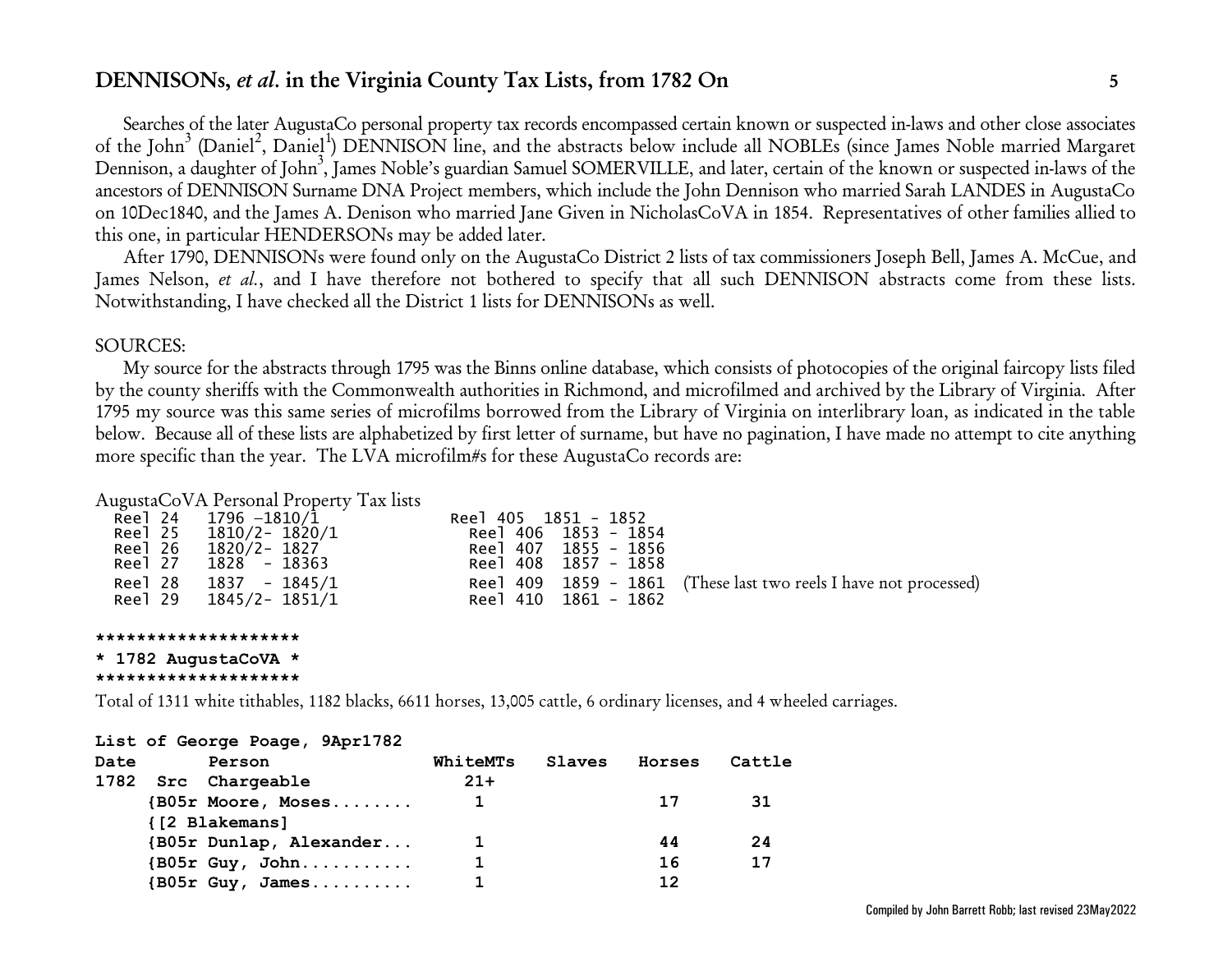Searches of the later AugustaCo personal property tax records encompassed certain known or suspected in-laws and other close associates of the John<sup>3</sup> (Daniel<sup>2</sup>, Daniel<sup>1</sup>) DENNISON line, and the abstracts below include all NOBLEs (since James Noble married Margaret Dennison, a daughter of John<sup>3</sup>, James Noble's guardian Samuel SOMERVILLE, and later, certain of the known or suspected in-laws of the ancestors of DENNISON Surname DNA Project members, which include the John Dennison who married Sarah LANDES in AugustaCo on 10Dec1840, and the James A. Denison who married Jane Given in NicholasCoVA in 1854. Representatives of other families allied to this one, in particular HENDERSONs may be added later.

After 1790, DENNISONs were found only on the AugustaCo District 2 lists of tax commissioners Joseph Bell, James A. McCue, and James Nelson, *et al.*, and I have therefore not bothered to specify that all such DENNISON abstracts come from these lists. Notwithstanding, I have checked all the District 1 lists for DENNISONs as well.

### SOURCES:

My source for the abstracts through 1795 was the Binns online database, which consists of photocopies of the original faircopy lists filed by the county sheriffs with the Commonwealth authorities in Richmond, and microfilmed and archived by the Library of Virginia. After 1795 my source was this same series of microfilms borrowed from the Library of Virginia on interlibrary loan, as indicated in the table below. Because all of these lists are alphabetized by first letter of surname, but have no pagination, I have made no attempt to cite anything more specific than the year. The LVA microfilm#s for these AugustaCo records are:

### AugustaCoVA Personal Property Tax lists

|         | Reel 24 1796 -1810/1 | Reel 405 1851 - 1852 |                                                                  |
|---------|----------------------|----------------------|------------------------------------------------------------------|
| Reel 25 | 1810/2- 1820/1       | Reel 406 1853 - 1854 |                                                                  |
| Reel 26 | 1820/2- 1827         | Reel 407 1855 - 1856 |                                                                  |
| Reel 27 | 1828 - 18363         | Reel 408 1857 - 1858 |                                                                  |
| Reel 28 | $1837 - 1845/1$      |                      | Ree 1409 1859 - 1861 (These last two reels I have not processed) |
| Reel 29 | 1845/2– 1851/1       | Reel 410 1861 - 1862 |                                                                  |

#### **\*\*\*\*\*\*\*\*\*\*\*\*\*\*\*\*\*\*\*\***

**\* 1782 AugustaCoVA \***

```
********************
```
Total of 1311 white tithables, 1182 blacks, 6611 horses, 13,005 cattle, 6 ordinary licenses, and 4 wheeled carriages.

|      | List of George Poage, 9Apr1782                      |          |        |        |        |
|------|-----------------------------------------------------|----------|--------|--------|--------|
| Date | Person                                              | WhiteMTs | Slaves | Horses | Cattle |
| 1782 | Src Chargeable                                      | $21+$    |        |        |        |
|      | $\{B05r \text{ Moore}, \text{Moses}. \ldots \ldots$ |          |        | 17     | 31     |
|      | {[2 Blakemans]                                      |          |        |        |        |
|      | {B05r Dunlap, Alexander                             | 1        |        | 44     | 24     |
|      | $\{B05r \, Guy, John \ldots \ldots \ldots$          | 1        |        | 16     | 17     |
|      | ${1805r}$ Guy, James                                |          |        | 12     |        |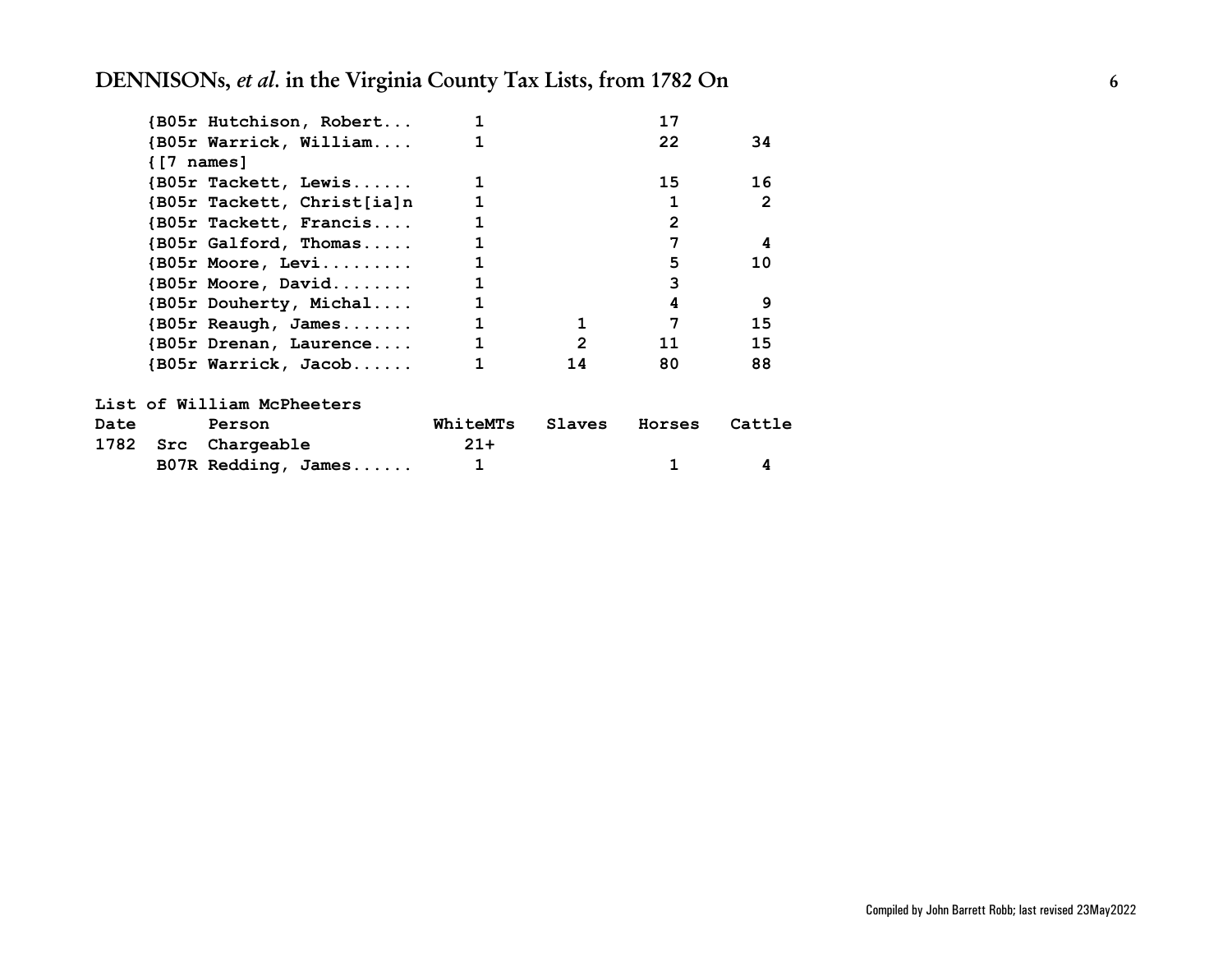|             |            | {B05r Hutchison, Robert                                     |                 |                | 17             |                |
|-------------|------------|-------------------------------------------------------------|-----------------|----------------|----------------|----------------|
|             |            | {B05r Warrick, William                                      |                 |                | 22             | 34             |
|             | {[7 names] |                                                             |                 |                |                |                |
|             |            | {B05r Tackett, Lewis                                        |                 |                | 15             | 16             |
|             |            | {B05r Tackett, Christ[ia]n                                  |                 |                |                | $\mathfrak{p}$ |
|             |            | {B05r Tackett, Francis                                      |                 |                | $\overline{2}$ |                |
|             |            | {B05r Galford, Thomas                                       |                 |                | 7              | 4              |
|             |            | $\{B05r \; \text{Moore}, \; \text{Levi}. \ldots \ldots \}$  |                 |                | 5              | 10             |
|             |            | $\{B05r \; \text{Moore}, \; \text{David}. \ldots \ldots \}$ |                 |                | 3              |                |
|             |            | {B05r Douherty, Michal                                      |                 |                | 4              | 9              |
|             |            | {B05r Reaugh, James                                         |                 | 1              | 7              | 15             |
|             |            | {B05r Drenan, Laurence                                      | 1               | $\overline{2}$ | 11             | 15             |
|             |            | {B05r Warrick, Jacob                                        | 1               | 14             | 80             | 88             |
|             |            | List of William McPheeters                                  |                 |                |                |                |
| <b>Date</b> |            | Person                                                      | <b>WhiteMTs</b> | Slaves         | Horses         | Cattle         |
|             |            | 1782 Src Chargeable                                         | $21+$           |                |                |                |
|             |            | B07R Redding, James                                         | 1               |                |                | 4              |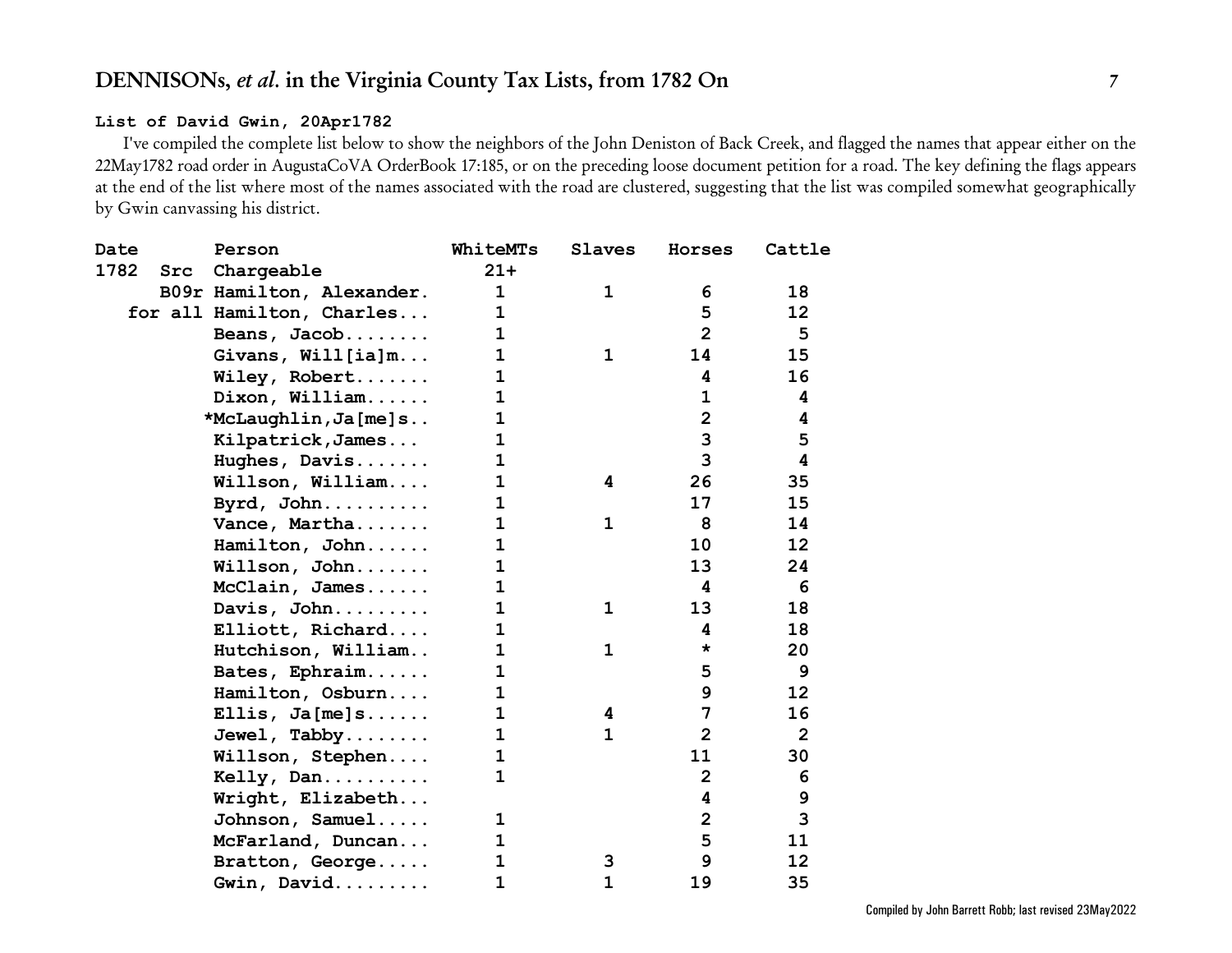### **List of David Gwin, 20Apr1782**

I've compiled the complete list below to show the neighbors of the John Deniston of Back Creek, and flagged the names that appear either on the 22May1782 road order in AugustaCoVA OrderBook 17:185, or on the preceding loose document petition for a road. The key defining the flags appears at the end of the list where most of the names associated with the road are clustered, suggesting that the list was compiled somewhat geographically by Gwin canvassing his district.

| 18<br>12<br>5<br>15<br>16<br>4<br>4<br>5<br>$\overline{\mathbf{4}}$<br>35<br>15 |
|---------------------------------------------------------------------------------|
|                                                                                 |
|                                                                                 |
|                                                                                 |
|                                                                                 |
|                                                                                 |
|                                                                                 |
|                                                                                 |
|                                                                                 |
|                                                                                 |
|                                                                                 |
|                                                                                 |
|                                                                                 |
| 14                                                                              |
| 12                                                                              |
| 24                                                                              |
| 6                                                                               |
| 18                                                                              |
| 18                                                                              |
| 20                                                                              |
| 9                                                                               |
| 12                                                                              |
| 16                                                                              |
| $\overline{2}$                                                                  |
| 30                                                                              |
| 6                                                                               |
| $\boldsymbol{9}$                                                                |
| 3                                                                               |
| 11                                                                              |
| 12                                                                              |
|                                                                                 |
|                                                                                 |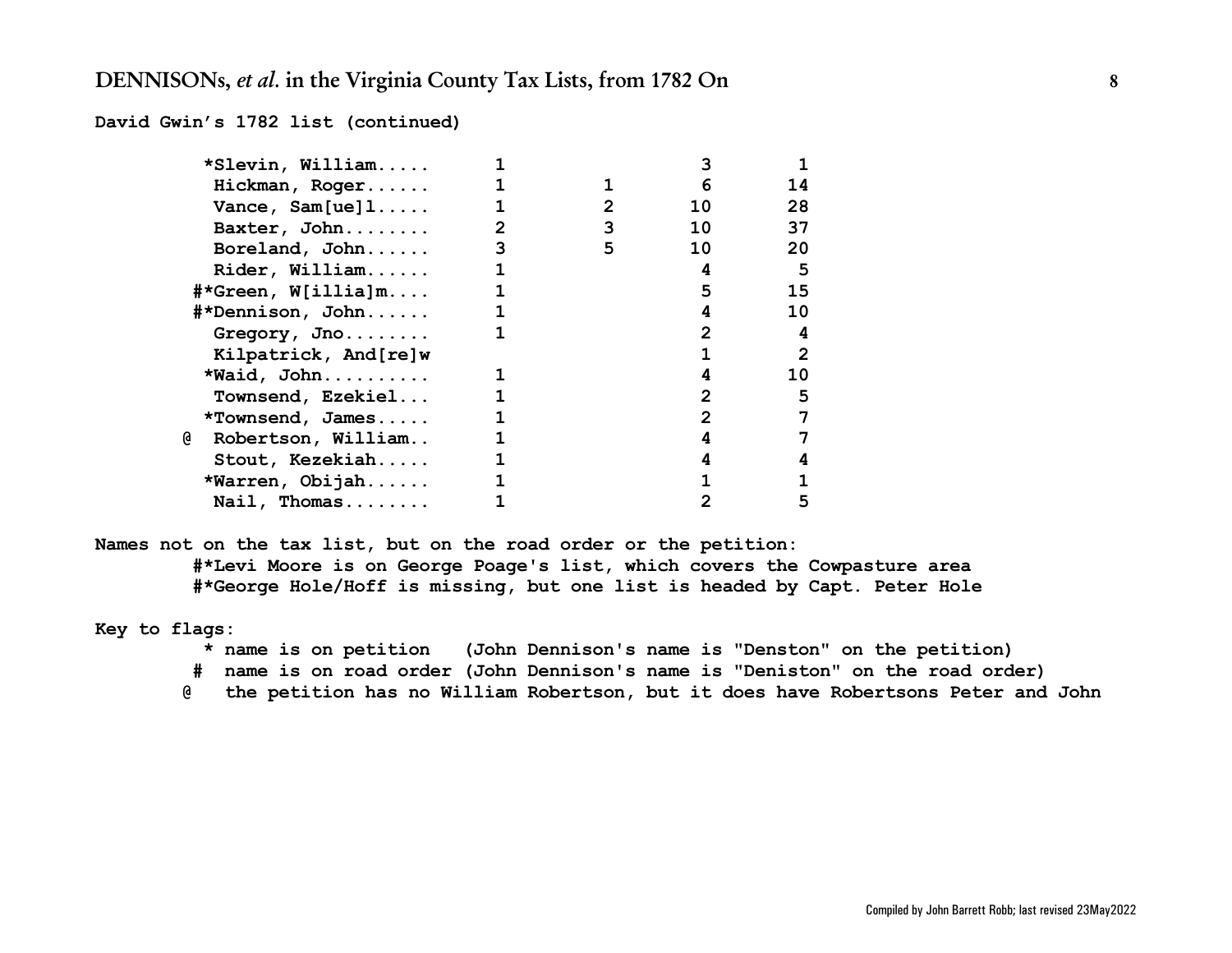**David Gwin's 1782 list (continued)**

| *Slevin, William                        |   |                       |                |    |
|-----------------------------------------|---|-----------------------|----------------|----|
| Hickman, Roger                          |   |                       | 6              | 14 |
| Vance, $Sam[ue]1$                       |   | $\mathbf{2}^{\prime}$ | 10             | 28 |
| Baxter, John                            | 2 | 3                     | 10             | 37 |
| Boreland, John                          | 3 | 5                     | 10             | 20 |
| Rider, William                          |   |                       | 4              | 5  |
| $\texttt{\#*Green}, \texttt{W[i}$ lia]m | 1 |                       | 5              | 15 |
| #*Dennison, John                        |   |                       |                | 10 |
| Gregory, Jno                            |   |                       | 2              | 4  |
| Kilpatrick, And[re]w                    |   |                       |                | 2  |
| *Waid, John                             |   |                       |                | 10 |
| Townsend, Ezekiel                       |   |                       | $\overline{2}$ | 5  |
| *Townsend, James                        |   |                       | 2              | 7  |
| @<br>Robertson, William                 |   |                       |                |    |
| Stout, Kezekiah                         |   |                       |                | 4  |
| *Warren, Obijah                         |   |                       |                |    |
| Nail, Thomas                            |   |                       |                | 5  |

**Names not on the tax list, but on the road order or the petition: #\*Levi Moore is on George Poage's list, which covers the Cowpasture area #\*George Hole/Hoff is missing, but one list is headed by Capt. Peter Hole**

**Key to flags:**

- **\* name is on petition (John Dennison's name is "Denston" on the petition)**
- **# name is on road order (John Dennison's name is "Deniston" on the road order)**
- **@ the petition has no William Robertson, but it does have Robertsons Peter and John**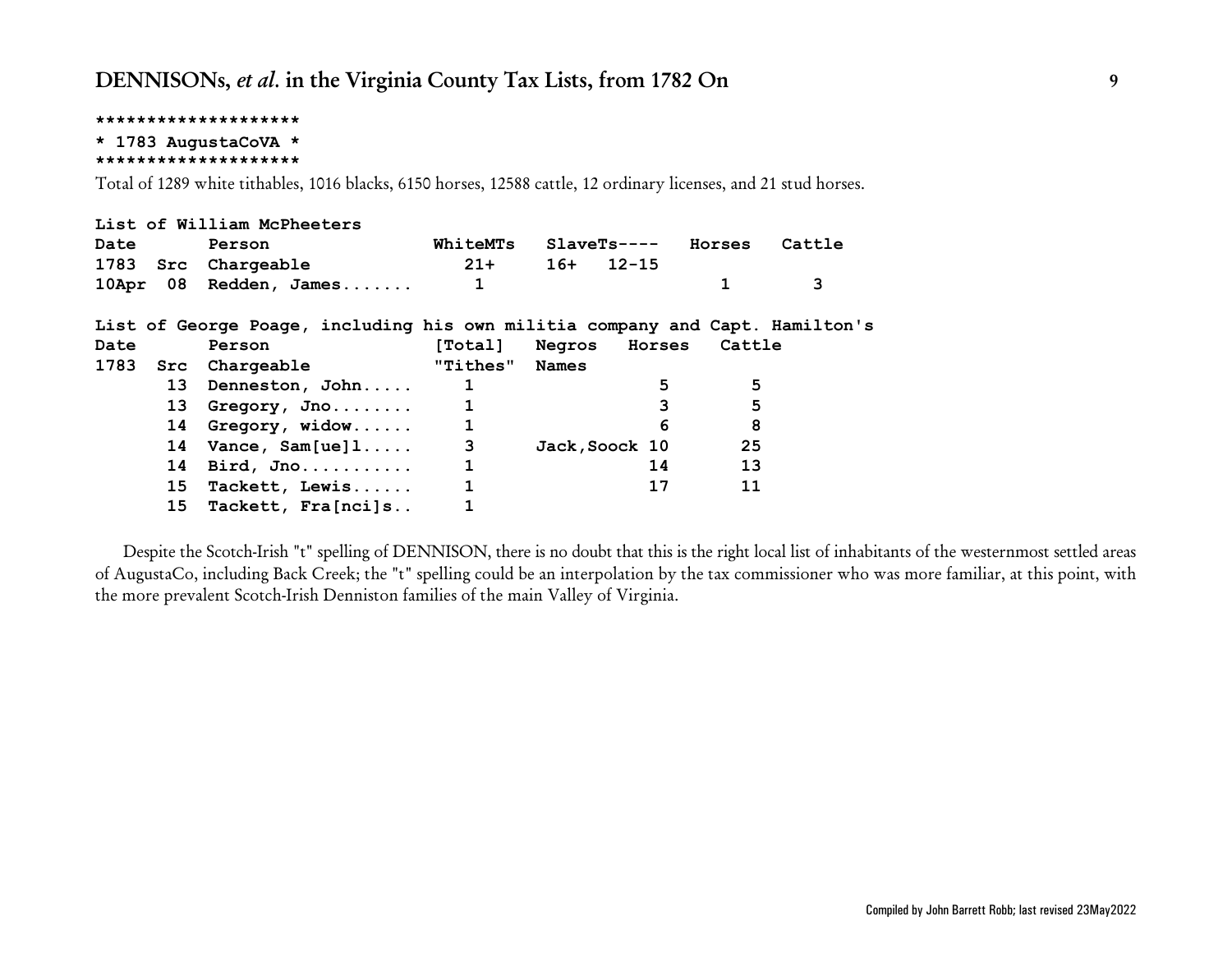**\* 1783 AugustaCoVA \***

**\*\*\*\*\*\*\*\*\*\*\*\*\*\*\*\*\*\*\*\***

Total of 1289 white tithables, 1016 blacks, 6150 horses, 12588 cattle, 12 ordinary licenses, and 21 stud horses.

|             | List of William McPheeters                                                   |                |                       |          |        |
|-------------|------------------------------------------------------------------------------|----------------|-----------------------|----------|--------|
| <b>Date</b> | Person                                                                       | WhiteMTs       | $SlaveTs---$          | Horses   | Cattle |
|             | 1783 Src Chargeable                                                          | $21+$          | $16+ 12-15$           |          |        |
|             | 10Apr 08 Redden, James                                                       | $\mathbf{1}$   |                       |          | 3      |
|             | List of George Poage, including his own militia company and Capt. Hamilton's |                |                       |          |        |
| <b>Date</b> | Person                                                                       |                | [Total] Negros Horses | Cattle   |        |
|             | 1783 Src Chargeable                                                          | "Tithes" Names |                       |          |        |
|             | 13 Denneston, John                                                           | $\mathbf{1}$   |                       | 5<br>5   |        |
|             | 13 Gregory, Jno                                                              |                |                       | 3<br>5   |        |
|             | 14 Gregory, widow                                                            | $\mathbf{1}$   |                       | 8<br>6   |        |
|             | $14$ Vance, Sam[ue] $1 \ldots$ .                                             | 3              | Jack, Soock 10        | 25       |        |
|             | 14 Bird, Jno                                                                 | $\mathbf{1}$   |                       | 13<br>14 |        |
| 15          | Tackett, Lewis                                                               |                |                       | 17<br>11 |        |
|             | 15 Tackett, Fra[nci]s                                                        |                |                       |          |        |

Despite the Scotch-Irish "t" spelling of DENNISON, there is no doubt that this is the right local list of inhabitants of the westernmost settled areas of AugustaCo, including Back Creek; the "t" spelling could be an interpolation by the tax commissioner who was more familiar, at this point, with the more prevalent Scotch-Irish Denniston families of the main Valley of Virginia.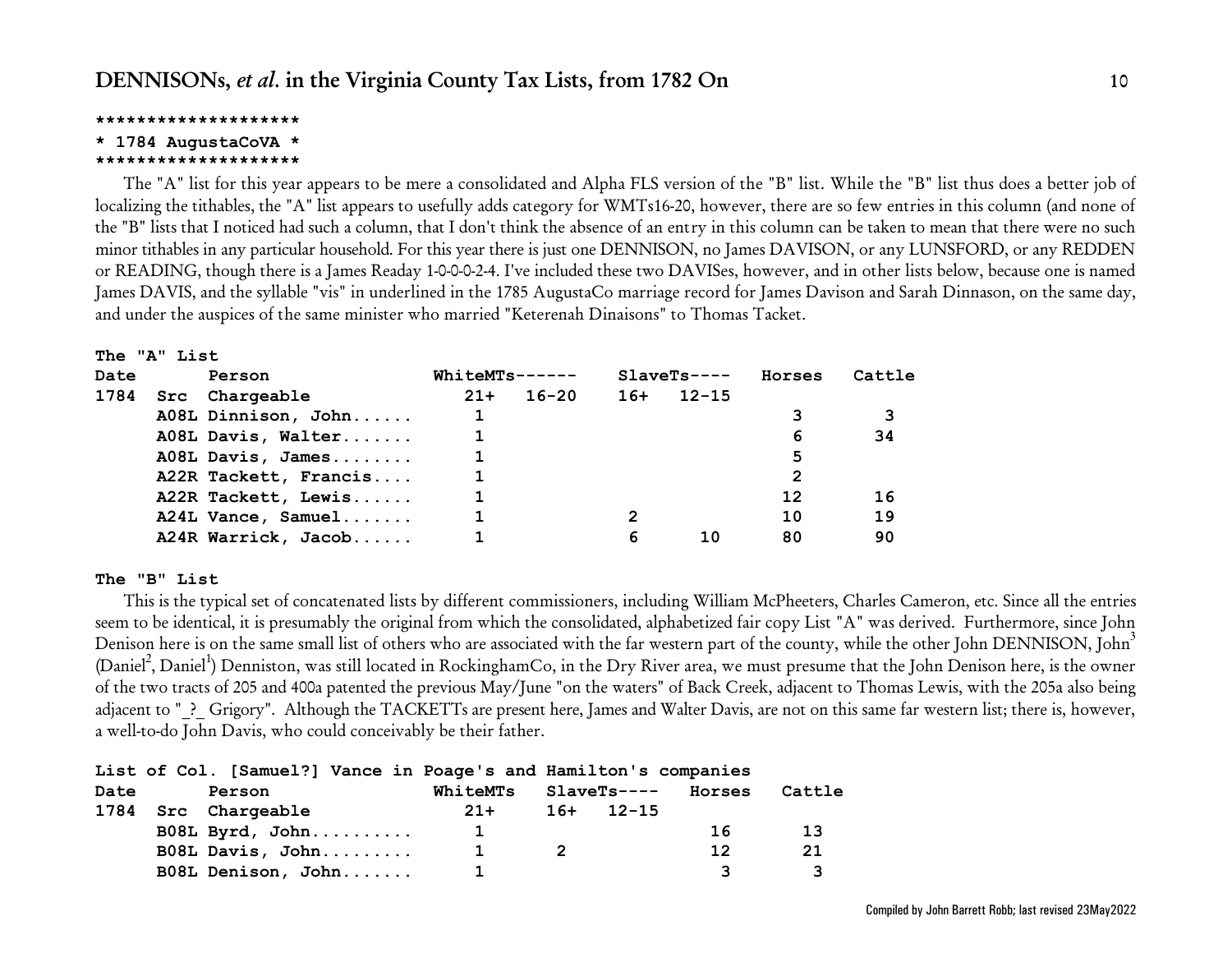### **\* 1784 AugustaCoVA \***

#### **\*\*\*\*\*\*\*\*\*\*\*\*\*\*\*\*\*\*\*\***

The "A" list for this year appears to be mere a consolidated and Alpha FLS version of the "B" list. While the "B" list thus does a better job of localizing the tithables, the "A" list appears to usefully adds category for WMTs16-20, however, there are so few entries in this column (and none of the "B" lists that I noticed had such a column, that I don't think the absence of an entry in this column can be taken to mean that there were no such minor tithables in any particular household. For this year there is just one DENNISON, no James DAVISON, or any LUNSFORD, or any REDDEN or READING, though there is a James Readay 1-0-0-0-2-4. I've included these two DAVISes, however, and in other lists below, because one is named James DAVIS, and the syllable "vis" in underlined in the 1785 AugustaCo marriage record for James Davison and Sarah Dinnason, on the same day, and under the auspices of the same minister who married "Keterenah Dinaisons" to Thomas Tacket.

#### **The "A" List**

| Date<br>Person |  | $WhitemTs---$         |       |           | $SlaveTs---$ | Horses    | Cattle |    |
|----------------|--|-----------------------|-------|-----------|--------------|-----------|--------|----|
| 1784           |  | Src Chargeable        | $21+$ | $16 - 20$ | $16+$        | $12 - 15$ |        |    |
|                |  | A08L Dinnison, John   |       |           |              |           |        |    |
|                |  | A08L Davis, Walter    |       |           |              |           | 6      | 34 |
|                |  | A08L Davis, James     |       |           |              |           | 5      |    |
|                |  | A22R Tackett, Francis |       |           |              |           | 2      |    |
|                |  | A22R Tackett, Lewis   |       |           |              |           | 12     | 16 |
|                |  | A24L Vance, Samuel    |       |           |              |           | 10     | 19 |
|                |  | A24R Warrick, Jacob   |       |           | 6            | 10        | 80     | 90 |

### **The "B" List**

This is the typical set of concatenated lists by different commissioners, including William McPheeters, Charles Cameron, etc. Since all the entries seem to be identical, it is presumably the original from which the consolidated, alphabetized fair copy List "A" was derived. Furthermore, since John Denison here is on the same small list of others who are associated with the far western part of the county, while the other John DENNISON, John $^3$ (Daniel<sup>2</sup>, Daniel<sup>1</sup>) Denniston, was still located in RockinghamCo, in the Dry River area, we must presume that the John Denison here, is the owner of the two tracts of 205 and 400a patented the previous May/June "on the waters" of Back Creek, adjacent to Thomas Lewis, with the 205a also being adjacent to " ? Grigory". Although the TACKETTs are present here, James and Walter Davis, are not on this same far western list; there is, however, a well-to-do John Davis, who could conceivably be their father.

|      |                     |  | List of Col. [Samuel?] Vance in Poage's and Hamilton's companies |             |        |        |
|------|---------------------|--|------------------------------------------------------------------|-------------|--------|--------|
| Date | Person              |  | WhiteMTs                                                         | SlaveTs---- | Horses | Cattle |
|      | 1784 Src Chargeable |  | $21+$                                                            | $16+ 12-15$ |        |        |
|      | B08L Byrd, John     |  |                                                                  |             | 16     | 13     |
|      | B08L Davis, John    |  |                                                                  |             | 12     | 21     |
|      | B08L Denison, John  |  |                                                                  |             |        |        |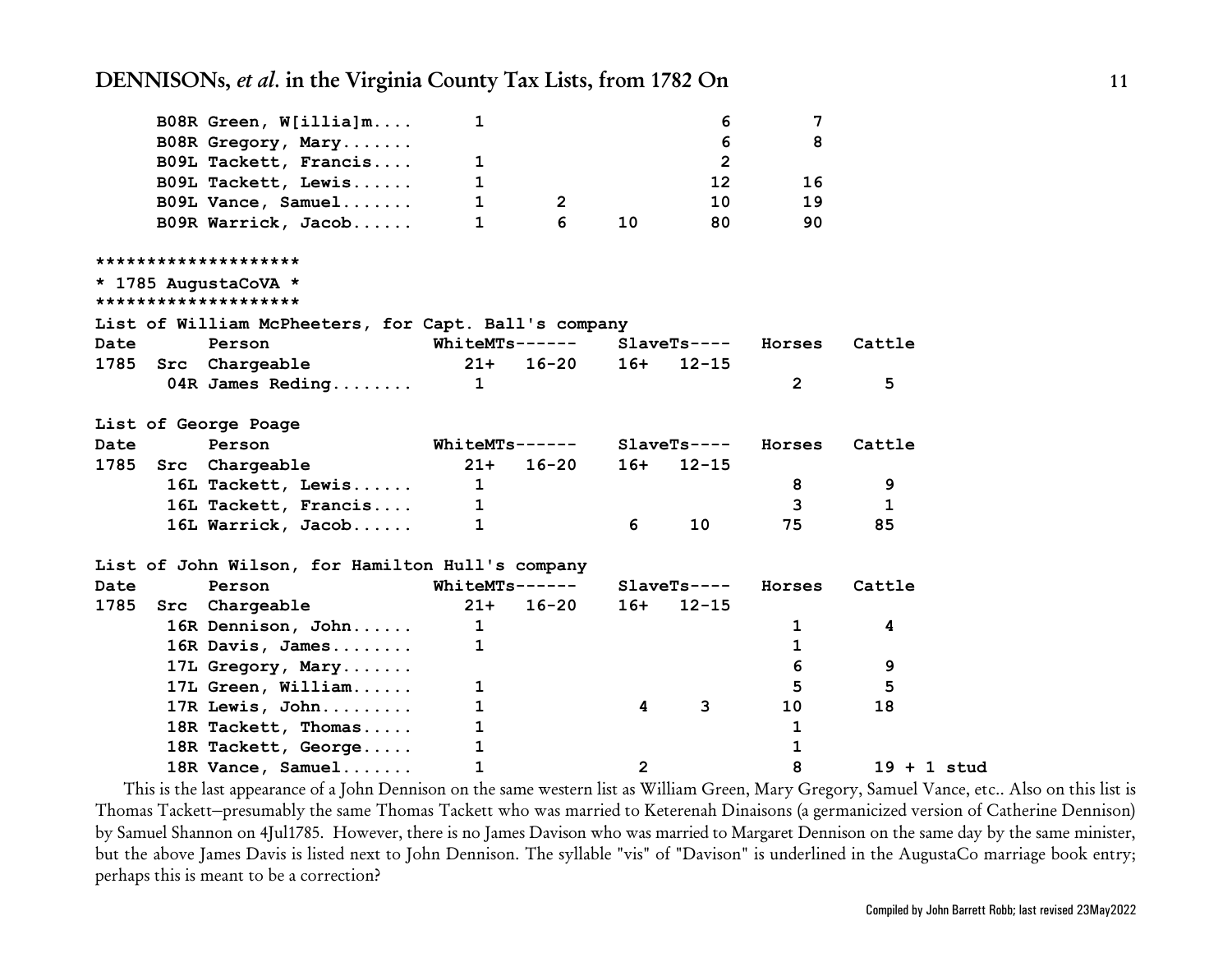|             | B08R Green, W[illia]m                                | 1              |                       |       | 6               | 7              |               |  |
|-------------|------------------------------------------------------|----------------|-----------------------|-------|-----------------|----------------|---------------|--|
|             | B08R Gregory, Mary                                   |                |                       |       | 6               | 8              |               |  |
|             | B09L Tackett, Francis                                | 1              |                       |       | $\overline{2}$  |                |               |  |
|             | B09L Tackett, Lewis                                  | 1              |                       |       | 12 <sub>2</sub> | 16             |               |  |
|             | B09L Vance, Samuel                                   | 1              | $\overline{2}$        |       | 10              | 19             |               |  |
|             | B09R Warrick, Jacob                                  | 1              | 6                     | 10    | 80              | 90             |               |  |
|             | ********************                                 |                |                       |       |                 |                |               |  |
|             | * 1785 AugustaCoVA *                                 |                |                       |       |                 |                |               |  |
|             | ********************                                 |                |                       |       |                 |                |               |  |
|             | List of William McPheeters, for Capt. Ball's company |                |                       |       |                 |                |               |  |
| <b>Date</b> | Person                                               | WhiteMTs------ |                       |       | $SlaveTs---$    | Horses         | Cattle        |  |
| 1785        | Src Chargeable                                       | $21+$          | $16 - 20$             | $16+$ | $12 - 15$       |                |               |  |
|             | 04R James Reding                                     | $\mathbf{1}$   |                       |       |                 | $\overline{2}$ | 5             |  |
|             | List of George Poage                                 |                |                       |       |                 |                |               |  |
| Date        | Person                                               |                | <b>WhiteMTs------</b> |       | $SlaveTs---$    | Horses         | Cattle        |  |
| 1785        | Src Chargeable                                       | $21 +$         | $16 - 20$             | $16+$ | $12 - 15$       |                |               |  |
|             | 16L Tackett, Lewis                                   | $\mathbf 1$    |                       |       |                 | 8              | 9             |  |
|             | 16L Tackett, Francis                                 | 1              |                       |       |                 | 3              | 1             |  |
|             | 16L Warrick, Jacob                                   | 1              |                       | 6     | 10              | 75             | 85            |  |
|             | List of John Wilson, for Hamilton Hull's company     |                |                       |       |                 |                |               |  |
| Date        | Person                                               |                | WhiteMTs------        |       | $SlaveTs---$    | Horses         | Cattle        |  |
| 1785        | Src Chargeable                                       | $21 +$         | $16 - 20$             | $16+$ | $12 - 15$       |                |               |  |
|             | 16R Dennison, John                                   | $\mathbf{1}$   |                       |       |                 | $\mathbf 1$    | 4             |  |
|             | 16R Davis, James                                     | 1              |                       |       |                 | 1              |               |  |
|             | 17L Gregory, Mary                                    |                |                       |       |                 | 6              | 9             |  |
|             | 17L Green, William                                   | 1              |                       |       |                 | 5              | 5             |  |
|             | 17R Lewis, John                                      | 1              |                       | 4     | 3               | 10             | 18            |  |
|             | 18R Tackett, Thomas                                  | 1              |                       |       |                 | $\mathbf{1}$   |               |  |
|             | 18R Tackett, George                                  | 1              |                       |       |                 | 1              |               |  |
|             | 18R Vance, Samuel                                    | 1              |                       | 2     |                 | 8              | $19 + 1$ stud |  |

This is the last appearance of a John Dennison on the same western list as William Green, Mary Gregory, Samuel Vance, etc.. Also on this list is Thomas Tackett–presumably the same Thomas Tackett who was married to Keterenah Dinaisons (a germanicized version of Catherine Dennison) by Samuel Shannon on 4Jul1785. However, there is no James Davison who was married to Margaret Dennison on the same day by the same minister, but the above James Davis is listed next to John Dennison. The syllable "vis" of "Davison" is underlined in the AugustaCo marriage book entry; perhaps this is meant to be a correction?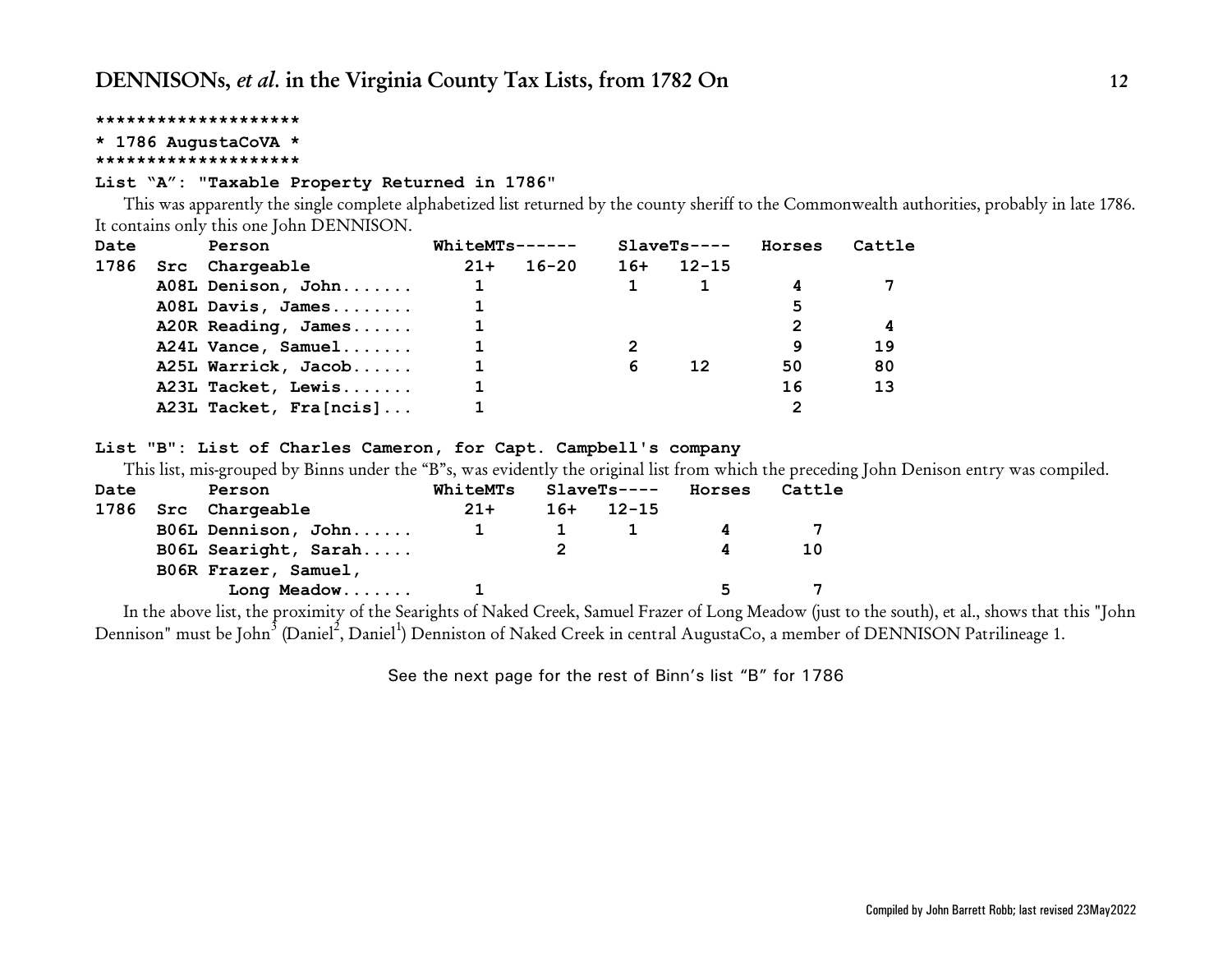<span id="page-11-0"></span>**\* 1786 AugustaCoVA \***

#### **\*\*\*\*\*\*\*\*\*\*\*\*\*\*\*\*\*\*\*\***

### **List "A": "Taxable Property Returned in 1786"**

This was apparently the single complete alphabetized list returned by the county sheriff to the Commonwealth authorities, probably in late 1786. It contains only this one John DENNISON.

| Date<br>Person |  |                        | WhiteMTs------ |           |       | $SlaveTs---$ | Horses | Cattle |
|----------------|--|------------------------|----------------|-----------|-------|--------------|--------|--------|
| 1786           |  | Src Chargeable         | $21+$          | $16 - 20$ | $16+$ | 12-15        |        |        |
|                |  | A08L Denison, John     |                |           |       |              |        |        |
|                |  | A08L Davis, James      |                |           |       |              | 5      |        |
|                |  | A20R Reading, James    |                |           |       |              |        | 4      |
|                |  | A24L Vance, Samuel     |                |           |       |              | 9      | 19     |
|                |  | A25L Warrick, Jacob    |                |           | 6     | 12           | 50     | 80     |
|                |  | A23L Tacket, Lewis     |                |           |       |              | 16     | 13     |
|                |  | A23L Tacket, Fra[ncis] |                |           |       |              |        |        |

### **List "B": List of Charles Cameron, for Capt. Campbell's company**

This list, mis-grouped by Binns under the "B"s, was evidently the original list from which the preceding John Denison entry was compiled.

| Date | Person               | WhiteMTs | <b>SlaveTs----</b> | Horses | Cattle |  |
|------|----------------------|----------|--------------------|--------|--------|--|
|      | 1786 Src Chargeable  | $21+$    | $16+ 12-15$        |        |        |  |
|      | B06L Dennison, John  |          |                    |        |        |  |
|      | B06L Searight, Sarah |          |                    | Δ      | 10     |  |
|      | B06R Frazer, Samuel, |          |                    |        |        |  |
|      | Long Meadow          |          |                    |        |        |  |

In the above list, the proximity of the Searights of Naked Creek, Samuel Frazer of Long Meadow (just to the south), et al., shows that this "John Dennison" must be John<sup>3</sup> (Daniel<sup>2</sup>, Daniel<sup>1</sup>) Denniston of Naked Creek in central AugustaCo, a member of DENNISON Patrilineage 1.

See the next page for the rest of Binn's list "B" for 1786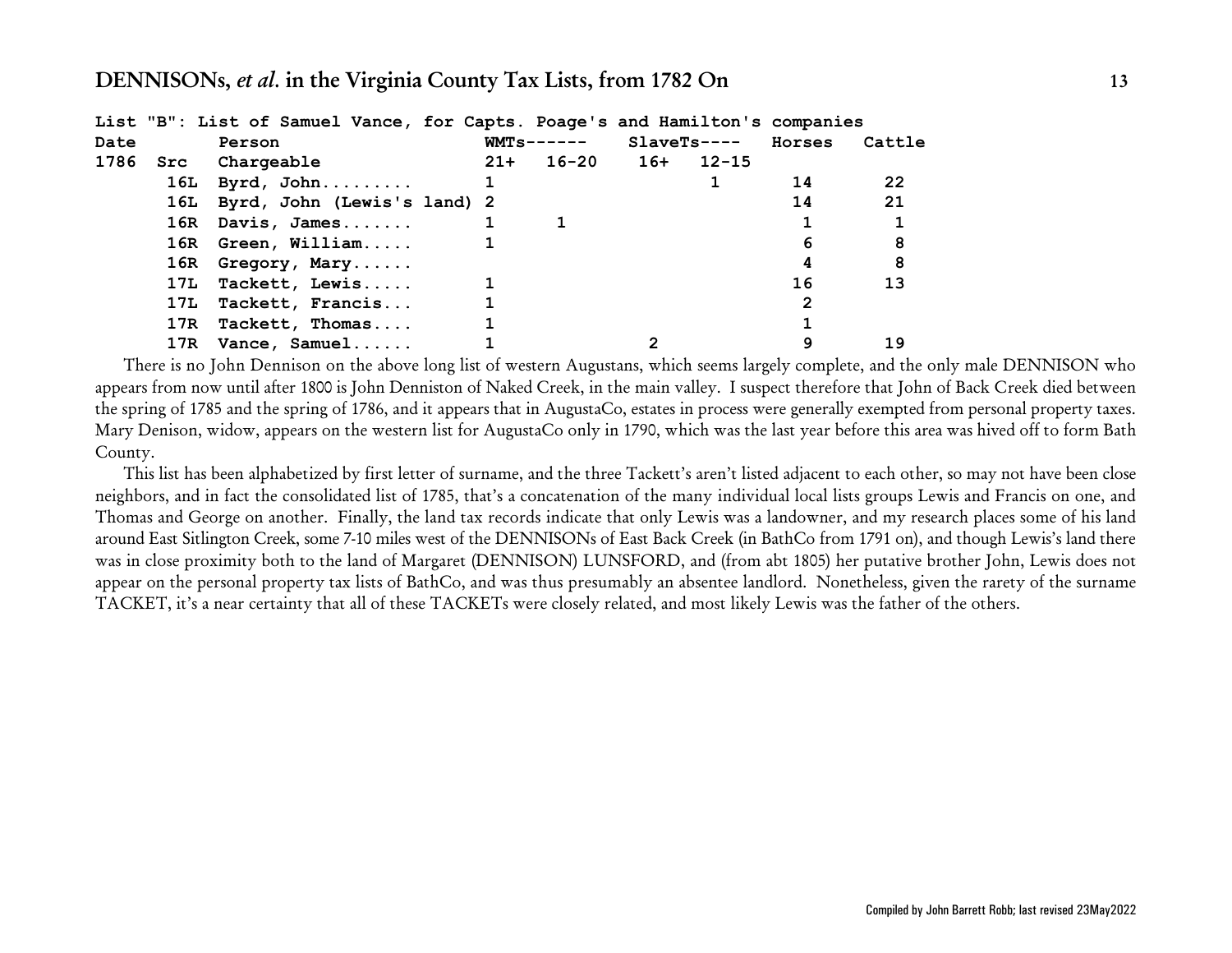|      | List "B": List of Samuel Vance, for Capts. Poage's and Hamilton's companies |  |               |              |        |        |
|------|-----------------------------------------------------------------------------|--|---------------|--------------|--------|--------|
| Date | Person                                                                      |  | $WMTs$ ------ | $SlaveTs---$ | Horses | Cattle |
| 1786 | Src Chargeable                                                              |  | 21+ 16-20 16+ | 12-15        |        |        |
|      | 16L Byrd, John                                                              |  |               |              | 14     | 22     |
|      | 16L Byrd, John (Lewis's land) 2                                             |  |               |              | 14     | 21     |
|      | $16R$ Davis, James                                                          |  |               |              |        |        |
|      | 16R Green, William                                                          |  |               |              | 6      | 8      |
|      | 16R Gregory, Mary                                                           |  |               |              |        | 8      |
|      | 17L Tackett, Lewis                                                          |  |               |              | 16     | 13     |
|      | 17L Tackett, Francis                                                        |  |               |              |        |        |
|      | 17R Tackett, Thomas                                                         |  |               |              |        |        |
|      | 17R Vance, Samuel                                                           |  |               |              |        | 19     |

There is no John Dennison on the above long list of western Augustans, which seems largely complete, and the only male DENNISON who appears from now until after 1800 is John Denniston of Naked Creek, in the main valley. I suspect therefore that John of Back Creek died between the spring of 1785 and the spring of 1786, and it appears that in AugustaCo, estates in process were generally exempted from personal property taxes. Mary Denison, widow, appears on the western list for AugustaCo only in 1790, which was the last year before this area was hived off to form Bath County.

This list has been alphabetized by first letter of surname, and the three Tackett's aren't listed adjacent to each other, so may not have been close neighbors, and in fact the consolidated list of 1785, that's a concatenation of the many individual local lists groups Lewis and Francis on one, and Thomas and George on another. Finally, the land tax records indicate that only Lewis was a landowner, and my research places some of his land around East Sitlington Creek, some 7-10 miles west of the DENNISONs of East Back Creek (in BathCo from 1791 on), and though Lewis's land there was in close proximity both to the land of Margaret (DENNISON) LUNSFORD, and (from abt 1805) her putative brother John, Lewis does not appear on the personal property tax lists of BathCo, and was thus presumably an absentee landlord. Nonetheless, given the rarety of the surname TACKET, it's a near certainty that all of these TACKETs were closely related, and most likely Lewis was the father of the others.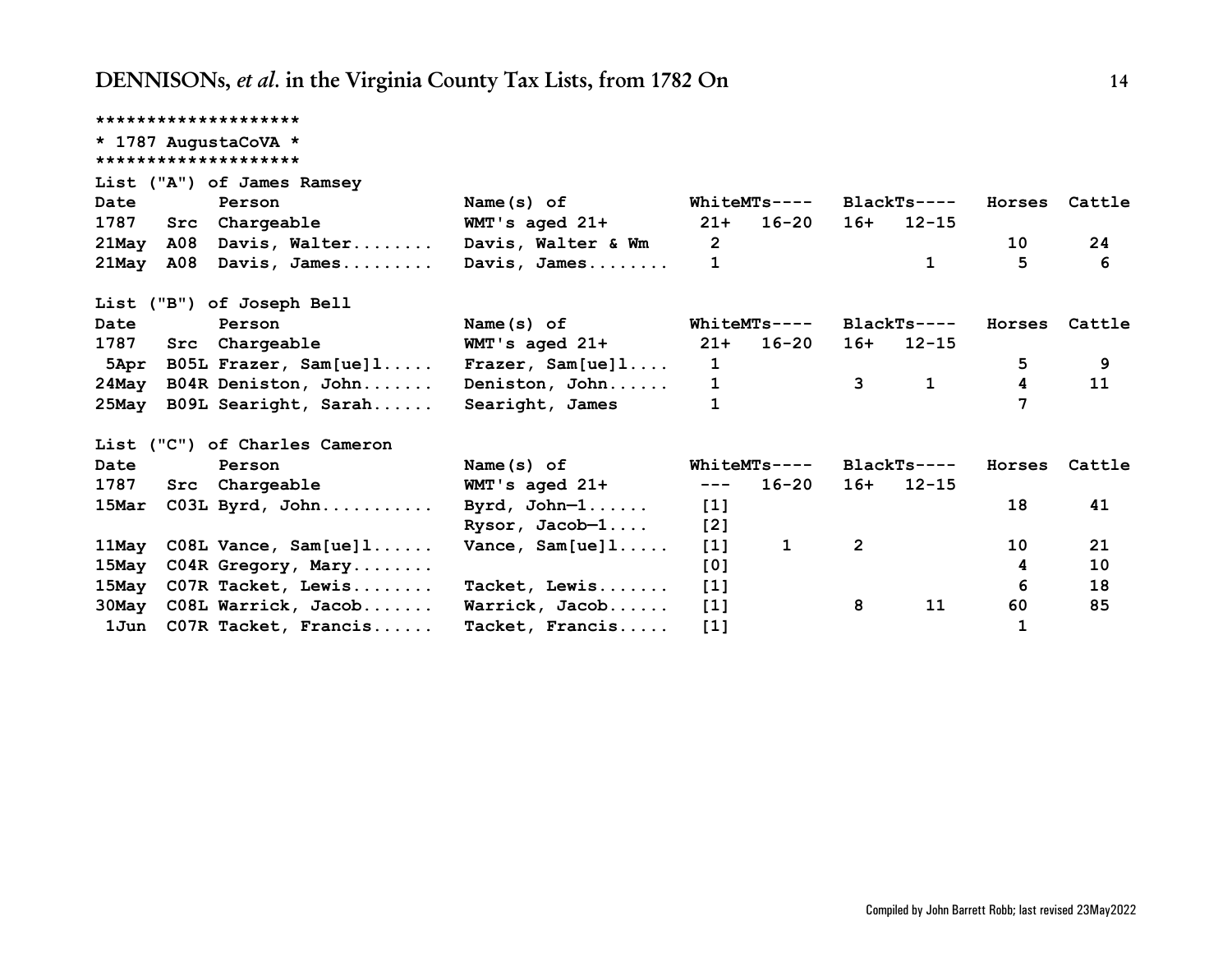|       | ********************          |                      |                  |                     |                |              |        |        |
|-------|-------------------------------|----------------------|------------------|---------------------|----------------|--------------|--------|--------|
|       | * 1787 AugustaCoVA *          |                      |                  |                     |                |              |        |        |
|       | ********************          |                      |                  |                     |                |              |        |        |
|       | List ("A") of James Ramsey    |                      |                  |                     |                |              |        |        |
| Date  | Person                        | Name(s) of           |                  | WhiteMTs----        |                | $BlackTs---$ | Horses | Cattle |
| 1787  | Src Chargeable                | WMT's aged 21+       | $21+$            | 16-20               | 16+            | $12 - 15$    |        |        |
| 21May | A08 Davis, Walter             | Davis, Walter & Wm   | $\overline{2}$   |                     |                |              | 10     | 24     |
| 21May | A08 Davis, James              | Davis, James         | $\mathbf{1}$     |                     |                | $\mathbf{1}$ | 5      | 6      |
|       | List ("B") of Joseph Bell     |                      |                  |                     |                |              |        |        |
| Date  | Person                        | Name $(s)$ of        |                  | <b>WhiteMTs----</b> |                | $BlackTs---$ | Horses | Cattle |
| 1787  | Src Chargeable                | WMT's aged 21+       | $21+$            | 16-20               | 16+            | $12 - 15$    |        |        |
|       | 5Apr B05L Frazer, Sam[ue]1    | Frazer, $Sam[ue]1$ . | $\mathbf{1}$     |                     |                |              | 5      | 9      |
| 24May | B04R Deniston, John           | Deniston, John       |                  | $\mathbf{1}$        | $3^{\circ}$    | $\mathbf{1}$ | 4      | 11     |
|       | 25May B09L Searight, Sarah    | Searight, James      |                  |                     |                |              |        |        |
|       | List ("C") of Charles Cameron |                      |                  |                     |                |              |        |        |
| Date  | Person                        | Name $(s)$ of        |                  | WhiteMTs----        |                | $BlackTs---$ | Horses | Cattle |
| 1787  | Src Chargeable                | WMT's aged 21+       | $---$            | 16-20               | 16+            | $12 - 15$    |        |        |
| 15Mar | C03L Byrd, John               | Byrd, $John-1$       | $[1]$            |                     |                |              | 18     | 41     |
|       |                               | Rysor, Jacob-1       | [2]              |                     |                |              |        |        |
| 11May | $C08L$ Vance, $Sam[ue]1$      | Vance, $Sam[ue]1$    | $[1]$            | $\mathbf{1}$        | $\overline{2}$ |              | 10     | 21     |
| 15May | C04R Gregory, Mary            |                      | [0]              |                     |                |              | 4      | 10     |
| 15May | C07R Tacket, Lewis            | Tacket, Lewis        | $[1]$            |                     |                |              | 6      | 18     |
| 30May | C08L Warrick, Jacob           | Warrick, Jacob       | $\left[1\right]$ |                     | 8              | 11           | 60     | 85     |
| 1Jun  | C07R Tacket, Francis          | Tacket, Francis      | $[1]$            |                     |                |              | 1      |        |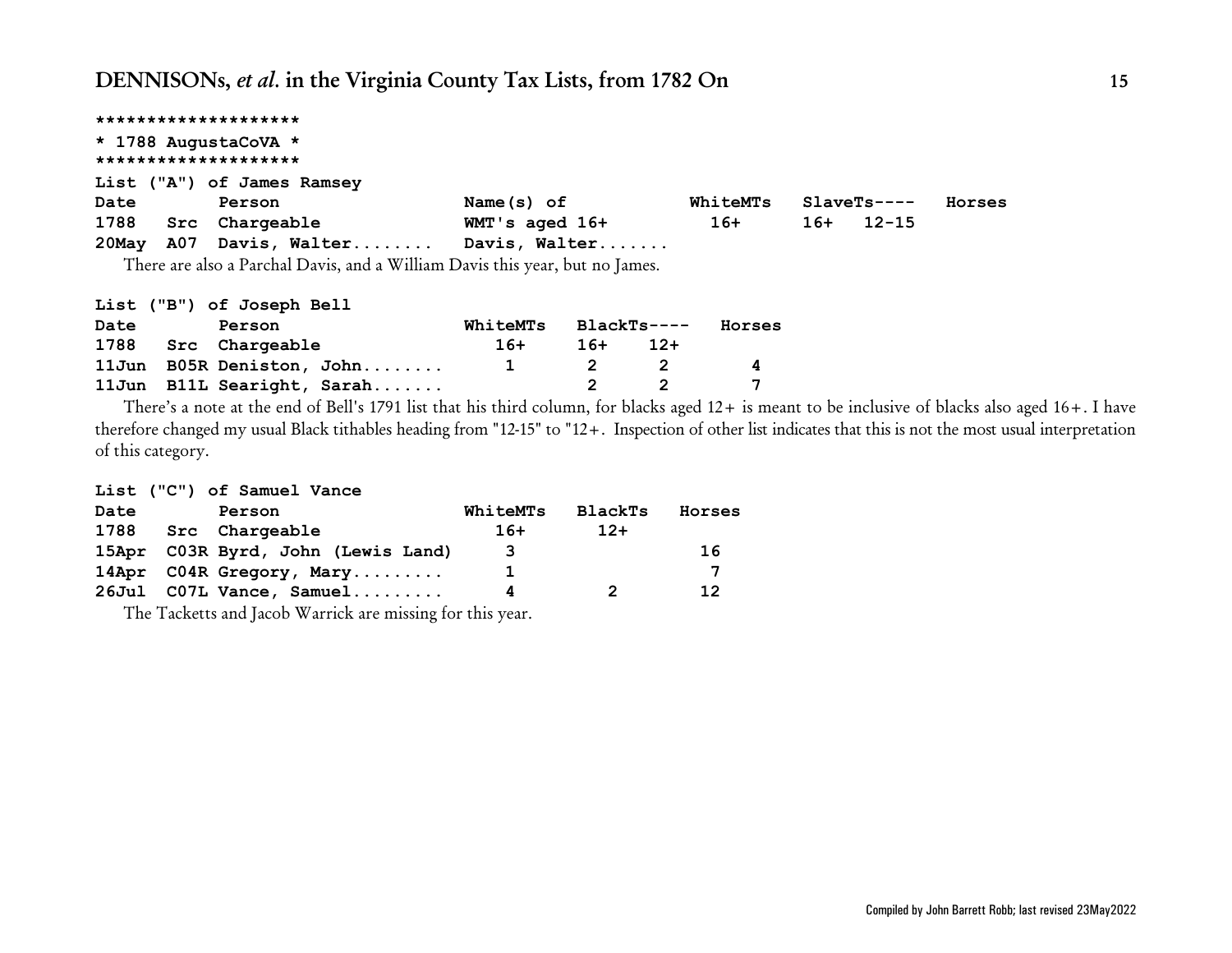|       |                      | ********************       |                   |          |       |              |        |  |  |  |  |  |  |
|-------|----------------------|----------------------------|-------------------|----------|-------|--------------|--------|--|--|--|--|--|--|
|       | * 1788 AugustaCoVA * |                            |                   |          |       |              |        |  |  |  |  |  |  |
|       | ******************** |                            |                   |          |       |              |        |  |  |  |  |  |  |
|       |                      | List ("A") of James Ramsey |                   |          |       |              |        |  |  |  |  |  |  |
| Date  |                      | Person                     | Name $(s)$ of     | WhiteMTs |       | $SlaveTs---$ | Horses |  |  |  |  |  |  |
| 1788  |                      | Src Chargeable             | $WMT$ 's aged 16+ | $16+$    | $16+$ | $12 - 15$    |        |  |  |  |  |  |  |
| 20May |                      | A07 Davis, Walter          | Davis, Walter     |          |       |              |        |  |  |  |  |  |  |
|       |                      |                            |                   |          |       |              |        |  |  |  |  |  |  |

There are also a Parchal Davis, and a William Davis this year, but no James.

|      | List ("B") of Joseph Bell |                            |                      |     |       |              |
|------|---------------------------|----------------------------|----------------------|-----|-------|--------------|
| Date | Person                    |                            | WhiteMTs BlackTs---- |     |       | Horses       |
|      | 1788 Src Chargeable       |                            | 16+                  | 16+ | $12+$ |              |
|      |                           | 11Jun B05R Deniston, John  | $\mathbf{1}$         |     | 2 2   | $\mathbf{A}$ |
|      |                           | 11Jun B11L Searight, Sarah |                      |     |       |              |

There's a note at the end of Bell's 1791 list that his third column, for blacks aged 12+ is meant to be inclusive of blacks also aged 16+. I have therefore changed my usual Black tithables heading from "12-15" to "12+. Inspection of other list indicates that this is not the most usual interpretation of this category.

### **List ("C") of Samuel Vance**

| Date | Person                             | WhiteMTs | <b>BlackTs</b> | Horses |
|------|------------------------------------|----------|----------------|--------|
| 1788 | Src Chargeable                     | $16+$    | $12+$          |        |
|      | 15Apr C03R Byrd, John (Lewis Land) | 3        |                | 16     |
|      | 14Apr C04R Gregory, Mary           | ı        |                |        |
|      | 26Jul C07L Vance, Samuel           | Δ        | 2              | 12     |
|      |                                    |          |                |        |

The Tacketts and Jacob Warrick are missing for this year.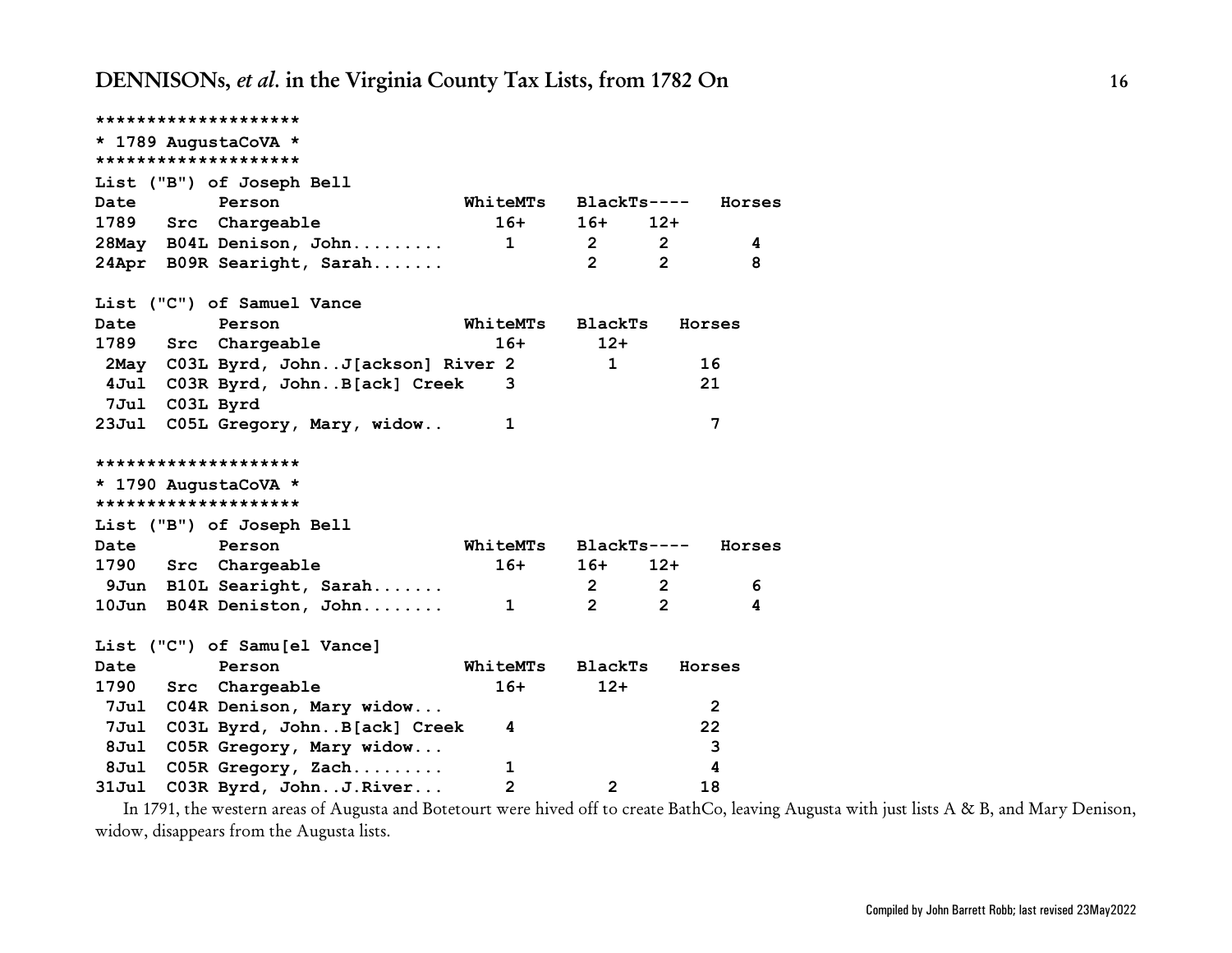|                | ********************                  |                |                      |                |        |
|----------------|---------------------------------------|----------------|----------------------|----------------|--------|
|                | * 1789 AugustaCoVA *                  |                |                      |                |        |
|                | ********************                  |                |                      |                |        |
|                | List ("B") of Joseph Bell             |                |                      |                |        |
| Date           | Person                                | WhiteMTs       | $BlackTs---$         |                | Horses |
| 1789 Src       | Chargeable                            | $16+$          | $16+$                | 12+            |        |
|                | 28May B04L Denison, John              | $\mathbf{1}$   | 2 <sup>7</sup>       | $2^{\circ}$    | 4      |
|                | 24Apr B09R Searight, Sarah            |                | $\mathbf{2}^{\circ}$ | $\mathbf{2}$   | 8      |
|                | List ("C") of Samuel Vance            |                |                      |                |        |
| Date           | Person                                | WhiteMTs       | <b>BlackTs</b>       | Horses         |        |
| 1789           | Src Chargeable                        | $16+$          | $12+$                |                |        |
|                | 2May C03L Byrd, JohnJ[ackson] River 2 |                | $\mathbf{1}$         | 16             |        |
|                | 4Jul C03R Byrd, JohnB[ack] Creek      | 3              |                      | 21             |        |
| 7Jul C03L Byrd |                                       |                |                      |                |        |
| 23Ju1          | C05L Gregory, Mary, widow             | 1              |                      | 7              |        |
|                | ********************                  |                |                      |                |        |
|                | * 1790 AugustaCoVA *                  |                |                      |                |        |
|                | ********************                  |                |                      |                |        |
|                | List ("B") of Joseph Bell             |                |                      |                |        |
| Date           | Person                                | WhiteMTs       | $BlackTs---$         |                | Horses |
|                | 1790 Src Chargeable                   | $16+$          | $16+$                | $12+$          |        |
|                | 9Jun B10L Searight, Sarah             |                | $\mathbf{2}$         | $\overline{2}$ | 6      |
|                | 10Jun B04R Deniston, John             | $\mathbf{1}$   | $\overline{2}$       | $\overline{2}$ | 4      |
|                | List ("C") of Samu[el Vance]          |                |                      |                |        |
| Date           | Person                                | WhiteMTs       | <b>BlackTs</b>       | Horses         |        |
| 1790           | Src Chargeable                        | $16+$          | $12+$                |                |        |
|                | 7Jul C04R Denison, Mary widow         |                |                      | $\overline{2}$ |        |
|                | 7Jul C03L Byrd, JohnB[ack] Creek      | 4              |                      | 22             |        |
| 8Ju1           | C05R Gregory, Mary widow              |                |                      | 3              |        |
| 8Ju1           | C05R Gregory, Zach                    | 1              |                      | 4              |        |
| 31Jul          | C03R Byrd, JohnJ.River                | $\overline{2}$ | $\overline{2}$       | 18             |        |

In 1791, the western areas of Augusta and Botetourt were hived off to create BathCo, leaving Augusta with just lists A & B, and Mary Denison, widow, disappears from the Augusta lists.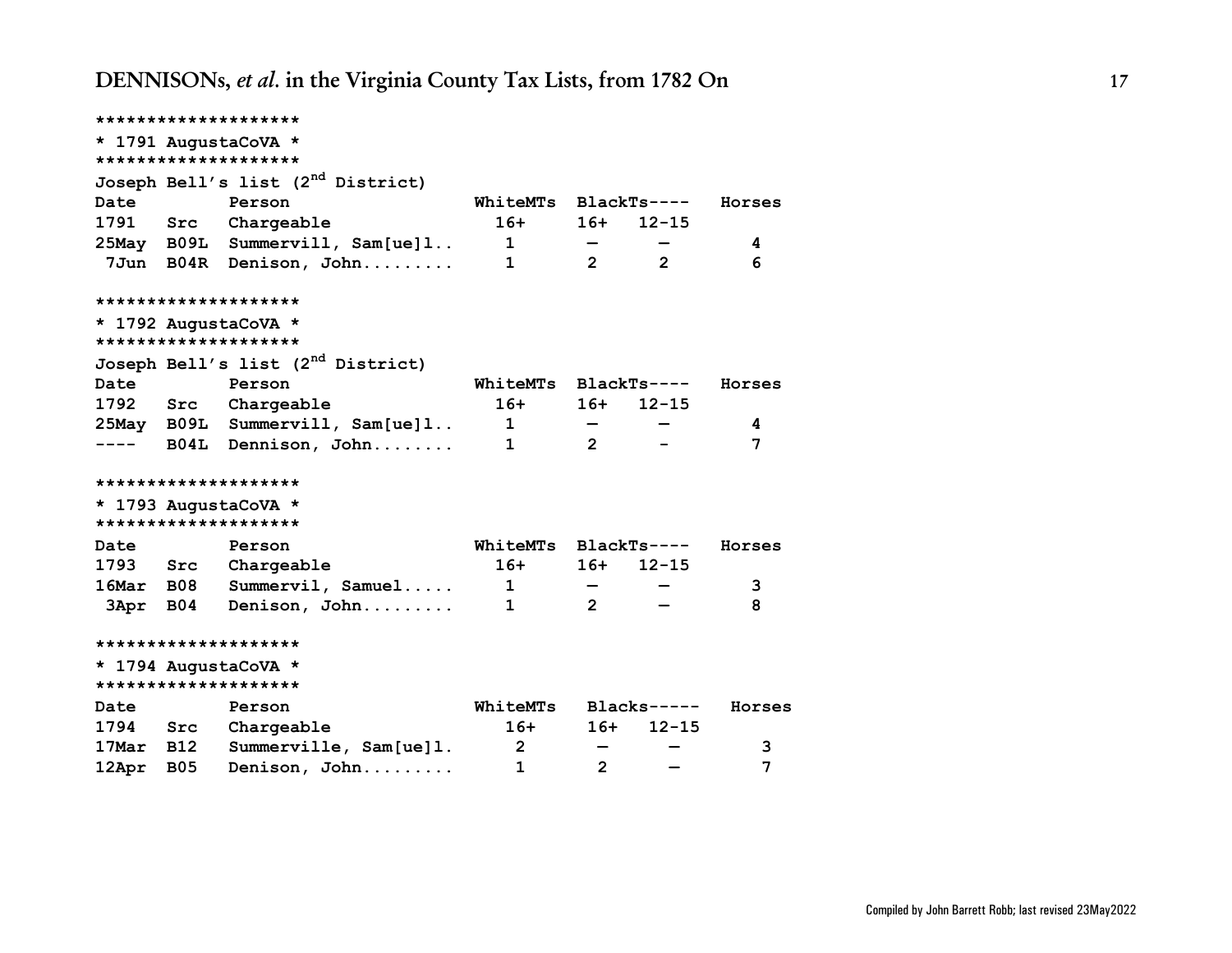|           |            | ********************                          |                            |                |                |        |
|-----------|------------|-----------------------------------------------|----------------------------|----------------|----------------|--------|
|           |            | * 1791 AugustaCoVA *                          |                            |                |                |        |
|           |            | ********************                          |                            |                |                |        |
|           |            | Joseph Bell's list (2 <sup>nd</sup> District) |                            |                |                |        |
| Date      |            | Person                                        | WhiteMTs BlackTs----       |                |                | Horses |
| 1791      | Src        | Chargeable                                    | $16+$                      | $16+$          | $12 - 15$      |        |
|           |            | 25May B09L Summervill, Sam[ue]l               | $\overline{\phantom{a}}$ 1 |                |                | 4      |
|           |            | 7Jun B04R Denison, John                       | $\overline{\phantom{a}}$   | $\overline{2}$ | $\overline{2}$ | 6      |
|           |            | ********************                          |                            |                |                |        |
|           |            | * 1792 AugustaCoVA *                          |                            |                |                |        |
|           |            | ********************                          |                            |                |                |        |
|           |            | Joseph Bell's list (2 <sup>nd</sup> District) |                            |                |                |        |
| Date      |            | Person                                        | WhiteMTs BlackTs----       |                |                | Horses |
|           |            | 1792 Src Chargeable                           | $16+$                      | $16+$          | $12 - 15$      |        |
|           |            | 25May B09L Summervill, Sam[ue]1               | $\overline{\phantom{a}}$   |                |                | 4      |
|           |            | ---- B04L Dennison, John                      | $\mathbf{1}$               | $2^{\circ}$    |                | 7      |
|           |            | ********************                          |                            |                |                |        |
|           |            | * 1793 AugustaCoVA *                          |                            |                |                |        |
|           |            | ********************                          |                            |                |                |        |
| Date      |            | Person                                        | WhiteMTs BlackTs----       |                |                | Horses |
|           |            | 1793 Src Chargeable                           | $16+$                      | $16+$          | $12 - 15$      |        |
|           |            | 16Mar B08 Summervil, Samuel 1                 |                            |                |                | 3      |
| 3Apr B04  |            | Denison, John                                 | 1                          | $\overline{2}$ |                | 8      |
|           |            | ********************                          |                            |                |                |        |
|           |            | * 1794 AugustaCoVA *                          |                            |                |                |        |
|           |            | ********************                          |                            |                |                |        |
| Date      |            | Person                                        | WhiteMTs                   |                | $Blacks---$    | Horses |
|           |            | 1794 Src Chargeable                           | $16+$                      | $16+$          | $12 - 15$      |        |
| 17Mar B12 |            | Summerville, Sam[ue]1.                        | 2                          |                |                | 3      |
| 12Apr     | <b>B05</b> | Denison, John                                 | 1                          | $\overline{2}$ |                | 7      |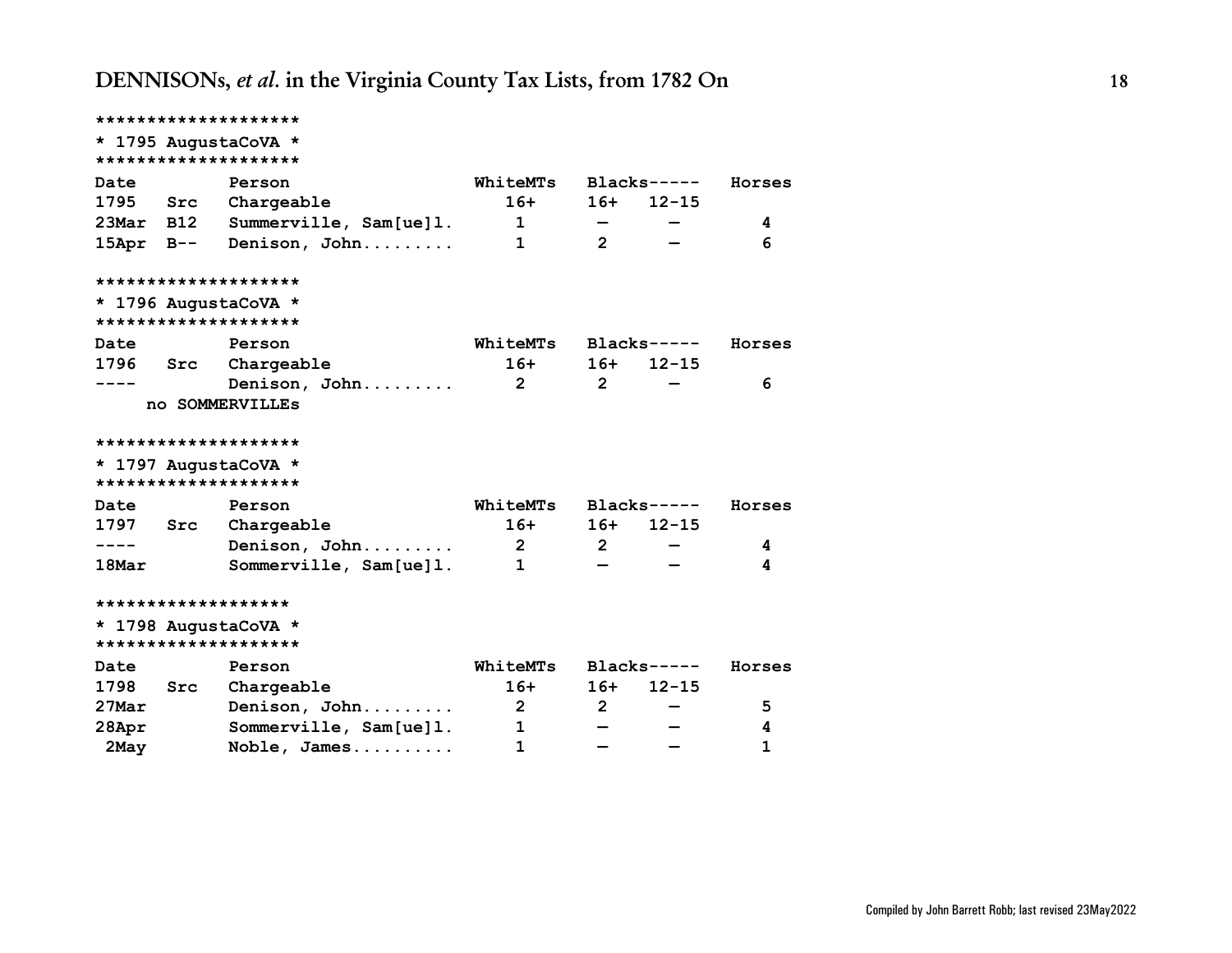|              |                      | ********************   |                         |                          |             |        |  |  |  |  |  |
|--------------|----------------------|------------------------|-------------------------|--------------------------|-------------|--------|--|--|--|--|--|
|              |                      | * 1795 AugustaCoVA *   |                         |                          |             |        |  |  |  |  |  |
|              | ******************** |                        |                         |                          |             |        |  |  |  |  |  |
| Date         |                      | Person                 | WhiteMTs                |                          | $Blacks---$ | Horses |  |  |  |  |  |
| 1795 Src     |                      | Chargeable             | $16+$                   |                          | $16+ 12-15$ |        |  |  |  |  |  |
| $23$ Mar B12 |                      | Summerville, Sam[ue]1. | $\mathbf{1}$            | $\overline{\phantom{m}}$ |             | 4      |  |  |  |  |  |
| $15$ Apr B-- |                      | Denison, John          | $\mathbf{1}$            | $2^{\circ}$              |             | 6      |  |  |  |  |  |
|              |                      | ********************   |                         |                          |             |        |  |  |  |  |  |
|              |                      | * 1796 AugustaCoVA *   |                         |                          |             |        |  |  |  |  |  |
|              |                      | ********************   |                         |                          |             |        |  |  |  |  |  |
| Date         |                      | Person                 | WhiteMTs                |                          | $Blacks---$ | Horses |  |  |  |  |  |
| 1796 Src     |                      | Chargeable             | $16+$                   |                          | $16+ 12-15$ |        |  |  |  |  |  |
|              |                      | Denison, John          | $\mathbf{2}$            | $2^{\circ}$              |             | 6      |  |  |  |  |  |
|              |                      | no SOMMERVILLEs        |                         |                          |             |        |  |  |  |  |  |
|              |                      |                        |                         |                          |             |        |  |  |  |  |  |
|              |                      | ********************   |                         |                          |             |        |  |  |  |  |  |
|              |                      | * 1797 AugustaCoVA *   |                         |                          |             |        |  |  |  |  |  |
|              |                      | ********************   |                         |                          |             |        |  |  |  |  |  |
| Date         |                      | Person                 | WhiteMTs                |                          | $Blacks---$ | Horses |  |  |  |  |  |
| 1797 Src     |                      | Chargeable             | $16+$                   |                          | $16+ 12-15$ |        |  |  |  |  |  |
| $----$       |                      | Denison, John          | $\overline{\mathbf{2}}$ | $2^{\circ}$              |             | 4      |  |  |  |  |  |
| 18Mar        |                      | Sommerville, Sam[ue]1. | $\mathbf{1}$            |                          |             | 4      |  |  |  |  |  |
|              |                      | *******************    |                         |                          |             |        |  |  |  |  |  |
|              |                      | * 1798 AugustaCoVA *   |                         |                          |             |        |  |  |  |  |  |
|              |                      | ********************   |                         |                          |             |        |  |  |  |  |  |
| Date         |                      | Person                 | WhiteMTs                |                          | $Blacks---$ | Horses |  |  |  |  |  |
| 1798         | Src                  | Chargeable             | $16+$                   |                          | $16+ 12-15$ |        |  |  |  |  |  |
| $27$ Mar     |                      | Denison, John          | $\overline{\mathbf{2}}$ | $2^{\circ}$              |             | 5      |  |  |  |  |  |
| 28Apr        |                      | Sommerville, Sam[ue]1. | $\mathbf{1}$            | $\overline{\phantom{0}}$ |             | 4      |  |  |  |  |  |
| 2May         |                      | Noble, James           | $\mathbf{1}$            |                          |             | 1      |  |  |  |  |  |
|              |                      |                        |                         |                          |             |        |  |  |  |  |  |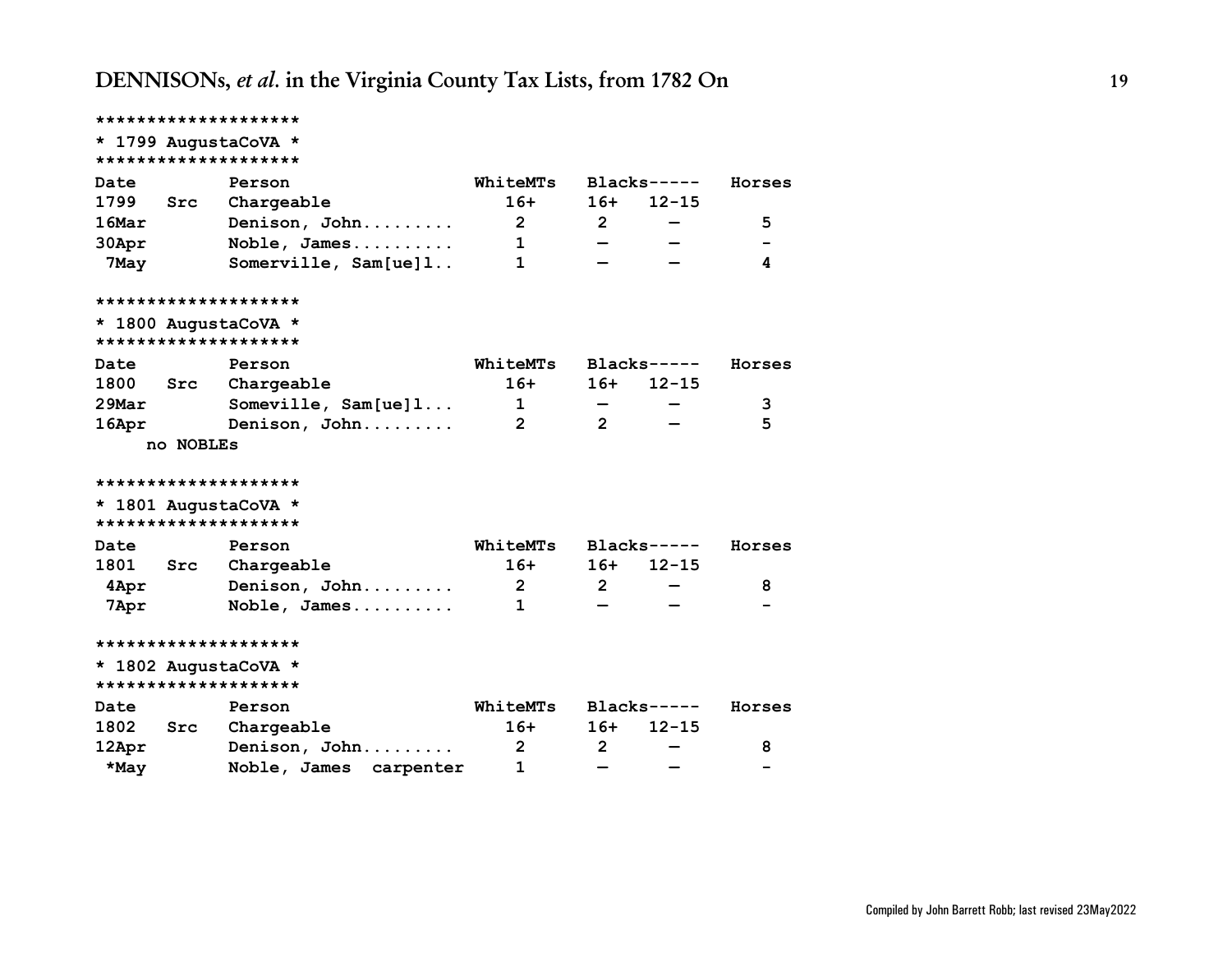|                   |           | ********************   |                         |                                 |             |        |
|-------------------|-----------|------------------------|-------------------------|---------------------------------|-------------|--------|
|                   |           | * 1799 AugustaCoVA *   |                         |                                 |             |        |
|                   |           | ********************   |                         |                                 |             |        |
| Date              |           | Person                 | WhiteMTs                |                                 | $Blacks---$ | Horses |
| 1799              | Src       | Chargeable             | $16+$                   | $16+$                           | $12 - 15$   |        |
| 16Mar             |           | Denison, John          | $\overline{2}$          | $2^{\circ}$                     |             | 5      |
| 30Apr             |           | Noble, James           | $\mathbf{1}$            |                                 |             |        |
| 7May              |           | Somerville, $Sam[ue]1$ | 1                       |                                 |             | 4      |
|                   |           | ********************   |                         |                                 |             |        |
|                   |           | * 1800 AugustaCoVA *   |                         |                                 |             |        |
|                   |           | ********************   |                         |                                 |             |        |
| Date              |           | Person                 | WhiteMTs                |                                 | $Blacks---$ | Horses |
| 1800              | Src       | Chargeable             | $16+$                   |                                 | $16+ 12-15$ |        |
| $29$ Mar          |           | Someville, $Sam[ue]1$  | $\mathbf 1$             |                                 |             | 3      |
| 16Apr             |           | Denison, John          | $\overline{2}$          | $2^{\circ}$                     |             | 5      |
|                   | no NOBLEs |                        |                         |                                 |             |        |
|                   |           | ********************   |                         |                                 |             |        |
|                   |           | * 1801 AugustaCoVA *   |                         |                                 |             |        |
|                   |           | ********************   |                         |                                 |             |        |
| Date              |           | Person                 | WhiteMTs                |                                 | $Blacks---$ | Horses |
|                   |           | 1801 Src Chargeable    | $16+$                   | $16+$                           | $12 - 15$   |        |
| 4Apr <sub>1</sub> |           | Denison, John          | $\overline{\mathbf{2}}$ | $2^{\circ}$                     |             | 8      |
| 7Apr              |           | Noble, James           | 1                       |                                 |             |        |
|                   |           | ********************   |                         |                                 |             |        |
|                   |           | * 1802 AugustaCoVA *   |                         |                                 |             |        |
|                   |           | ********************   |                         |                                 |             |        |
| Date              |           | Person                 | WhiteMTs                |                                 | $Blacks---$ | Horses |
| 1802 Src          |           | Chargeable             | $16+$                   | $16+$                           | $12 - 15$   |        |
| 12Apr             |           | Denison, John          | $\mathbf{2}$            | $\overline{2}$                  |             | 8      |
| *May              |           | Noble, James carpenter | 1                       | $\qquad \qquad \  \  \, \bar{}$ |             |        |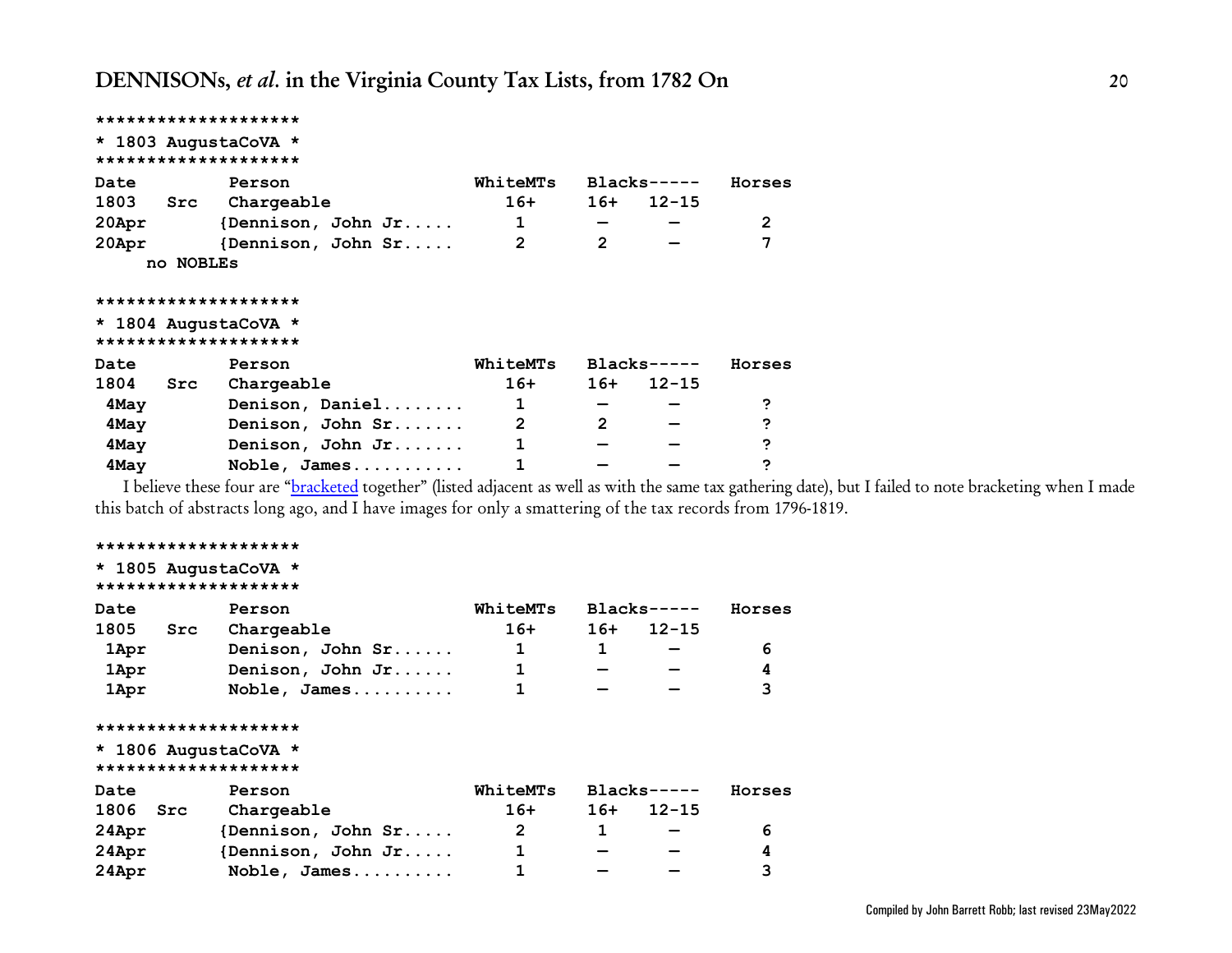```
********************
* 1803 AugustaCoVA *
********************
Date Person WhiteMTs Blacks----- Horses
1803 Src Chargeable 16+ 16+ 12-15
20Apr {Dennison, John Jr..... 1 — — 2
20Apr {Dennison, John Sr..... 2 2 — 7
    no NOBLEs
********************
* 1804 AugustaCoVA *
********************
Date Person WhiteMTs Blacks----- Horses
1804 Src Chargeable 16+ 16+ 12-15
 4May Denison, Daniel........ 1 — — ?
 4May Denison, John Sr....... 2 2 — ?
 4May Denison, John Jr....... 1 — — ?
 4May Noble, James........... 1 — — ?
```
I believe these four are ["bracketed](#page-91-0) together" (listed adjacent as well as with the same tax gathering date), but I failed to note bracketing when I made this batch of abstracts long ago, and I have images for only a smattering of the tax records from 1796-1819.

### **\*\*\*\*\*\*\*\*\*\*\*\*\*\*\*\*\*\*\*\* \* 1805 AugustaCoVA \* \*\*\*\*\*\*\*\*\*\*\*\*\*\*\*\*\*\*\*\* Date Person WhiteMTs Blacks----- Horses 1805 Src Chargeable 16+ 16+ 12-15 1Apr** Denison, John Sr...... 1 1 – 6  **1Apr Denison, John Jr...... 1 — — 4 1Apr Noble, James.......... 1 — — 3 \*\*\*\*\*\*\*\*\*\*\*\*\*\*\*\*\*\*\*\* \* 1806 AugustaCoVA \* \*\*\*\*\*\*\*\*\*\*\*\*\*\*\*\*\*\*\*\* Date Person WhiteMTs Blacks----- Horses 1806 Src Chargeable 16+ 16+ 12-15 24Apr {Dennison, John Sr..... 2 1 — 6 24Apr {Dennison, John Jr..... 1 — — 4 24Apr Noble, James.......... 1 — — 3**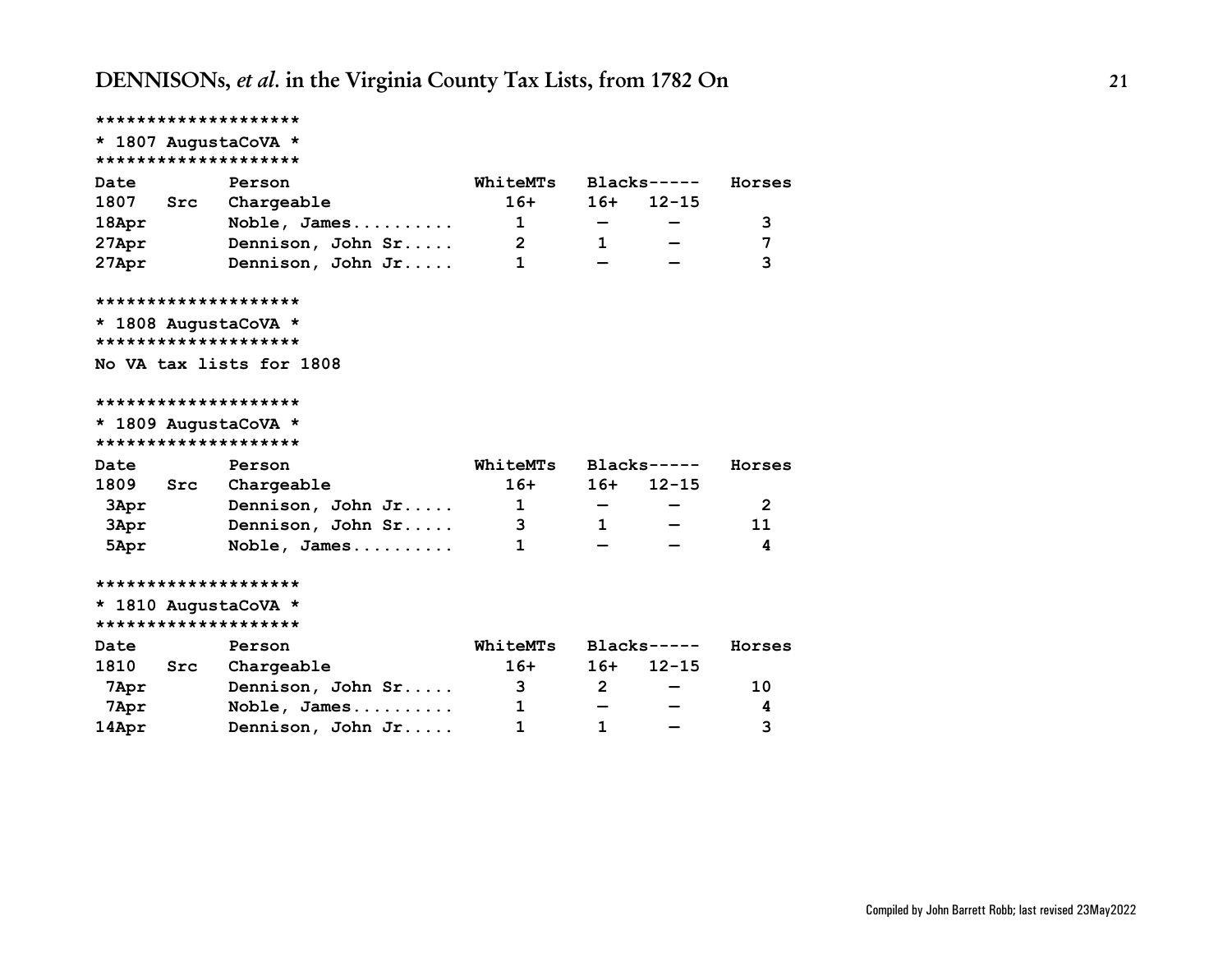```
********************
* 1807 AugustaCoVA *
********************
Date Person WhiteMTs Blacks----- Horses
1807 Src Chargeable 16+ 16+ 12-15
18Apr Noble, James.......... 1 — — 3
27Apr Dennison, John Sr..... 2 1 — 7
27Apr Dennison, John Jr..... 1 — — 3
********************
* 1808 AugustaCoVA *
********************
No VA tax lists for 1808
********************
* 1809 AugustaCoVA *
********************
Date Person WhiteMTs Blacks----- Horses
1809 Src Chargeable 16+ 16+ 12-15
 3Apr Dennison, John Jr..... 1 — — 2
 3Apr Dennison, John Sr..... 3 1 — 11
 5Apr Noble, James.......... 1 — — 4
********************
* 1810 AugustaCoVA *
********************
Date Person WhiteMTs Blacks----- Horses
1810 Src Chargeable 16+ 16+ 12-15
 7Apr Dennison, John Sr..... 3 2 — 10
 7Apr Noble, James.......... 1 — — 4
14Apr Dennison, John Jr..... 1 1 — 3
```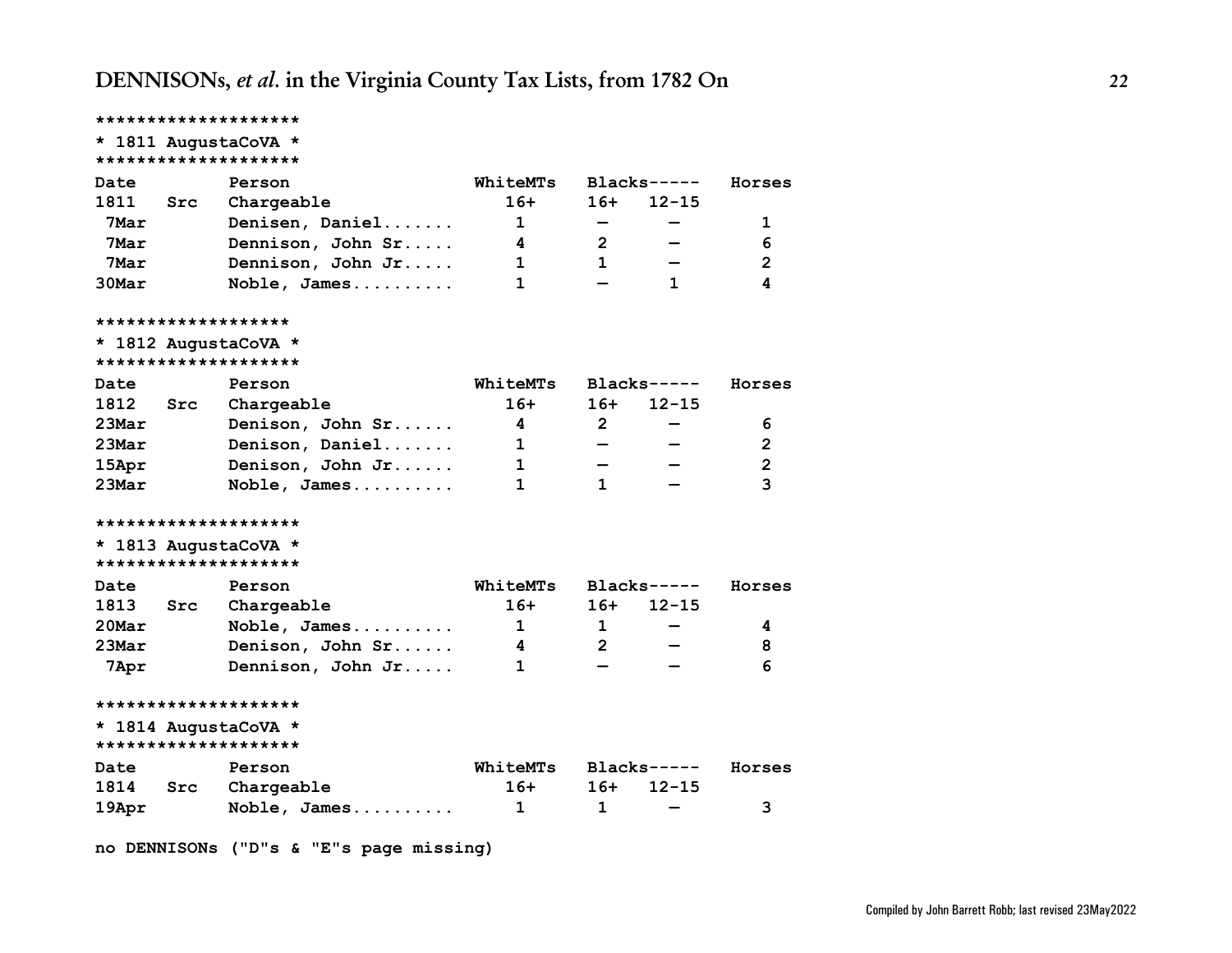<span id="page-21-0"></span>

|                     |     | ********************                         |              |                              |              |                         |
|---------------------|-----|----------------------------------------------|--------------|------------------------------|--------------|-------------------------|
|                     |     | * 1811 AugustaCoVA *                         |              |                              |              |                         |
|                     |     | ********************                         |              |                              |              |                         |
| Date                |     | Person                                       | WhiteMTs     |                              | $Blacks---$  | Horses                  |
| 1811                | Src | Chargeable                                   | $16+$        | 16+                          | $12 - 15$    |                         |
| 7Mar                |     | Denisen, Daniel                              | $\mathbf{1}$ | $\qquad \qquad \blacksquare$ |              | 1                       |
| 7Mar                |     | Dennison, John Sr                            | 4            | $\mathbf{2}$                 |              | 6                       |
| 7Mar                |     | Dennison, John Jr                            | $\mathbf 1$  | $\mathbf{1}$                 |              | $\overline{\mathbf{c}}$ |
| $30$ Mar            |     | Noble, James                                 | 1            |                              | $\mathbf 1$  | 4                       |
| ******************* |     |                                              |              |                              |              |                         |
|                     |     | * 1812 AugustaCoVA *                         |              |                              |              |                         |
|                     |     | ********************                         |              |                              |              |                         |
| Date                |     | Person                                       | WhiteMTs     |                              | $Blacks---$  | Horses                  |
| 1812 Src            |     | Chargeable                                   | $16+$        | $16+$                        | $12 - 15$    |                         |
| $23$ Mar            |     | Denison, John Sr                             | 4            | $\mathbf{2}$                 |              | 6                       |
| $23$ Mar            |     | Denison, Daniel                              | $\mathbf{1}$ | $\qquad \qquad -$            |              | $\overline{2}$          |
| $15$ Apr            |     | Denison, John Jr                             | $\mathbf{1}$ | $\overline{\phantom{0}}$     |              | $\overline{\mathbf{2}}$ |
| $23$ Mar            |     | Noble, James                                 | 1            | 1                            |              | $\overline{3}$          |
|                     |     | ********************                         |              |                              |              |                         |
|                     |     | * 1813 AugustaCoVA *                         |              |                              |              |                         |
|                     |     | ********************                         |              |                              |              |                         |
| Date                |     | Person                                       | WhiteMTs     |                              | $Blacks----$ | Horses                  |
| 1813                | Src | Chargeable                                   | $16+$        | $16+$                        | $12 - 15$    |                         |
| 20Mar               |     | Noble, James                                 | $\mathbf{1}$ | $\mathbf{1}$                 |              | 4                       |
| $23$ Mar            |     | Denison, John Sr                             | 4            | $2^{\circ}$                  |              | 8                       |
| 7Apr                |     | Dennison, John Jr                            | 1.           |                              |              | 6                       |
|                     |     | ********************                         |              |                              |              |                         |
|                     |     | * 1814 AugustaCoVA *<br>******************** |              |                              |              |                         |
|                     |     |                                              |              |                              |              |                         |
| Date                |     | Person                                       | WhiteMTs     |                              | $Blacks---$  | Horses                  |
| 1814 Src            |     | Chargeable                                   | $16+$        | $16+$                        | $12 - 15$    |                         |
| 19Apr               |     | Noble, James                                 | $\mathbf{1}$ | 1                            |              | 3                       |

**no DENNISONs ("D"s & "E"s page missing)**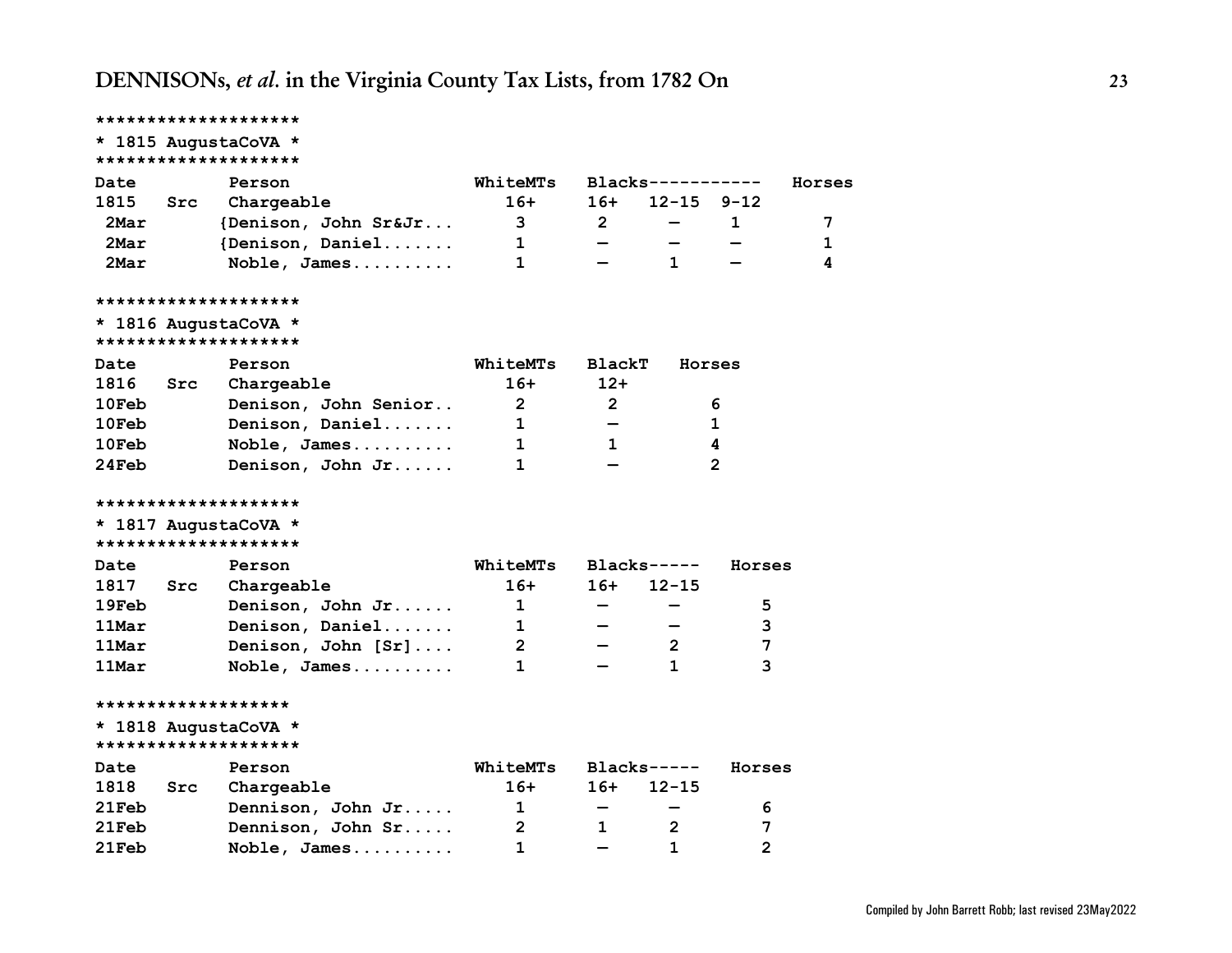|               |     | ********************                         |                 |                          |                   |                |        |
|---------------|-----|----------------------------------------------|-----------------|--------------------------|-------------------|----------------|--------|
|               |     | * 1815 AugustaCoVA *                         |                 |                          |                   |                |        |
|               |     | ********************                         |                 |                          |                   |                |        |
| Date          |     | Person                                       | WhiteMTs        |                          | Blacks----------- |                | Horses |
| 1815          | Src | Chargeable                                   | $16+$           | 16+                      | $12 - 15$         | $9 - 12$       |        |
| 2Mar          |     | {Denison, John Sr&Jr                         | 3 <sup>7</sup>  | $\mathbf{2}$             |                   | 1              | 7      |
| 2Mar          |     | {Denison, Daniel                             | $\mathbf{1}$    |                          |                   |                | 1      |
| 2Mar          |     | Noble, James                                 | 1               |                          | 1                 |                | 4      |
|               |     | ********************                         |                 |                          |                   |                |        |
|               |     | * 1816 AugustaCoVA *<br>******************** |                 |                          |                   |                |        |
| Date          |     | Person                                       | <b>WhiteMTs</b> | <b>BlackT</b>            | Horses            |                |        |
| 1816          | Src | Chargeable                                   | $16+$           | $12+$                    |                   |                |        |
| $10$ Feb      |     | Denison, John Senior                         | $2^{\circ}$     | $\mathbf{2}$             |                   | 6              |        |
| $10$ Feb $\,$ |     | Denison, Daniel                              | $\mathbf{1}$    |                          |                   | 1              |        |
| $10$ Feb      |     | Noble, James                                 | 1               | $\mathbf 1$              |                   | 4              |        |
| 24Feb         |     | Denison, John Jr                             | 1               |                          |                   | $\mathbf{2}$   |        |
|               |     | ********************                         |                 |                          |                   |                |        |
|               |     | * 1817 AugustaCoVA *                         |                 |                          |                   |                |        |
|               |     | ********************                         |                 |                          |                   |                |        |
| Date          |     | Person                                       | WhiteMTs        |                          | $Blacks---$       | Horses         |        |
| 1817          | Src | Chargeable                                   | $16+$           | $16+$                    | $12 - 15$         |                |        |
| 19Feb         |     | Denison, John Jr                             | $1 \quad \Box$  |                          |                   | 5              |        |
| 11Mar         |     | Denison, Daniel                              | $\mathbf{1}$    |                          |                   | 3              |        |
| 11Mar         |     | Denison, John [Sr]                           | $\mathbf{2}$    |                          | $\mathbf{2}$      | 7              |        |
| 11Mar         |     | Noble, James                                 | $\mathbf 1$     |                          | 1                 | 3              |        |
|               |     | *******************                          |                 |                          |                   |                |        |
|               |     | * 1818 AugustaCoVA *                         |                 |                          |                   |                |        |
|               |     | ********************                         |                 |                          |                   |                |        |
| Date          |     | Person                                       | WhiteMTs        |                          | $Blacks---$       | Horses         |        |
| 1818          | Src | Chargeable                                   | $16+$           | 16+                      | $12 - 15$         |                |        |
| 21Feb         |     | Dennison, John Jr                            | $\mathbf{1}$    | $\overline{\phantom{0}}$ |                   | 6              |        |
| 21Feb         |     | Dennison, John Sr                            | 2               | 1                        | 2                 | 7              |        |
| 21Feb         |     | Noble, James                                 | 1               |                          | 1                 | $\overline{2}$ |        |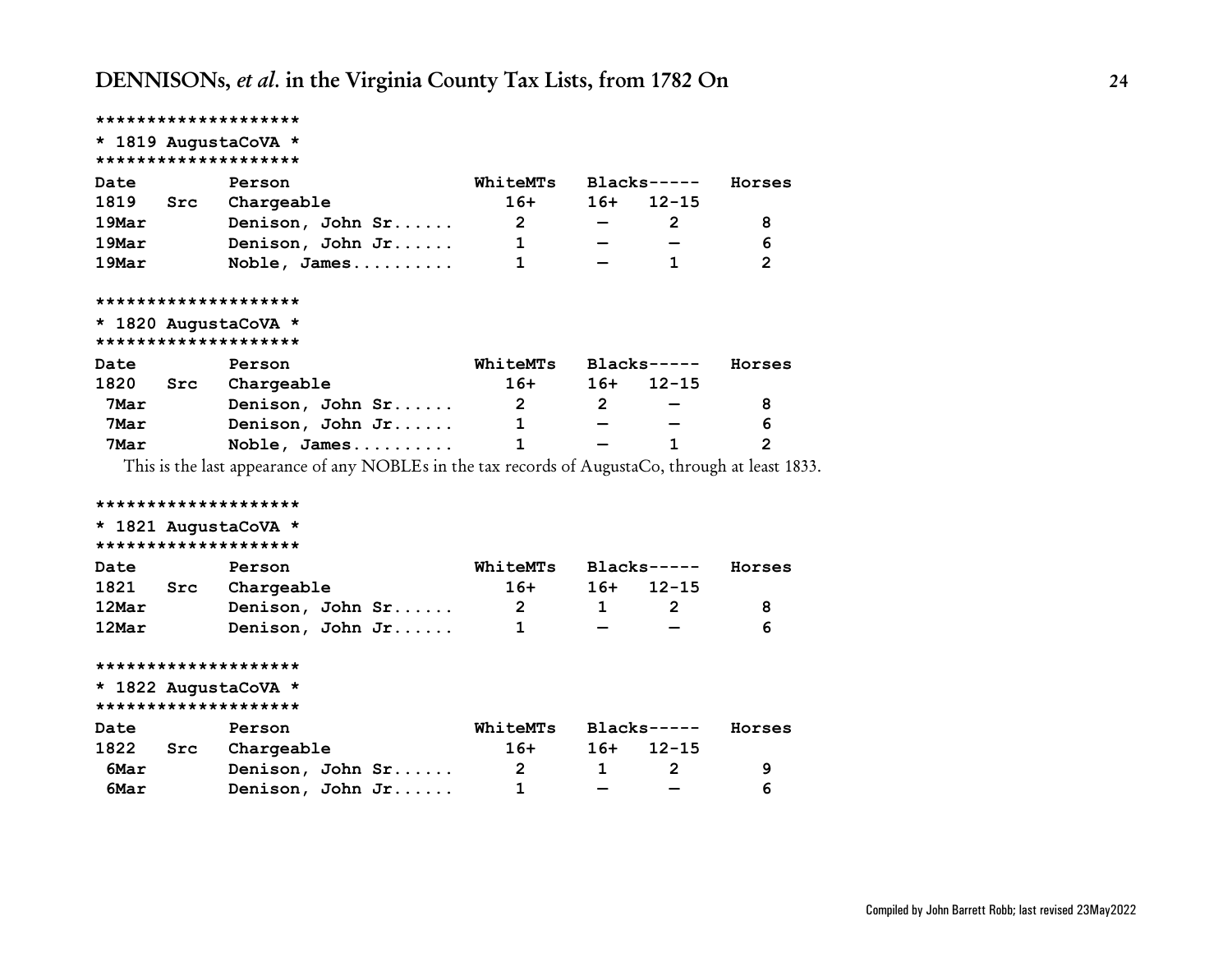|          |     | ********************                                                                              |                         |              |                       |                |
|----------|-----|---------------------------------------------------------------------------------------------------|-------------------------|--------------|-----------------------|----------------|
|          |     | * 1819 AugustaCoVA *                                                                              |                         |              |                       |                |
|          |     | ********************                                                                              |                         |              |                       |                |
| Date     |     | Person                                                                                            | WhiteMTs                |              | Blacks-----           | Horses         |
| 1819     | Src | Chargeable                                                                                        | $16+$                   | $16+$        | $12 - 15$             |                |
| $19$ Mar |     | Denison, John Sr                                                                                  | $2^{\circ}$             |              | $\mathbf{2}^{\prime}$ | 8              |
| $19$ Mar |     | Denison, John Jr                                                                                  | $\mathbf 1$             |              |                       | 6              |
| 19Mar    |     | Noble, James                                                                                      | $\mathbf{1}$            |              | 1                     | 2              |
|          |     | ********************                                                                              |                         |              |                       |                |
|          |     | * 1820 AugustaCoVA *                                                                              |                         |              |                       |                |
|          |     | ********************                                                                              |                         |              |                       |                |
| Date     |     | Person                                                                                            | WhiteMTs Blacks-----    |              |                       | Horses         |
| 1820     |     | Src Chargeable                                                                                    | $16+$                   |              | $16+ 12-15$           |                |
| 7Mar     |     | Denison, John Sr                                                                                  | $\overline{\mathbf{2}}$ | $2^{\circ}$  |                       | 8              |
| 7Mar     |     | Denison, John Jr                                                                                  | $\mathbf{1}$            |              |                       | 6              |
| 7Mar     |     | Noble, James                                                                                      | $\mathbf{1}$            |              | 1                     | $\overline{2}$ |
|          |     | This is the last appearance of any NOBLEs in the tax records of AugustaCo, through at least 1833. |                         |              |                       |                |
|          |     | ********************                                                                              |                         |              |                       |                |
|          |     | * 1821 AugustaCoVA *                                                                              |                         |              |                       |                |
|          |     | ********************                                                                              |                         |              |                       |                |
| Date     |     | Person                                                                                            | WhiteMTs Blacks-----    |              |                       | Horses         |
| 1821     | Src | Chargeable                                                                                        | $16+$                   |              | $16+ 12-15$           |                |
| 12Mar    |     | Denison, John Sr                                                                                  | $\overline{\mathbf{2}}$ | $\mathbf{1}$ | $2^{\circ}$           | 8              |
| 12Mar    |     | Denison, John Jr                                                                                  | 1                       |              |                       | 6              |
|          |     | ********************                                                                              |                         |              |                       |                |
|          |     | * 1822 AugustaCoVA *                                                                              |                         |              |                       |                |
|          |     | ********************                                                                              |                         |              |                       |                |
| Date     |     | Person                                                                                            | WhiteMTs Blacks-----    |              |                       | Horses         |
| 1822 Src |     | Chargeable                                                                                        | $16+$                   | 16+          | $12 - 15$             |                |
| 6Mar     |     | Denison, John Sr                                                                                  | $\overline{\mathbf{2}}$ | $\mathbf 1$  | $\overline{2}$        | 9              |
| 6Mar     |     | Denison, John Jr                                                                                  | $\mathbf 1$             |              |                       | 6              |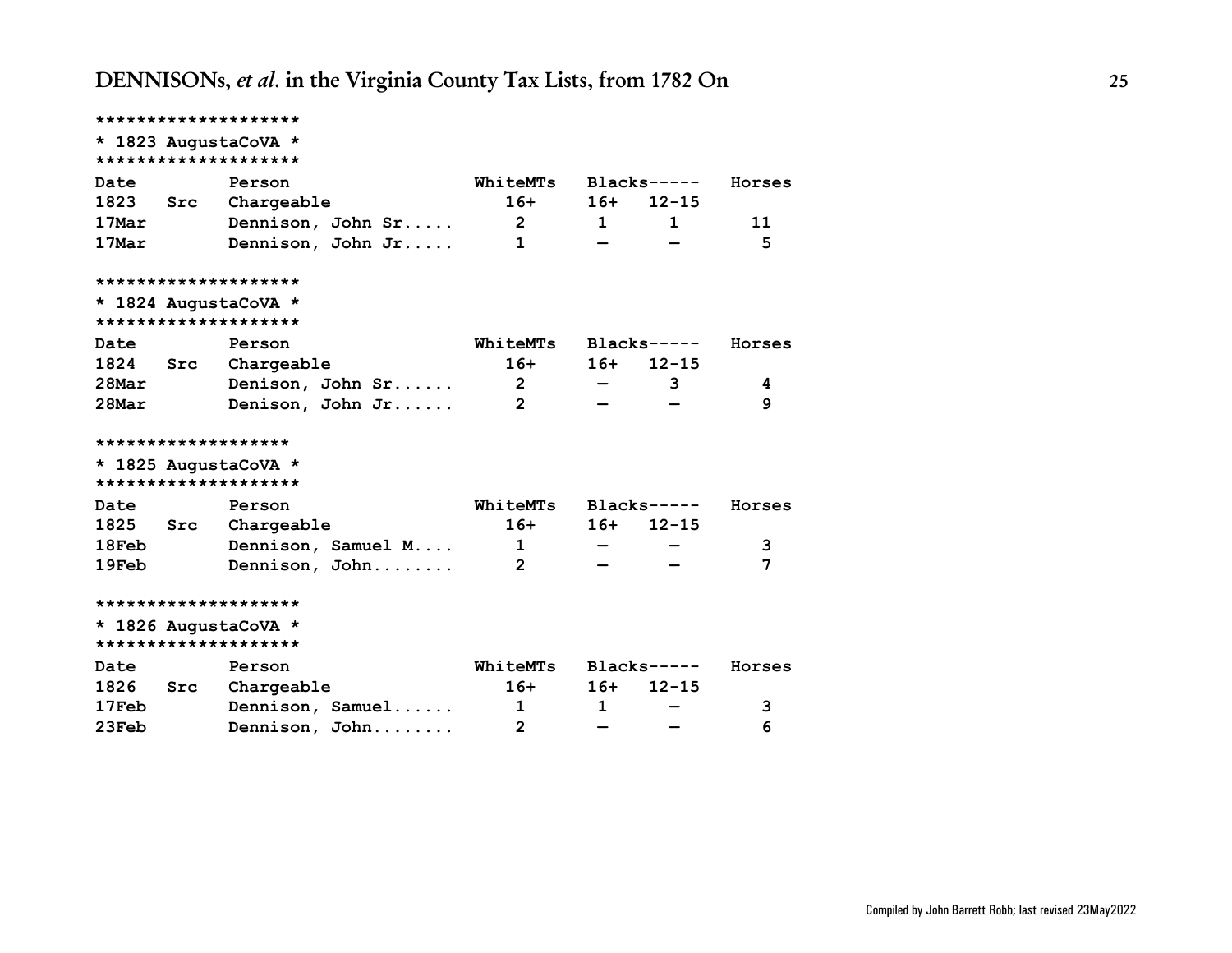<span id="page-24-0"></span>

|          |     | * 1823 AugustaCoVA *<br>******************** |                         |                  |              |        |
|----------|-----|----------------------------------------------|-------------------------|------------------|--------------|--------|
| Date     |     | Person                                       | WhiteMTs                |                  | $Blacks---$  | Horses |
| 1823     |     | Src Chargeable                               | $16+$                   | $16+$            | $12 - 15$    |        |
| 17Mar    |     | Dennison, John Sr                            | $\overline{\mathbf{2}}$ | $1 \quad \cdots$ | $\mathbf{1}$ | 11     |
| 17Mar    |     | Dennison, John Jr                            | $\mathbf{1}$            |                  |              | 5      |
|          |     | ********************                         |                         |                  |              |        |
|          |     | * 1824 AugustaCoVA *<br>******************** |                         |                  |              |        |
| Date     |     | Person                                       | WhiteMTs Blacks-----    |                  |              | Horses |
| 1824     | Src | Chargeable                                   | $16+$                   | $16+$            | $12 - 15$    |        |
| $28$ Mar |     | Denison, John Sr                             | $\overline{\mathbf{2}}$ |                  | 3            | 4      |
| $28$ Mar |     | Denison, John Jr                             | $\overline{2}$          |                  |              | 9      |
|          |     | *******************                          |                         |                  |              |        |
|          |     | * 1825 AugustaCoVA *                         |                         |                  |              |        |
|          |     | ********************                         |                         |                  |              |        |
| Date     |     | Person                                       | WhiteMTs                |                  | $Blacks---$  | Horses |
| 1825     |     | Src Chargeable                               | $16+$                   | $16+$            | $12 - 15$    |        |
| 18Feb    |     | Dennison, Samuel M                           | $\overline{1}$          |                  |              | 3      |
| 19Feb    |     | Dennison, John                               | $\overline{2}$          |                  |              | 7      |
|          |     | ********************                         |                         |                  |              |        |
|          |     | * 1826 AugustaCoVA *                         |                         |                  |              |        |
|          |     | ********************                         |                         |                  |              |        |
| Date     |     | Person                                       | WhiteMTs                |                  | $Blacks---$  | Horses |
| 1826     | Src | Chargeable                                   | $16+$                   | $16+$            | $12 - 15$    |        |
| $17$ Feb |     | Dennison, Samuel                             | $\overline{1}$          | $\mathbf{1}$     |              | 3      |
| 23Feb    |     | Dennison, John                               | 2                       |                  |              | 6      |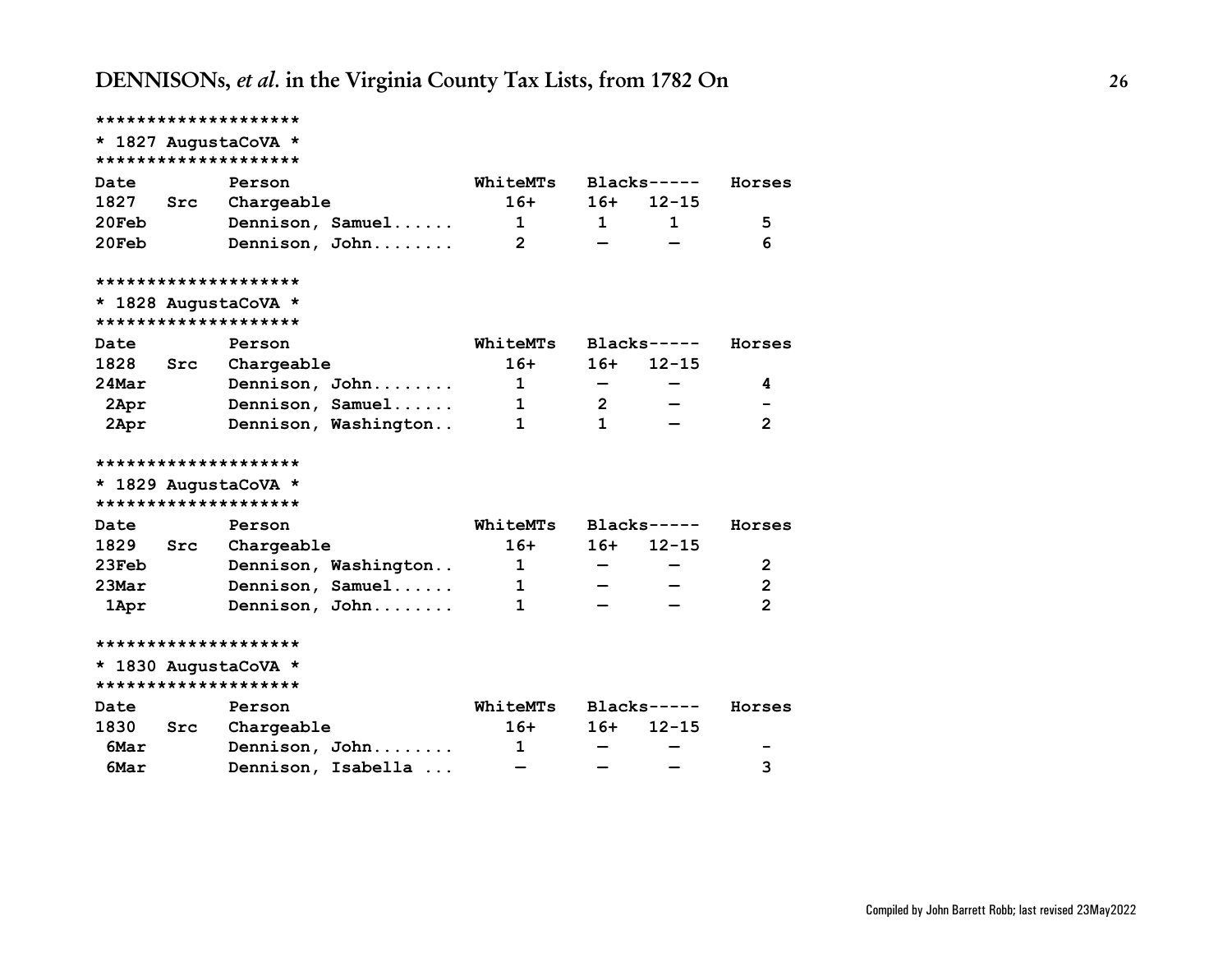|          |     | ******************** |                      |                                |                |              |                |
|----------|-----|----------------------|----------------------|--------------------------------|----------------|--------------|----------------|
|          |     | * 1827 AugustaCoVA * |                      |                                |                |              |                |
|          |     | ******************** |                      |                                |                |              |                |
| Date     |     | Person               |                      | WhiteMTs                       |                | $Blacks---$  | Horses         |
| 1827     | Src | Chargeable           |                      | $16+$                          | $16+$          | $12 - 15$    |                |
| 20Feb    |     |                      | Dennison, Samuel     | $\mathbf{1}$<br>$\overline{2}$ | $\mathbf 1$    | $\mathbf{1}$ | 5<br>6         |
| 20Feb    |     |                      | Dennison, John       |                                |                |              |                |
|          |     | ******************** |                      |                                |                |              |                |
|          |     | * 1828 AugustaCoVA * |                      |                                |                |              |                |
|          |     | ******************** |                      |                                |                |              |                |
| Date     |     | Person               |                      | WhiteMTs                       |                | $Blacks---$  | Horses         |
| 1828     | Src | Chargeable           |                      | $16+$                          | $16+$          | $12 - 15$    |                |
| 24Mar    |     |                      | Dennison, John       | 1                              |                |              | 4              |
| 2Apr     |     |                      | Dennison, Samuel     | 1                              | $\overline{2}$ |              |                |
| 2Apr     |     |                      | Dennison, Washington | $\mathbf 1$                    | $\mathbf{1}$   |              | $\overline{2}$ |
|          |     | ******************** |                      |                                |                |              |                |
|          |     | * 1829 AugustaCoVA * |                      |                                |                |              |                |
|          |     | ******************** |                      |                                |                |              |                |
| Date     |     | Person               |                      | WhiteMTs                       |                | $Blacks---$  | Horses         |
| 1829     | Src | Chargeable           |                      | $16+$                          | $16+$          | $12 - 15$    |                |
| 23Feb    |     |                      | Dennison, Washington | $\mathbf{1}$                   |                |              | 2              |
| $23$ Mar |     |                      | Dennison, Samuel     | 1                              |                |              | $\overline{2}$ |
| 1Apr     |     |                      | Dennison, John       | 1                              |                |              | $\overline{2}$ |
|          |     | ******************** |                      |                                |                |              |                |
|          |     | * 1830 AugustaCoVA * |                      |                                |                |              |                |
|          |     | ******************** |                      |                                |                |              |                |
| Date     |     | Person               |                      | WhiteMTs                       |                | $Blacks---$  | Horses         |
| 1830     | Src | Chargeable           |                      | $16+$                          | $16+$          | $12 - 15$    |                |
| 6Mar     |     |                      | Dennison, John       | 1                              |                |              |                |
| 6Mar     |     |                      | Dennison, Isabella   |                                |                |              | 3              |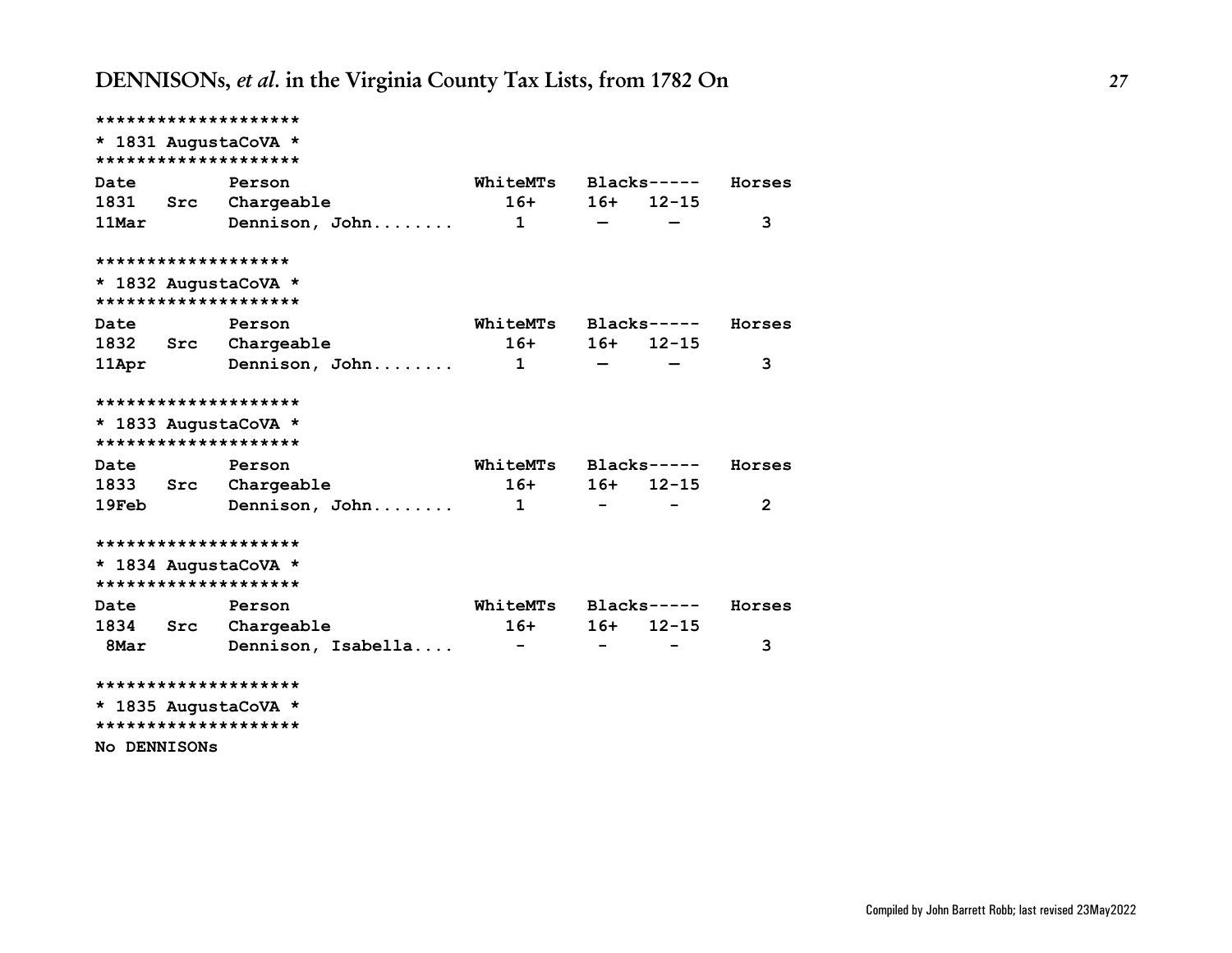|                     | ********************   |                      |                          |                 |        |
|---------------------|------------------------|----------------------|--------------------------|-----------------|--------|
|                     | * 1831 AugustaCoVA *   |                      |                          |                 |        |
|                     | ********************   |                      |                          |                 |        |
| Date                | Person                 | WhiteMTs Blacks----- |                          |                 | Horses |
|                     | 1831 Src Chargeable    |                      |                          | $16+ 16+ 12-15$ |        |
| 11Mar               | Dennison, John 1       |                      |                          |                 | 3      |
|                     | *******************    |                      |                          |                 |        |
|                     | * 1832 AugustaCoVA *   |                      |                          |                 |        |
|                     | ********************   |                      |                          |                 |        |
| Date                | Person                 | WhiteMTs Blacks----- |                          |                 | Horses |
|                     | 1832 Src Chargeable    |                      |                          | $16+ 16+ 12-15$ |        |
|                     | 11Apr Dennison, John 1 |                      |                          |                 | 3      |
|                     | ********************   |                      |                          |                 |        |
|                     | * 1833 AugustaCoVA *   |                      |                          |                 |        |
|                     | ********************   |                      |                          |                 |        |
| Date                | Person                 | WhiteMTs Blacks----- |                          |                 | Horses |
|                     | 1833 Src Chargeable    |                      |                          | $16+ 16+ 12-15$ |        |
| <b>19Feb</b>        | Dennison, John 1       |                      | $\sim$                   |                 | 2      |
|                     | ********************   |                      |                          |                 |        |
|                     | * 1834 AugustaCoVA *   |                      |                          |                 |        |
|                     | ********************   |                      |                          |                 |        |
| <b>Date</b>         | Person                 | WhiteMTs Blacks----- |                          |                 | Horses |
|                     | 1834 Src Chargeable    |                      |                          | $16+$ 16+ 12-15 |        |
| 8Mar                | Dennison, Isabella     |                      | $\overline{\phantom{0}}$ |                 | 3      |
|                     | ********************   |                      |                          |                 |        |
|                     | * 1835 AugustaCoVA *   |                      |                          |                 |        |
|                     | ********************   |                      |                          |                 |        |
| <b>No DENNISONS</b> |                        |                      |                          |                 |        |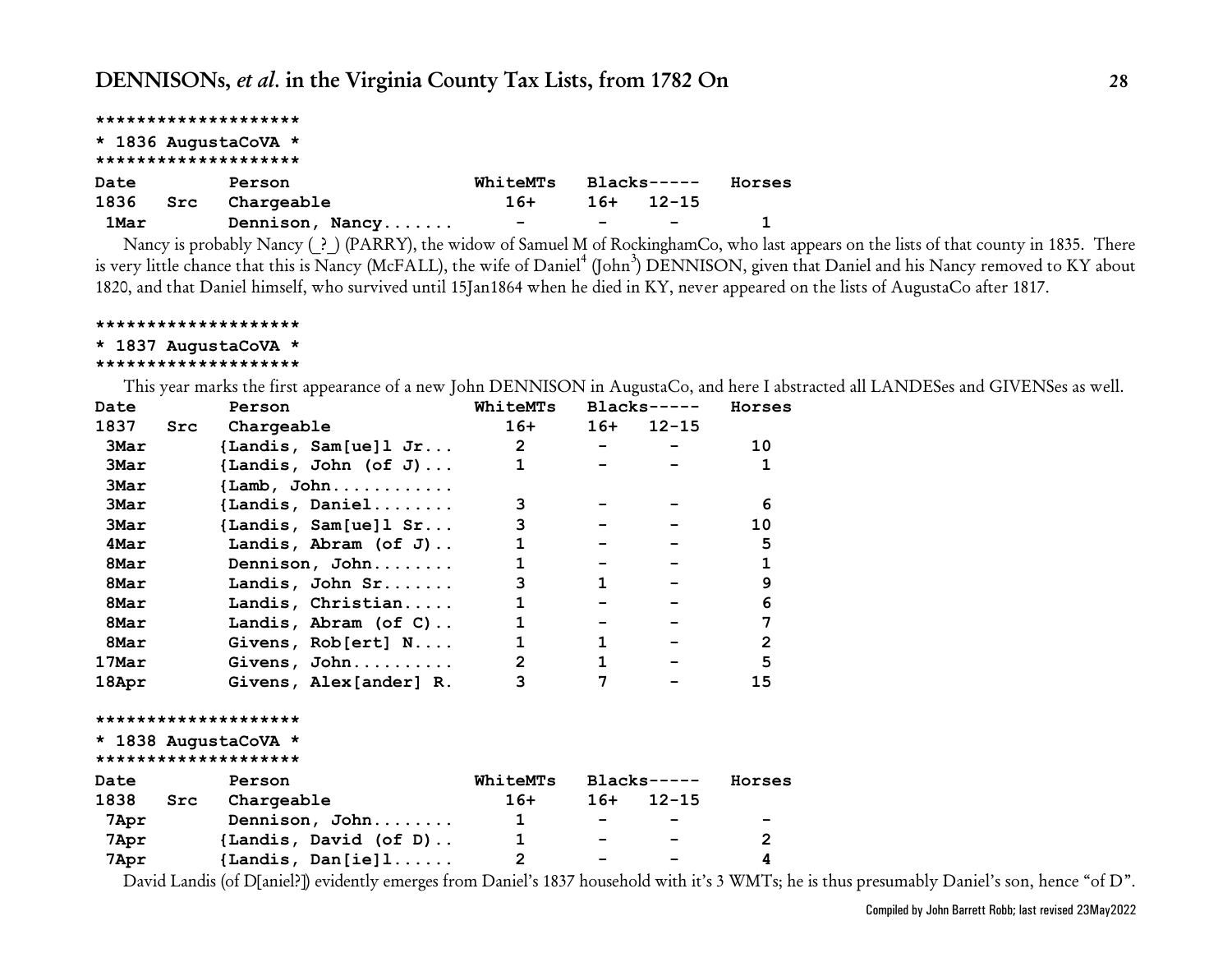<span id="page-27-0"></span>

|      |     | ******************** |                          |       |                          |        |
|------|-----|----------------------|--------------------------|-------|--------------------------|--------|
|      |     | * 1836 AugustaCoVA * |                          |       |                          |        |
|      |     | ******************** |                          |       |                          |        |
| Date |     | Person               | WhiteMTs                 |       | $Blacks---$              | Horses |
| 1836 | Src | Chargeable           | $16+$                    | $16+$ | $12 - 15$                |        |
| 1Mar |     | Dennison, Nancy      | $\overline{\phantom{0}}$ |       | $\overline{\phantom{a}}$ |        |

Nancy is probably Nancy (?) (PARRY), the widow of Samuel M of RockinghamCo, who last appears on the lists of that county in 1835. There is very little chance that this is Nancy (McFALL), the wife of Daniel<sup>4</sup> (John<sup>3</sup>) DENNISON, given that Daniel and his Nancy removed to KY about 1820, and that Daniel himself, who survived until 15Jan1864 when he died in KY, never appeared on the lists of AugustaCo after 1817.

**\*\*\*\*\*\*\*\*\*\*\*\*\*\*\*\*\*\*\*\***

### **\* 1837 AugustaCoVA \***

#### **\*\*\*\*\*\*\*\*\*\*\*\*\*\*\*\*\*\*\*\***

This year marks the first appearance of a new John DENNISON in AugustaCo, and here I abstracted all LANDESes and GIVENSes as well.

| Date                                         | Person                       | WhiteMTs       |              | $Blacks----$ | Horses         |
|----------------------------------------------|------------------------------|----------------|--------------|--------------|----------------|
| 1837<br>Src                                  | Chargeable                   | $16+$          | $16+$        | $12 - 15$    |                |
| 3Mar                                         | {Landis, Sam[ue] $l$ Jr      | $2^{\circ}$    |              |              | 10             |
| <b>3Mar</b>                                  | {Landis, John (of J)         | 1              |              |              | $\mathbf{1}$   |
| 3Mar                                         | $\{Lamb, John \ldots \ldots$ |                |              |              |                |
| <b>3Mar</b>                                  | $\{Landis, Daniel \ldots$    | 3              |              |              | 6              |
| 3Mar                                         | {Landis, $Sam[ue] 1 Sr$      | 3              |              |              | 10             |
| 4Mar                                         | Landis, Abram (of $J$ )      | 1              |              |              | 5              |
| 8Mar                                         | Dennison, John               |                |              |              | $\mathbf 1$    |
| 8Mar                                         | Landis, John Sr              | 3              | $\mathbf{1}$ |              | 9              |
| 8Mar                                         | Landis, Christian            | 1              |              |              | 6              |
| 8Mar                                         | Landis, Abram (of C)         | $\mathbf{1}$   |              |              | 7              |
| 8Mar                                         | Givens, Rob[ert] N           | $\mathbf{1}$   | $\mathbf{1}$ |              | $\overline{2}$ |
| 17Mar                                        | Givens, John                 | $\overline{2}$ | $\mathbf 1$  |              | 5              |
| 18Apr                                        | Givens, Alex[ander] R.       | 3              | 7            |              | 15             |
| ********************                         |                              |                |              |              |                |
| * 1838 AugustaCoVA *<br>******************** |                              |                |              |              |                |
| Date                                         | Person                       | WhiteMTs       |              | Blacks-----  | Horses         |
| 1838<br>Src                                  | Chargeable                   | $16+$          | $16+$        | $12 - 15$    |                |
| <b>7Apr</b>                                  | Dennison, John               | $\mathbf 1$    |              |              |                |
| 7Apr                                         | {Landis, David (of D)        | $\mathbf{1}$   | $ -$         |              | $\overline{2}$ |

 **7Apr {Landis, Dan[ie]l...... 2 - - 4**

David Landis (of D[aniel?]) evidently emerges from Daniel's 1837 household with it's 3 WMTs; he is thus presumably Daniel's son, hence "of D".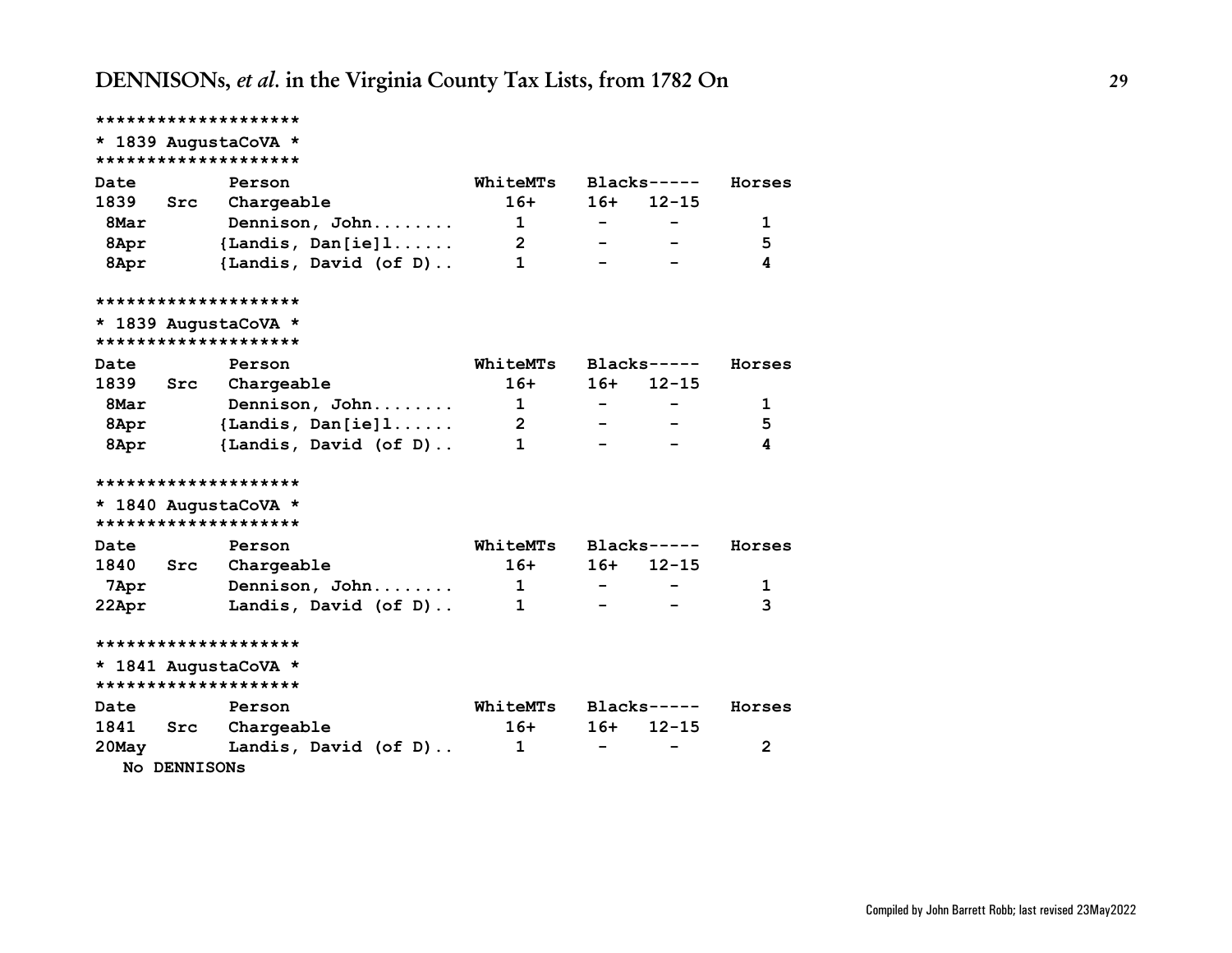|                         | ********************       |                  |        |              |                |
|-------------------------|----------------------------|------------------|--------|--------------|----------------|
|                         | * 1839 AugustaCoVA *       |                  |        |              |                |
|                         | ********************       |                  |        |              |                |
| Date                    | Person                     | WhiteMTs         |        | $Blacks---$  | Horses         |
|                         | 1839 Src Chargeable        | $16+$            |        | $16+ 12-15$  |                |
| 8Mar                    | Dennison, John             | $\mathbf{1}$     | $\sim$ |              | 1              |
|                         | 8Apr {Landis, Dan[ie]1     | $2^{\circ}$      |        |              | 5              |
|                         | 8Apr (Landis, David (of D) | $\mathbf{1}$     |        |              | 4              |
|                         | ********************       |                  |        |              |                |
|                         | * 1839 AugustaCoVA *       |                  |        |              |                |
|                         | ********************       |                  |        |              |                |
| Date                    | Person                     | WhiteMTs         |        | $Blacks---$  | Horses         |
| 1839 Src                | Chargeable                 | $16+$            | $16+$  | $12 - 15$    |                |
| 8Mar                    | Dennison, John             | $\overline{1}$   |        |              | 1              |
|                         | 8Apr {Landis, Dan[ie]1     | $2^{\circ}$      |        |              | 5              |
|                         | 8Apr (Landis, David (of D) | $1 \quad \cdots$ |        |              | 4              |
|                         | ********************       |                  |        |              |                |
|                         | * 1840 AugustaCoVA *       |                  |        |              |                |
|                         | ********************       |                  |        |              |                |
| Date                    | Person                     | WhiteMTs         |        | $Blacks---$  | Horses         |
|                         | 1840 Src Chargeable        | $16+$            |        | $16+ 12-15$  |                |
| 7Apr                    | Dennison, John $1$         |                  |        |              | 1              |
| $22$ Apr $\overline{ }$ | Landis, David (of D)       | $\mathbf{1}$     |        |              | 3              |
|                         | ********************       |                  |        |              |                |
|                         | * 1841 AugustaCoVA *       |                  |        |              |                |
|                         | ********************       |                  |        |              |                |
| Date                    | Person                     | WhiteMTs         |        | $Blacks----$ | Horses         |
|                         | 1841 Src Chargeable        | 16+              | $16+$  | $12 - 15$    |                |
| $20$ May                | Landis, David (of D)       | 1                |        |              | $\overline{2}$ |
| No DENNISONS            |                            |                  |        |              |                |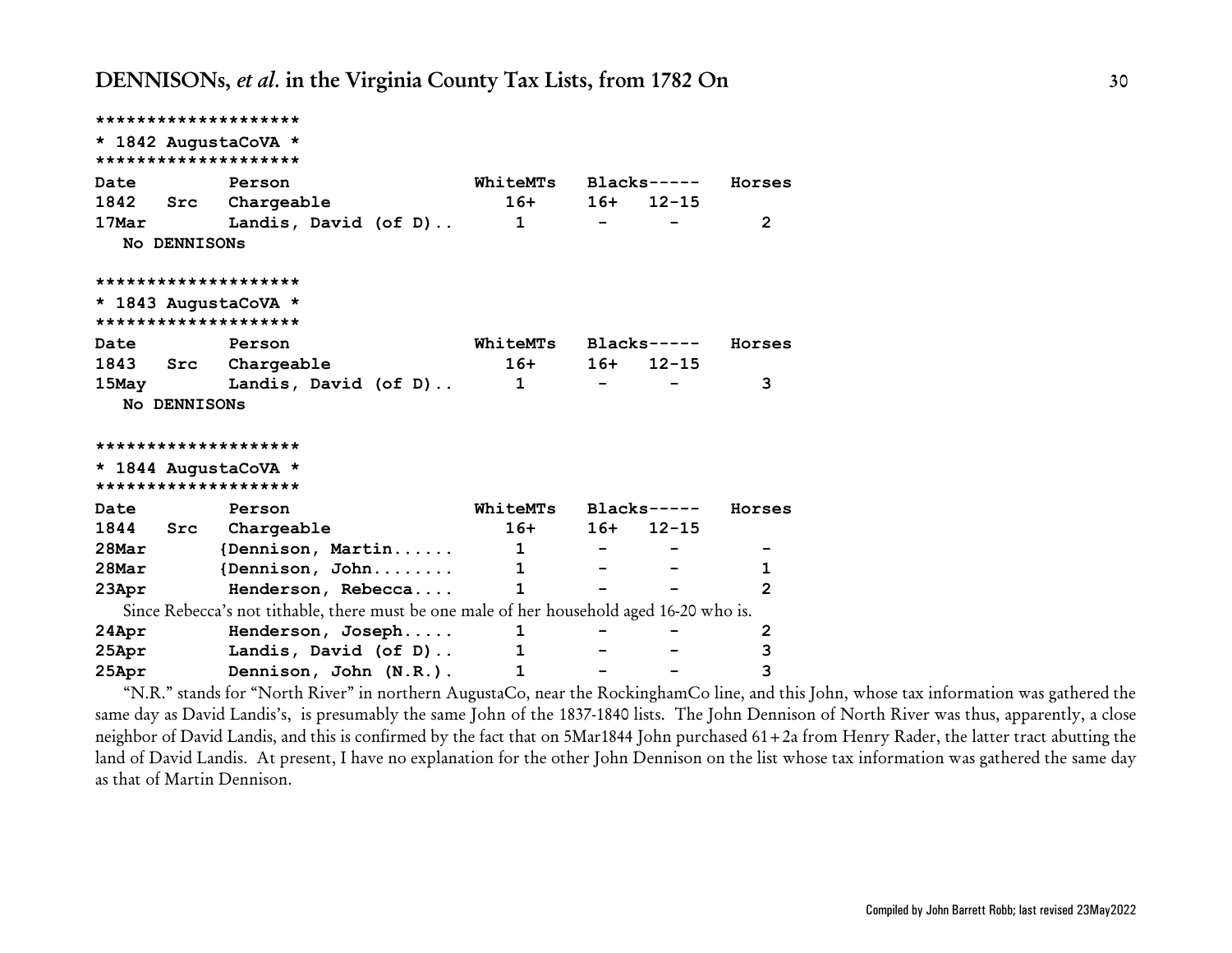```
********************
* 1842 AugustaCoVA *
********************
Date Person WhiteMTs Blacks----- Horses
1842 Src Chargeable 16+ 16+ 12-15
17Mar Landis, David (of D).. 1 - - 2
 No DENNISONs
********************
* 1843 AugustaCoVA *
********************
Date Person WhiteMTs Blacks----- Horses
1843 Src Chargeable 16+ 16+ 12-15
15May Landis, David (of D).. 1 - - 3
 No DENNISONs
********************
* 1844 AugustaCoVA *
********************
Date Person WhiteMTs Blacks----- Horses
1844 Src Chargeable 16+ 16+ 12-15
28Mar {Dennison, Martin...... 1 - - -
28Mar {Dennison, John........ 1 - - 1
23Apr Henderson, Rebecca.... 1 - - 2
 Since Rebecca's not tithable, there must be one male of her household aged 16-20 who is.
24Apr Henderson, Joseph..... 1 - - 2
25Apr Landis, David (of D).. 1 - - 3
25Apr Dennison, John (N.R.). 1 - - 3
```
"N.R." stands for "North River" in northern AugustaCo, near the RockinghamCo line, and this John, whose tax information was gathered the same day as David Landis's, is presumably the same John of the 1837-1840 lists. The John Dennison of North River was thus, apparently, a close neighbor of David Landis, and this is confirmed by the fact that on 5Mar1844 John purchased 61+2a from Henry Rader, the latter tract abutting the land of David Landis. At present, I have no explanation for the other John Dennison on the list whose tax information was gathered the same day as that of Martin Dennison.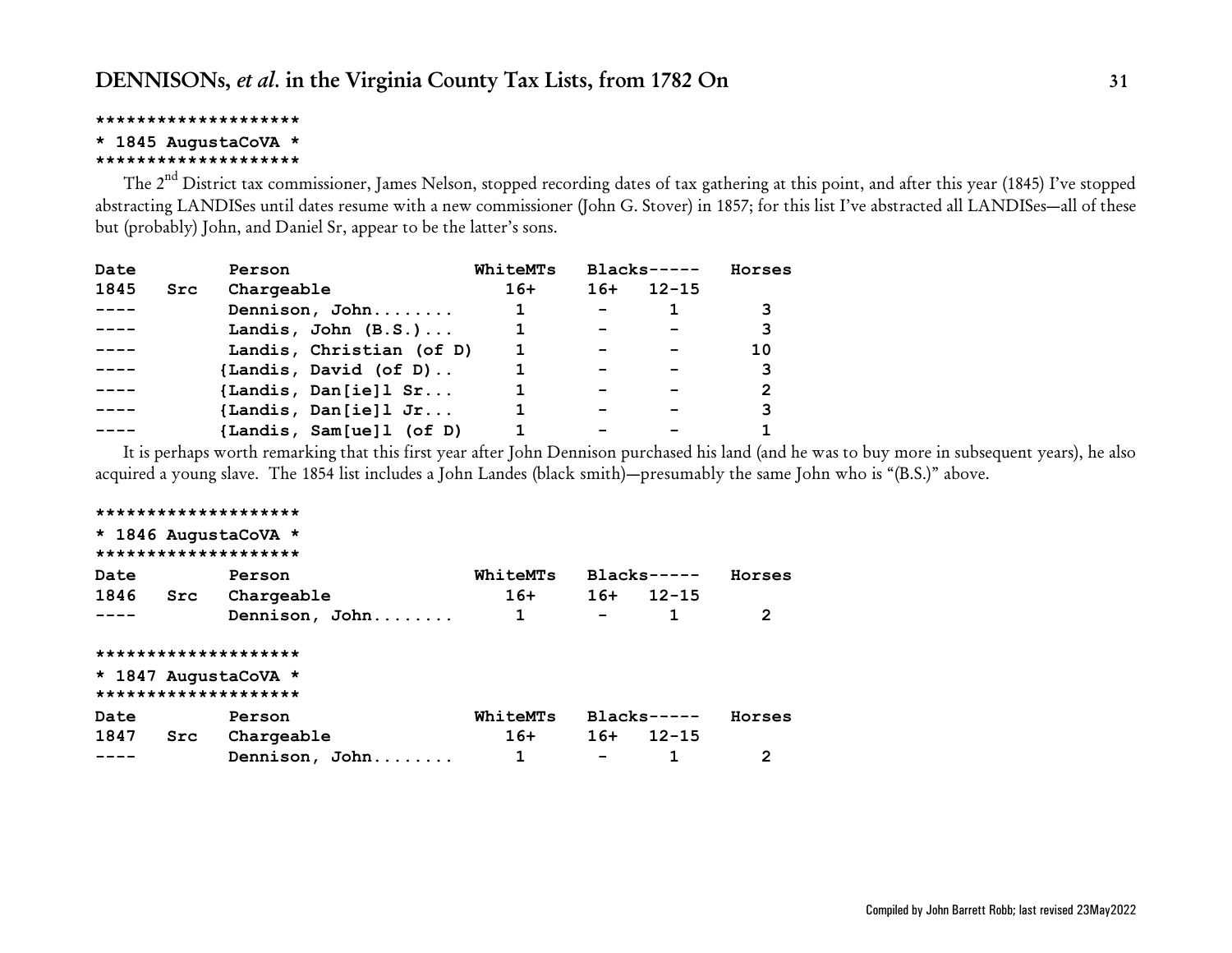#### **\* 1845 AugustaCoVA \***

#### **\*\*\*\*\*\*\*\*\*\*\*\*\*\*\*\*\*\*\*\***

The 2<sup>nd</sup> District tax commissioner, James Nelson, stopped recording dates of tax gathering at this point, and after this year (1845) I've stopped abstracting LANDISes until dates resume with a new commissioner (John G. Stover) in 1857; for this list I've abstracted all LANDISes—all of these but (probably) John, and Daniel Sr, appear to be the latter's sons.

| Date |     | Person                   | WhiteMTs |       | $Blacks---$ | Horses |
|------|-----|--------------------------|----------|-------|-------------|--------|
| 1845 | Src | Chargeable               | $16+$    | $16+$ | $12 - 15$   |        |
|      |     | Dennison, John           |          |       |             |        |
|      |     | Landis, John $(B.S.)$    |          |       |             | 3      |
|      |     | Landis, Christian (of D) |          |       |             | 10     |
|      |     | {Landis, David (of D)    |          |       |             | 3      |
|      |     | {Landis, Dan[ie]1 Sr     |          |       |             | 2      |
|      |     | {Landis, Dan[ie] $l$ Jr  |          |       |             | 3      |
|      |     | {Landis, Sam[ue]1 (of D) |          |       |             |        |

It is perhaps worth remarking that this first year after John Dennison purchased his land (and he was to buy more in subsequent years), he also acquired a young slave. The 1854 list includes a John Landes (black smith)—presumably the same John who is "(B.S.)" above.

### **\*\*\*\*\*\*\*\*\*\*\*\*\*\*\*\*\*\*\*\* \* 1846 AugustaCoVA \* \*\*\*\*\*\*\*\*\*\*\*\*\*\*\*\*\*\*\*\* Date Person WhiteMTs Blacks----- Horses 1846 Src Chargeable 16+ 16+ 12-15 ---- Dennison, John........ 1 - 1 2 \*\*\*\*\*\*\*\*\*\*\*\*\*\*\*\*\*\*\*\* \* 1847 AugustaCoVA \* \*\*\*\*\*\*\*\*\*\*\*\*\*\*\*\*\*\*\*\* Date Person WhiteMTs Blacks----- Horses 1847 Src Chargeable 16+ 16+ 12-15**

**---- Dennison, John........ 1 - 1 2**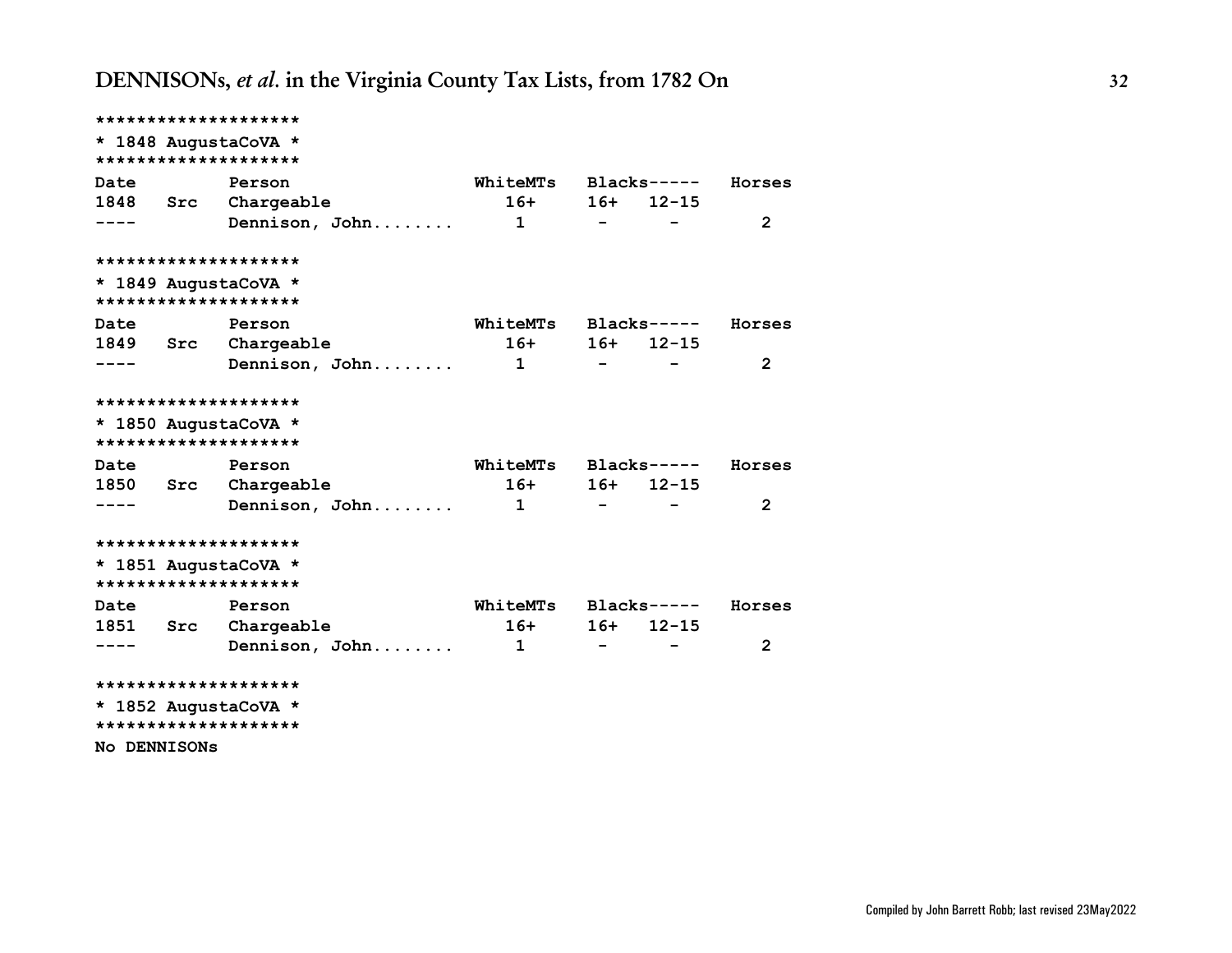| ******************** |                     |                      |                          |                |
|----------------------|---------------------|----------------------|--------------------------|----------------|
| * 1848 AugustaCoVA * |                     |                      |                          |                |
| ******************** |                     |                      |                          |                |
| Date                 | Person              | WhiteMTs Blacks----- |                          | Horses         |
|                      | 1848 Src Chargeable | $16+ 16+ 12-15$      |                          |                |
|                      |                     |                      | $ -$                     | 2              |
| ******************** |                     |                      |                          |                |
| * 1849 AugustaCoVA * |                     |                      |                          |                |
| ******************** |                     |                      |                          |                |
| Date                 | Person              | WhiteMTs Blacks----- |                          | Horses         |
|                      | 1849 Src Chargeable | 16+ 16+ 12-15        |                          |                |
|                      |                     |                      | <b>Contract Contract</b> | $\overline{2}$ |
| ******************** |                     |                      |                          |                |
| * 1850 AugustaCoVA * |                     |                      |                          |                |
| ******************** |                     |                      |                          |                |
| Date                 | Person              | WhiteMTs Blacks----- |                          | Horses         |
|                      | 1850 Src Chargeable | $16+$ 16+ 12-15      |                          |                |
| ----                 | Dennison, John 1    |                      | $\sim$ $ -$              | $\overline{2}$ |
| ******************** |                     |                      |                          |                |
| * 1851 AugustaCoVA * |                     |                      |                          |                |
| ******************** |                     |                      |                          |                |
| Date                 | Person              | WhiteMTs Blacks----- |                          | Horses         |
|                      | 1851 Src Chargeable | $16+$ 16+ 12-15      |                          |                |
|                      | Dennison, John $1$  |                      | $-$ 100 $-$              | 2              |
| ******************** |                     |                      |                          |                |
| * 1852 AugustaCoVA * |                     |                      |                          |                |
| ******************** |                     |                      |                          |                |
| <b>NO DENNISONS</b>  |                     |                      |                          |                |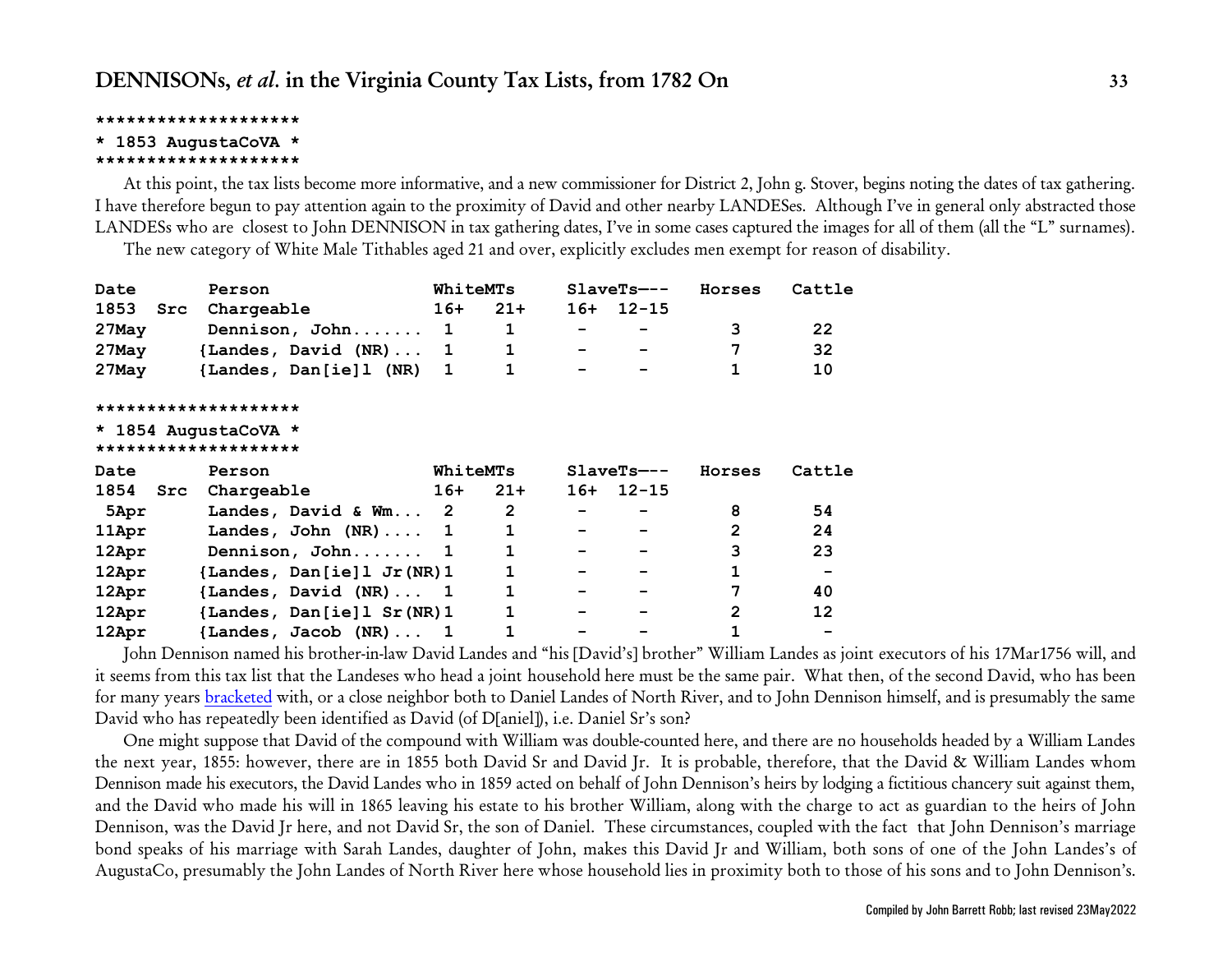#### **\* 1853 AugustaCoVA \***

#### **\*\*\*\*\*\*\*\*\*\*\*\*\*\*\*\*\*\*\*\***

At this point, the tax lists become more informative, and a new commissioner for District 2, John g. Stover, begins noting the dates of tax gathering. I have therefore begun to pay attention again to the proximity of David and other nearby LANDESes. Although I've in general only abstracted those LANDESs who are closest to John DENNISON in tax gathering dates, I've in some cases captured the images for all of them (all the "L" surnames).

The new category of White Male Tithables aged 21 and over, explicitly excludes men exempt for reason of disability.

| Date     |     | Person                                       | WhiteMTs        |              | $SlaveTs---$ | Horses         | Cattle |
|----------|-----|----------------------------------------------|-----------------|--------------|--------------|----------------|--------|
| 1853     | Src | Chargeable                                   | 16+             | $21+$        | $16+ 12-15$  |                |        |
| 27May    |     | Dennison, John 1                             |                 | $\mathbf{1}$ |              | 3              | 22     |
| 27May    |     | {Landes, David $(NR) \ldots$ 1               |                 | $\mathbf{1}$ |              | 7              | 32     |
| $27$ May |     | {Landes, Dan[ie]1 (NR) 1                     |                 | 1            |              |                | 10     |
|          |     | ********************                         |                 |              |              |                |        |
|          |     | * 1854 AugustaCoVA *<br>******************** |                 |              |              |                |        |
|          |     |                                              |                 |              |              |                |        |
| Date     |     | Person                                       | <b>WhiteMTs</b> |              | $SlaveTs---$ | Horses         | Cattle |
| 1854     | Src | Chargeable                                   | 16+             | $21+$        | $16+ 12-15$  |                |        |
| 5Apr     |     | Landes, David & Wm 2                         |                 | $\mathbf{2}$ |              | 8              | 54     |
| 11Apr    |     | Landes, John $(NR) \ldots$ 1                 |                 | 1            |              | 2              | 24     |
| 12Apr    |     | Dennison, John 1                             |                 | 1            |              | 3              | 23     |
| 12Apr    |     | {Landes, Dan[ie] $1$ Jr(NR) $1$              |                 | 1            |              | $\mathbf{1}$   |        |
| 12Apr    |     | ${Landes, David (NR) 1}$                     |                 | $\mathbf{1}$ |              | 7              | 40     |
| 12Apr    |     | {Landes, Dan[ie]1 Sr (NR) 1                  |                 | 1            |              | $\overline{2}$ | 12     |

John Dennison named his brother-in-law David Landes and "his [David's] brother" William Landes as joint executors of his 17Mar1756 will, and it seems from this tax list that the Landeses who head a joint household here must be the same pair. What then, of the second David, who has been for many years [bracketed](#page-91-0) with, or a close neighbor both to Daniel Landes of North River, and to John Dennison himself, and is presumably the same David who has repeatedly been identified as David (of D[aniel]), i.e. Daniel Sr's son?

One might suppose that David of the compound with William was double-counted here, and there are no households headed by a William Landes the next year, 1855: however, there are in 1855 both David Sr and David Jr. It is probable, therefore, that the David & William Landes whom Dennison made his executors, the David Landes who in 1859 acted on behalf of John Dennison's heirs by lodging a fictitious chancery suit against them, and the David who made his will in 1865 leaving his estate to his brother William, along with the charge to act as guardian to the heirs of John Dennison, was the David Jr here, and not David Sr, the son of Daniel. These circumstances, coupled with the fact that John Dennison's marriage bond speaks of his marriage with Sarah Landes, daughter of John, makes this David Jr and William, both sons of one of the John Landes's of AugustaCo, presumably the John Landes of North River here whose household lies in proximity both to those of his sons and to John Dennison's.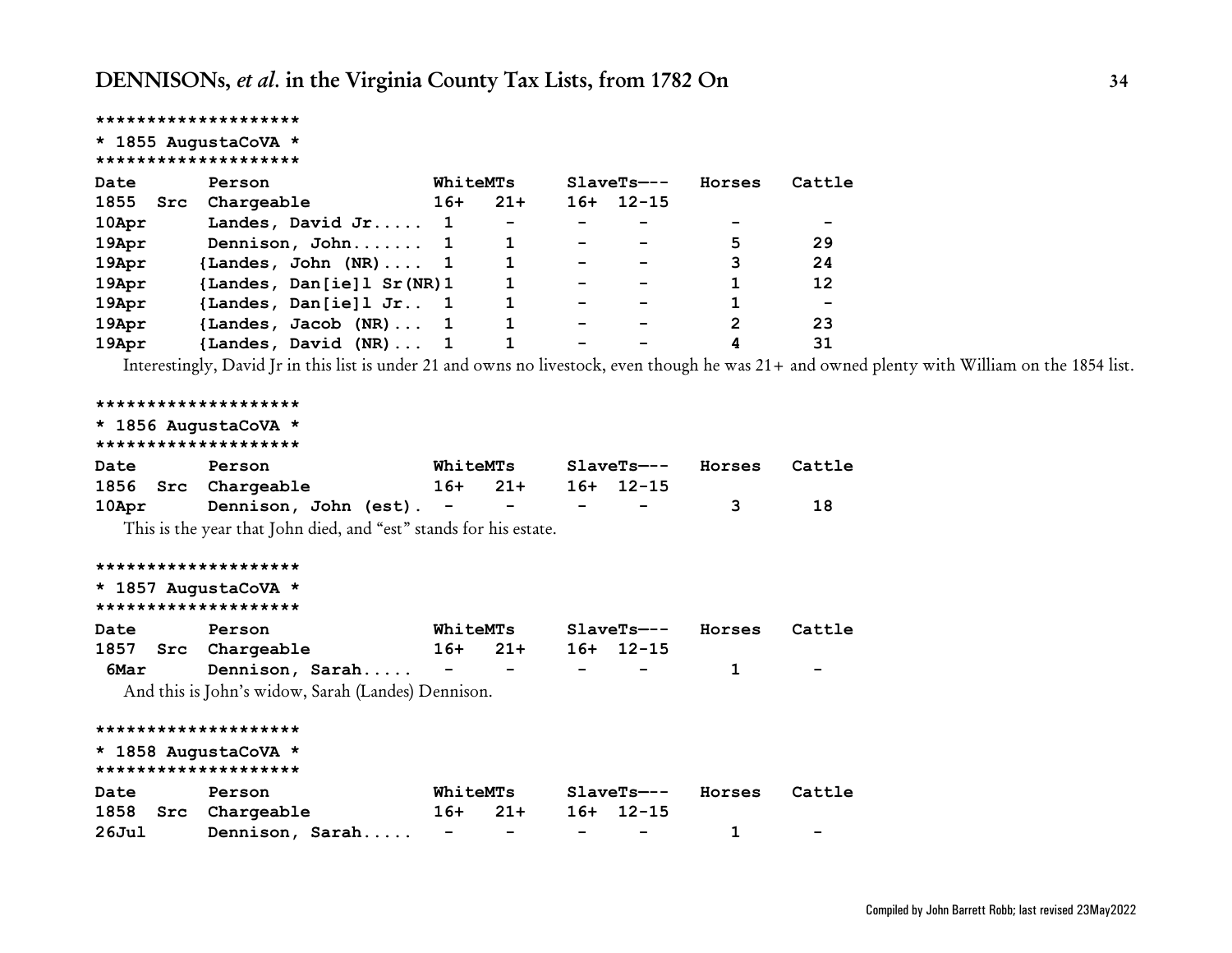| ********************                                              |                          |
|-------------------------------------------------------------------|--------------------------|
| * 1855 AugustaCoVA *                                              |                          |
| ********************                                              |                          |
| Date<br>WhiteMTs<br>$SlaveTs---$<br>Horses<br>Person              | Cattle                   |
| 1855<br>$21+$<br>$16+ 12-15$<br>Src<br>Chargeable<br>$16+$        |                          |
| 10Apr<br>Landes, David Jr<br>1                                    | $\overline{\phantom{0}}$ |
| 5<br>19Apr<br>Dennison, John<br>1<br>1                            | 29                       |
| 3<br>19Apr<br>{Landes, John $(NR) \ldots$ 1                       | 24                       |
| 19Apr<br>{Landes, Dan[ie]1 Sr(NR)1<br>1                           | 12                       |
| 19Apr<br>{Landes, Dan[ie]1 Jr 1<br>1                              | $\overline{\phantom{m}}$ |
| $\mathbf{2}$<br>19Apr<br>{Landes, Jacob (NR) 1                    | 23                       |
| 19Apr<br>{Landes, David (NR) 1<br>4                               | 31                       |
| * 1856 AugustaCoVA *<br>********************                      |                          |
| Date<br>WhiteMTs<br>$SlaveTs---$<br>Person<br>Horses              | Cattle                   |
| 1856<br>Src Chargeable<br>$16+$<br>$21+$<br>$16+ 12-15$           |                          |
| 3<br>Dennison, John (est).<br>10Apr                               | 18                       |
| This is the year that John died, and "est" stands for his estate. |                          |
| ********************                                              |                          |
| * 1857 AugustaCoVA *<br>********************                      |                          |
| Date<br>WhiteMTs<br>$SlaveTs---$<br>Horses<br>Person              | Cattle                   |
| $21+$<br>1857<br>$16+ 12-15$<br>Src<br>Chargeable<br>$16+$        |                          |
| 6Mar<br>Dennison, Sarah<br>1<br>$\overline{\phantom{m}}$          |                          |
| And this is John's widow, Sarah (Landes) Dennison.                |                          |

### **\*\*\*\*\*\*\*\*\*\*\*\*\*\*\*\*\*\*\*\* \* 1858 AugustaCoVA \* \*\*\*\*\*\*\*\*\*\*\*\*\*\*\*\*\*\*\*\* Date Person WhiteMTs SlaveTs—-- Horses Cattle 1858 Src Chargeable 16+ 21+ 16+ 12-15 26Jul Dennison, Sarah..... - - - - 1 -**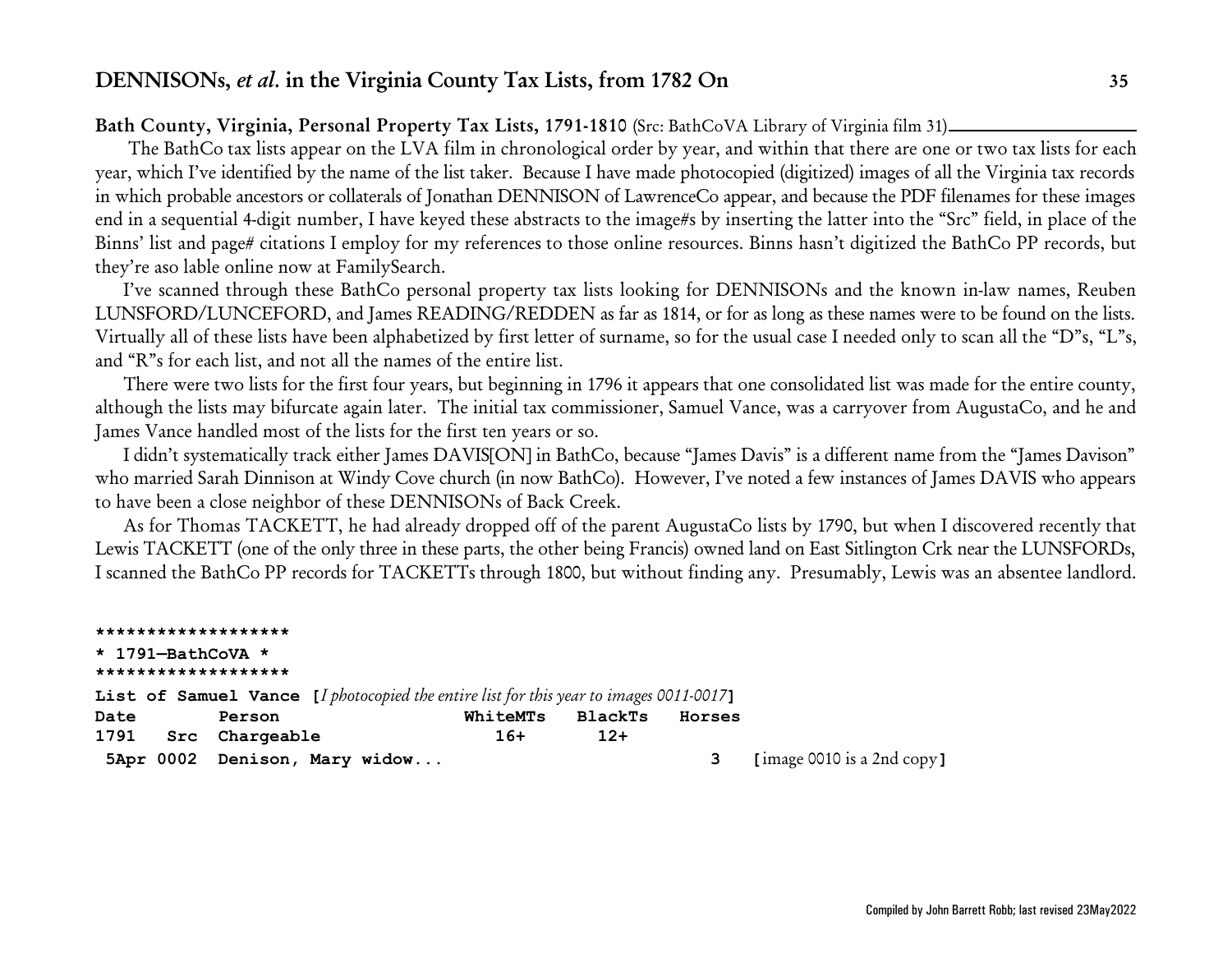### <span id="page-34-0"></span>**Bath County, Virginia, Personal Property Tax Lists, 1791-1810** (Src: BathCoVA Library of Virginia film 31)

 The BathCo tax lists appear on the LVA film in chronological order by year, and within that there are one or two tax lists for each year, which I've identified by the name of the list taker. Because I have made photocopied (digitized) images of all the Virginia tax records in which probable ancestors or collaterals of Jonathan DENNISON of LawrenceCo appear, and because the PDF filenames for these images end in a sequential 4-digit number, I have keyed these abstracts to the image#s by inserting the latter into the "Src" field, in place of the Binns' list and page# citations I employ for my references to those online resources. Binns hasn't digitized the BathCo PP records, but they're aso lable online now at FamilySearch.

I've scanned through these BathCo personal property tax lists looking for DENNISONs and the known in-law names, Reuben LUNSFORD/LUNCEFORD, and James READING/REDDEN as far as 1814, or for as long as these names were to be found on the lists. Virtually all of these lists have been alphabetized by first letter of surname, so for the usual case I needed only to scan all the "D"s, "L"s, and "R"s for each list, and not all the names of the entire list.

There were two lists for the first four years, but beginning in 1796 it appears that one consolidated list was made for the entire county, although the lists may bifurcate again later. The initial tax commissioner, Samuel Vance, was a carryover from AugustaCo, and he and James Vance handled most of the lists for the first ten years or so.

I didn't systematically track either James DAVIS[ON] in BathCo, because "James Davis" is a different name from the "James Davison" who married Sarah Dinnison at Windy Cove church (in now BathCo). However, I've noted a few instances of James DAVIS who appears to have been a close neighbor of these DENNISONs of Back Creek.

As for Thomas TACKETT, he had already dropped off of the parent AugustaCo lists by 1790, but when I discovered recently that Lewis TACKETT (one of the only three in these parts, the other being Francis) owned land on East Sitlington Crk near the LUNSFORDs, I scanned the BathCo PP records for TACKETTs through 1800, but without finding any. Presumably, Lewis was an absentee landlord.

**\*\*\*\*\*\*\*\*\*\*\*\*\*\*\*\*\*\*\* \* 1791—BathCoVA \* \*\*\*\*\*\*\*\*\*\*\*\*\*\*\*\*\*\*\* List of Samuel Vance [***I photocopied the entire list for this year to images 0011-0017***] Date Person WhiteMTs BlackTs Horses 1791 Src Chargeable 16+ 12+ 5Apr 0002 Denison, Mary widow... 3 [**image 0010 is a 2nd copy**]**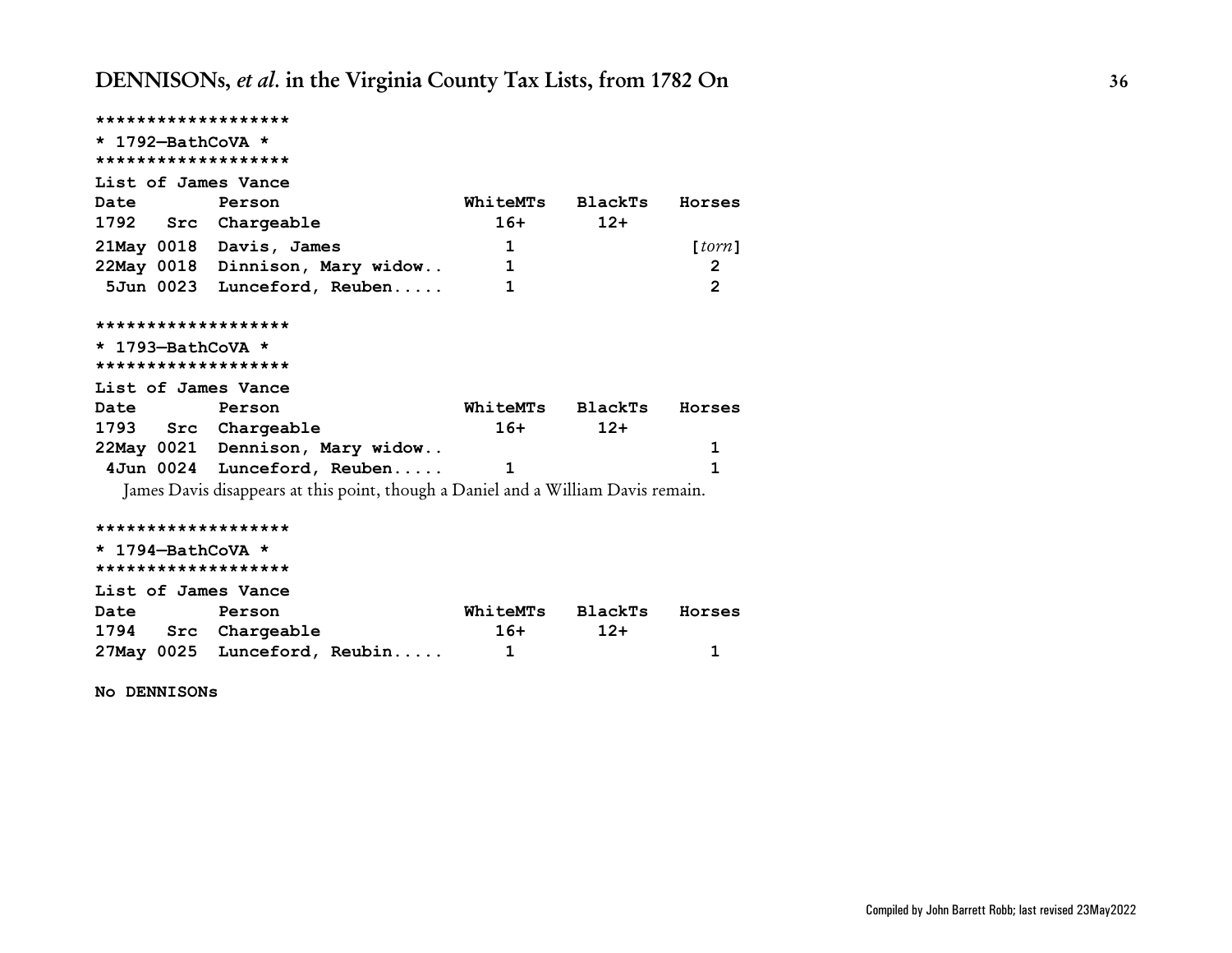| *******************                      |                                                                                   |                  |         |                |
|------------------------------------------|-----------------------------------------------------------------------------------|------------------|---------|----------------|
| * 1792-BathCoVA *<br>******************* |                                                                                   |                  |         |                |
| List of James Vance                      |                                                                                   |                  |         |                |
| <b>Date</b>                              | Person                                                                            | WhiteMTs         | BlackTs | Horses         |
| 1792 Src Chargeable                      |                                                                                   | $16+$            | $12+$   |                |
|                                          | 21May 0018 Davis, James                                                           | 1                |         | [form]         |
|                                          | 22May 0018 Dinnison, Mary widow                                                   | 1                |         | 2              |
|                                          | 5Jun 0023 Lunceford, Reuben                                                       | 1                |         | $\overline{2}$ |
| *******************                      |                                                                                   |                  |         |                |
| * 1793-BathCoVA *                        |                                                                                   |                  |         |                |
| *******************                      |                                                                                   |                  |         |                |
| List of James Vance                      |                                                                                   |                  |         |                |
| <b>Date</b>                              | Person                                                                            | WhiteMTs BlackTs |         | Horses         |
| 1793 Src Chargeable                      |                                                                                   | $16+$            | $12+$   |                |
|                                          | 22May 0021 Dennison, Mary widow                                                   |                  |         | 1              |
|                                          | 4Jun 0024 Lunceford, Reuben                                                       | 1                |         | 1              |
|                                          | James Davis disappears at this point, though a Daniel and a William Davis remain. |                  |         |                |
| *******************                      |                                                                                   |                  |         |                |
| * 1794-BathCoVA *                        |                                                                                   |                  |         |                |
| *******************                      |                                                                                   |                  |         |                |
| List of James Vance                      |                                                                                   |                  |         |                |
| <b>Date</b>                              | Person                                                                            | WhiteMTs         | BlackTs | Horses         |
| 1794 Src Chargeable                      |                                                                                   | 16+              | $12+$   |                |
|                                          | 27May 0025 Lunceford, Reubin                                                      | 1                |         | 1              |

**No DENNISONs**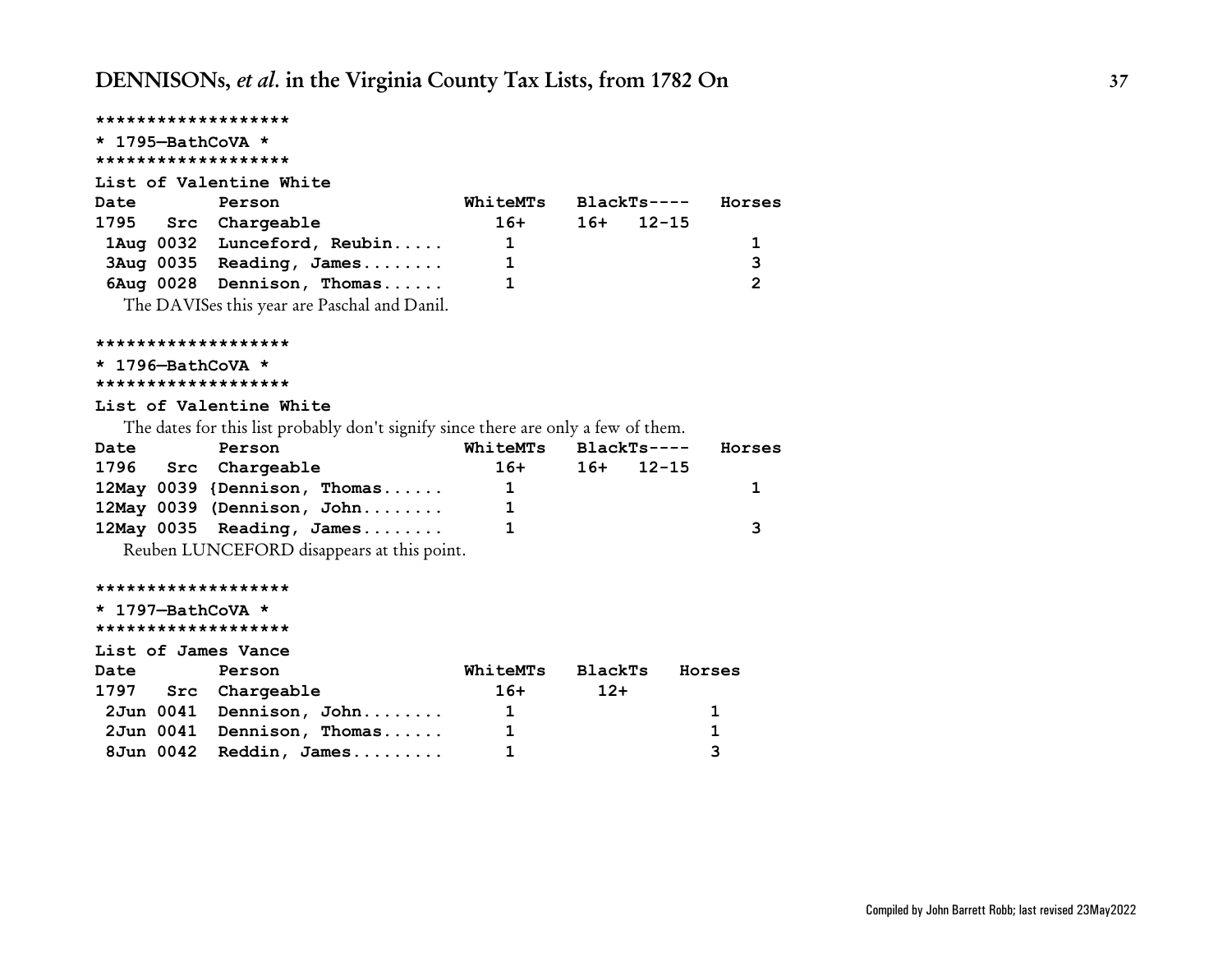## **\*\*\*\*\*\*\*\*\*\*\*\*\*\*\*\*\*\*\* \* 1795—BathCoVA \* \*\*\*\*\*\*\*\*\*\*\*\*\*\*\*\*\*\*\* List of Valentine White Date Person WhiteMTs BlackTs---- Horses 1795 Src Chargeable 16+ 16+ 12-15 1Aug 0032 Lunceford, Reubin..... 1 1 3Aug 0035 Reading, James........ 1 3 6Aug 0028 Dennison, Thomas...... 1 2** The DAVISes this year are Paschal and Danil.

**\*\*\*\*\*\*\*\*\*\*\*\*\*\*\*\*\*\*\***

```
* 1796—BathCoVA *
```

```
*******************
```
#### **List of Valentine White**

The dates for this list probably don't signify since there are only a few of them.

| Date | Person                       | WhiteMTs | BlackTs---- | Horses |
|------|------------------------------|----------|-------------|--------|
|      | 1796 Src Chargeable          | 16+      | $16+$ 12-15 |        |
|      | 12May 0039 {Dennison, Thomas | Т.       |             |        |
|      | 12May 0039 (Dennison, John   |          |             |        |
|      | $12$ May 0035 Reading, James |          |             | ર      |

Reuben LUNCEFORD disappears at this point.

#### **\*\*\*\*\*\*\*\*\*\*\*\*\*\*\*\*\*\*\***

**\* 1797—BathCoVA \* \*\*\*\*\*\*\*\*\*\*\*\*\*\*\*\*\*\*\* List of James Vance Date Person WhiteMTs BlackTs Horses 1797 Src Chargeable 16+ 12+ 2Jun 0041 Dennison, John........ 1 1 2Jun 0041 Dennison, Thomas...... 1 1 8Jun 0042 Reddin, James......... 1 3**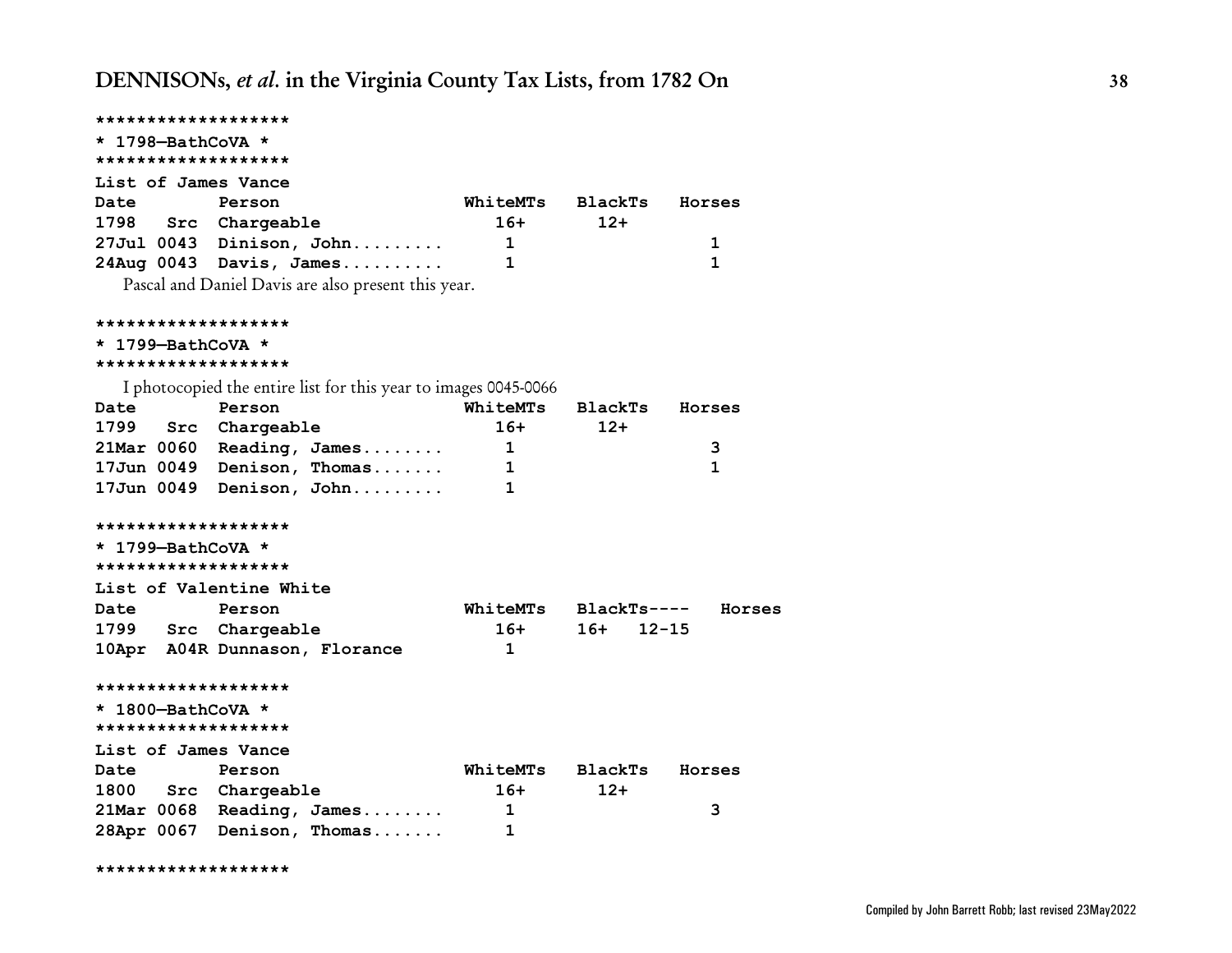| ******************* |                                                                 |                 |                    |        |
|---------------------|-----------------------------------------------------------------|-----------------|--------------------|--------|
| * 1798-BathCoVA *   |                                                                 |                 |                    |        |
| ******************* |                                                                 |                 |                    |        |
| List of James Vance |                                                                 |                 |                    |        |
| <b>Date</b>         | Person                                                          | WhiteMTs        | BlackTs            | Horses |
| 1798 Src Chargeable |                                                                 | $16+$           | $12+$              |        |
|                     | $27$ Jul 0043 Dinison, John                                     | $\mathbf{1}$    |                    | 1      |
|                     | $24 \text{Aug } 0043$ Davis, James                              | 1               |                    | 1      |
|                     | Pascal and Daniel Davis are also present this year.             |                 |                    |        |
| ******************* |                                                                 |                 |                    |        |
| * 1799-BathCoVA *   |                                                                 |                 |                    |        |
| ******************* |                                                                 |                 |                    |        |
|                     | I photocopied the entire list for this year to images 0045-0066 |                 |                    |        |
| Date                | Person                                                          | WhiteMTs        | BlackTs            | Horses |
| 1799                | Src Chargeable                                                  | $16+$           | $12+$              |        |
|                     | 21Mar 0060 Reading, James                                       | $\mathbf{1}$    |                    | 3      |
|                     | 17Jun 0049 Denison, Thomas                                      | $\mathbf{1}$    |                    | 1      |
|                     | 17Jun 0049 Denison, John                                        | 1               |                    |        |
| ******************* |                                                                 |                 |                    |        |
| * 1799-BathCoVA *   |                                                                 |                 |                    |        |
| ******************* |                                                                 |                 |                    |        |
|                     | List of Valentine White                                         |                 |                    |        |
| Date                | Person                                                          | <b>WhiteMTs</b> | BlackTs----        | Horses |
| 1799 Src Chargeable |                                                                 | 16+             | $16+$<br>$12 - 15$ |        |
|                     | 10Apr A04R Dunnason, Florance                                   | $\mathbf 1$     |                    |        |
| ******************* |                                                                 |                 |                    |        |
| * 1800-BathCoVA *   |                                                                 |                 |                    |        |
| ******************* |                                                                 |                 |                    |        |
| List of James Vance |                                                                 |                 |                    |        |
| <b>Date</b>         | Person                                                          | <b>WhiteMTs</b> | BlackTs            | Horses |
| 1800 Src Chargeable |                                                                 | $16+$           | $12+$              |        |
|                     | 21Mar 0068 Reading, James                                       | 1               |                    | 3      |
|                     | 28Apr 0067 Denison, Thomas                                      | 1               |                    |        |

**\*\*\*\*\*\*\*\*\*\*\*\*\*\*\*\*\*\*\***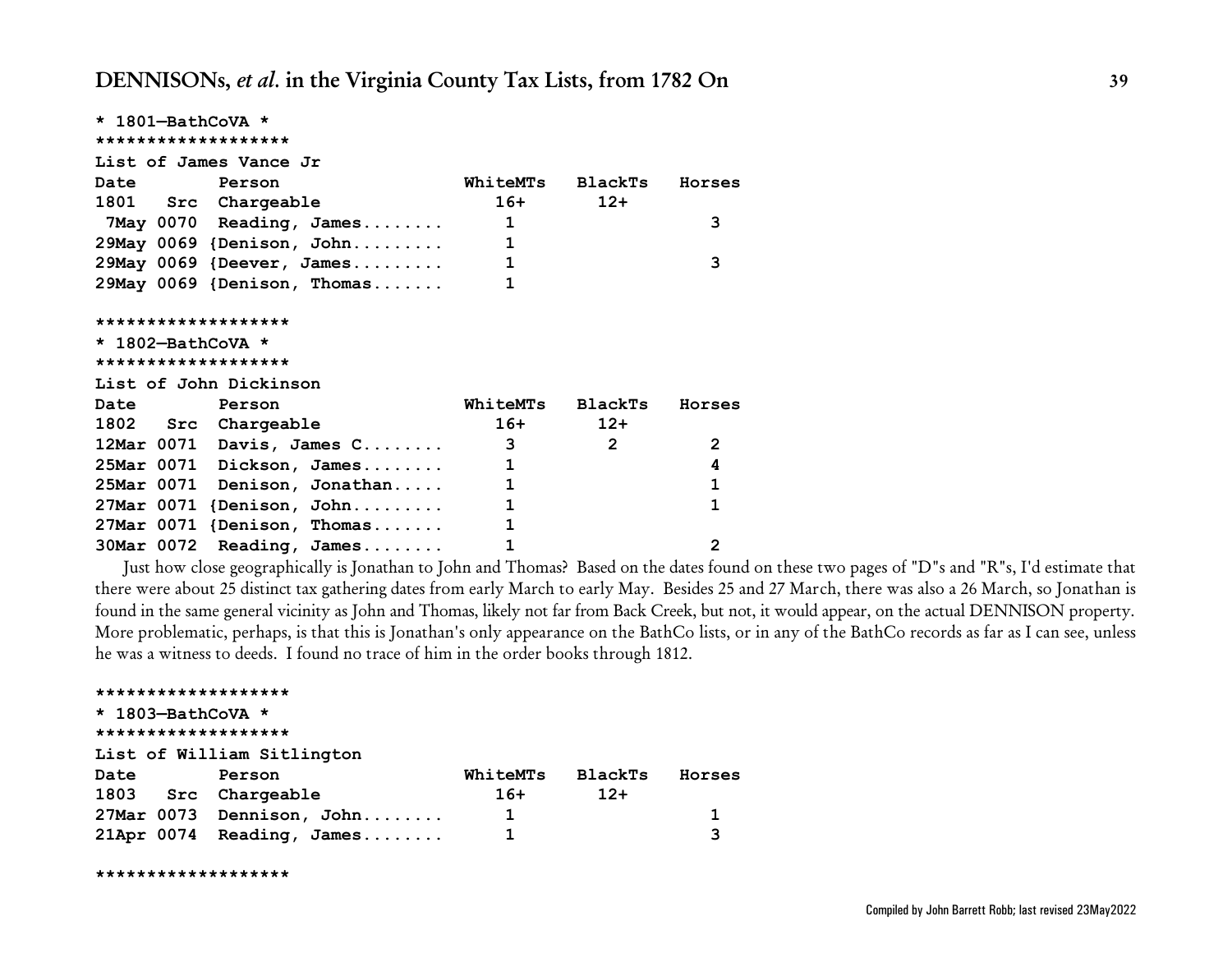| * 1801-BathCoVA *<br>******************* |                                                                                                                                                                                                                                                                                                                                                                                                                                                                                 |                         |                |
|------------------------------------------|---------------------------------------------------------------------------------------------------------------------------------------------------------------------------------------------------------------------------------------------------------------------------------------------------------------------------------------------------------------------------------------------------------------------------------------------------------------------------------|-------------------------|----------------|
|                                          |                                                                                                                                                                                                                                                                                                                                                                                                                                                                                 |                         |                |
| List of James Vance Jr                   |                                                                                                                                                                                                                                                                                                                                                                                                                                                                                 |                         |                |
| <b>Date</b><br>Person                    |                                                                                                                                                                                                                                                                                                                                                                                                                                                                                 | WhiteMTs BlackTs Horses |                |
| 1801 Src Chargeable                      |                                                                                                                                                                                                                                                                                                                                                                                                                                                                                 | $16+$<br>$12+$          |                |
| 7May 0070 Reading, James                 |                                                                                                                                                                                                                                                                                                                                                                                                                                                                                 | 1                       | 3              |
| 29May 0069 {Denison, John                | $\overline{\phantom{a}}$ $\overline{\phantom{a}}$ $\overline{\phantom{a}}$ $\overline{\phantom{a}}$ $\overline{\phantom{a}}$ $\overline{\phantom{a}}$ $\overline{\phantom{a}}$ $\overline{\phantom{a}}$ $\overline{\phantom{a}}$ $\overline{\phantom{a}}$ $\overline{\phantom{a}}$ $\overline{\phantom{a}}$ $\overline{\phantom{a}}$ $\overline{\phantom{a}}$ $\overline{\phantom{a}}$ $\overline{\phantom{a}}$ $\overline{\phantom{a}}$ $\overline{\phantom{a}}$ $\overline{\$ |                         |                |
| 29May 0069 {Deever, James                |                                                                                                                                                                                                                                                                                                                                                                                                                                                                                 | $\mathbf{1}$            | 3              |
| 29May 0069 {Denison, Thomas              |                                                                                                                                                                                                                                                                                                                                                                                                                                                                                 | 1                       |                |
|                                          |                                                                                                                                                                                                                                                                                                                                                                                                                                                                                 |                         |                |
| *******************                      |                                                                                                                                                                                                                                                                                                                                                                                                                                                                                 |                         |                |
| $\star$ 1802-BathCoVA $\star$            |                                                                                                                                                                                                                                                                                                                                                                                                                                                                                 |                         |                |
| *******************                      |                                                                                                                                                                                                                                                                                                                                                                                                                                                                                 |                         |                |
| List of John Dickinson                   |                                                                                                                                                                                                                                                                                                                                                                                                                                                                                 |                         |                |
| Date Person                              |                                                                                                                                                                                                                                                                                                                                                                                                                                                                                 | WhiteMTs BlackTs Horses |                |
| 1802 Src Chargeable                      |                                                                                                                                                                                                                                                                                                                                                                                                                                                                                 | $16+$<br>$12+$          |                |
| 12Mar 0071 Davis, James C                | $\overline{\mathbf{3}}$                                                                                                                                                                                                                                                                                                                                                                                                                                                         | $\overline{2}$          | $\overline{2}$ |
| 25Mar 0071 Dickson, James                |                                                                                                                                                                                                                                                                                                                                                                                                                                                                                 | $\mathbf{1}$            | 4              |
| 25Mar 0071 Denison, Jonathan             | 1                                                                                                                                                                                                                                                                                                                                                                                                                                                                               |                         | $\mathbf{1}$   |
| $27$ Mar 0071 {Denison, John 1           |                                                                                                                                                                                                                                                                                                                                                                                                                                                                                 |                         | 1              |
| 27Mar 0071 {Denison, Thomas              |                                                                                                                                                                                                                                                                                                                                                                                                                                                                                 | $\mathbf{1}$            |                |
| 30Mar 0072 Reading, James                |                                                                                                                                                                                                                                                                                                                                                                                                                                                                                 | $\mathbf{1}$            | $\overline{2}$ |

Just how close geographically is Jonathan to John and Thomas? Based on the dates found on these two pages of "D"s and "R"s, I'd estimate that there were about 25 distinct tax gathering dates from early March to early May. Besides 25 and 27 March, there was also a 26 March, so Jonathan is found in the same general vicinity as John and Thomas, likely not far from Back Creek, but not, it would appear, on the actual DENNISON property. More problematic, perhaps, is that this is Jonathan's only appearance on the BathCo lists, or in any of the BathCo records as far as I can see, unless he was a witness to deeds. I found no trace of him in the order books through 1812.

**\*\*\*\*\*\*\*\*\*\*\*\*\*\*\*\*\*\*\* \* 1803—BathCoVA \* \*\*\*\*\*\*\*\*\*\*\*\*\*\*\*\*\*\*\* List of William Sitlington Date Person WhiteMTs BlackTs Horses 1803 Src Chargeable 16+ 12+ 27Mar 0073 Dennison, John........ 1 1 21Apr 0074 Reading, James........ 1 3**

```
*******************
```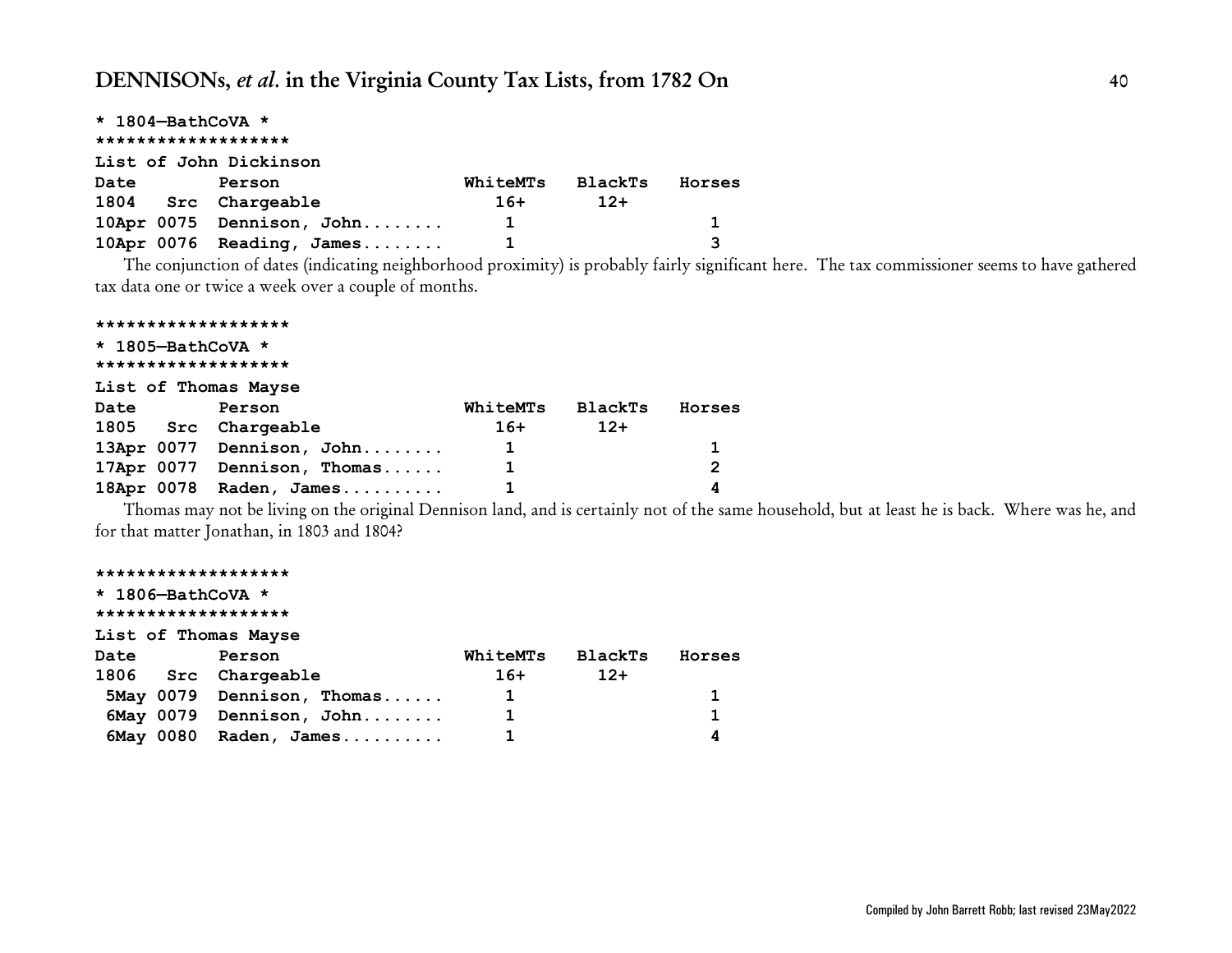|      | * 1804-BathCoVA *            |          |         |        |
|------|------------------------------|----------|---------|--------|
|      | *******************          |          |         |        |
|      | List of John Dickinson       |          |         |        |
| Date | Person                       | WhiteMTs | BlackTs | Horses |
|      | 1804 Src Chargeable          | $16+$    | $12+$   |        |
|      | 10Apr 0075 Dennison, John    | 1        |         | 1.     |
|      | $10$ Apr 0076 Reading, James |          |         | 3      |

The conjunction of dates (indicating neighborhood proximity) is probably fairly significant here. The tax commissioner seems to have gathered tax data one or twice a week over a couple of months.

|                   | *******************         |                 |                |                |
|-------------------|-----------------------------|-----------------|----------------|----------------|
| * 1805-BathCoVA * |                             |                 |                |                |
|                   | *******************         |                 |                |                |
|                   | List of Thomas Mayse        |                 |                |                |
| Date              | Person                      | <b>WhiteMTs</b> | <b>BlackTs</b> | Horses         |
|                   | 1805 Src Chargeable         | $16+$           | $12+$          |                |
|                   | 13Apr 0077 Dennison, John   | 1               |                |                |
|                   | 17Apr 0077 Dennison, Thomas | 1               |                | $\overline{2}$ |
|                   | 18Apr 0078 Raden, James     | 1               |                | 4              |

Thomas may not be living on the original Dennison land, and is certainly not of the same household, but at least he is back. Where was he, and for that matter Jonathan, in 1803 and 1804?

#### **\*\*\*\*\*\*\*\*\*\*\*\*\*\*\*\*\*\*\***

|      | * 1806-BathCoVA *<br>******************* |              |         |        |
|------|------------------------------------------|--------------|---------|--------|
|      | List of Thomas Mayse                     |              |         |        |
| Date | Person                                   | WhiteMTs     | BlackTs | Horses |
|      | 1806 Src Chargeable                      | $16+$        | $12+$   |        |
|      | 5May 0079 Dennison, Thomas               | $\mathbf{1}$ |         |        |
|      | 6May 0079 Dennison, John                 | 1            |         | 1      |
|      | 6May 0080 Raden, James                   | 1            |         | 4      |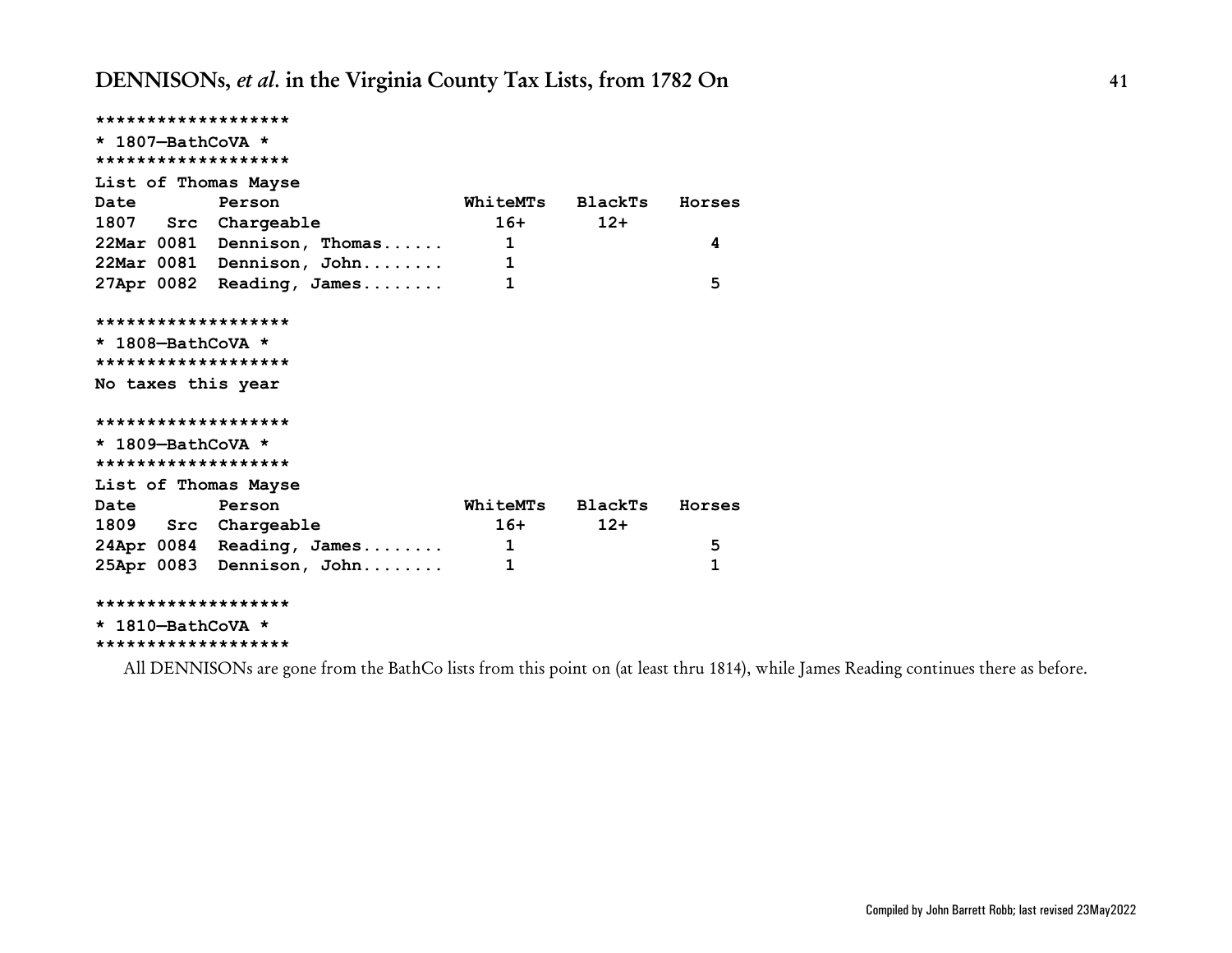**\*\*\*\*\*\*\*\*\*\*\*\*\*\*\*\*\*\*\* \* 1807—BathCoVA \* \*\*\*\*\*\*\*\*\*\*\*\*\*\*\*\*\*\*\* List of Thomas Mayse Date Person WhiteMTs BlackTs Horses 1807 Src Chargeable 16+ 12+ 22Mar 0081 Dennison, Thomas...... 1 4 22Mar 0081 Dennison, John........ 1 27Apr 0082 Reading, James........ 1 5 \*\*\*\*\*\*\*\*\*\*\*\*\*\*\*\*\*\*\* \* 1808—BathCoVA \* \*\*\*\*\*\*\*\*\*\*\*\*\*\*\*\*\*\*\* No taxes this year \*\*\*\*\*\*\*\*\*\*\*\*\*\*\*\*\*\*\* \* 1809—BathCoVA \* \*\*\*\*\*\*\*\*\*\*\*\*\*\*\*\*\*\*\* List of Thomas Mayse Date Person WhiteMTs BlackTs Horses 1809 Src Chargeable 16+ 12+ 24Apr 0084 Reading, James........ 1 5 25Apr 0083 Dennison, John........ 1 1 \*\*\*\*\*\*\*\*\*\*\*\*\*\*\*\*\*\*\***

**\* 1810—BathCoVA \* \*\*\*\*\*\*\*\*\*\*\*\*\*\*\*\*\*\*\***

All DENNISONs are gone from the BathCo lists from this point on (at least thru 1814), while James Reading continues there as before.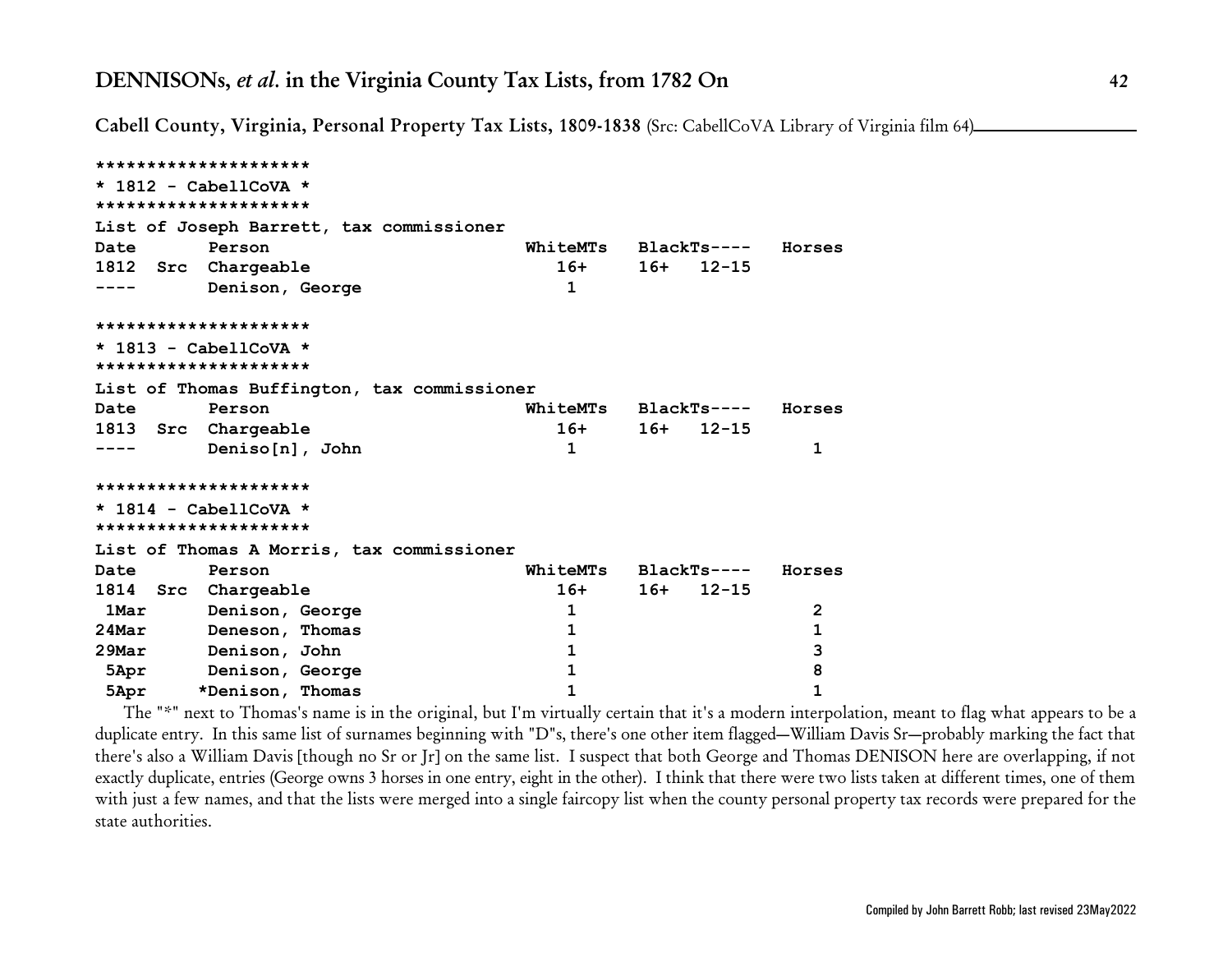**Cabell County, Virginia, Personal Property Tax Lists, 1809-1838** (Src: CabellCoVA Library of Virginia film 64)

```
*********************
* 1812 - CabellCoVA *
*********************
List of Joseph Barrett, tax commissioner
Date Person WhiteMTs BlackTs---- Horses
1812 Src Chargeable 16+ 16+ 12-15
---- Denison, George 1
*********************
* 1813 - CabellCoVA *
*********************
List of Thomas Buffington, tax commissioner
Date Person WhiteMTs BlackTs---- Horses
1813 Src Chargeable 16+ 16+ 12-15
---- Deniso[n], John 1 1
*********************
* 1814 - CabellCoVA *
*********************
List of Thomas A Morris, tax commissioner
Date Person WhiteMTs BlackTs---- Horses
1814 Src Chargeable 16+ 16+ 12-15
 1Mar Denison, George 1 2 2
24Mar Deneson, Thomas 1 1
29Mar Denison, John 1 3
 5Apr Denison, George 1 8
 5Apr *Denison, Thomas 1 1
```
The "\*" next to Thomas's name is in the original, but I'm virtually certain that it's a modern interpolation, meant to flag what appears to be a duplicate entry. In this same list of surnames beginning with "D"s, there's one other item flagged—William Davis Sr—probably marking the fact that there's also a William Davis [though no Sr or Jr] on the same list. I suspect that both George and Thomas DENISON here are overlapping, if not exactly duplicate, entries (George owns 3 horses in one entry, eight in the other). I think that there were two lists taken at different times, one of them with just a few names, and that the lists were merged into a single faircopy list when the county personal property tax records were prepared for the state authorities.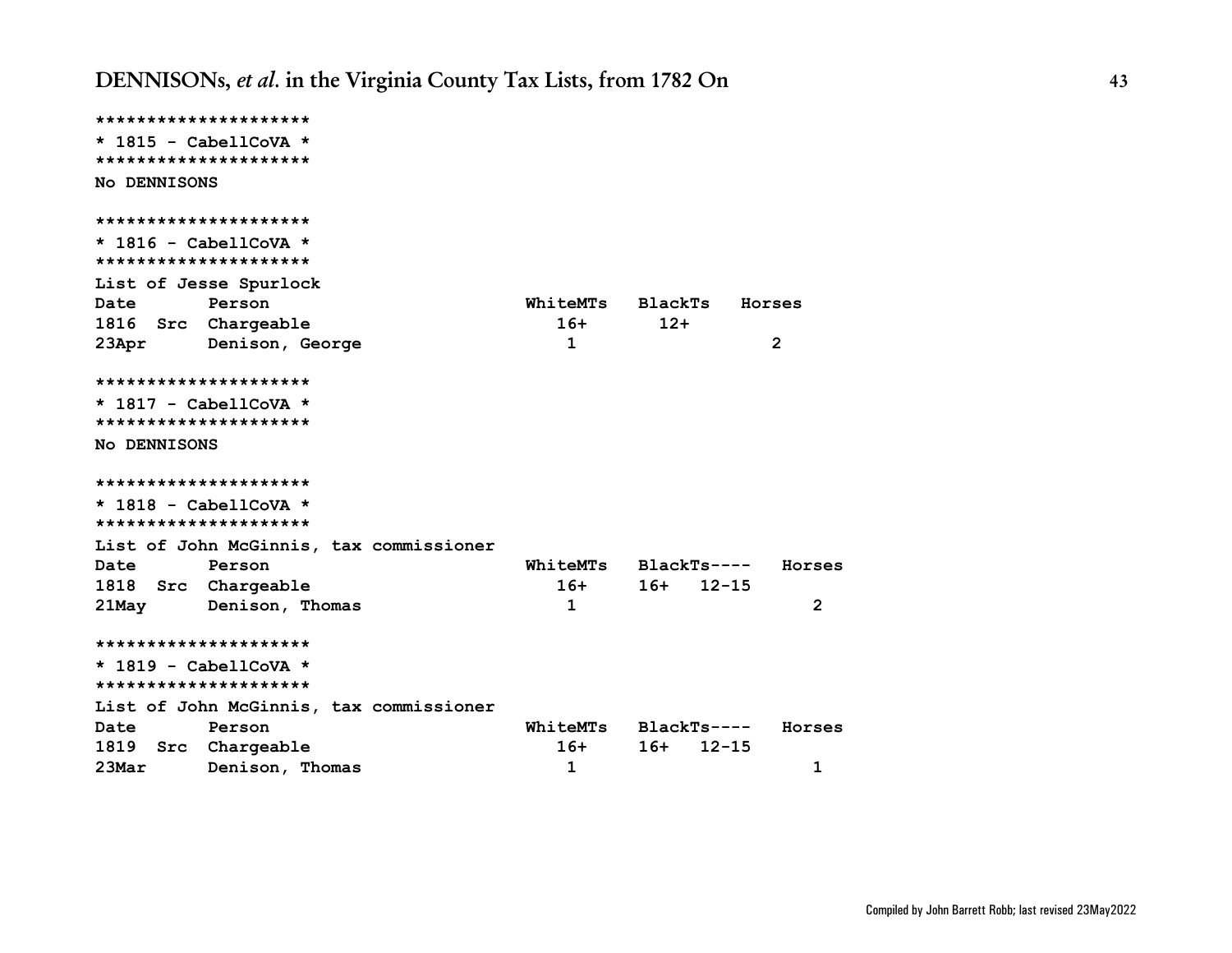```
*********************
* 1815 - CabellCoVA *
*********************
No DENNISONS
*********************
* 1816 - CabellCoVA *
*********************
List of Jesse Spurlock
Date Person WhiteMTs BlackTs Horses
1816 Src Chargeable 16+ 12+
23Apr Denison, George 1 2
*********************
* 1817 - CabellCoVA *
*********************
No DENNISONS
*********************
* 1818 - CabellCoVA *
*********************
List of John McGinnis, tax commissioner
Date Person WhiteMTs BlackTs---- Horses
1818 Src Chargeable 16+ 16+ 12-15
21May Denison, Thomas 1 2
*********************
* 1819 - CabellCoVA *
*********************
List of John McGinnis, tax commissioner
Date Person WhiteMTs BlackTs---- Horses
1819 Src Chargeable 16+ 16+ 12-15
23Mar Denison, Thomas 1 1
```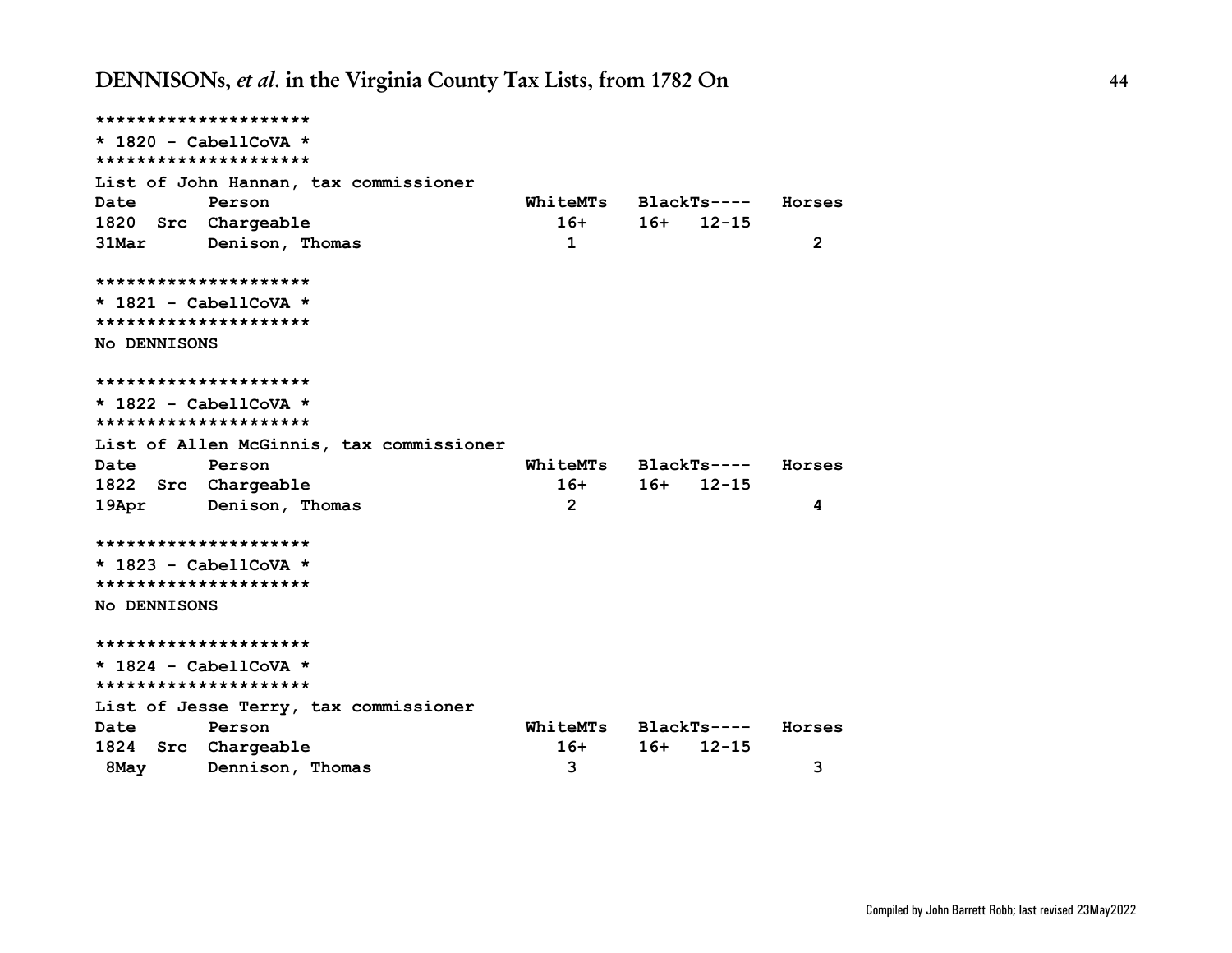```
*********************
* 1820 - CabellCoVA *
*********************
List of John Hannan, tax commissioner
Date Person WhiteMTs BlackTs---- Horses
1820 Src Chargeable 16+ 16+ 12-15
31Mar Denison, Thomas 1 2
*********************
* 1821 - CabellCoVA *
*********************
No DENNISONS
*********************
* 1822 - CabellCoVA *
*********************
List of Allen McGinnis, tax commissioner
Date Person WhiteMTs BlackTs---- Horses
1822 Src Chargeable 16+ 16+ 12-15
19Apr Denison, Thomas 2 4
*********************
* 1823 - CabellCoVA *
*********************
No DENNISONS
*********************
* 1824 - CabellCoVA *
*********************
List of Jesse Terry, tax commissioner
Date Person WhiteMTs BlackTs---- Horses
1824 Src Chargeable 16+ 16+ 12-15
 8May Dennison, Thomas 3 3
```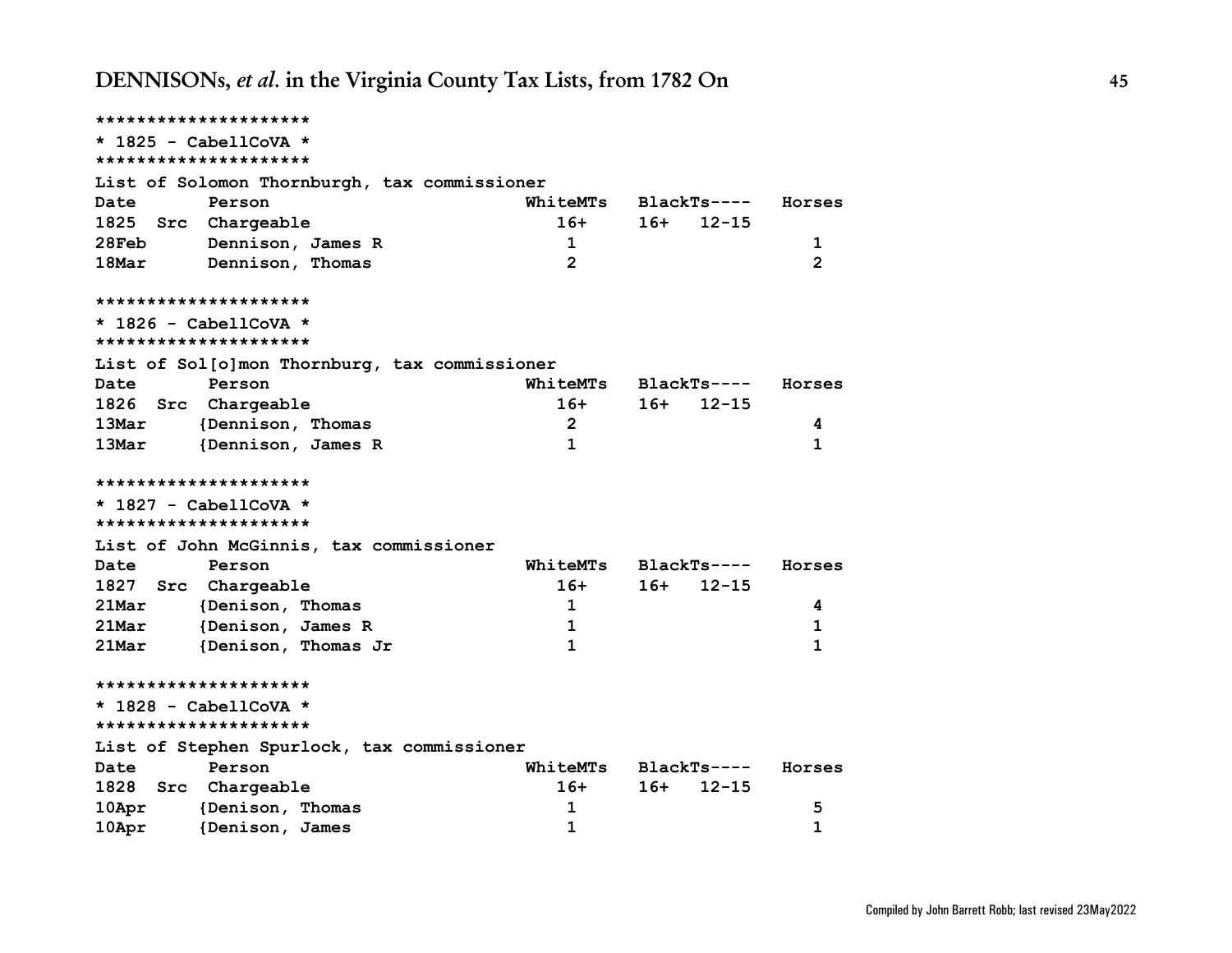| *********************             |                                               |                 |     |              |                |
|-----------------------------------|-----------------------------------------------|-----------------|-----|--------------|----------------|
| $\star$ 1825 - CabellCoVA $\star$ |                                               |                 |     |              |                |
| *********************             |                                               |                 |     |              |                |
|                                   | List of Solomon Thornburgh, tax commissioner  |                 |     |              |                |
| Date                              | Person                                        | WhiteMTs        |     | BlackTs----  | Horses         |
| 1825 Src Chargeable               |                                               | $16+$           | 16+ | $12 - 15$    |                |
| 28Feb                             | Dennison, James R                             | $\mathbf 1$     |     |              | 1              |
| 18Mar                             | Dennison, Thomas                              | $\overline{2}$  |     |              | $\overline{2}$ |
| *********************             |                                               |                 |     |              |                |
| $*$ 1826 - CabellCoVA $*$         |                                               |                 |     |              |                |
| *********************             |                                               |                 |     |              |                |
|                                   | List of Sol[o]mon Thornburg, tax commissioner |                 |     |              |                |
| Date                              | Person                                        | WhiteMTs        |     | BlackTs----  | Horses         |
| 1826 Src Chargeable               |                                               | $16+$           | 16+ | $12 - 15$    |                |
| 13Mar                             | {Dennison, Thomas                             | $\overline{2}$  |     |              | 4              |
| 13Mar                             | {Dennison, James R                            | $\mathbf{1}$    |     |              | 1              |
| *********************             |                                               |                 |     |              |                |
| $*$ 1827 - CabellCoVA $*$         |                                               |                 |     |              |                |
| *********************             |                                               |                 |     |              |                |
|                                   | List of John McGinnis, tax commissioner       |                 |     |              |                |
| Date                              | Person                                        | WhiteMTs        |     | $BlackTs---$ | Horses         |
| 1827 Src Chargeable               |                                               | $16+$           | 16+ | $12 - 15$    |                |
| 21Mar                             | {Denison, Thomas                              | $\mathbf{1}$    |     |              | 4              |
| 21Mar                             | {Denison, James R                             | 1               |     |              | 1              |
| 21Mar                             | {Denison, Thomas Jr                           | $\mathbf{1}$    |     |              | 1              |
| *********************             |                                               |                 |     |              |                |
| $*$ 1828 - CabellCoVA $*$         |                                               |                 |     |              |                |
| *********************             |                                               |                 |     |              |                |
|                                   | List of Stephen Spurlock, tax commissioner    |                 |     |              |                |
| Date                              | Person                                        | <b>WhiteMTs</b> |     | BlackTs----  | Horses         |
| 1828 Src Chargeable               |                                               | $16+$           | 16+ | $12 - 15$    |                |
| $10$ Apr                          | {Denison, Thomas                              | 1               |     |              | 5              |
| 10Apr                             | {Denison, James                               | $\mathbf{1}$    |     |              | $\mathbf{1}$   |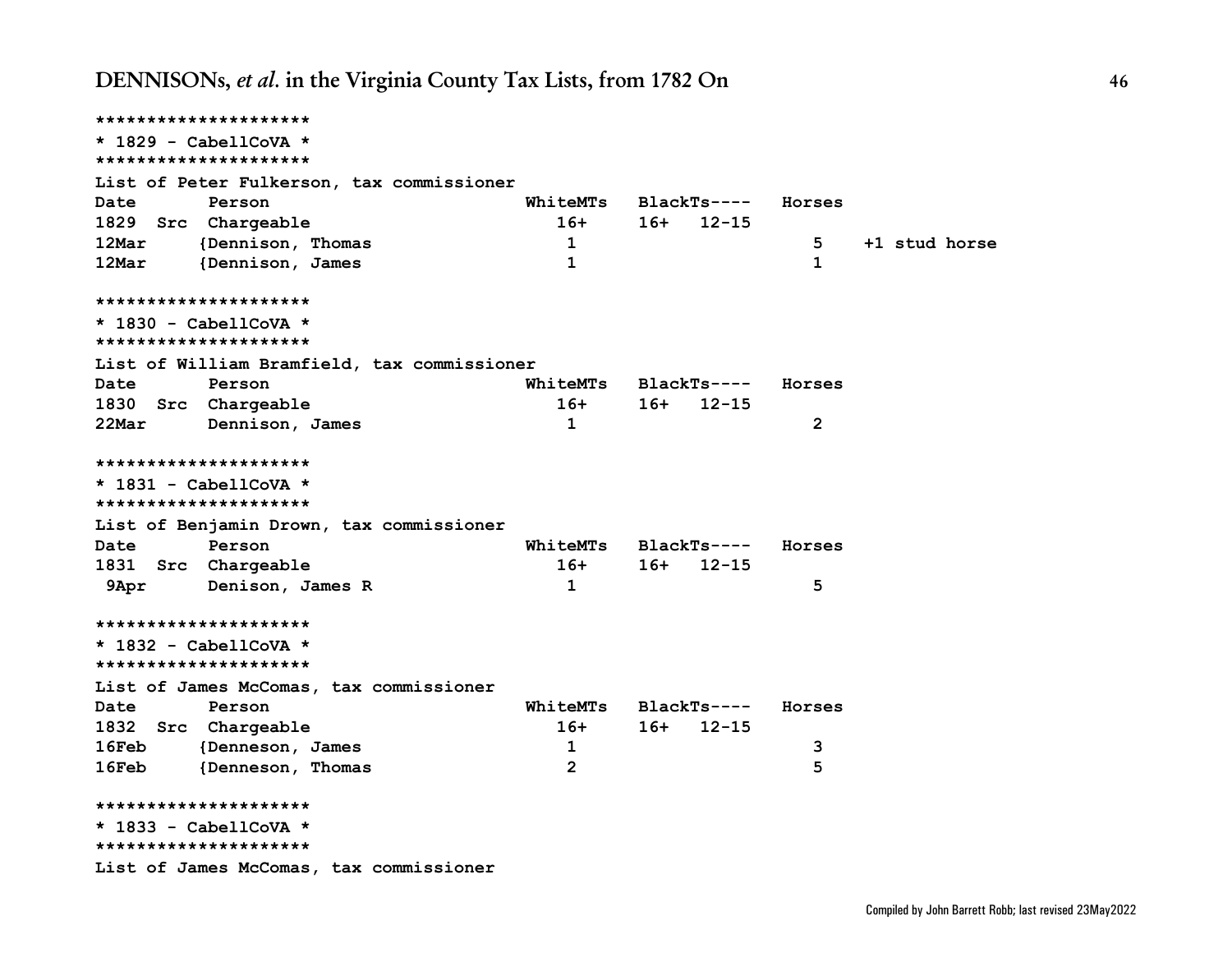**\*\*\*\*\*\*\*\*\*\*\*\*\*\*\*\*\*\*\*\*\* \* 1829 - CabellCoVA \* \*\*\*\*\*\*\*\*\*\*\*\*\*\*\*\*\*\*\*\*\* List of Peter Fulkerson, tax commissioner Date Person WhiteMTs BlackTs---- Horses 1829 Src Chargeable 16+ 16+ 12-15 12Mar {Dennison, Thomas 1 5 +1 stud horse 12Mar {Dennison, James 1 1 \*\*\*\*\*\*\*\*\*\*\*\*\*\*\*\*\*\*\*\*\* \* 1830 - CabellCoVA \* \*\*\*\*\*\*\*\*\*\*\*\*\*\*\*\*\*\*\*\*\* List of William Bramfield, tax commissioner Date Person WhiteMTs BlackTs---- Horses 1830 Src Chargeable 16+ 16+ 12-15 22Mar Dennison, James 1 2 \*\*\*\*\*\*\*\*\*\*\*\*\*\*\*\*\*\*\*\*\* \* 1831 - CabellCoVA \* \*\*\*\*\*\*\*\*\*\*\*\*\*\*\*\*\*\*\*\*\* List of Benjamin Drown, tax commissioner Date Person WhiteMTs BlackTs---- Horses 1831 Src Chargeable 16+ 16+ 12-15 9Apr Denison, James R 1 5 \*\*\*\*\*\*\*\*\*\*\*\*\*\*\*\*\*\*\*\*\* \* 1832 - CabellCoVA \* \*\*\*\*\*\*\*\*\*\*\*\*\*\*\*\*\*\*\*\*\* List of James McComas, tax commissioner Date Person WhiteMTs BlackTs---- Horses 1832 Src Chargeable 16+ 16+ 12-15 16Feb {Denneson, James 1 3 16Feb {Denneson, Thomas 2 5 \*\*\*\*\*\*\*\*\*\*\*\*\*\*\*\*\*\*\*\*\* \* 1833 - CabellCoVA \* \*\*\*\*\*\*\*\*\*\*\*\*\*\*\*\*\*\*\*\*\* List of James McComas, tax commissioner**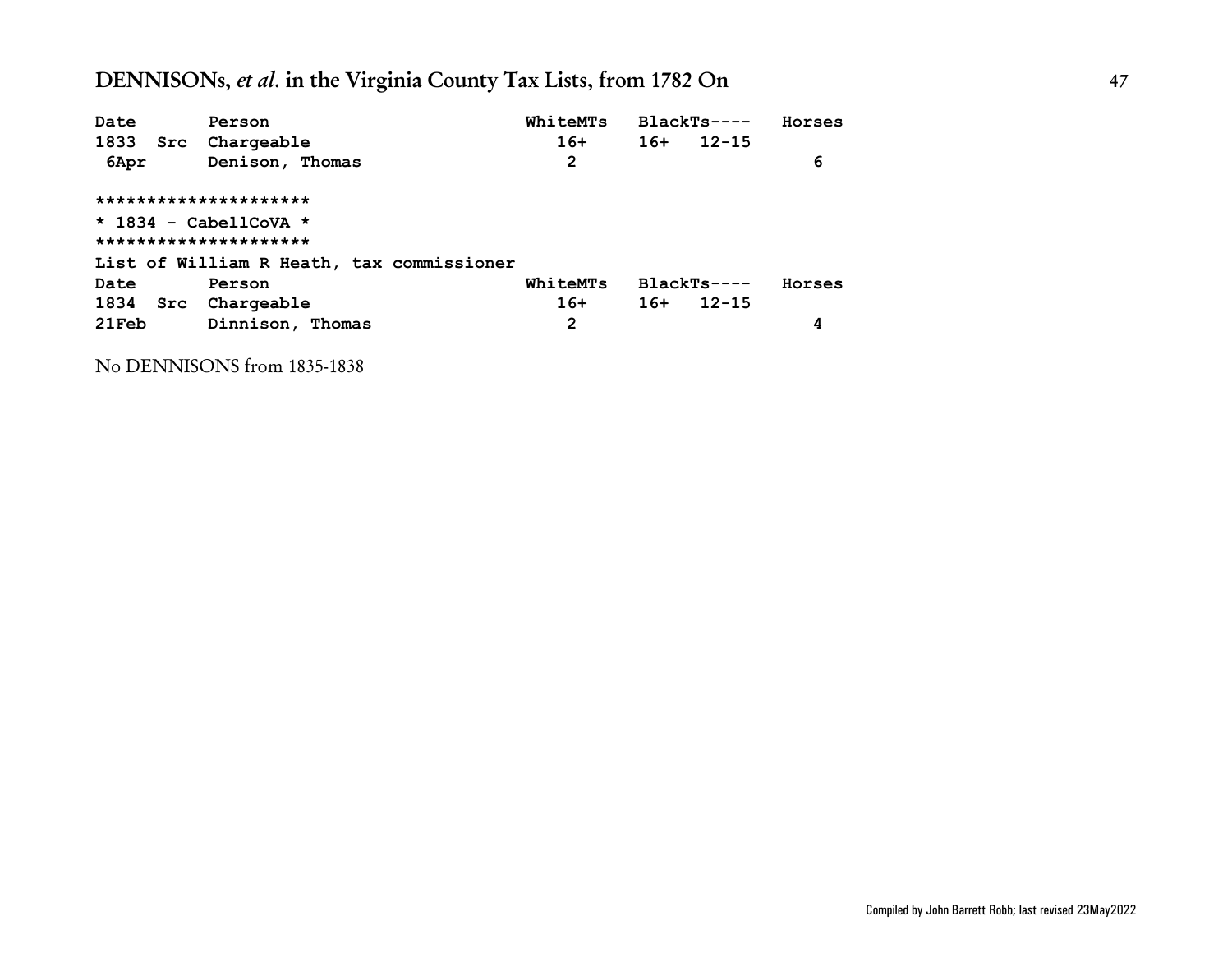| Date  | Person                                    | WhiteMTs | BlackTs----  |           | Horses |
|-------|-------------------------------------------|----------|--------------|-----------|--------|
|       | 1833 Src Chargeable                       | $16+$    | $16+$        | $12 - 15$ |        |
| 6Apr  | Denison, Thomas                           | 2        |              |           | 6      |
|       | *********************                     |          |              |           |        |
|       | $\star$ 1834 - CabellCoVA $\star$         |          |              |           |        |
|       | *********************                     |          |              |           |        |
|       | List of William R Heath, tax commissioner |          |              |           |        |
| Date  | Person                                    | WhiteMTs | $BlackTs---$ |           | Horses |
|       | 1834 Src Chargeable                       | $16+$    | $16+$        | $12 - 15$ |        |
| 21Feb | Dinnison, Thomas                          | 2        |              |           | 4      |

No DENNISONS from 1835-1838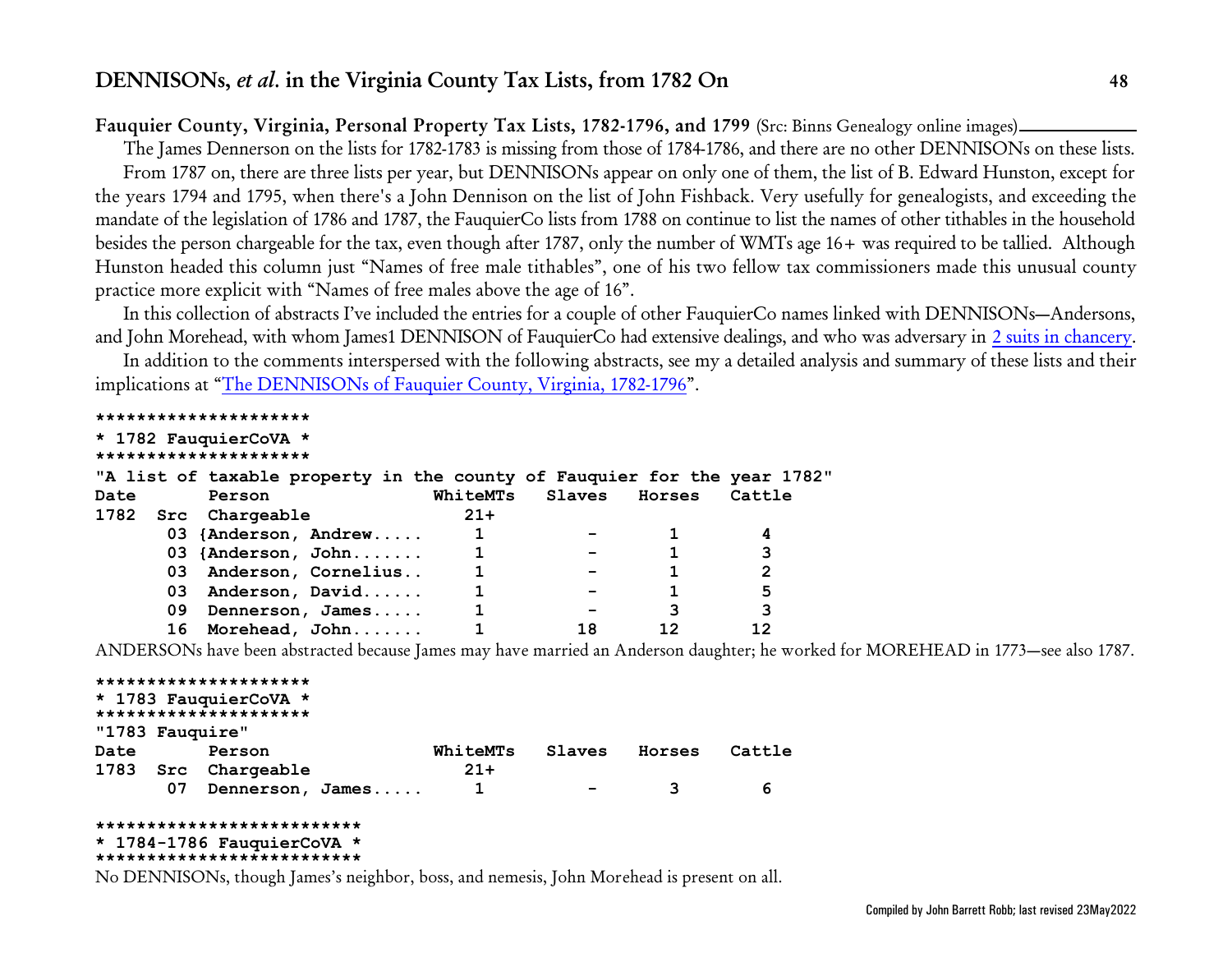## **Fauquier County, Virginia, Personal Property Tax Lists, 1782-1796, and 1799** (Src: Binns Genealogy online images)

The James Dennerson on the lists for 1782-1783 is missing from those of 1784-1786, and there are no other DENNISONs on these lists. From 1787 on, there are three lists per year, but DENNISONs appear on only one of them, the list of B. Edward Hunston, except for the years 1794 and 1795, when there's a John Dennison on the list of John Fishback. Very usefully for genealogists, and exceeding the mandate of the legislation of 1786 and 1787, the FauquierCo lists from 1788 on continue to list the names of other tithables in the household besides the person chargeable for the tax, even though after 1787, only the number of WMTs age 16+ was required to be tallied. Although Hunston headed this column just "Names of free male tithables", one of his two fellow tax commissioners made this unusual county practice more explicit with "Names of free males above the age of 16".

In this collection of abstracts I've included the entries for a couple of other FauquierCo names linked with DENNISONs—Andersons, and John Morehead, with whom James1 DENNISON of FauquierCo had extensive dealings, and who was adversary in [2 suits in chancery](http://www.johnbrobb.com/Content/DENNISON/VA-FauquierCo-ChanceryRecs.pdf).

In addition to the comments interspersed with the following abstracts, see my a detailed analysis and summary of these lists and their implications at ["The DENNISONs of Fauquier County, Virginia, 1782-1796](#page-47-0)".

| *********************                                                    |                  |       |                        |    |                |
|--------------------------------------------------------------------------|------------------|-------|------------------------|----|----------------|
| * 1782 FauquierCoVA *                                                    |                  |       |                        |    |                |
| *********************                                                    |                  |       |                        |    |                |
| "A list of taxable property in the county of Fauquier for the year 1782" |                  |       |                        |    |                |
| Date<br>Person                                                           |                  |       | WhiteMTs Slaves Horses |    | Cattle         |
| 1782 Src Chargeable                                                      |                  | $21+$ |                        |    |                |
| 03 {Anderson, Andrew                                                     |                  |       |                        |    | 4              |
| 03 {Anderson, John                                                       |                  |       |                        |    | 3              |
| 03 Anderson, Cornelius                                                   |                  |       |                        |    | $\overline{2}$ |
| 03                                                                       | Anderson, David  |       | -                      |    | 5              |
| 09 -                                                                     | Dennerson, James |       | -                      | 3  | 3              |
| 16 Morehead, John                                                        |                  |       | 18                     | 12 | 12             |

ANDERSONs have been abstracted because James may have married an Anderson daughter; he worked for MOREHEAD in 1773—see also 1787.

```
*********************
* 1783 FauquierCoVA *
*********************
"1783 Fauquire"
Date Person WhiteMTs Slaves Horses Cattle
1783 Src Chargeable 21+
      07 Dennerson, James..... 1 - 3 6
```
## **\*\*\*\*\*\*\*\*\*\*\*\*\*\*\*\*\*\*\*\*\*\*\*\*\*\***

#### **\* 1784-1786 FauquierCoVA \* \*\*\*\*\*\*\*\*\*\*\*\*\*\*\*\*\*\*\*\*\*\*\*\*\*\***

<span id="page-47-0"></span>No DENNISONs, though James's neighbor, boss, and nemesis, John Morehead is present on all.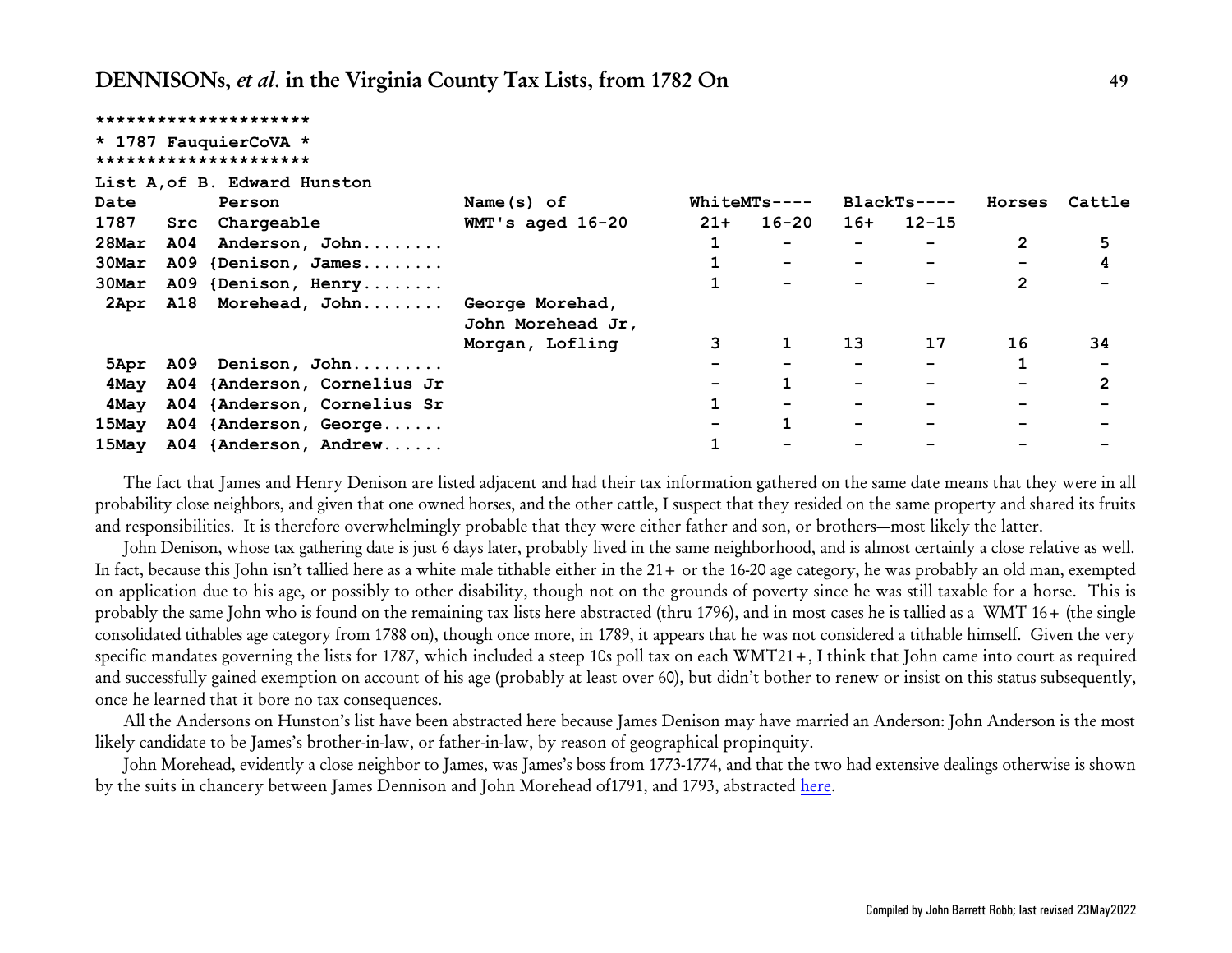|       | *********************                          |                                      |       |                          |       |                          |                |                |
|-------|------------------------------------------------|--------------------------------------|-------|--------------------------|-------|--------------------------|----------------|----------------|
|       | * 1787 FauquierCoVA *<br>********************* |                                      |       |                          |       |                          |                |                |
|       | List A, of B. Edward Hunston                   |                                      |       |                          |       |                          |                |                |
| Date  | Person                                         | Name(s) of                           |       | $WhiteMTs---$            |       | $BlackTs---$             | Horses         | Cattle         |
| 1787  | Chargeable<br>Src                              | $WMT$ 's aged $16-20$                | $21+$ | $16 - 20$                | $16+$ | $12 - 15$                |                |                |
| 28Mar | A04<br>Anderson, John                          |                                      |       | $\overline{\phantom{0}}$ |       |                          | $\overline{2}$ | 5              |
| 30Mar | A09 {Denison, James                            |                                      |       |                          |       |                          |                | 4              |
| 30Mar | A09 {Denison, Henry                            |                                      |       |                          |       | $\overline{\phantom{a}}$ | $\overline{2}$ |                |
| 2Apr  | Morehead, John<br><b>A18</b>                   | George Morehad,<br>John Morehead Jr, |       |                          |       |                          |                |                |
|       |                                                | Morgan, Lofling                      | 3     |                          | 13    | 17                       | 16             | 34             |
|       | 5Apr A09 Denison, John                         |                                      |       |                          |       |                          |                |                |
| 4May  | A04 {Anderson, Cornelius Jr                    |                                      |       |                          | -     | $\overline{\phantom{m}}$ |                | $\overline{2}$ |
| 4May  | A04 {Anderson, Cornelius Sr                    |                                      |       |                          |       |                          |                |                |
| 15May | A04 {Anderson, George                          |                                      |       |                          | -     | $\overline{\phantom{a}}$ |                |                |
| 15May | A04 {Anderson, Andrew                          |                                      |       |                          |       |                          |                |                |

The fact that James and Henry Denison are listed adjacent and had their tax information gathered on the same date means that they were in all probability close neighbors, and given that one owned horses, and the other cattle, I suspect that they resided on the same property and shared its fruits and responsibilities. It is therefore overwhelmingly probable that they were either father and son, or brothers—most likely the latter.

John Denison, whose tax gathering date is just 6 days later, probably lived in the same neighborhood, and is almost certainly a close relative as well. In fact, because this John isn't tallied here as a white male tithable either in the 21+ or the 16-20 age category, he was probably an old man, exempted on application due to his age, or possibly to other disability, though not on the grounds of poverty since he was still taxable for a horse. This is probably the same John who is found on the remaining tax lists here abstracted (thru 1796), and in most cases he is tallied as a WMT 16+ (the single consolidated tithables age category from 1788 on), though once more, in 1789, it appears that he was not considered a tithable himself. Given the very specific mandates governing the lists for 1787, which included a steep 10s poll tax on each WMT21+, I think that John came into court as required and successfully gained exemption on account of his age (probably at least over 60), but didn't bother to renew or insist on this status subsequently, once he learned that it bore no tax consequences.

All the Andersons on Hunston's list have been abstracted here because James Denison may have married an Anderson: John Anderson is the most likely candidate to be James's brother-in-law, or father-in-law, by reason of geographical propinquity.

John Morehead, evidently a close neighbor to James, was James's boss from 1773-1774, and that the two had extensive dealings otherwise is shown by the suits in chancery between James Dennison and John Morehead of1791, and 1793, abstracted [here](http://www.johnbrobb.com/Content/DENNISON/VA-FauquierCo-ChanceryRecs.pdf).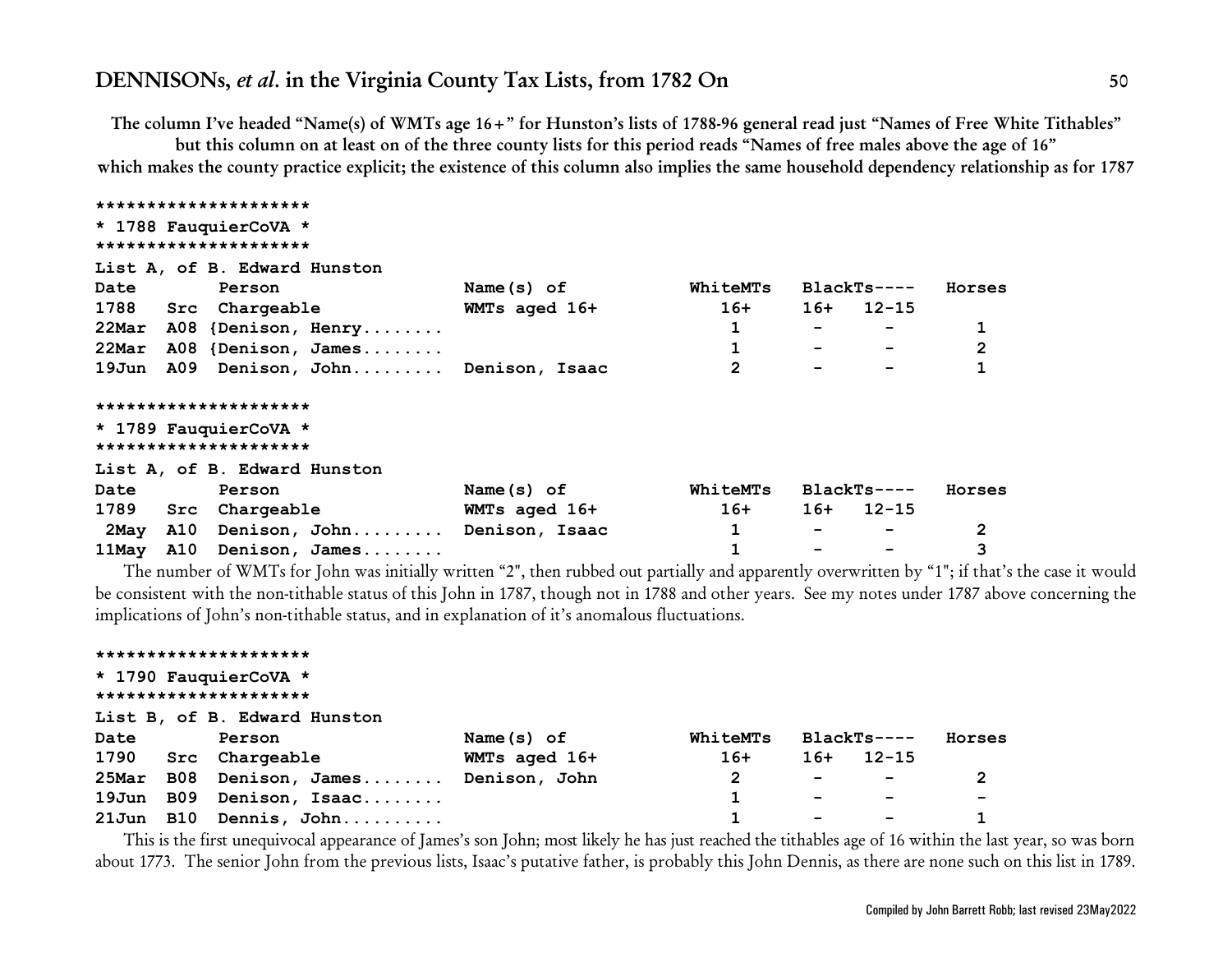**The column I've headed "Name(s) of WMTs age 16+" for Hunston's lists of 1788-96 general read just "Names of Free White Tithables"**

**but this column on at least on of the three county lists for this period reads "Names of free males above the age of 16" which makes the county practice explicit; the existence of this column also implies the same household dependency relationship as for 1787**

| Name(s) of    | WhiteMTs                                                                   | $BlackTs---$     | Horses       |
|---------------|----------------------------------------------------------------------------|------------------|--------------|
| WMTs aged 16+ | $16+$                                                                      | $12 - 15$<br>16+ |              |
|               |                                                                            |                  |              |
|               | 1                                                                          |                  | $\mathbf{2}$ |
|               | 2                                                                          |                  |              |
|               |                                                                            |                  |              |
|               |                                                                            |                  |              |
|               |                                                                            |                  |              |
|               |                                                                            |                  |              |
| Name $(s)$ of | WhiteMTs                                                                   | $BlackTs---$     | Horses       |
| WMTs aged 16+ | $16+$                                                                      | 12-15<br>16+     |              |
|               | 1                                                                          | -                | $\mathbf{2}$ |
|               |                                                                            |                  | 3            |
|               | 19Jun A09 Denison, John Denison, Isaac<br>A10 Denison, John Denison, Isaac |                  |              |

The number of WMTs for John was initially written "2", then rubbed out partially and apparently overwritten by "1"; if that's the case it would be consistent with the non-tithable status of this John in 1787, though not in 1788 and other years. See my notes under 1787 above concerning the implications of John's non-tithable status, and in explanation of it's anomalous fluctuations.

|      | *********************        |               |          |                          |                          |                          |
|------|------------------------------|---------------|----------|--------------------------|--------------------------|--------------------------|
|      | * 1790 FauquierCoVA *        |               |          |                          |                          |                          |
|      | *********************        |               |          |                          |                          |                          |
|      | List B, of B. Edward Hunston |               |          |                          |                          |                          |
| Date | Person                       | Name $(s)$ of | WhiteMTs |                          | BlackTs----              | Horses                   |
|      | 1790 Src Chargeable          | WMTs aged 16+ | $16+$    | $16+$                    | 12-15                    |                          |
|      | 25Mar B08 Denison, James     | Denison, John | 2        | $\overline{\phantom{0}}$ | $\overline{\phantom{a}}$ | 2                        |
|      | 19Jun B09 Denison, Isaac     |               |          |                          |                          | $\overline{\phantom{a}}$ |
|      | 21Jun B10 Dennis, John       |               |          |                          |                          |                          |

This is the first unequivocal appearance of James's son John; most likely he has just reached the tithables age of 16 within the last year, so was born about 1773. The senior John from the previous lists, Isaac's putative father, is probably this John Dennis, as there are none such on this list in 1789.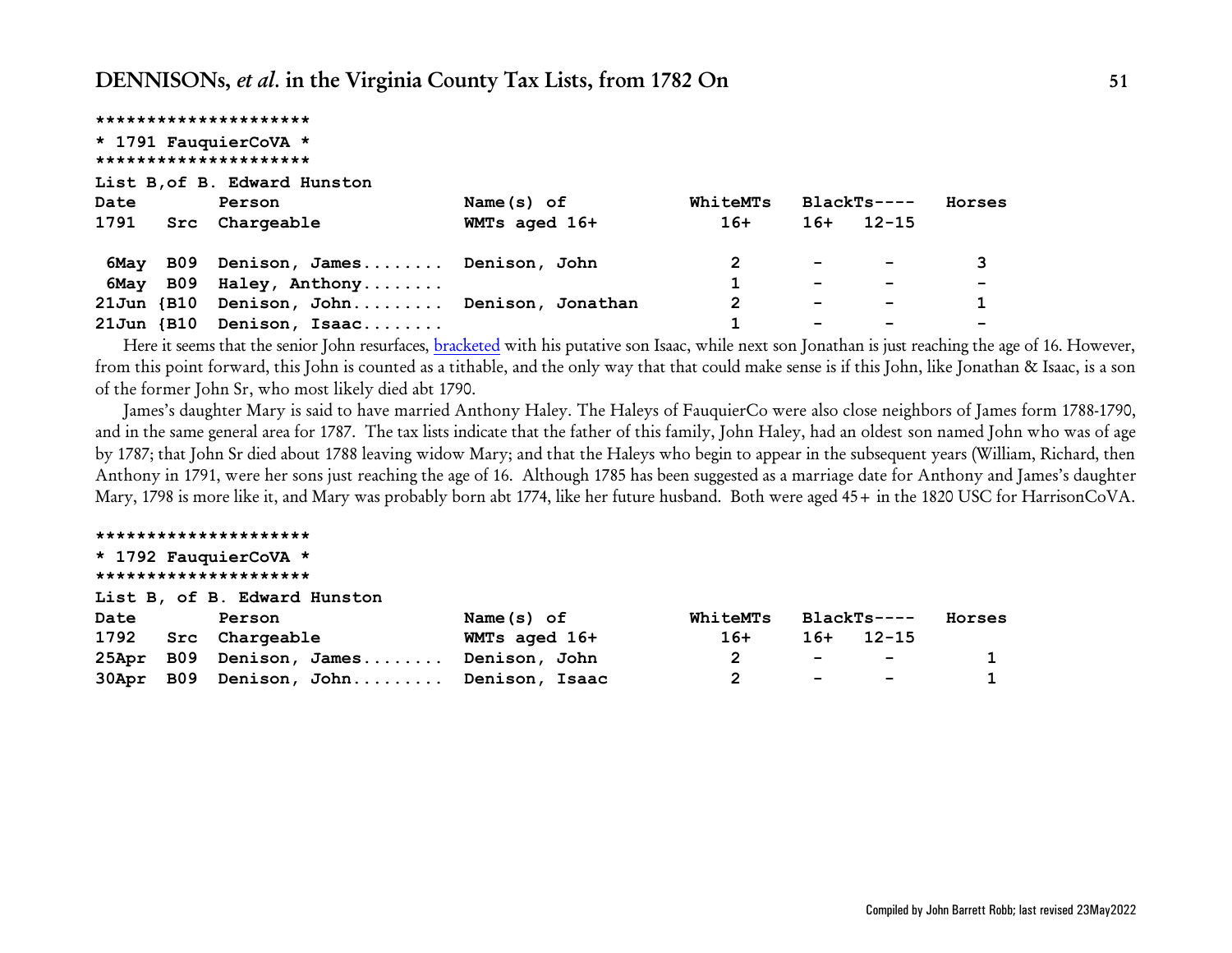|                  | *********************            |               |          |                          |                          |        |
|------------------|----------------------------------|---------------|----------|--------------------------|--------------------------|--------|
|                  | * 1791 FauquierCoVA *            |               |          |                          |                          |        |
|                  | *********************            |               |          |                          |                          |        |
|                  | List B, of B. Edward Hunston     |               |          |                          |                          |        |
| Date             | Person                           | Name $(s)$ of | WhiteMTs |                          | $BlackTs---$             | Horses |
| 1791             | Src Chargeable                   | WMTs aged 16+ | $16+$    | $16+$                    | 12–15                    |        |
| 6May             | B09 Denison, James Denison, John |               | 2        | $\overline{\phantom{0}}$ | $\overline{\phantom{a}}$ | 3      |
| 6May             | B09 Haley, Anthony               |               |          | $\overline{\phantom{0}}$ |                          |        |
| $21$ Jun $\{B10$ | Denison, John Denison, Jonathan  |               | 2        | -                        |                          |        |
| $21$ Jun $\{B10$ | Denison, Isaac                   |               |          |                          |                          |        |

Here it seems that the senior John resurfaces, [bracketed](#page-91-0) with his putative son Isaac, while next son Jonathan is just reaching the age of 16. However, from this point forward, this John is counted as a tithable, and the only way that that could make sense is if this John, like Jonathan & Isaac, is a son of the former John Sr, who most likely died abt 1790.

James's daughter Mary is said to have married Anthony Haley. The Haleys of FauquierCo were also close neighbors of James form 1788-1790, and in the same general area for 1787. The tax lists indicate that the father of this family, John Haley, had an oldest son named John who was of age by 1787; that John Sr died about 1788 leaving widow Mary; and that the Haleys who begin to appear in the subsequent years (William, Richard, then Anthony in 1791, were her sons just reaching the age of 16. Although 1785 has been suggested as a marriage date for Anthony and James's daughter Mary, 1798 is more like it, and Mary was probably born abt 1774, like her future husband. Both were aged 45+ in the 1820 USC for HarrisonCoVA.

#### **\*\*\*\*\*\*\*\*\*\*\*\*\*\*\*\*\*\*\*\*\***

### **\* 1792 FauquierCoVA \* \*\*\*\*\*\*\*\*\*\*\*\*\*\*\*\*\*\*\*\*\***

**List B, of B. Edward Hunston**

| Date | Person                                 | Name $(s)$ of | WhiteMTs BlackTs---- |                                     |                                                                                                                                                                                                                               | Horses       |
|------|----------------------------------------|---------------|----------------------|-------------------------------------|-------------------------------------------------------------------------------------------------------------------------------------------------------------------------------------------------------------------------------|--------------|
|      | 1792 Src Chargeable                    | WMTs aged 16+ | $16+$                |                                     | $16+ 12-15$                                                                                                                                                                                                                   |              |
|      | 25Apr B09 Denison, James Denison, John |               |                      |                                     | the company of the company of the company of the company of the company of the company of the company of the company of the company of the company of the company of the company of the company of the company of the company | $\mathbf{1}$ |
|      | 30Apr B09 Denison, John Denison, Isaac |               |                      | the contract of the contract of the | <b>Contract Contract Contract</b>                                                                                                                                                                                             | $\mathbf{1}$ |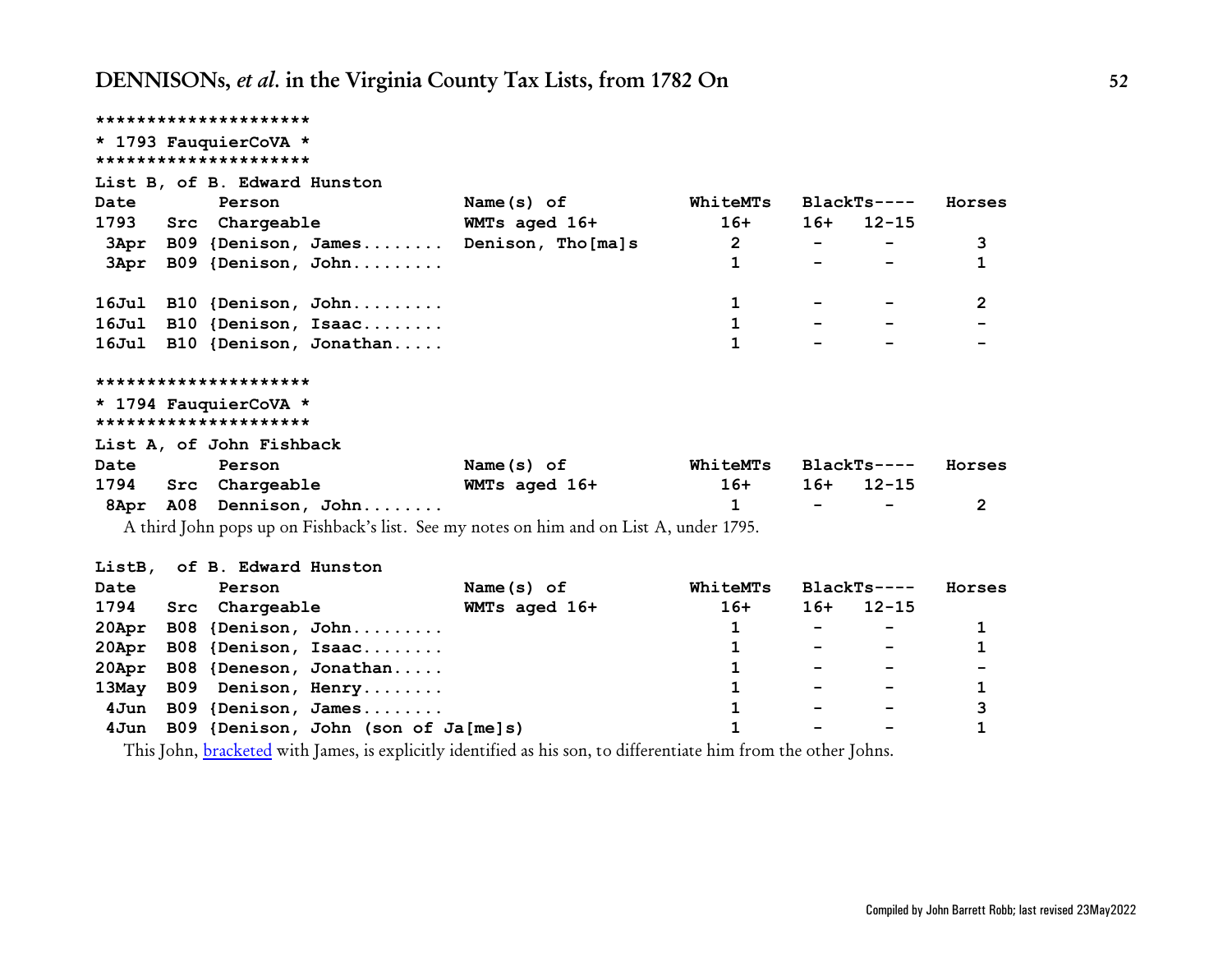| *********************                                                   |                                                                                         |                   |                |                   |                          |        |
|-------------------------------------------------------------------------|-----------------------------------------------------------------------------------------|-------------------|----------------|-------------------|--------------------------|--------|
| * 1793 FauquierCoVA *<br>*********************                          |                                                                                         |                   |                |                   |                          |        |
|                                                                         | List B, of B. Edward Hunston                                                            |                   |                |                   |                          |        |
| Date                                                                    | Person                                                                                  | Name(s) of        | WhiteMTs       |                   | $BlackTs---$             | Horses |
| 1793 Src                                                                | Chargeable                                                                              | WMTs aged 16+     | $16+$          | $16+$             | $12 - 15$                |        |
|                                                                         | 3Apr B09 {Denison, James                                                                | Denison, Tho[ma]s | $\overline{2}$ |                   |                          | 3      |
| 3Apr                                                                    | B09 {Denison, John                                                                      |                   | 1              |                   |                          | 1      |
|                                                                         |                                                                                         |                   |                |                   |                          |        |
| 16Jul                                                                   | B10 {Denison, John                                                                      |                   | 1              |                   |                          | 2      |
| $16$ Jul                                                                | B10 {Denison, Isaac                                                                     |                   | 1              |                   |                          |        |
| 16Jul                                                                   | B10 {Denison, Jonathan                                                                  |                   | 1              |                   |                          |        |
| *********************<br>* 1794 FauquierCoVA *<br>********************* |                                                                                         |                   |                |                   |                          |        |
|                                                                         | List A, of John Fishback                                                                |                   |                |                   |                          |        |
| Date                                                                    | Person                                                                                  | Name(s) of        | WhiteMTs       |                   | $BlackTs---$             | Horses |
| 1794                                                                    | Src Chargeable                                                                          | WMTs aged 16+     | $16+$          | $16+$             | $12 - 15$                |        |
| 8Apr                                                                    | A08 Dennison, John                                                                      |                   | 1              |                   |                          | 2      |
|                                                                         | A third John pops up on Fishback's list. See my notes on him and on List A, under 1795. |                   |                |                   |                          |        |
| ListB,                                                                  | of B. Edward Hunston                                                                    |                   |                |                   |                          |        |
| Date                                                                    | Person                                                                                  | Name $(s)$ of     | WhiteMTs       |                   | $BlackTs---$             | Horses |
| 1794<br>Src                                                             | Chargeable                                                                              | WMTs aged 16+     | $16+$          | 16+               | $12 - 15$                |        |
| 20Apr<br><b>B08</b>                                                     | ${Denison, John \dots$                                                                  |                   | $\mathbf{1}$   | $\qquad \qquad -$ | $\overline{\phantom{a}}$ | 1      |
| 20Apr<br><b>B08</b>                                                     | {Denison, Isaac                                                                         |                   | 1              |                   |                          | 1      |
| 20Apr                                                                   | B08 {Deneson, Jonathan                                                                  |                   | 1              |                   |                          |        |
| <b>B09</b><br>13May                                                     | Denison, Henry                                                                          |                   | 1              |                   |                          | 1      |
| 4Jun                                                                    | B09 {Denison, James                                                                     |                   | 1              |                   |                          | 3      |

This John, [bracketed](#page-91-0) with James, is explicitly identified as his son, to differentiate him from the other Johns.

 **4Jun B09 {Denison, John (son of Ja[me]s) 1 - - 1**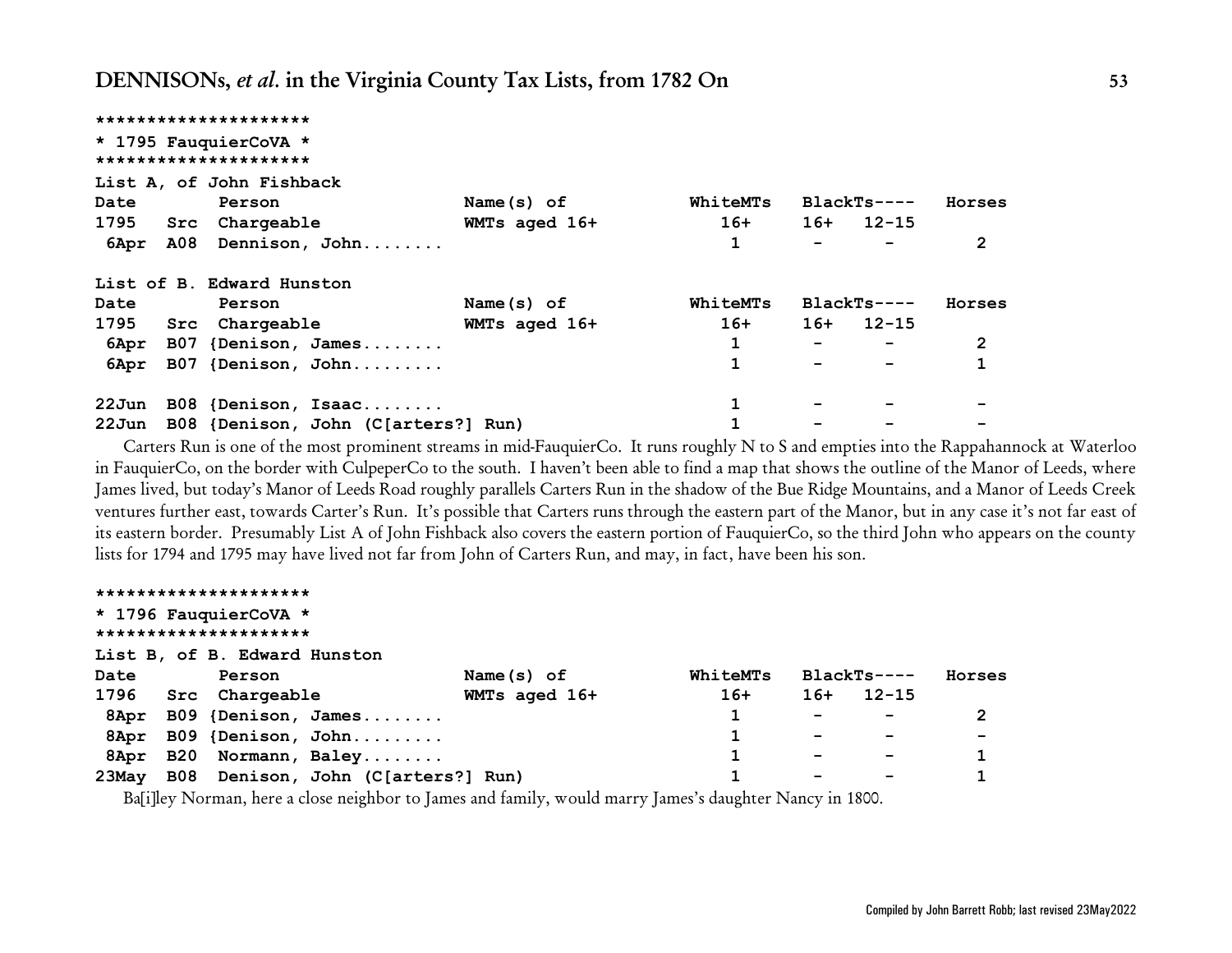|          | *********************               |               |                 |                          |              |                |
|----------|-------------------------------------|---------------|-----------------|--------------------------|--------------|----------------|
|          | * 1795 FauquierCoVA *               |               |                 |                          |              |                |
|          | *********************               |               |                 |                          |              |                |
|          | List A, of John Fishback            |               |                 |                          |              |                |
| Date     | Person                              | Name $(s)$ of | <b>WhiteMTs</b> |                          | $BlackTs---$ | Horses         |
| 1795 Src | Chargeable                          | WMTs aged 16+ | $16+$           |                          | $16+ 12-15$  |                |
| 6Apr     | A08 Dennison, John                  |               |                 |                          |              | 2              |
|          | List of B. Edward Hunston           |               |                 |                          |              |                |
| Date     | Person                              | Name $(s)$ of | WhiteMTs        |                          | $BlackTs---$ | Horses         |
| 1795     | Src Chargeable                      | WMTs aged 16+ | $16+$           | 16+                      | $12 - 15$    |                |
| 6Apr     | B07 {Denison, James                 |               |                 | $\overline{\phantom{0}}$ |              | $\overline{2}$ |
| 6Apr     | B07 {Denison, John                  |               | 1               |                          |              | 1              |
| 22Jun    | B08 {Denison, Isaac                 |               | 1               |                          |              |                |
| 22Jun    | B08 {Denison, John (C[arters?] Run) |               |                 |                          |              |                |

Carters Run is one of the most prominent streams in mid-FauquierCo. It runs roughly N to S and empties into the Rappahannock at Waterloo in FauquierCo, on the border with CulpeperCo to the south. I haven't been able to find a map that shows the outline of the Manor of Leeds, where James lived, but today's Manor of Leeds Road roughly parallels Carters Run in the shadow of the Bue Ridge Mountains, and a Manor of Leeds Creek ventures further east, towards Carter's Run. It's possible that Carters runs through the eastern part of the Manor, but in any case it's not far east of its eastern border. Presumably List A of John Fishback also covers the eastern portion of FauquierCo, so the third John who appears on the county lists for 1794 and 1795 may have lived not far from John of Carters Run, and may, in fact, have been his son.

|                       |  | *********************        |                                          |               |  |          |                          |              |        |
|-----------------------|--|------------------------------|------------------------------------------|---------------|--|----------|--------------------------|--------------|--------|
|                       |  | * 1796 FauquierCoVA *        |                                          |               |  |          |                          |              |        |
| ********************* |  |                              |                                          |               |  |          |                          |              |        |
|                       |  | List B, of B. Edward Hunston |                                          |               |  |          |                          |              |        |
| Date                  |  | Person                       |                                          | Name $(s)$ of |  | WhiteMTs |                          | $BlackTs---$ | Horses |
| 1796                  |  | Src Chargeable               |                                          | WMTs aged 16+ |  | $16+$    | $16+$                    | $12 - 15$    |        |
| 8Apr                  |  |                              | B09 {Denison, James                      |               |  |          | $\overline{\phantom{0}}$ |              | 2      |
|                       |  |                              | 8Apr B09 {Denison, John                  |               |  |          | $\overline{\phantom{0}}$ |              |        |
|                       |  |                              | 8Apr B20 Normann, Baley                  |               |  |          | -                        |              |        |
|                       |  |                              | 23May B08 Denison, John (C[arters?] Run) |               |  |          | $\overline{\phantom{0}}$ |              |        |
|                       |  |                              |                                          |               |  |          |                          |              |        |

Ba[i]ley Norman, here a close neighbor to James and family, would marry James's daughter Nancy in 1800.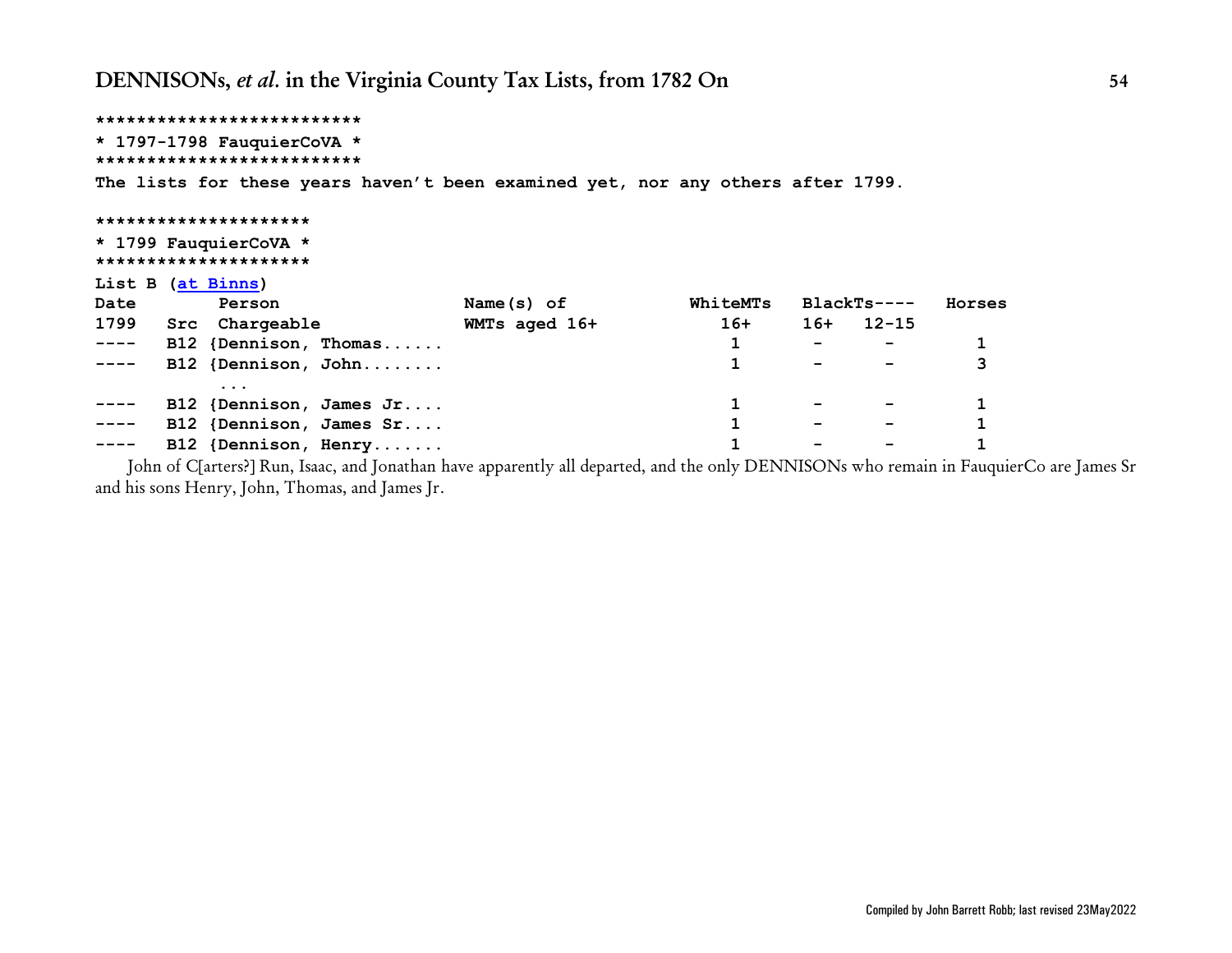```
**************************
* 1797-1798 FauquierCoVA *
**************************
The lists for these years haven't been examined yet, nor any others after 1799.
*********************
* 1799 FauquierCoVA *
*********************
List B (at Binns)
Date Person Name(s) of WhiteMTs BlackTs---- Horses
1799 Src Chargeable WMTs aged 16+ 16+ 16+ 12-15
---- B12 {Dennison, Thomas...... 1 - - 1
---- B12 {Dennison, John........ 1 - - 3
        ...
---- B12 {Dennison, James Jr.... 1 - - 1
---- B12 {Dennison, James Sr.... 1 - - 1
---- B12 {Dennison, Henry....... 1 - - 1
```
 John of C[arters?] Run, Isaac, and Jonathan have apparently all departed, and the only DENNISONs who remain in FauquierCo are James Sr and his sons Henry, John, Thomas, and James Jr.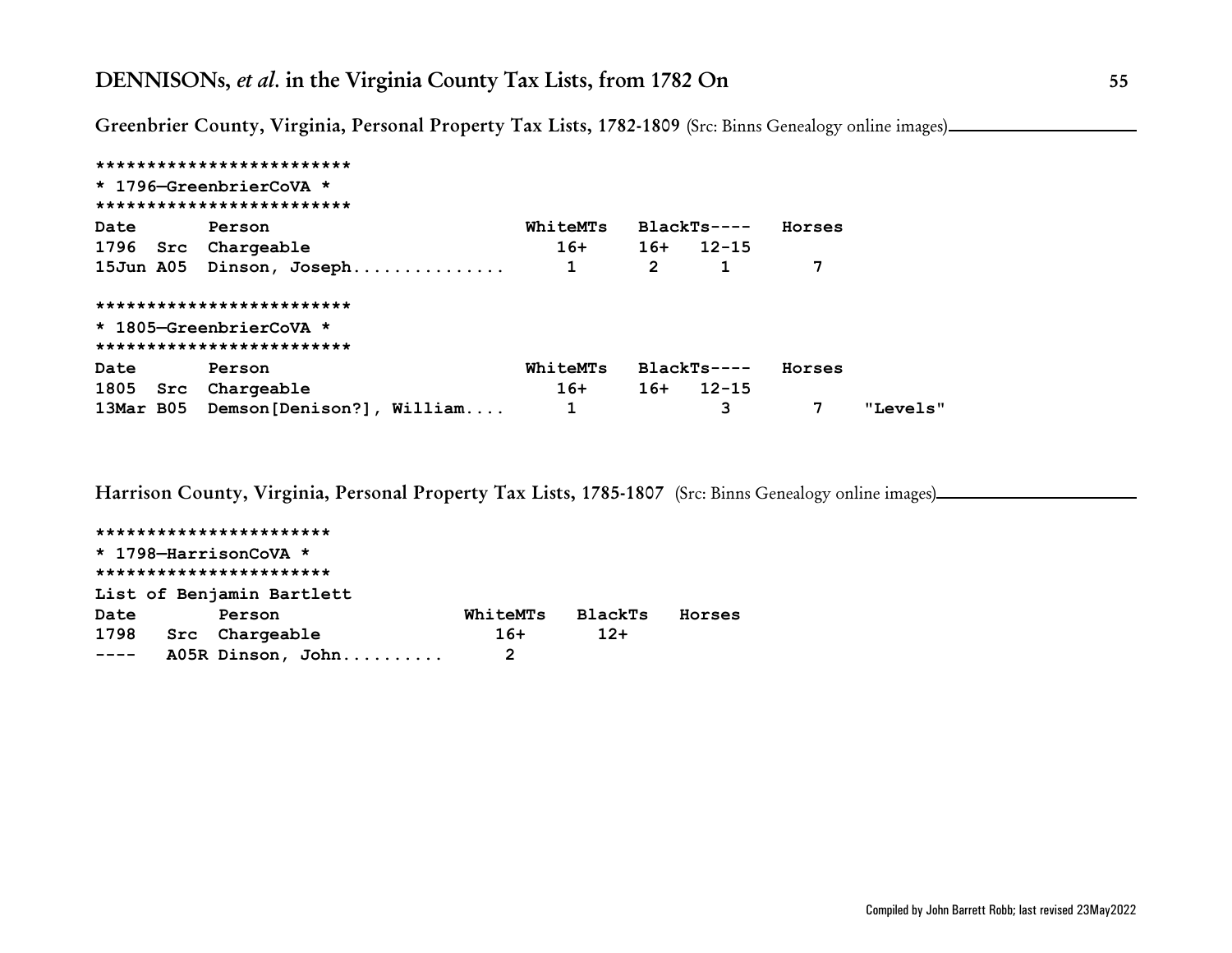**Greenbrier County, Virginia, Personal Property Tax Lists, 1782-1809** (Src: Binns Genealogy online images)

|      | *************************            |          |              |                 |        |          |
|------|--------------------------------------|----------|--------------|-----------------|--------|----------|
|      | * 1796-GreenbrierCoVA *              |          |              |                 |        |          |
|      | *************************            |          |              |                 |        |          |
| Date | Person                               | WhiteMTs |              | BlackTs----     | Horses |          |
|      | 1796 Src Chargeable                  |          |              | $16+ 16+ 12-15$ |        |          |
|      | 15Jun A05 Dinson, Joseph             | 1        | $\mathbf{2}$ |                 | 7      |          |
|      | *************************            |          |              |                 |        |          |
|      | * 1805-GreenbrierCoVA *              |          |              |                 |        |          |
|      | *************************            |          |              |                 |        |          |
| Date | Person                               | WhiteMTs |              | BlackTs----     | Horses |          |
|      | 1805 Src Chargeable                  | $16+$    |              | $16+ 12-15$     |        |          |
|      | 13Mar B05 Demson [Denison?], William |          |              | 3               | 7      | "Levels" |

**Harrison County, Virginia, Personal Property Tax Lists, 1785-1807** (Src: Binns Genealogy online images)

**\*\*\*\*\*\*\*\*\*\*\*\*\*\*\*\*\*\*\*\*\*\*\* \* 1798—HarrisonCoVA \* \*\*\*\*\*\*\*\*\*\*\*\*\*\*\*\*\*\*\*\*\*\*\* List of Benjamin Bartlett Date Person WhiteMTs BlackTs Horses 1798 Src Chargeable 16+ 12+ ---- A05R Dinson, John.......... 2**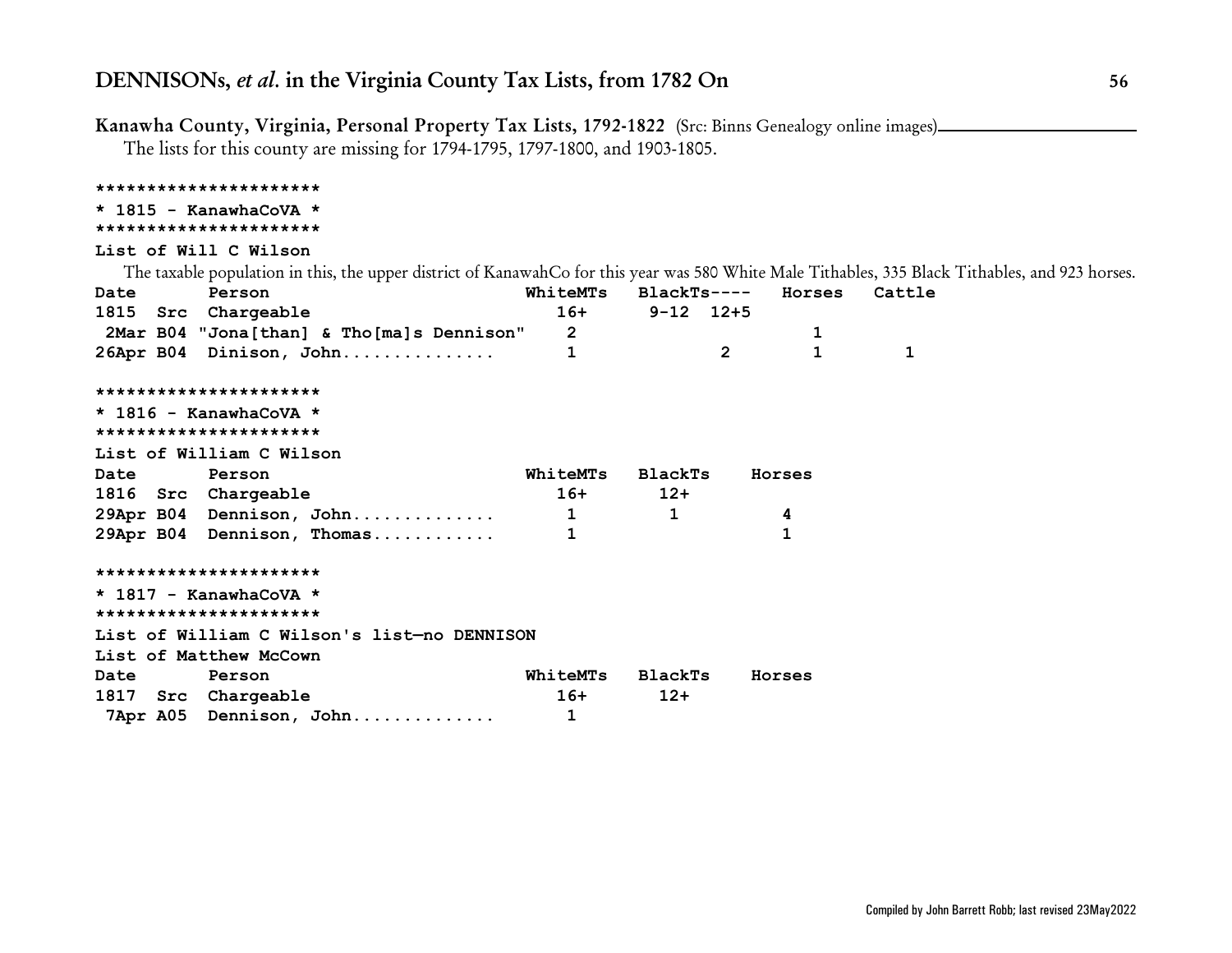**Kanawha County, Virginia, Personal Property Tax Lists, 1792-1822** (Src: Binns Genealogy online images)

The lists for this county are missing for 1794-1795, 1797-1800, and 1903-1805.

### **\*\*\*\*\*\*\*\*\*\*\*\*\*\*\*\*\*\*\*\*\*\***

### **\* 1815 - KanawhaCoVA \***

### **\*\*\*\*\*\*\*\*\*\*\*\*\*\*\*\*\*\*\*\*\*\***

### **List of Will C Wilson**

The taxable population in this, the upper district of KanawahCo for this year was 580 White Male Tithables, 335 Black Tithables, and 923 horses.

| <b>Date</b> | Person                                      |                |                   |                | WhiteMTs BlackTs---- Horses | Cattle |
|-------------|---------------------------------------------|----------------|-------------------|----------------|-----------------------------|--------|
|             | 1815 Src Chargeable                         |                | $16+ 9-12$ $12+5$ |                |                             |        |
|             | 2Mar B04 "Jona[than] & Tho[ma]s Dennison"   | $\overline{2}$ |                   |                | 1                           |        |
|             | 26Apr B04 Dinison, John                     | 1              |                   | $\overline{2}$ | 1                           | 1      |
|             | **********************                      |                |                   |                |                             |        |
|             | $\star$ 1816 - KanawhaCoVA $\star$          |                |                   |                |                             |        |
|             | **********************                      |                |                   |                |                             |        |
|             | List of William C Wilson                    |                |                   |                |                             |        |
| Date Person |                                             | WhiteMTs       | BlackTs           |                | Horses                      |        |
|             | 1816 Src Chargeable                         | $16+$          | $12+$             |                |                             |        |
|             | 29Apr B04 Dennison, John                    | $\mathbf{1}$   | $\mathbf{1}$      |                | 4                           |        |
|             | 29Apr B04 Dennison, Thomas                  |                |                   |                | 1                           |        |
|             | **********************                      |                |                   |                |                             |        |
|             | $*$ 1817 - KanawhaCoVA $*$                  |                |                   |                |                             |        |
|             | **********************                      |                |                   |                |                             |        |
|             | List of William C Wilson's list-no DENNISON |                |                   |                |                             |        |
|             | List of Matthew McCown                      |                |                   |                |                             |        |
| <b>Date</b> | Person                                      | WhiteMTs       | BlackTs           |                | Horses                      |        |
|             | 1817 Src Chargeable                         | $16+$          | $12+$             |                |                             |        |
|             | 7Apr A05 Dennison, John                     |                |                   |                |                             |        |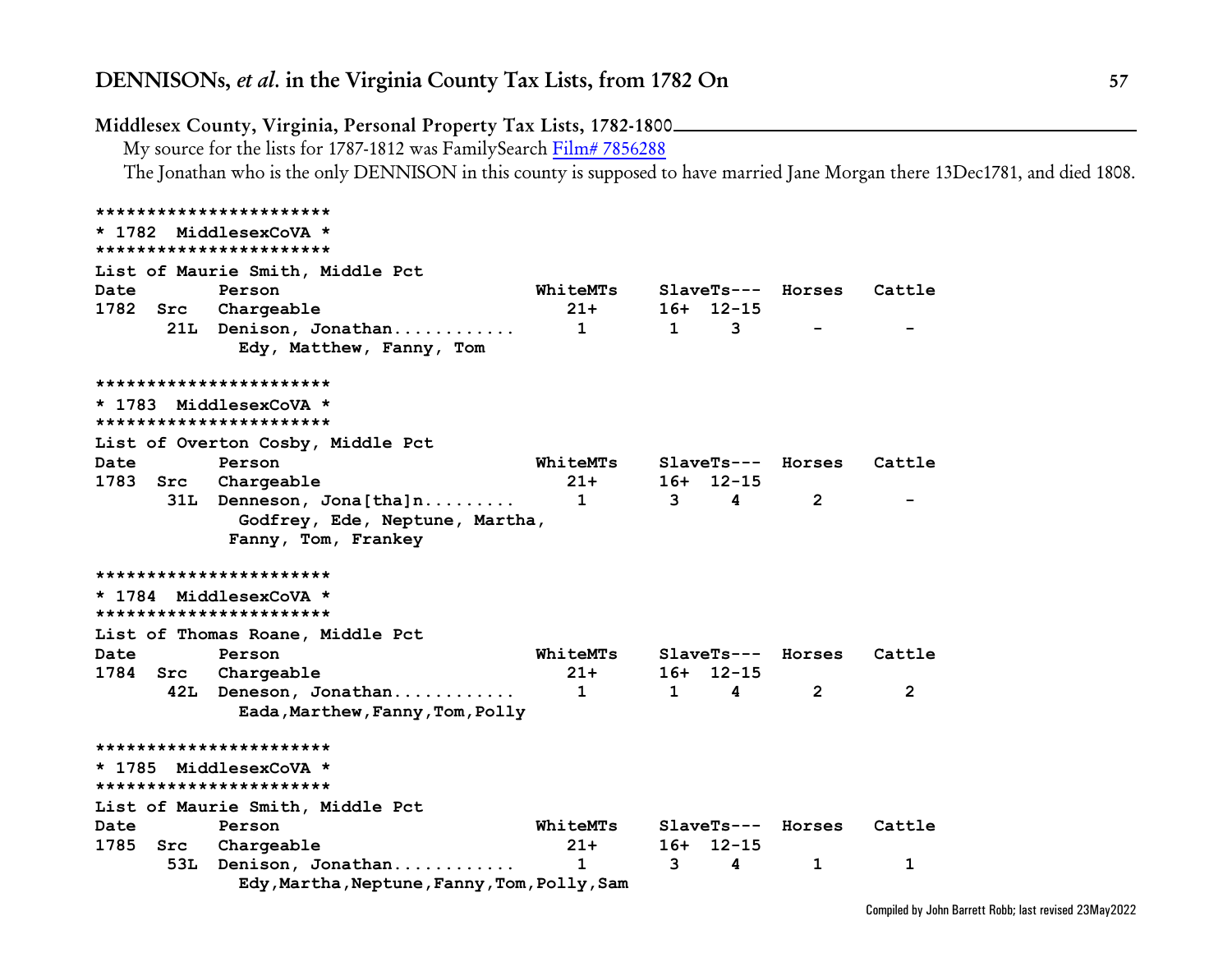|          |     | Middlesex County, Virginia, Personal Property Tax Lists, 1782-1800<br>My source for the lists for 1787-1812 was FamilySearch Film# 7856288<br>The Jonathan who is the only DENNISON in this county is supposed to have married Jane Morgan there 13Dec1781, and died 1808. |                 |              |             |                     |        |
|----------|-----|----------------------------------------------------------------------------------------------------------------------------------------------------------------------------------------------------------------------------------------------------------------------------|-----------------|--------------|-------------|---------------------|--------|
|          |     | ***********************                                                                                                                                                                                                                                                    |                 |              |             |                     |        |
|          |     | * 1782 MiddlesexCoVA *                                                                                                                                                                                                                                                     |                 |              |             |                     |        |
|          |     | ***********************                                                                                                                                                                                                                                                    |                 |              |             |                     |        |
|          |     | List of Maurie Smith, Middle Pct                                                                                                                                                                                                                                           |                 |              |             |                     |        |
| Date     |     | Person                                                                                                                                                                                                                                                                     | <b>WhiteMTs</b> |              |             | $SlaveTs---$ Horses | Cattle |
| 1782     | Src | Chargeable                                                                                                                                                                                                                                                                 | $21+$           |              | $16+ 12-15$ |                     |        |
|          |     | 21L Denison, Jonathan<br>Edy, Matthew, Fanny, Tom                                                                                                                                                                                                                          | $\mathbf{1}$    | $\mathbf{1}$ | 3           |                     |        |
|          |     | ***********************                                                                                                                                                                                                                                                    |                 |              |             |                     |        |
|          |     | * 1783 MiddlesexCoVA *<br>***********************                                                                                                                                                                                                                          |                 |              |             |                     |        |
|          |     | List of Overton Cosby, Middle Pct                                                                                                                                                                                                                                          |                 |              |             |                     |        |
| Date     |     | Person                                                                                                                                                                                                                                                                     | <b>WhiteMTs</b> |              |             | SlaveTs--- Horses   | Cattle |
| 1783     | Src | Chargeable                                                                                                                                                                                                                                                                 | $21+$           |              | $16+ 12-15$ |                     |        |
|          |     | 31L Denneson, Jona[tha]n<br>Godfrey, Ede, Neptune, Martha,<br>Fanny, Tom, Frankey                                                                                                                                                                                          | $\mathbf{1}$    | 3            | 4           | $\mathbf{2}$        |        |
|          |     | ***********************                                                                                                                                                                                                                                                    |                 |              |             |                     |        |
|          |     | * 1784 MiddlesexCoVA *<br>***********************                                                                                                                                                                                                                          |                 |              |             |                     |        |
|          |     | List of Thomas Roane, Middle Pct                                                                                                                                                                                                                                           |                 |              |             |                     |        |
| Date     |     | Person                                                                                                                                                                                                                                                                     | <b>WhiteMTs</b> |              |             | $SlaveTs---$ Horses | Cattle |
| 1784 Src |     | Chargeable                                                                                                                                                                                                                                                                 | $21 +$          |              | $16+ 12-15$ |                     |        |
|          |     | 42L Deneson, Jonathan<br>Eada, Marthew, Fanny, Tom, Polly                                                                                                                                                                                                                  | $\mathbf{1}$    | $\mathbf{1}$ | 4           | $\overline{2}$      | 2      |
|          |     | ***********************                                                                                                                                                                                                                                                    |                 |              |             |                     |        |
|          |     | * 1785 MiddlesexCoVA *<br>***********************                                                                                                                                                                                                                          |                 |              |             |                     |        |
|          |     | List of Maurie Smith, Middle Pct                                                                                                                                                                                                                                           |                 |              |             |                     |        |
| Date     |     | Person                                                                                                                                                                                                                                                                     | <b>WhiteMTs</b> |              |             | $SlaveTs---$ Horses | Cattle |
| 1785     | Src | Chargeable                                                                                                                                                                                                                                                                 | $21+$           | 16+          | 12-15       |                     |        |
|          |     | 53L Denison, Jonathan<br>Edy, Martha, Neptune, Fanny, Tom, Polly, Sam                                                                                                                                                                                                      | $\mathbf 1$     | 3            | 4           | 1                   | 1      |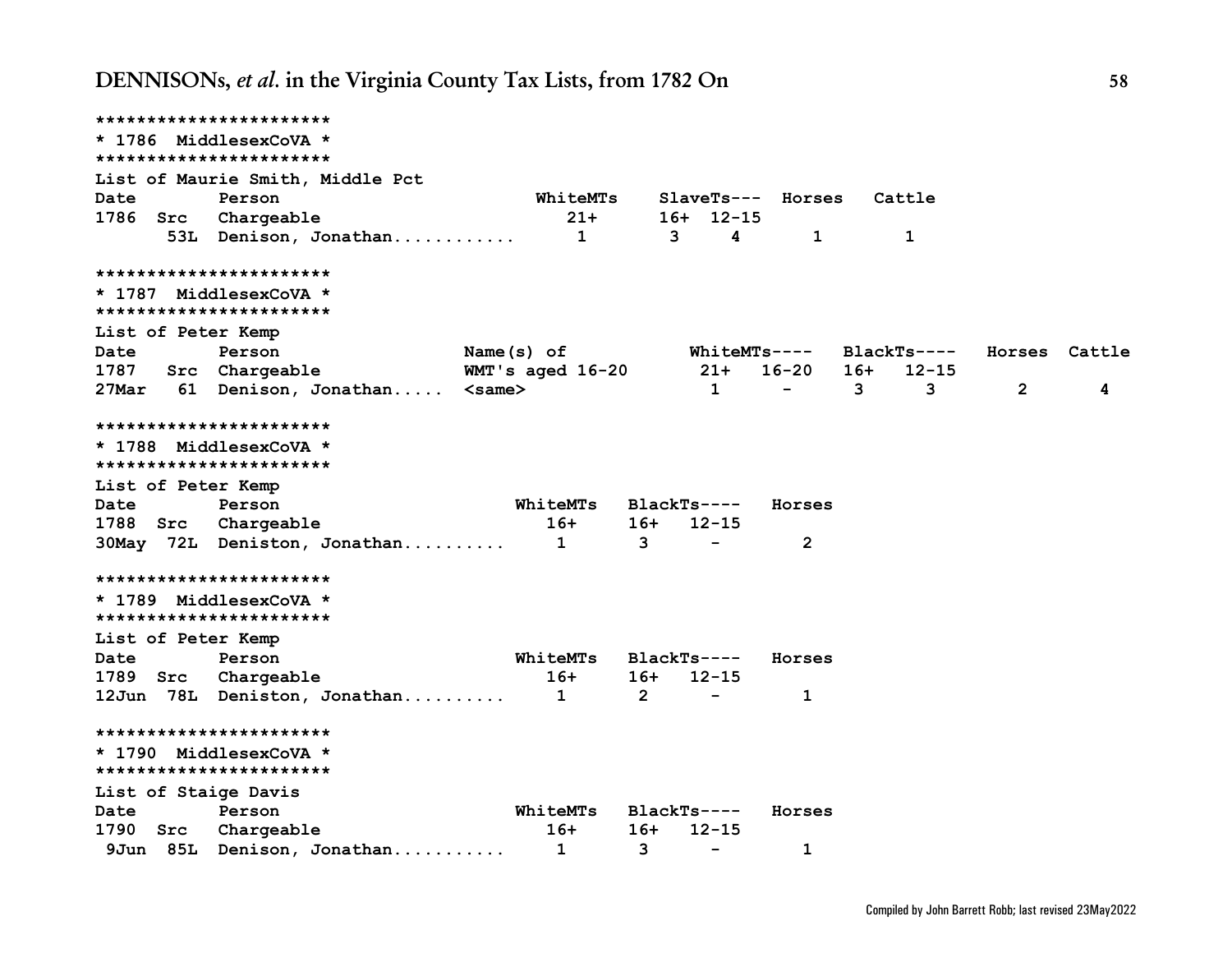|                      | ***********************                           |                  |                |                          |                          |                     |                |               |
|----------------------|---------------------------------------------------|------------------|----------------|--------------------------|--------------------------|---------------------|----------------|---------------|
|                      | * 1786 MiddlesexCoVA *                            |                  |                |                          |                          |                     |                |               |
|                      | ***********************                           |                  |                |                          |                          |                     |                |               |
|                      | List of Maurie Smith, Middle Pct                  |                  |                |                          |                          |                     |                |               |
| Date                 | Person                                            | WhiteMTs         |                |                          | SlaveTs--- Horses        | Cattle              |                |               |
| 1786 Src             | Chargeable                                        |                  | $21+$          | $16+ 12-15$              |                          |                     |                |               |
|                      | 53L Denison, Jonathan                             |                  | $\mathbf{1}$   | 3<br>4                   | $\mathbf{1}$             | 1                   |                |               |
|                      | ***********************                           |                  |                |                          |                          |                     |                |               |
|                      | * 1787 MiddlesexCoVA *<br>*********************** |                  |                |                          |                          |                     |                |               |
| List of Peter Kemp   |                                                   |                  |                |                          |                          |                     |                |               |
| Date                 | Person                                            | Name $(s)$ of    |                |                          | <b>WhiteMTs----</b>      | $BlackTs---$        |                | Horses Cattle |
| 1787                 | Src Chargeable                                    | WMT's aged 16-20 |                | $21+$                    | 16-20                    | $16+$<br>$12 - 15$  |                |               |
| 27Mar                | 61 Denison, Jonathan <same></same>                |                  |                | $\mathbf{1}$             | $\overline{\phantom{m}}$ | 3 <sub>1</sub><br>3 | $\overline{2}$ | 4             |
|                      | ***********************                           |                  |                |                          |                          |                     |                |               |
|                      | * 1788 MiddlesexCoVA *                            |                  |                |                          |                          |                     |                |               |
|                      | ***********************                           |                  |                |                          |                          |                     |                |               |
| List of Peter Kemp   |                                                   |                  |                |                          |                          |                     |                |               |
| Date                 | Person                                            | WhiteMTs         |                | $BlackTs---$             | Horses                   |                     |                |               |
|                      | 1788 Src Chargeable                               | $16+$            | 16+            | $12 - 15$                |                          |                     |                |               |
|                      | 30May 72L Deniston, Jonathan                      | $\mathbf{1}$     | $\mathbf{3}$   | $\overline{\phantom{0}}$ | $\overline{2}$           |                     |                |               |
|                      | ***********************                           |                  |                |                          |                          |                     |                |               |
|                      | * 1789 MiddlesexCoVA *                            |                  |                |                          |                          |                     |                |               |
|                      | ***********************                           |                  |                |                          |                          |                     |                |               |
| List of Peter Kemp   |                                                   |                  |                |                          |                          |                     |                |               |
| Date                 | Person                                            | WhiteMTs         |                | $BlackTs---$             | Horses                   |                     |                |               |
| 1789 Src             | Chargeable                                        | $16+$            | 16+            | $12 - 15$                |                          |                     |                |               |
|                      | 12Jun 78L Deniston, Jonathan                      | $\mathbf{1}$     | $\overline{2}$ | $\overline{\phantom{0}}$ | 1                        |                     |                |               |
|                      | ***********************                           |                  |                |                          |                          |                     |                |               |
|                      | * 1790 MiddlesexCoVA *<br>*********************** |                  |                |                          |                          |                     |                |               |
| List of Staige Davis |                                                   |                  |                |                          |                          |                     |                |               |
| Date                 | Person                                            | <b>WhiteMTs</b>  |                | $BlackTs---$             | Horses                   |                     |                |               |
| 1790 Src             | Chargeable                                        | $16+$            | $16+$          | $12 - 15$                |                          |                     |                |               |
|                      | 9Jun 85L Denison, Jonathan                        | $\mathbf{1}$     | 3              | $\overline{\phantom{a}}$ | 1                        |                     |                |               |
|                      |                                                   |                  |                |                          |                          |                     |                |               |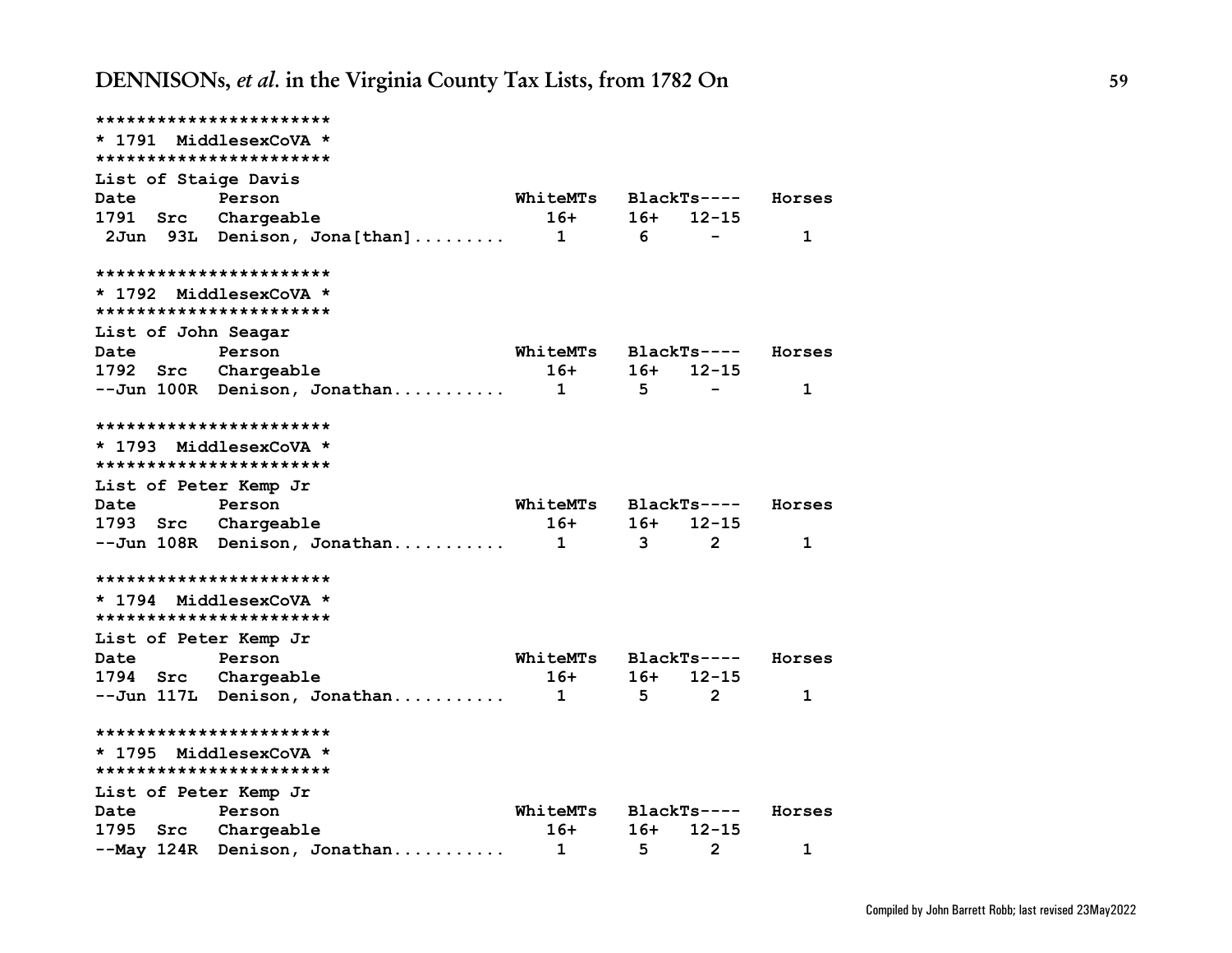| ***********************                           |                                |                 |       |                |             |
|---------------------------------------------------|--------------------------------|-----------------|-------|----------------|-------------|
| * 1791 MiddlesexCoVA *                            |                                |                 |       |                |             |
| ***********************                           |                                |                 |       |                |             |
| List of Staige Davis                              |                                |                 |       |                |             |
| Date                                              | Person                         | <b>WhiteMTs</b> |       | BlackTs----    | Horses      |
| 1791 Src Chargeable                               |                                | 16+             | 16+   | $12 - 15$      |             |
|                                                   | 2Jun 93L Denison, Jona[than]   | $\mathbf{1}$    | 6     |                | 1           |
| ***********************                           |                                |                 |       |                |             |
| * 1792 MiddlesexCoVA *<br>*********************** |                                |                 |       |                |             |
| List of John Seagar                               |                                |                 |       |                |             |
| Date                                              | Person                         | <b>WhiteMTs</b> |       | BlackTs----    | Horses      |
| 1792 Src Chargeable                               |                                | 16+             | 16+   | $12 - 15$      |             |
|                                                   | --Jun 100R Denison, Jonathan   | $\mathbf{1}$    | 5     |                | $\mathbf 1$ |
| ***********************                           |                                |                 |       |                |             |
| * 1793 MiddlesexCoVA *                            |                                |                 |       |                |             |
| ***********************                           |                                |                 |       |                |             |
| List of Peter Kemp Jr                             |                                |                 |       |                |             |
| Date                                              | Person                         | WhiteMTs        |       | BlackTs----    | Horses      |
| 1793 Src Chargeable                               |                                | $16+$           | 16+   | $12 - 15$      |             |
|                                                   | --Jun 108R Denison, Jonathan 1 |                 | 3     | 2              | 1           |
| ***********************                           |                                |                 |       |                |             |
| * 1794 MiddlesexCoVA *<br>*********************** |                                |                 |       |                |             |
| List of Peter Kemp Jr                             |                                |                 |       |                |             |
| Date                                              | Person                         | <b>WhiteMTs</b> |       | BlackTs----    | Horses      |
| 1794 Src Chargeable                               |                                | $16+$           | 16+   | $12 - 15$      |             |
|                                                   | --Jun 117L Denison, Jonathan   | $\mathbf{1}$    | $5 -$ | $\overline{2}$ | 1           |
| ***********************                           |                                |                 |       |                |             |
| * 1795 MiddlesexCoVA *                            |                                |                 |       |                |             |
| ***********************                           |                                |                 |       |                |             |
| List of Peter Kemp Jr                             |                                |                 |       |                |             |
| Date                                              | Person                         | <b>WhiteMTs</b> |       | BlackTs----    | Horses      |
| 1795                                              | Src Chargeable                 | 16+             | 16+   | $12 - 15$      |             |
|                                                   | --May 124R Denison, Jonathan   | $\mathbf{1}$    | $5 -$ | $\overline{2}$ | 1           |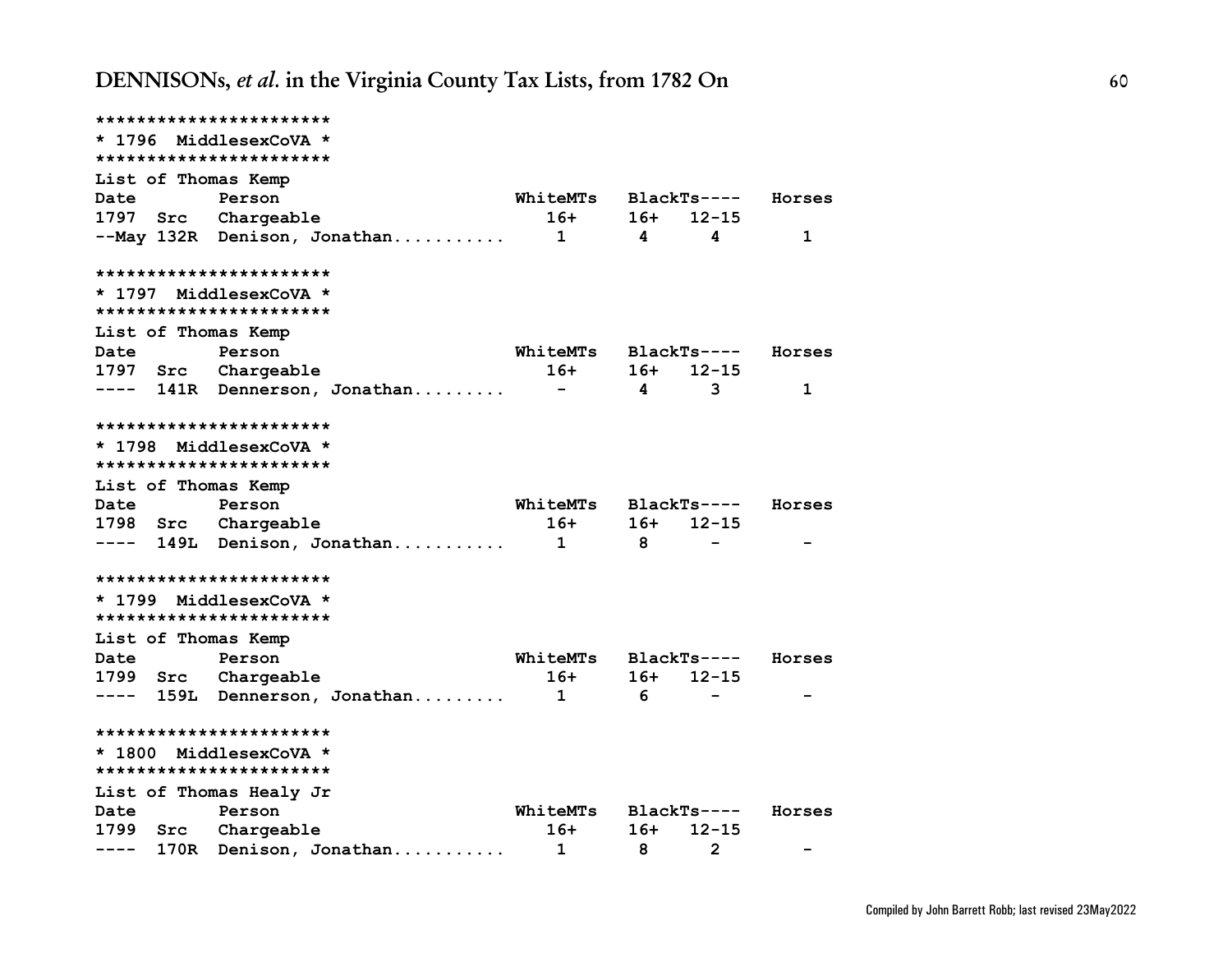| ***********************                           |                      |                |                    |             |
|---------------------------------------------------|----------------------|----------------|--------------------|-------------|
| * 1796 MiddlesexCoVA *                            |                      |                |                    |             |
| ***********************                           |                      |                |                    |             |
| List of Thomas Kemp                               |                      |                |                    |             |
| <b>Date</b><br>Person                             | WhiteMTs             |                | BlackTs---- Horses |             |
| 1797 Src Chargeable                               | $16+$                | 16+            | $12 - 15$          |             |
| --May 132R Denison, Jonathan 1                    |                      | $\overline{4}$ | 4                  | $\mathbf 1$ |
| ***********************                           |                      |                |                    |             |
| * 1797 MiddlesexCoVA *<br>*********************** |                      |                |                    |             |
| List of Thomas Kemp                               |                      |                |                    |             |
| Person<br>Date                                    | WhiteMTs             |                | BlackTs----        | Horses      |
| 1797 Src Chargeable                               | 16+                  | 16+            | $12 - 15$          |             |
| ---- 141R Dennerson, Jonathan                     |                      | $\overline{4}$ | 3                  | 1           |
| ***********************                           |                      |                |                    |             |
| * 1798 MiddlesexCoVA *                            |                      |                |                    |             |
| ***********************                           |                      |                |                    |             |
| List of Thomas Kemp                               |                      |                |                    |             |
| Date<br>Person                                    | WhiteMTs BlackTs---- |                |                    | Horses      |
| 1798 Src Chargeable                               | $16+$                |                | $16+ 12-15$        |             |
| ---- 149L Denison, Jonathan 1 8                   |                      |                |                    |             |
| ***********************                           |                      |                |                    |             |
| * 1799 MiddlesexCoVA *                            |                      |                |                    |             |
| ***********************                           |                      |                |                    |             |
| List of Thomas Kemp                               |                      |                |                    |             |
| Date<br>Person                                    | <b>WhiteMTs</b>      |                | BlackTs----        | Horses      |
| 1799 Src Chargeable                               | $16+$                | 16+            | $12 - 15$          |             |
| ---- 159L Dennerson, Jonathan 1                   |                      | 6              |                    |             |
| ************************                          |                      |                |                    |             |
| * 1800 MiddlesexCoVA *<br>*********************** |                      |                |                    |             |
| List of Thomas Healy Jr                           |                      |                |                    |             |
| Date<br>Person                                    | <b>WhiteMTs</b>      |                | BlackTs----        | Horses      |
| 1799 Src Chargeable                               | 16+                  | $16+$          | $12 - 15$          |             |
| 170R Denison, Jonathan<br>----                    | 1                    | 8              | $\overline{2}$     |             |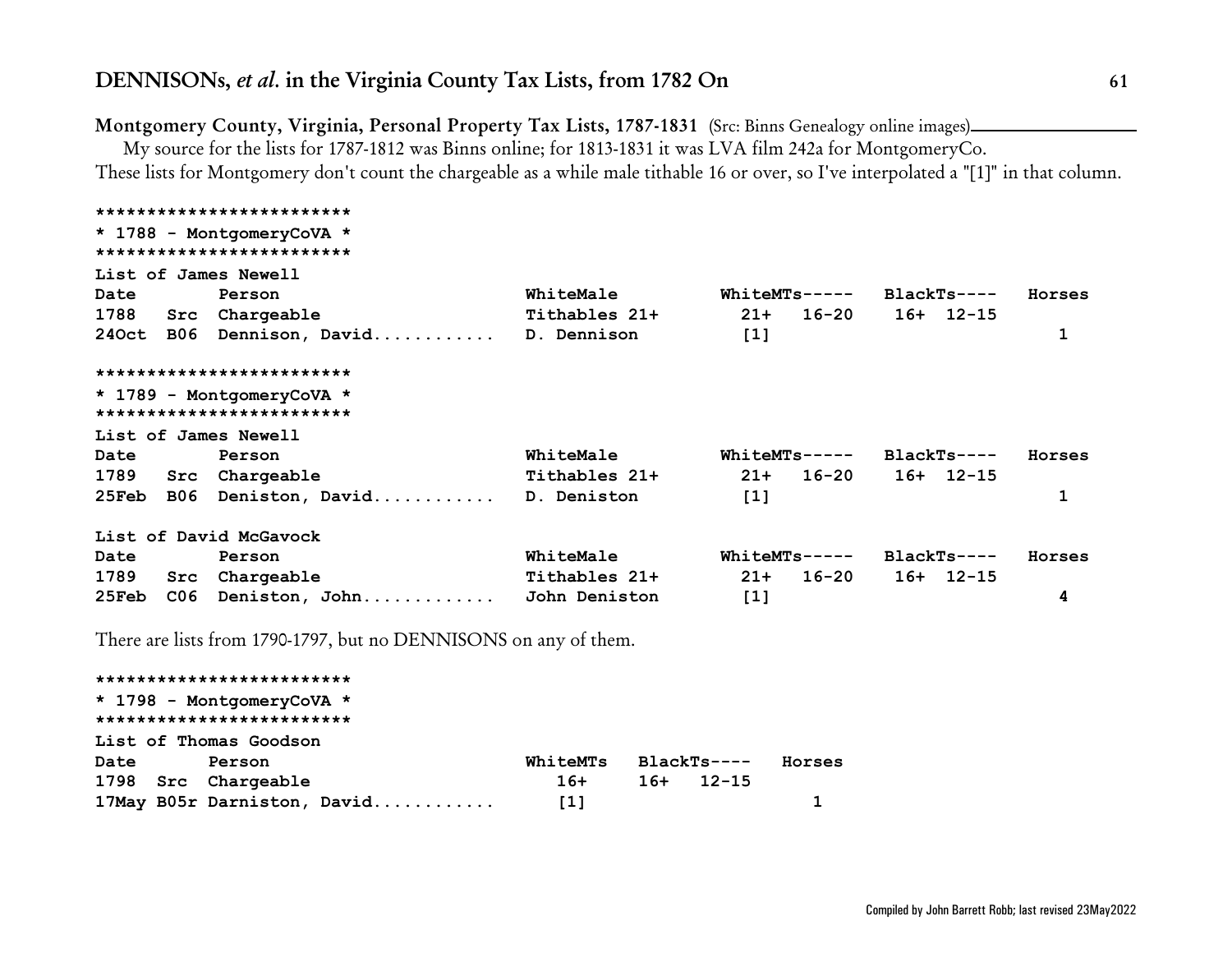## **Montgomery County, Virginia, Personal Property Tax Lists, 1787-1831** (Src: Binns Genealogy online images)

My source for the lists for 1787-1812 was Binns online; for 1813-1831 it was LVA film 242a for MontgomeryCo. These lists for Montgomery don't count the chargeable as a while male tithable 16 or over, so I've interpolated a "[1]" in that column.

|       |     | *************************                              |               |                           |              |        |
|-------|-----|--------------------------------------------------------|---------------|---------------------------|--------------|--------|
|       |     | * 1788 - MontgomeryCoVA *<br>************************* |               |                           |              |        |
|       |     | List of James Newell                                   |               |                           |              |        |
| Date  |     | Person                                                 | WhiteMale     | $WhiteMTs---$             | $BlackTs---$ | Horses |
| 1788  |     | Src Chargeable                                         | Tithables 21+ | 16-20<br>$21+$            | $16+ 12-15$  |        |
|       |     | 240ct B06 Dennison, David                              | D. Dennison   | $[1]$                     |              | 1      |
|       |     | *************************                              |               |                           |              |        |
|       |     | * 1789 - MontgomeryCoVA *                              |               |                           |              |        |
|       |     | *************************                              |               |                           |              |        |
|       |     | List of James Newell                                   |               |                           |              |        |
| Date  |     | Person                                                 | WhiteMale     | $WhiteMTs---$ BlackTs---- |              | Horses |
| 1789  |     | Src Chargeable                                         | Tithables 21+ | $21+ 16-20$               | $16+ 12-15$  |        |
| 25Feb |     | B06 Deniston, David                                    | D. Deniston   | $[1]$                     |              | 1      |
|       |     | List of David McGavock                                 |               |                           |              |        |
| Date  |     | Person                                                 | WhiteMale     | <b>WhiteMTs-----</b>      | BlackTs----  | Horses |
| 1789  | Src | Chargeable                                             | Tithables 21+ | 16-20<br>$21+$            | $16+ 12-15$  |        |
| 25Feb | C06 | Deniston, John                                         | John Deniston | $[1]$                     |              | 4      |
|       |     |                                                        |               |                           |              |        |

There are lists from 1790-1797, but no DENNISONS on any of them.

## **\*\*\*\*\*\*\*\*\*\*\*\*\*\*\*\*\*\*\*\*\*\*\*\*\* \* 1798 - MontgomeryCoVA \* \*\*\*\*\*\*\*\*\*\*\*\*\*\*\*\*\*\*\*\*\*\*\*\*\* List of Thomas Goodson Date Person WhiteMTs BlackTs---- Horses 1798 Src Chargeable 16+ 16+ 12-15 17May B05r Darniston, David............ [1] 1**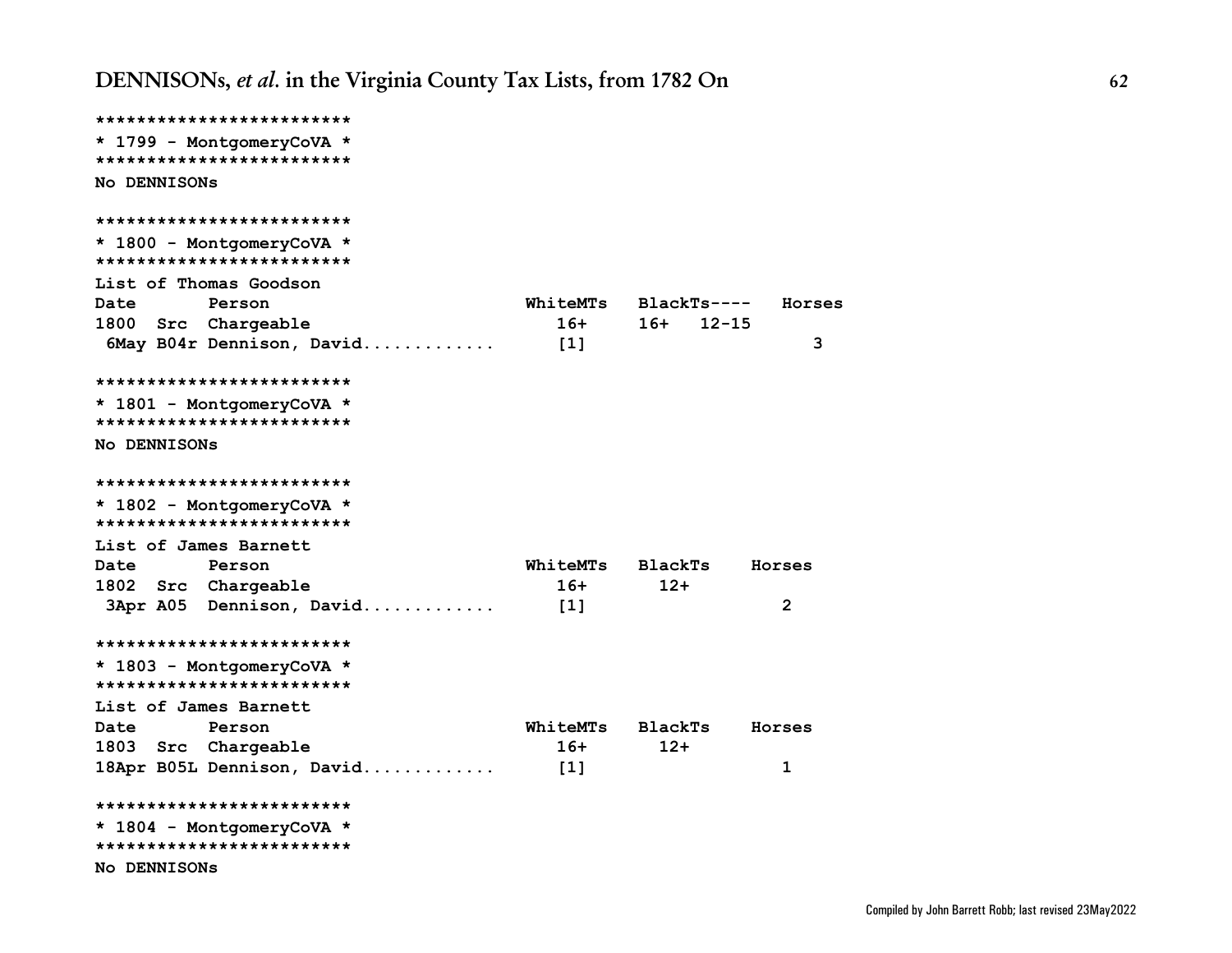```
*************************
* 1799 - MontgomeryCoVA *
*************************
No DENNISONs
*************************
* 1800 - MontgomeryCoVA *
*************************
List of Thomas Goodson
Date Person WhiteMTs BlackTs---- Horses
1800 Src Chargeable 16+ 16+ 12-15
 6May B04r Dennison, David............. [1] 3
*************************
* 1801 - MontgomeryCoVA *
*************************
No DENNISONs
*************************
* 1802 - MontgomeryCoVA *
*************************
List of James Barnett
Date Person WhiteMTs BlackTs Horses
1802 Src Chargeable 16+ 12+
 3Apr A05 Dennison, David............. [1] 2
*************************
* 1803 - MontgomeryCoVA *
*************************
List of James Barnett
Date Person WhiteMTs BlackTs Horses
1803 Src Chargeable 16+ 12+
18Apr B05L Dennison, David............. [1] 1
*************************
* 1804 - MontgomeryCoVA *
*************************
No DENNISONs
```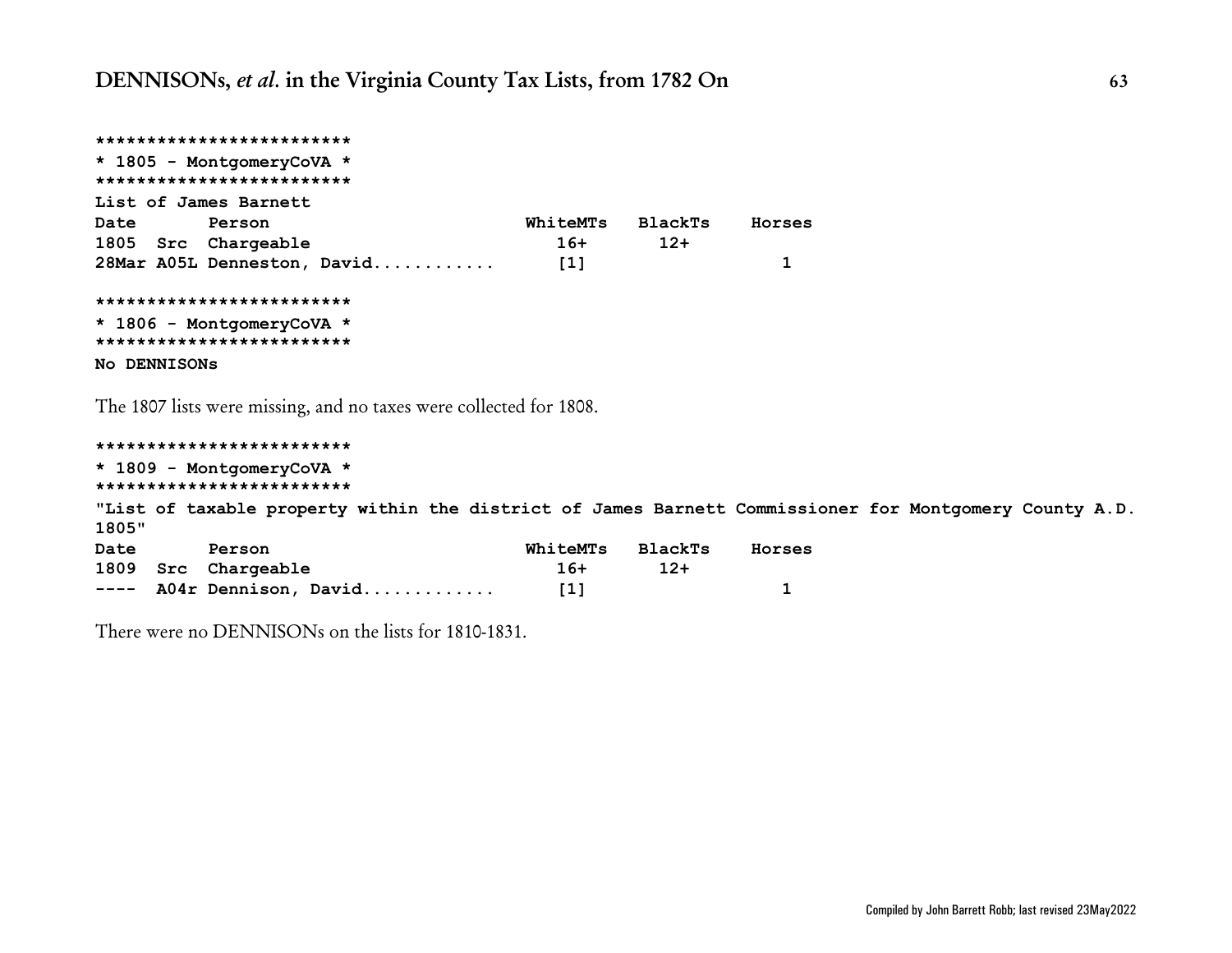```
*************************
* 1805 - MontgomeryCoVA *
*************************
List of James Barnett
Date Person WhiteMTs BlackTs Horses
1805 Src Chargeable 16+ 12+
28Mar A05L Denneston, David............ [1] 1
*************************
* 1806 - MontgomeryCoVA *
*************************
No DENNISONs
```
The 1807 lists were missing, and no taxes were collected for 1808.

```
*************************
* 1809 - MontgomeryCoVA *
*************************
"List of taxable property within the district of James Barnett Commissioner for Montgomery County A.D.
1805"
Date Person WhiteMTs BlackTs Horses
1809 Src Chargeable 16+ 12+
---- A04r Dennison, David............. [1] 1
```
There were no DENNISONs on the lists for 1810-1831.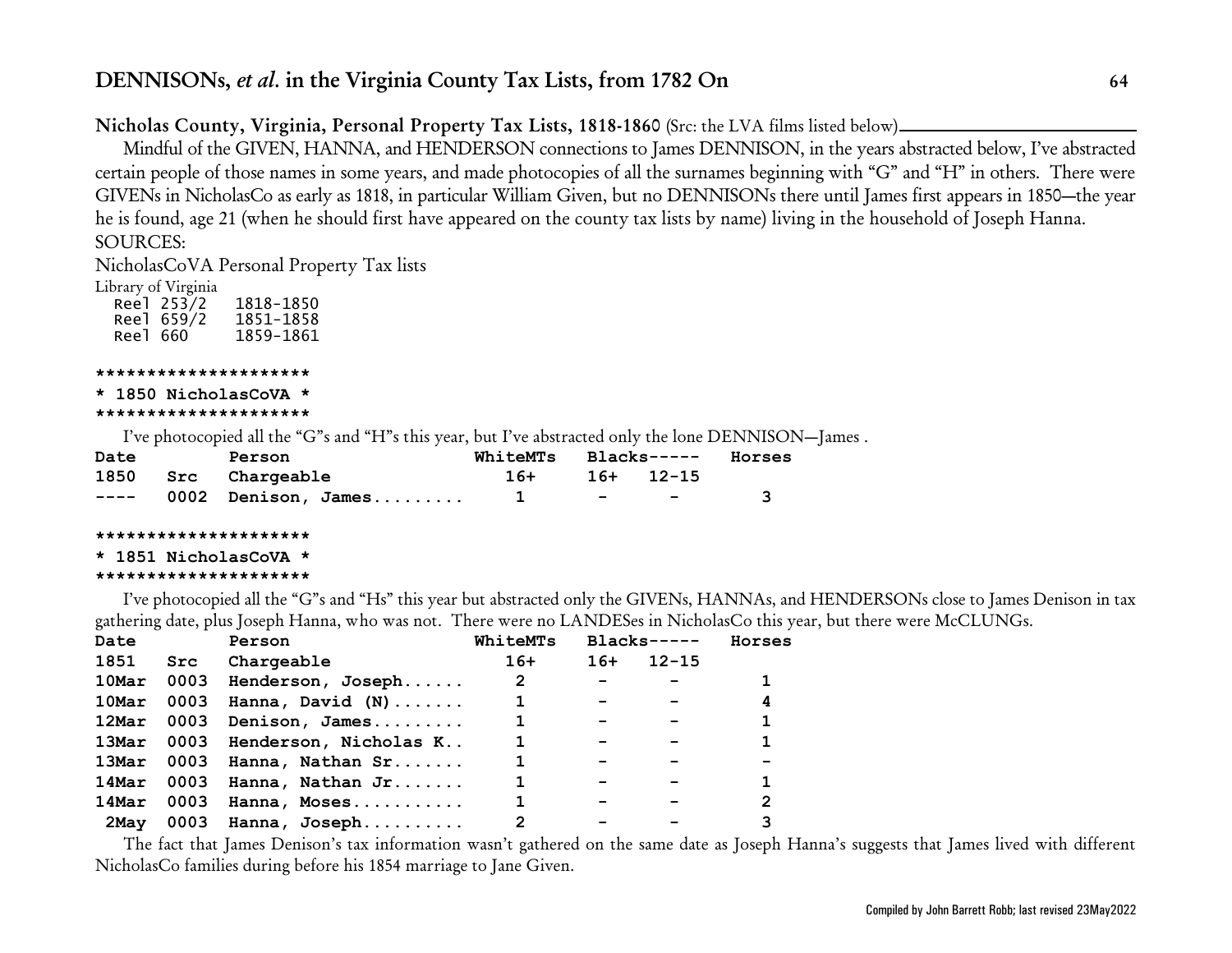## **Nicholas County, Virginia, Personal Property Tax Lists, 1818-1860** (Src: the LVA films listed below)

Mindful of the GIVEN, HANNA, and HENDERSON connections to James DENNISON, in the years abstracted below, I've abstracted certain people of those names in some years, and made photocopies of all the surnames beginning with "G" and "H" in others. There were GIVENs in NicholasCo as early as 1818, in particular William Given, but no DENNISONs there until James first appears in 1850—the year he is found, age 21 (when he should first have appeared on the county tax lists by name) living in the household of Joseph Hanna. SOURCES:

NicholasCoVA Personal Property Tax lists

Library of Virginia

 Reel 253/2 1818-1850 Reel 659/2 1851-1858 Reel 660

### **\*\*\*\*\*\*\*\*\*\*\*\*\*\*\*\*\*\*\*\*\***

#### **\* 1850 NicholasCoVA \* \*\*\*\*\*\*\*\*\*\*\*\*\*\*\*\*\*\*\*\*\***

I've photocopied all the "G"s and "H"s this year, but I've abstracted only the lone DENNISON—James .

| Date |  | Person                      |                 | WhiteMTs Blacks----- Horses |                                                                                       |              |
|------|--|-----------------------------|-----------------|-----------------------------|---------------------------------------------------------------------------------------|--------------|
|      |  | 1850 Src Chargeable         | $16+$ 16+ 12-15 |                             |                                                                                       |              |
|      |  | $--- 0002$ Denison, James 1 |                 |                             | and the state of the state of the state of the state of the state of the state of the | $\mathbf{3}$ |

### **\*\*\*\*\*\*\*\*\*\*\*\*\*\*\*\*\*\*\*\*\***

```
* 1851 NicholasCoVA *
```
### **\*\*\*\*\*\*\*\*\*\*\*\*\*\*\*\*\*\*\*\*\***

I've photocopied all the "G"s and "Hs" this year but abstracted only the GIVENs, HANNAs, and HENDERSONs close to James Denison in tax gathering date, plus Joseph Hanna, who was not. There were no LANDESes in NicholasCo this year, but there were McCLUNGs.

| Date       |      | Person                | WhiteMTs     |                          | $Blacks---$ | Horses |
|------------|------|-----------------------|--------------|--------------------------|-------------|--------|
| 1851       | Src  | Chargeable            | $16+$        | $16+$                    | $12 - 15$   |        |
| $10$ Mar   | 0003 | Henderson, Joseph     | $\mathbf{2}$ | $\overline{\phantom{a}}$ |             |        |
| 10Mar      | 0003 | Hanna, David $(N)$    | 1            | $\overline{\phantom{a}}$ |             | 4      |
| 12Mar      | 0003 | Denison, James        |              | $\overline{\phantom{m}}$ |             |        |
| 13Mar 0003 |      | Henderson, Nicholas K |              |                          |             |        |
| 13Mar 0003 |      | Hanna, Nathan Sr      |              |                          |             |        |
| 14Mar      | 0003 | Hanna, Nathan Jr      |              |                          |             |        |
| 14Mar      | 0003 | Hanna, Moses          |              |                          |             | 2      |
| 2May       |      | 0003 Hanna, Joseph    | 2            |                          |             | 3      |

The fact that James Denison's tax information wasn't gathered on the same date as Joseph Hanna's suggests that James lived with different NicholasCo families during before his 1854 marriage to Jane Given.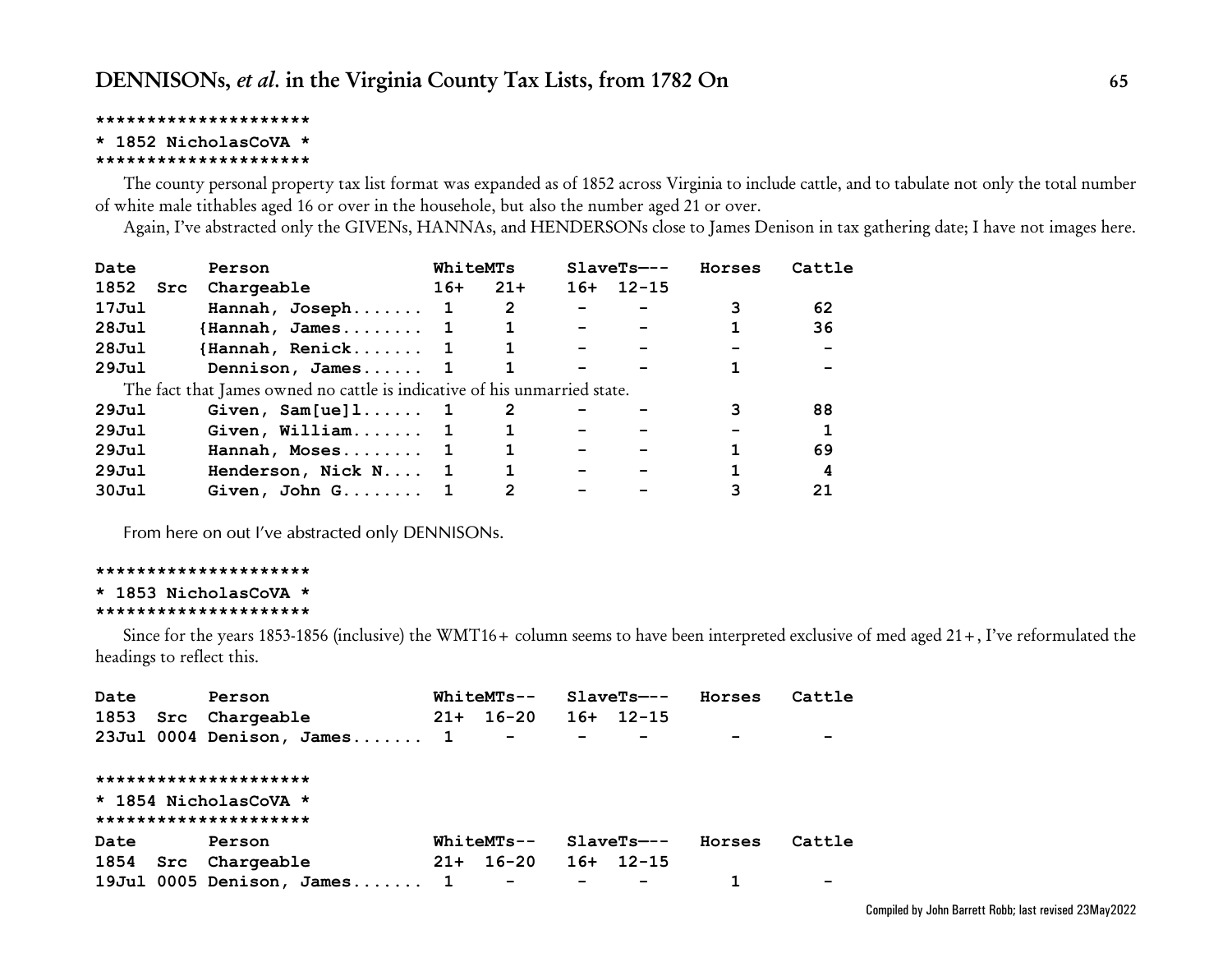### **\*\*\*\*\*\*\*\*\*\*\*\*\*\*\*\*\*\*\*\*\***

### **\* 1852 NicholasCoVA \***

#### **\*\*\*\*\*\*\*\*\*\*\*\*\*\*\*\*\*\*\*\*\***

The county personal property tax list format was expanded as of 1852 across Virginia to include cattle, and to tabulate not only the total number of white male tithables aged 16 or over in the househole, but also the number aged 21 or over.

Again, I've abstracted only the GIVENs, HANNAs, and HENDERSONs close to James Denison in tax gathering date; I have not images here.

| Date              | Person                                                                    | WhiteMTs |                |     | $SlaveTs---$ | Horses | Cattle |
|-------------------|---------------------------------------------------------------------------|----------|----------------|-----|--------------|--------|--------|
| 1852<br>Src       | Chargeable                                                                | $16+$    | $21+$          | 16+ | $12 - 15$    |        |        |
| 17Jul             | Hannah, Joseph 1                                                          |          | $\overline{2}$ |     |              | 3      | 62     |
| 28Ju1             | $\{ \texttt{Hannah}, \ \texttt{James} \dots \dots \quad 1 \}$             |          |                |     |              |        | 36     |
| 28Jul             | $\{$ Hannah, Renick 1                                                     |          |                |     |              |        |        |
| 29Ju1             | Dennison, James 1                                                         |          |                |     |              |        |        |
|                   | The fact that James owned no cattle is indicative of his unmarried state. |          |                |     |              |        |        |
| 29Ju1             | Given, $Sam[ue]1 1$                                                       |          | $\overline{2}$ |     |              |        | 88     |
| 29Ju1             | Given, William $1$                                                        |          |                |     |              |        |        |
| 29Ju1             | Hannah, Moses 1                                                           |          |                |     |              |        | 69     |
| 29J <sub>u1</sub> | Henderson, Nick N 1                                                       |          |                |     |              |        | 4      |
| 30J <sub>u1</sub> | Given, John G 1                                                           |          | 2              |     |              |        | 21     |

*From here on out I've abstracted only DENNISONs.*

#### **\*\*\*\*\*\*\*\*\*\*\*\*\*\*\*\*\*\*\*\*\***

**\* 1853 NicholasCoVA \***

#### **\*\*\*\*\*\*\*\*\*\*\*\*\*\*\*\*\*\*\*\*\***

Since for the years 1853-1856 (inclusive) the WMT16+ column seems to have been interpreted exclusive of med aged 21+, I've reformulated the headings to reflect this.

| Date | Person                         |       | $WhiteMTs--$             |                          | $SlaveTs---$ | Horses | Cattle |
|------|--------------------------------|-------|--------------------------|--------------------------|--------------|--------|--------|
|      | 1853 Src Chargeable            | $21+$ | 16-20                    |                          | $16+ 12-15$  |        |        |
|      | $23$ Jul 0004 Denison, James 1 |       | $\overline{\phantom{a}}$ | $\overline{\phantom{a}}$ |              |        |        |
|      | *********************          |       |                          |                          |              |        |        |
|      | * 1854 NicholasCoVA *          |       |                          |                          |              |        |        |
|      | *********************          |       |                          |                          |              |        |        |
| Date | Person                         |       | WhiteMTs--               |                          | $SlaveTs---$ | Horses | Cattle |
| 1854 | Src Chargeable                 | $21+$ | $16 - 20$                |                          | $16+ 12-15$  |        |        |
|      | 19Jul 0005 Denison, James 1    |       | $\overline{\phantom{m}}$ | $\sim$ 10 $\,$           |              |        |        |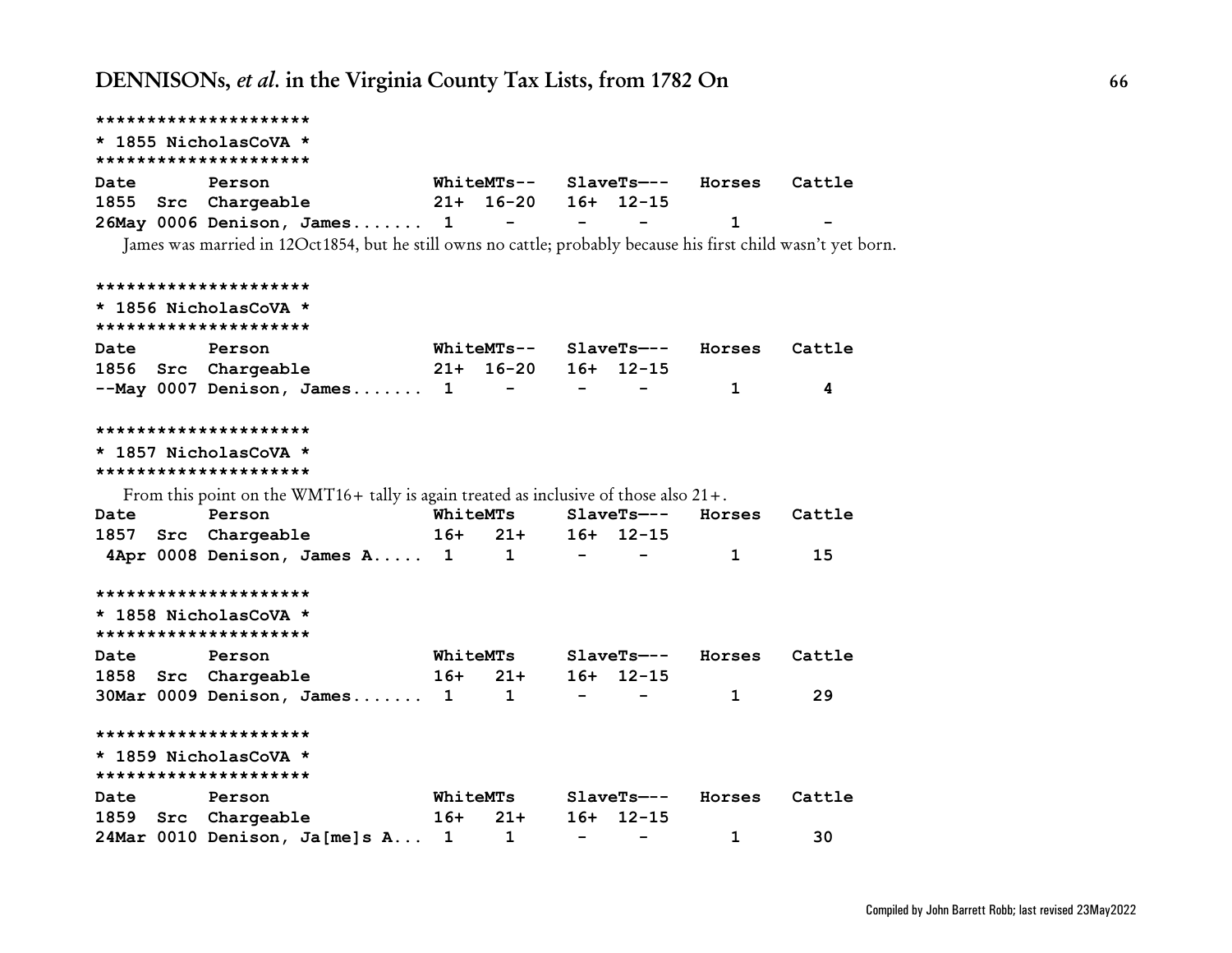|             | *********************                                                                                          |       |                     |                          |                          |                                     |        |
|-------------|----------------------------------------------------------------------------------------------------------------|-------|---------------------|--------------------------|--------------------------|-------------------------------------|--------|
|             | * 1855 NicholasCoVA *<br>*********************                                                                 |       |                     |                          |                          |                                     |        |
| Date        | Person                                                                                                         |       |                     |                          |                          | WhiteMTs-- SlaveTs--- Horses Cattle |        |
|             | 1855 Src Chargeable                                                                                            |       | 21+ 16-20 16+ 12-15 |                          |                          |                                     |        |
|             | 26May 0006 Denison, James 1 -                                                                                  |       |                     | <b>Contract Contract</b> |                          | 1                                   |        |
|             | James was married in 12Oct1854, but he still owns no cattle; probably because his first child wasn't yet born. |       |                     |                          |                          |                                     |        |
|             | *********************                                                                                          |       |                     |                          |                          |                                     |        |
|             | * 1856 NicholasCoVA *<br>*********************                                                                 |       |                     |                          |                          |                                     |        |
| <b>Date</b> | Person                                                                                                         |       |                     |                          |                          | WhiteMTs-- SlaveTs--- Horses        | Cattle |
|             | 1856 Src Chargeable 21+ 16-20 16+ 12-15                                                                        |       |                     |                          |                          |                                     |        |
|             | $--$ May 0007 Denison, James 1 - - -                                                                           |       |                     |                          |                          | $\mathbf 1$                         | 4      |
|             | *********************                                                                                          |       |                     |                          |                          |                                     |        |
|             | * 1857 NicholasCoVA *<br>*********************                                                                 |       |                     |                          |                          |                                     |        |
|             | From this point on the WMT16+ tally is again treated as inclusive of those also $21 +$ .                       |       |                     |                          |                          |                                     |        |
| <b>Date</b> | Person                                                                                                         |       | WhiteMTs            |                          |                          | SlaveTs--- Horses Cattle            |        |
|             | 1857 Src Chargeable                                                                                            |       | $16+ 21+$           |                          | $16+ 12-15$              |                                     |        |
|             | 4Apr 0008 Denison, James A 1 1                                                                                 |       |                     | $\sim$ $-$               |                          | $\mathbf{1}$                        | 15     |
|             | *********************                                                                                          |       |                     |                          |                          |                                     |        |
|             | * 1858 NicholasCoVA *<br>*********************                                                                 |       |                     |                          |                          |                                     |        |
| Date        | Person                                                                                                         |       | WhiteMTs            |                          |                          | SlaveTs--- Horses Cattle            |        |
|             | 1858 Src Chargeable 16+ 21+                                                                                    |       |                     |                          | $16+ 12-15$              |                                     |        |
|             | $30$ Mar 0009 Denison, James $1 \qquad 1 \qquad -$                                                             |       |                     |                          |                          | $\mathbf{1}$                        | 29     |
|             | *********************                                                                                          |       |                     |                          |                          |                                     |        |
|             | * 1859 NicholasCoVA *<br>*********************                                                                 |       |                     |                          |                          |                                     |        |
| Date        | Person                                                                                                         |       | <b>WhiteMTs</b>     |                          |                          | SlaveTs--- Horses                   | Cattle |
|             | 1859 Src Chargeable                                                                                            | $16+$ | $21+$               |                          | $16+ 12-15$              |                                     |        |
|             | 24Mar 0010 Denison, Ja[me]s A 1 1                                                                              |       |                     | $\sim$ 100 $\mu$         | $\overline{\phantom{a}}$ | $\mathbf{1}$                        | 30     |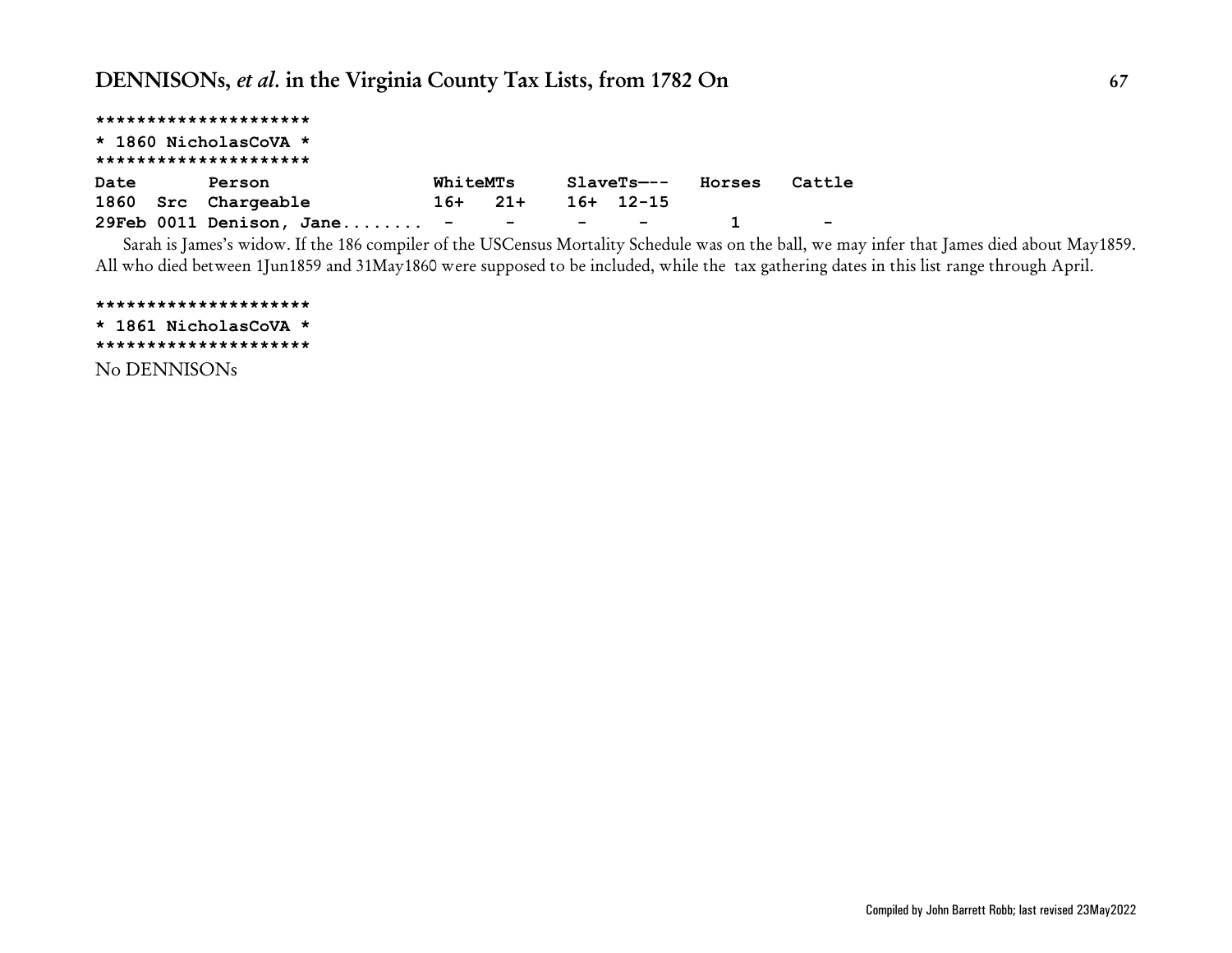|      | *********************                |          |          |           |                   |        |
|------|--------------------------------------|----------|----------|-----------|-------------------|--------|
|      | * 1860 NicholasCoVA *                |          |          |           |                   |        |
|      | *********************                |          |          |           |                   |        |
| Date | Person                               | WhiteMTs |          |           | SlaveTs--- Horses | Cattle |
|      | 1860 Src Chargeable                  |          | $16+21+$ | 16+ 12-15 |                   |        |
|      | 29Feb 0011 Denison, Jane - - - - - - |          |          |           |                   | $\sim$ |

Sarah is James's widow. If the 186 compiler of the USCensus Mortality Schedule was on the ball, we may infer that James died about May1859. All who died between 1Jun1859 and 31May1860 were supposed to be included, while the tax gathering dates in this list range through April.

**\*\*\*\*\*\*\*\*\*\*\*\*\*\*\*\*\*\*\*\*\* \* 1861 NicholasCoVA \* \*\*\*\*\*\*\*\*\*\*\*\*\*\*\*\*\*\*\*\*\*** No DENNISONs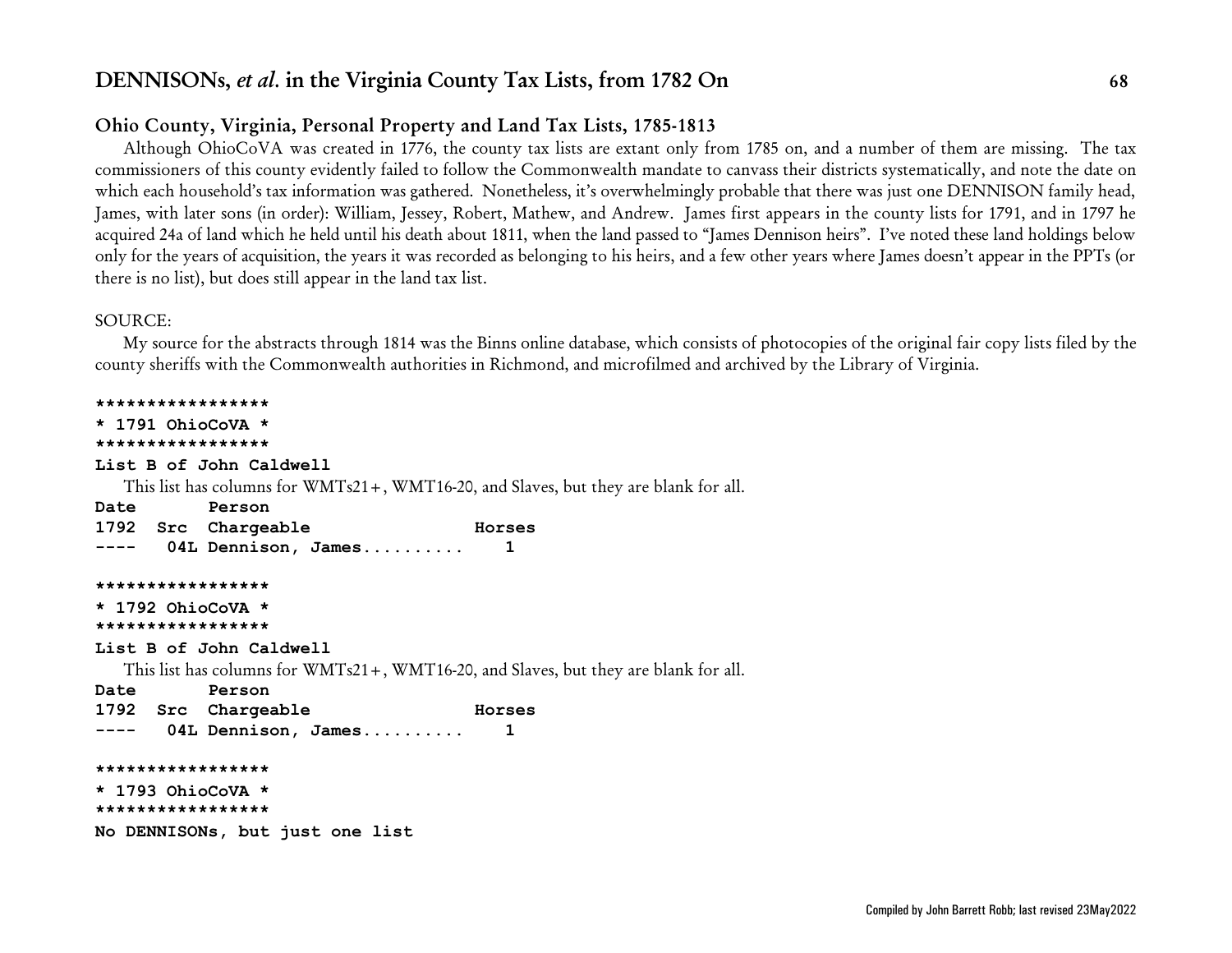## **Ohio County, Virginia, Personal Property and Land Tax Lists, 1785-1813**

Although OhioCoVA was created in 1776, the county tax lists are extant only from 1785 on, and a number of them are missing. The tax commissioners of this county evidently failed to follow the Commonwealth mandate to canvass their districts systematically, and note the date on which each household's tax information was gathered. Nonetheless, it's overwhelmingly probable that there was just one DENNISON family head, James, with later sons (in order): William, Jessey, Robert, Mathew, and Andrew. James first appears in the county lists for 1791, and in 1797 he acquired 24a of land which he held until his death about 1811, when the land passed to "James Dennison heirs". I've noted these land holdings below only for the years of acquisition, the years it was recorded as belonging to his heirs, and a few other years where James doesn't appear in the PPTs (or there is no list), but does still appear in the land tax list.

### SOURCE:

My source for the abstracts through 1814 was the Binns online database, which consists of photocopies of the original fair copy lists filed by the county sheriffs with the Commonwealth authorities in Richmond, and microfilmed and archived by the Library of Virginia.

**\*\*\*\*\*\*\*\*\*\*\*\*\*\*\*\*\* \* 1791 OhioCoVA \* \*\*\*\*\*\*\*\*\*\*\*\*\*\*\*\*\* List B of John Caldwell** This list has columns for WMTs21+, WMT16-20, and Slaves, but they are blank for all. **Date Person 1792 Src Chargeable Horses ---- 04L Dennison, James.......... 1 \*\*\*\*\*\*\*\*\*\*\*\*\*\*\*\*\* \* 1792 OhioCoVA \* \*\*\*\*\*\*\*\*\*\*\*\*\*\*\*\*\* List B of John Caldwell** This list has columns for WMTs21+, WMT16-20, and Slaves, but they are blank for all. **Date Person 1792 Src Chargeable Horses ---- 04L Dennison, James.......... 1 \*\*\*\*\*\*\*\*\*\*\*\*\*\*\*\*\* \* 1793 OhioCoVA \* \*\*\*\*\*\*\*\*\*\*\*\*\*\*\*\*\* No DENNISONs, but just one list**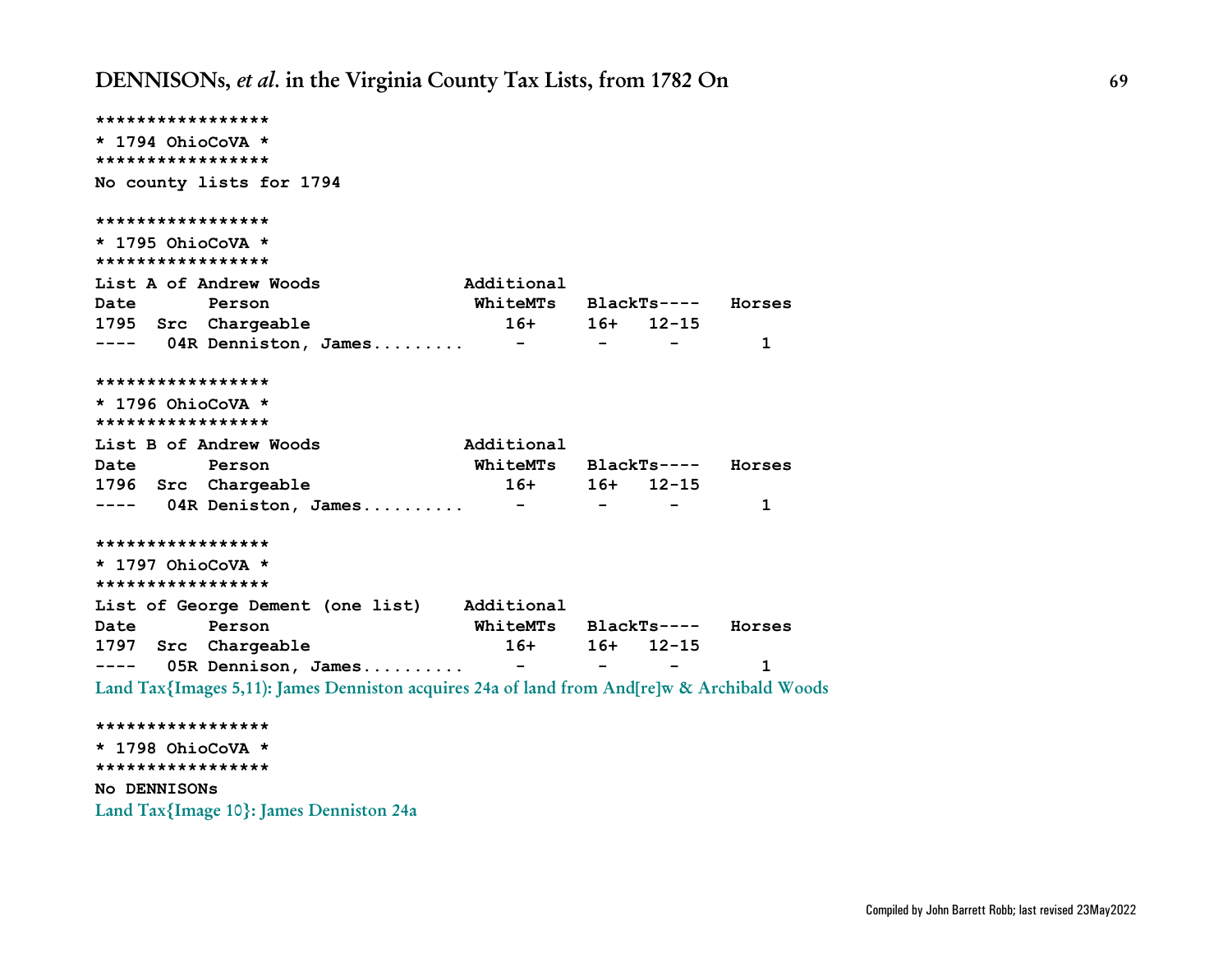**\*\*\*\*\*\*\*\*\*\*\*\*\*\*\*\*\* \* 1794 OhioCoVA \* \*\*\*\*\*\*\*\*\*\*\*\*\*\*\*\*\* No county lists for 1794 \*\*\*\*\*\*\*\*\*\*\*\*\*\*\*\*\* \* 1795 OhioCoVA \* \*\*\*\*\*\*\*\*\*\*\*\*\*\*\*\*\*** List A of Andrew Woods **Additional Date Person WhiteMTs BlackTs---- Horses 1795 Src Chargeable 16+ 16+ 12-15 ---- 04R Denniston, James......... - - - 1 \*\*\*\*\*\*\*\*\*\*\*\*\*\*\*\*\* \* 1796 OhioCoVA \* \*\*\*\*\*\*\*\*\*\*\*\*\*\*\*\*\* List B of Andrew Woods Additional Date Person WhiteMTs BlackTs---- Horses 1796 Src Chargeable 16+ 16+ 12-15 ---- 04R Deniston, James.......... - - - 1 \*\*\*\*\*\*\*\*\*\*\*\*\*\*\*\*\* \* 1797 OhioCoVA \* \*\*\*\*\*\*\*\*\*\*\*\*\*\*\*\*\* List of George Dement (one list) Additional Date Person WhiteMTs BlackTs---- Horses 1797 Src Chargeable 16+ 16+ 12-15 ---- 05R Dennison, James.......... - - - 1 Land Tax{Images 5,11): James Denniston acquires 24a of land from And[re]w & Archibald Woods \*\*\*\*\*\*\*\*\*\*\*\*\*\*\*\*\* \* 1798 OhioCoVA \* \*\*\*\*\*\*\*\*\*\*\*\*\*\*\*\*\***

**No DENNISONs**

**Land Tax{Image 10}: James Denniston 24a**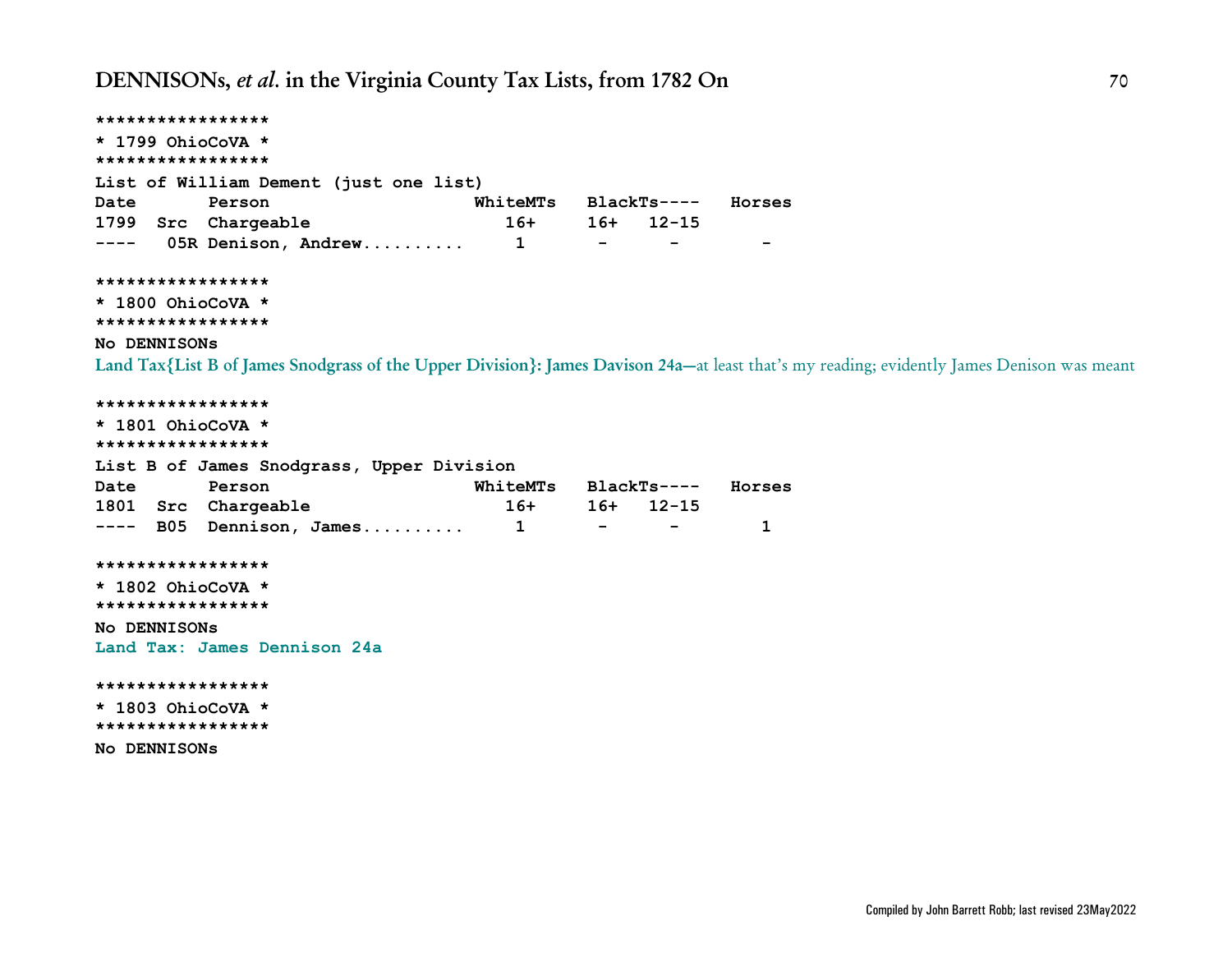```
*****************
* 1799 OhioCoVA *
*****************
List of William Dement (just one list)
Date Person WhiteMTs BlackTs---- Horses
1799 Src Chargeable 16+ 16+ 12-15
---- 05R Denison, Andrew.......... 1 - - -
*****************
* 1800 OhioCoVA *
*****************
No DENNISONs
Land Tax{List B of James Snodgrass of the Upper Division}: James Davison 24a—at least that's my reading; evidently James Denison was meant
*****************
* 1801 OhioCoVA *
*****************
List B of James Snodgrass, Upper Division
Date Person WhiteMTs BlackTs---- Horses
1801 Src Chargeable 16+ 16+ 12-15
---- B05 Dennison, James.......... 1 - - 1
*****************
* 1802 OhioCoVA *
*****************
No DENNISONs
Land Tax: James Dennison 24a
*****************
* 1803 OhioCoVA *
*****************
No DENNISONs
```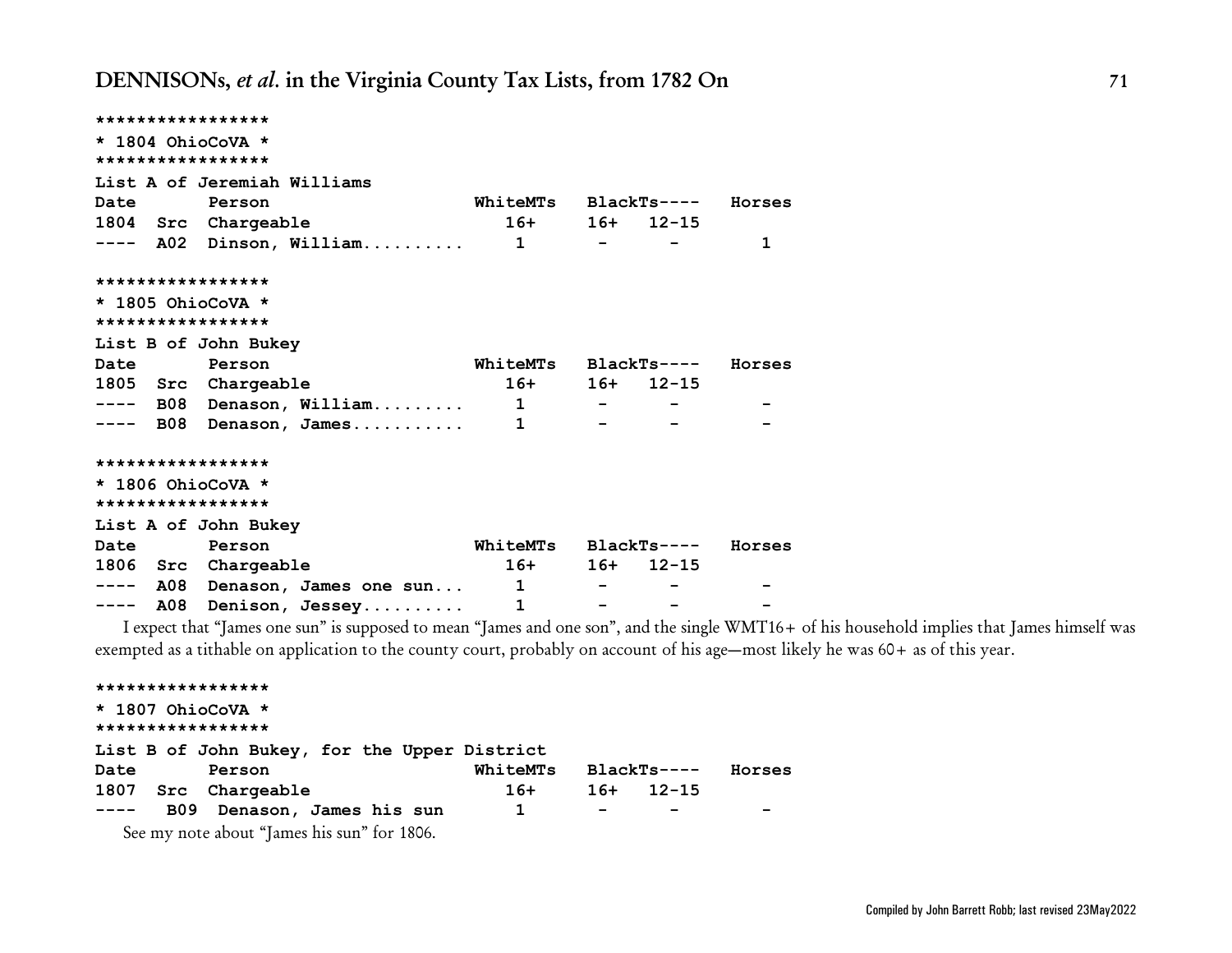|  | *****************                 |                             |                                   |                 |        |
|--|-----------------------------------|-----------------------------|-----------------------------------|-----------------|--------|
|  | * 1804 OhioCoVA *                 |                             |                                   |                 |        |
|  | *****************                 |                             |                                   |                 |        |
|  | List A of Jeremiah Williams       |                             |                                   |                 |        |
|  | Date Person                       | WhiteMTs BlackTs---- Horses |                                   |                 |        |
|  | 1804 Src Chargeable               |                             |                                   | $16+ 16+ 12-15$ |        |
|  | ---- A02 Dinson, William 1 - - -  |                             |                                   |                 | 1      |
|  | *****************                 |                             |                                   |                 |        |
|  | $\star$ 1805 OhioCoVA $\star$     |                             |                                   |                 |        |
|  | *****************                 |                             |                                   |                 |        |
|  | List B of John Bukey              |                             |                                   |                 |        |
|  | Date Person                       | WhiteMTs BlackTs---- Horses |                                   |                 |        |
|  | 1805 Src Chargeable               |                             |                                   | $16+ 16+ 12-15$ |        |
|  | ---- B08 Denason, William 1 - - - |                             |                                   |                 |        |
|  | $---$ B08 Denason, James 1        |                             |                                   |                 |        |
|  | *****************                 |                             |                                   |                 |        |
|  | $\star$ 1806 OhioCoVA $\star$     |                             |                                   |                 |        |
|  | *****************                 |                             |                                   |                 |        |
|  | List A of John Bukey              |                             |                                   |                 |        |
|  | Date Person                       | WhiteMTs BlackTs----        |                                   |                 | Horses |
|  | 1806 Src Chargeable               |                             |                                   | $16+ 16+ 12-15$ |        |
|  | ---- A08 Denason, James one sun 1 |                             |                                   |                 |        |
|  | ---- A08 Denison, Jessey          | $\mathbf{1}$                | and the company of the company of |                 |        |

I expect that "James one sun" is supposed to mean "James and one son", and the single WMT16+ of his household implies that James himself was exempted as a tithable on application to the county court, probably on account of his age—most likely he was 60+ as of this year.

```
*****************
* 1807 OhioCoVA *
*****************
List B of John Bukey, for the Upper District
Date Person WhiteMTs BlackTs---- Horses
1807 Src Chargeable 16+ 16+ 12-15
---- B09 Denason, James his sun 1 - - -
  See my note about "James his sun" for 1806.
```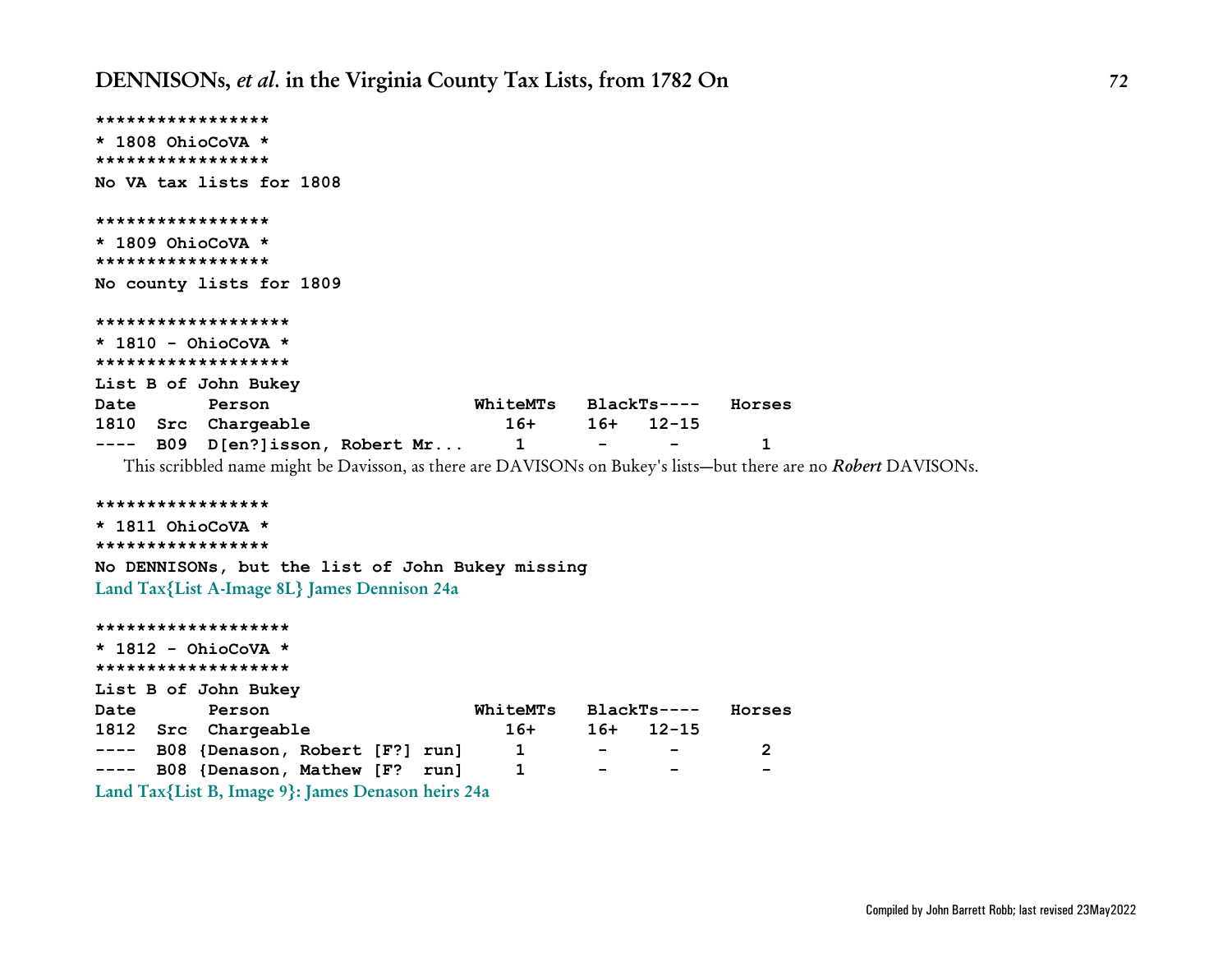```
*****************
* 1808 OhioCoVA *
*****************
No VA tax lists for 1808
*****************
* 1809 OhioCoVA *
*****************
No county lists for 1809
*******************
* 1810 - OhioCoVA *
*******************
List B of John Bukey
Date Person WhiteMTs BlackTs---- Horses
1810 Src Chargeable 16+ 16+ 12-15
---- B09 D[en?]isson, Robert Mr... 1 - - 1
```
This scribbled name might be Davisson, as there are DAVISONs on Bukey's lists—but there are no *Robert* DAVISONs.

```
*****************
```

```
* 1811 OhioCoVA *
*****************
No DENNISONs, but the list of John Bukey missing
Land Tax{List A-Image 8L} James Dennison 24a
```

```
*******************
* 1812 - OhioCoVA *
*******************
List B of John Bukey
Date Person WhiteMTs BlackTs---- Horses
1812 Src Chargeable 16+ 16+ 12-15
---- B08 {Denason, Robert [F?] run] 1 - - 2
---- B08 {Denason, Mathew [F? run] 1 - - -
Land Tax{List B, Image 9}: James Denason heirs 24a
```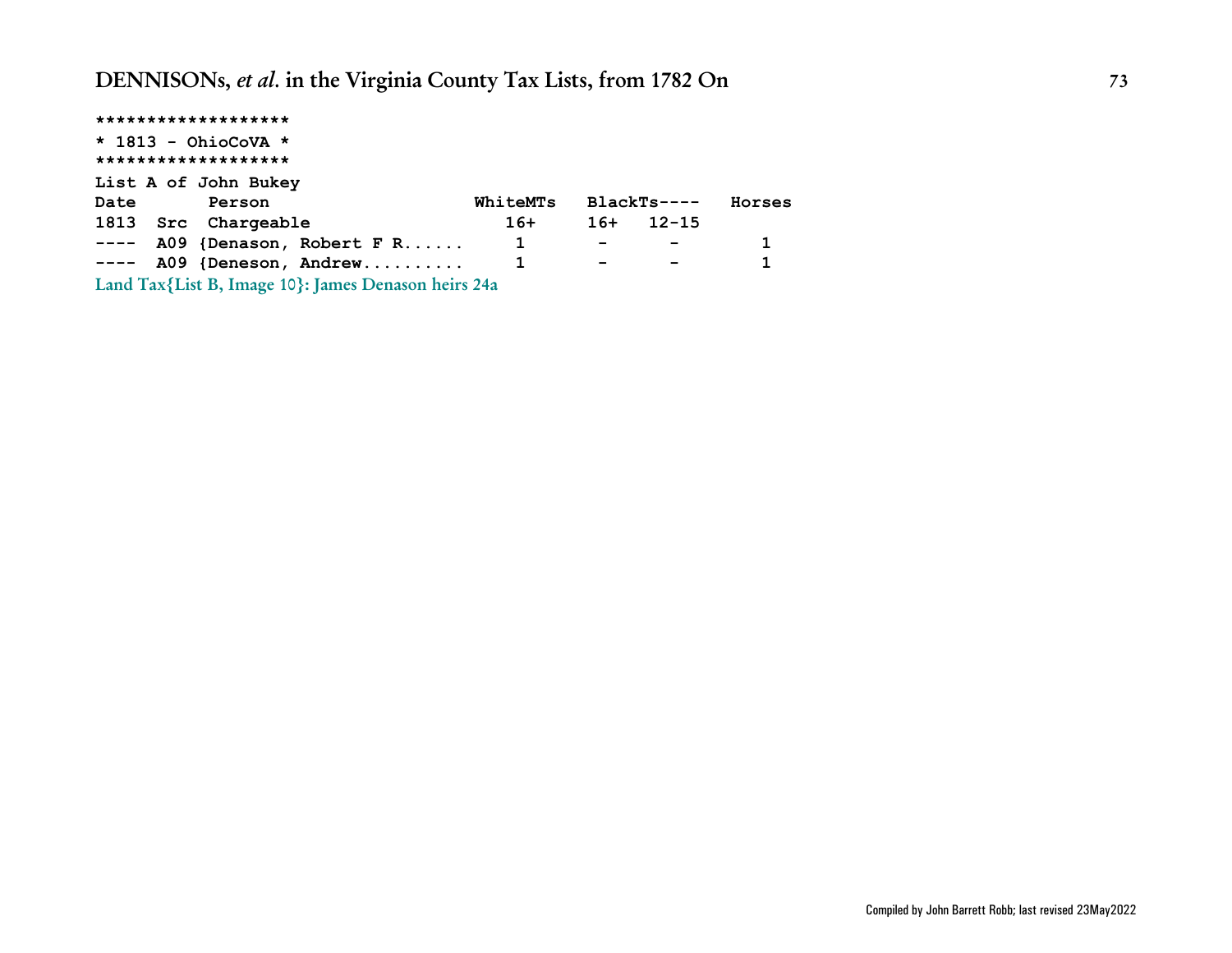| *******************                                 |              |                          |              |              |
|-----------------------------------------------------|--------------|--------------------------|--------------|--------------|
| $*$ 1813 - OhioCoVA $*$                             |              |                          |              |              |
| *******************                                 |              |                          |              |              |
| List A of John Bukey                                |              |                          |              |              |
| Date<br>Person                                      | WhiteMTs     |                          | $BlackTs---$ | Horses       |
| 1813 Src Chargeable                                 | $16+$        | $16+$                    | $12 - 15$    |              |
| $---$ A09 {Denason, Robert F R                      | 1            | $\overline{\phantom{a}}$ |              | 1            |
| $--- A09$ {Deneson, Andrew                          | $\mathbf{1}$ | $\overline{\phantom{0}}$ |              | $\mathbf{1}$ |
| Land Tax{List B, Image 10}: James Denason heirs 24a |              |                          |              |              |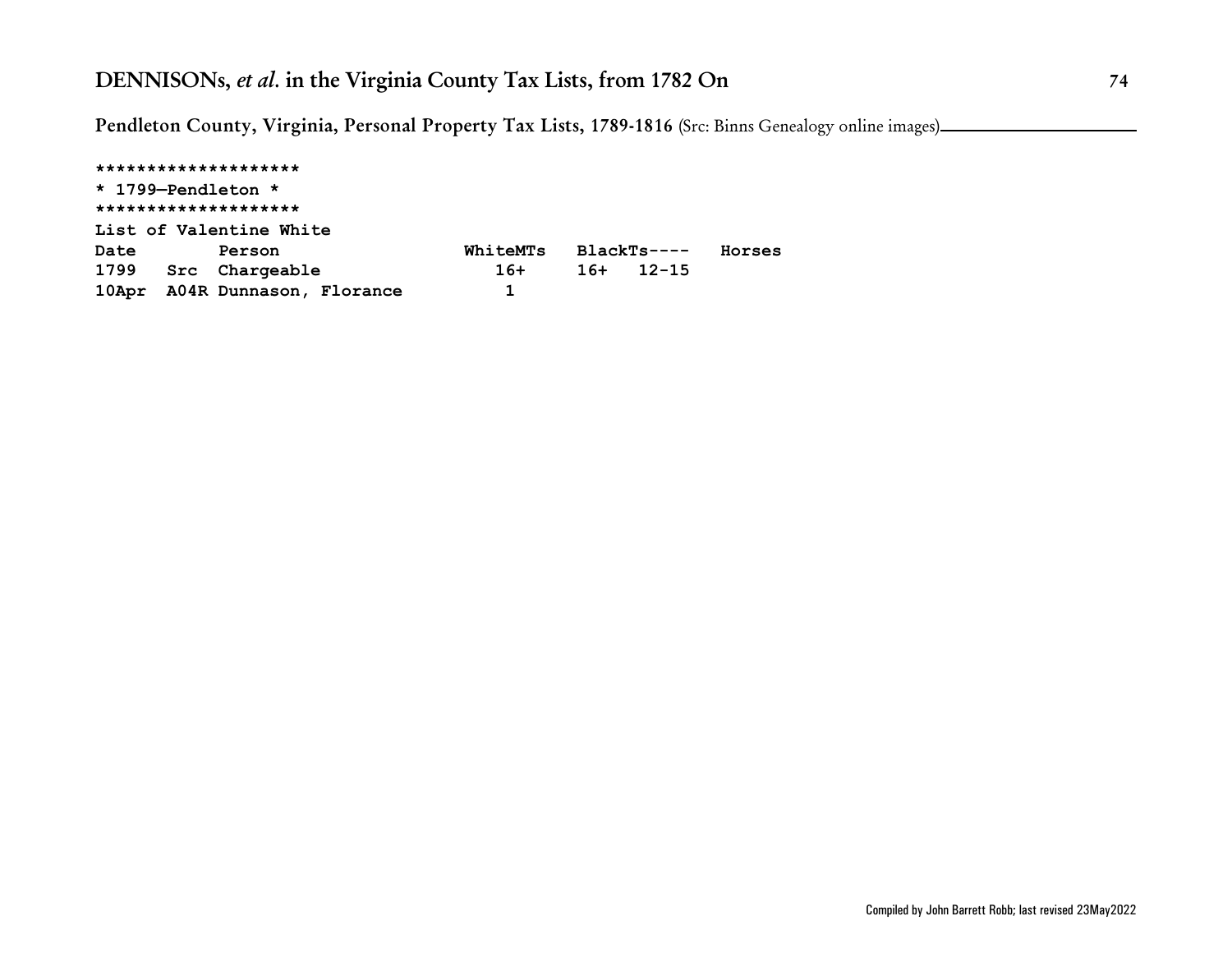**Pendleton County, Virginia, Personal Property Tax Lists, 1789-1816** (Src: Binns Genealogy online images)

**\*\*\*\*\*\*\*\*\*\*\*\*\*\*\*\*\*\*\*\* \* 1799—Pendleton \* \*\*\*\*\*\*\*\*\*\*\*\*\*\*\*\*\*\*\*\* List of Valentine White Date Person WhiteMTs BlackTs---- Horses 1799 Src Chargeable 16+ 16+ 12-15 10Apr A04R Dunnason, Florance 1**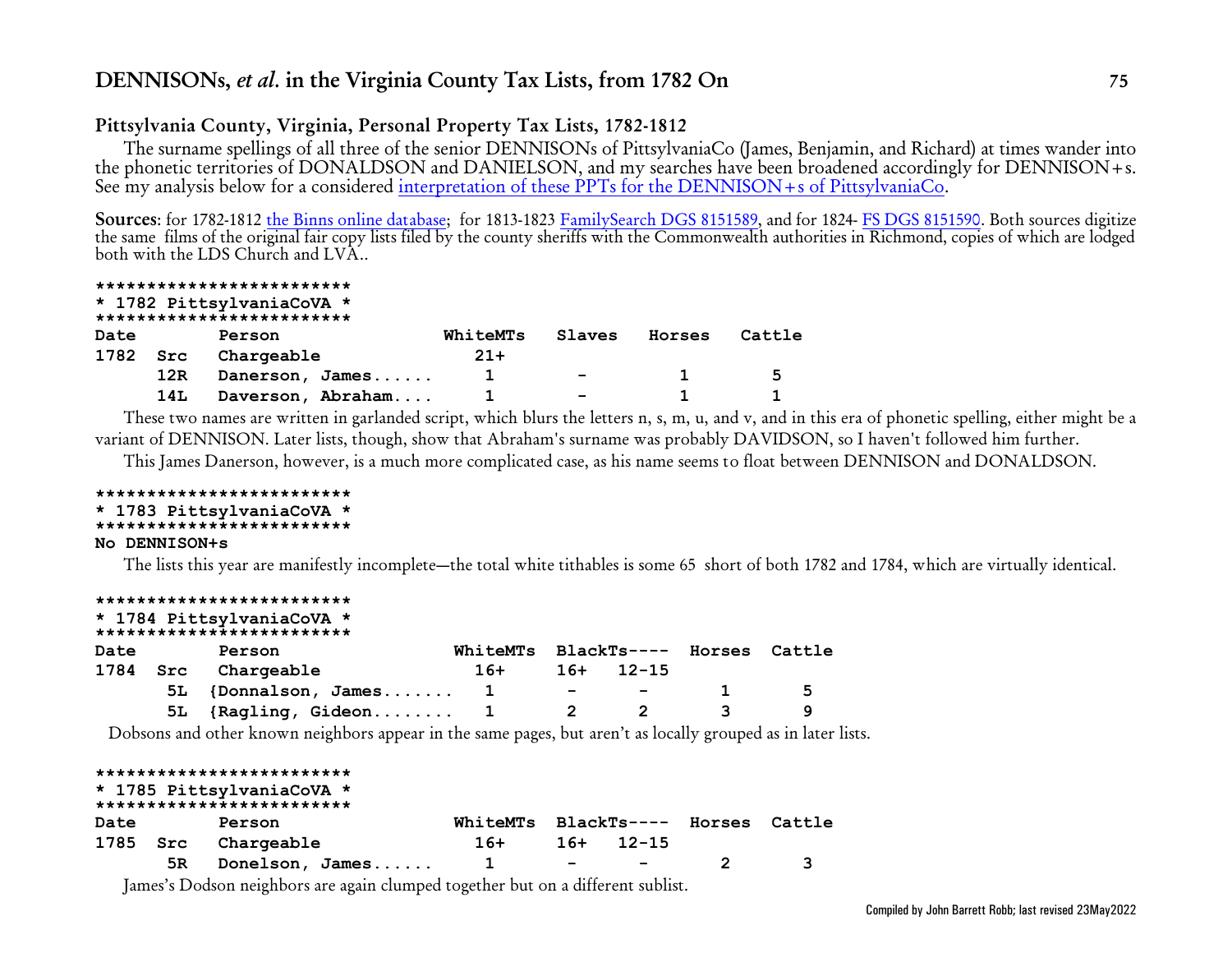## **Pittsylvania County, Virginia, Personal Property Tax Lists, 1782-1812**

The surname spellings of all three of the senior DENNISONs of PittsylvaniaCo (James, Benjamin, and Richard) at times wander into the phonetic territories of DONALDSON and DANIELSON, and my searches have been broadened accordingly for DENNISON+s. See my analysis below for a considered [interpretation of these PPTs for the DENNISON+s of PittsylvaniaCo](#page-89-0).

**Sources**: for 1782-1812 [the Binns online database](http://www.binnsgenealogy.com/MembersOnlyArea/index.htm); for 1813-1823 [FamilySearch DGS 8151589](https://www.familysearch.org/ark:/61903/3:1:3Q9M-CSKJ-S3Z7-D?mode=g&cat=637452), and for 1824- [FS DGS 8151590](https://www.familysearch.org/ark:/61903/3:1:3Q9M-CSKJ-938Q-Q?mode=g&cat=637452). Both sources digitize the same films of the original fair copy lists filed by the county sheriffs with the Commonwealth authorities in Richmond, copies of which are lodged both with the LDS Church and LVA..

#### **\*\*\*\*\*\*\*\*\*\*\*\*\*\*\*\*\*\*\*\*\*\*\*\*\***

|  |  | * 1782 PittsylvaniaCoVA * |  |
|--|--|---------------------------|--|
|--|--|---------------------------|--|

|          |     | ************************** |          |                          |        |        |
|----------|-----|----------------------------|----------|--------------------------|--------|--------|
| Date     |     | Person                     | WhiteMTs | Slaves                   | Horses | Cattle |
| 1782 Src |     | Chargeable                 | $21+$    |                          |        |        |
|          | 12R | Danerson, James            |          | $\overline{\phantom{0}}$ |        | -5     |
|          | 14L | Daverson, Abraham          |          | $\overline{\phantom{0}}$ |        |        |

These two names are written in garlanded script, which blurs the letters n, s, m, u, and v, and in this era of phonetic spelling, either might be a variant of DENNISON. Later lists, though, show that Abraham's surname was probably DAVIDSON, so I haven't followed him further.

This James Danerson, however, is a much more complicated case, as his name seems to float between DENNISON and DONALDSON.

#### **\*\*\*\*\*\*\*\*\*\*\*\*\*\*\*\*\*\*\*\*\*\*\*\*\* \* 1783 PittsylvaniaCoVA \***

#### **\*\*\*\*\*\*\*\*\*\*\*\*\*\*\*\*\*\*\*\*\*\*\*\*\***

#### **No DENNISON+s**

The lists this year are manifestly incomplete—the total white tithables is some 65 short of both 1782 and 1784, which are virtually identical.

|      |      | *************************<br>* 1784 PittsylvaniaCoVA *<br>************************** |          |                          |                          |                    |        |
|------|------|--------------------------------------------------------------------------------------|----------|--------------------------|--------------------------|--------------------|--------|
| Date |      | Person                                                                               | WhiteMTs |                          |                          | BlackTs---- Horses | Cattle |
| 1784 | Src  | Chargeable                                                                           | $16+$    | 16+                      | $12 - 15$                |                    |        |
|      | 5L . | {Donnalson, James                                                                    |          | $\overline{\phantom{0}}$ | $\overline{\phantom{0}}$ |                    | 5      |
|      |      | 5L {Ragling, Gideon 1                                                                |          |                          |                          |                    | 9      |
|      |      |                                                                                      |          |                          |                          |                    |        |

Dobsons and other known neighbors appear in the same pages, but aren't as locally grouped as in later lists.

| BlackTs---- Horses Cattle |
|---------------------------|
|                           |
|                           |
|                           |

James's Dodson neighbors are again clumped together but on a different sublist.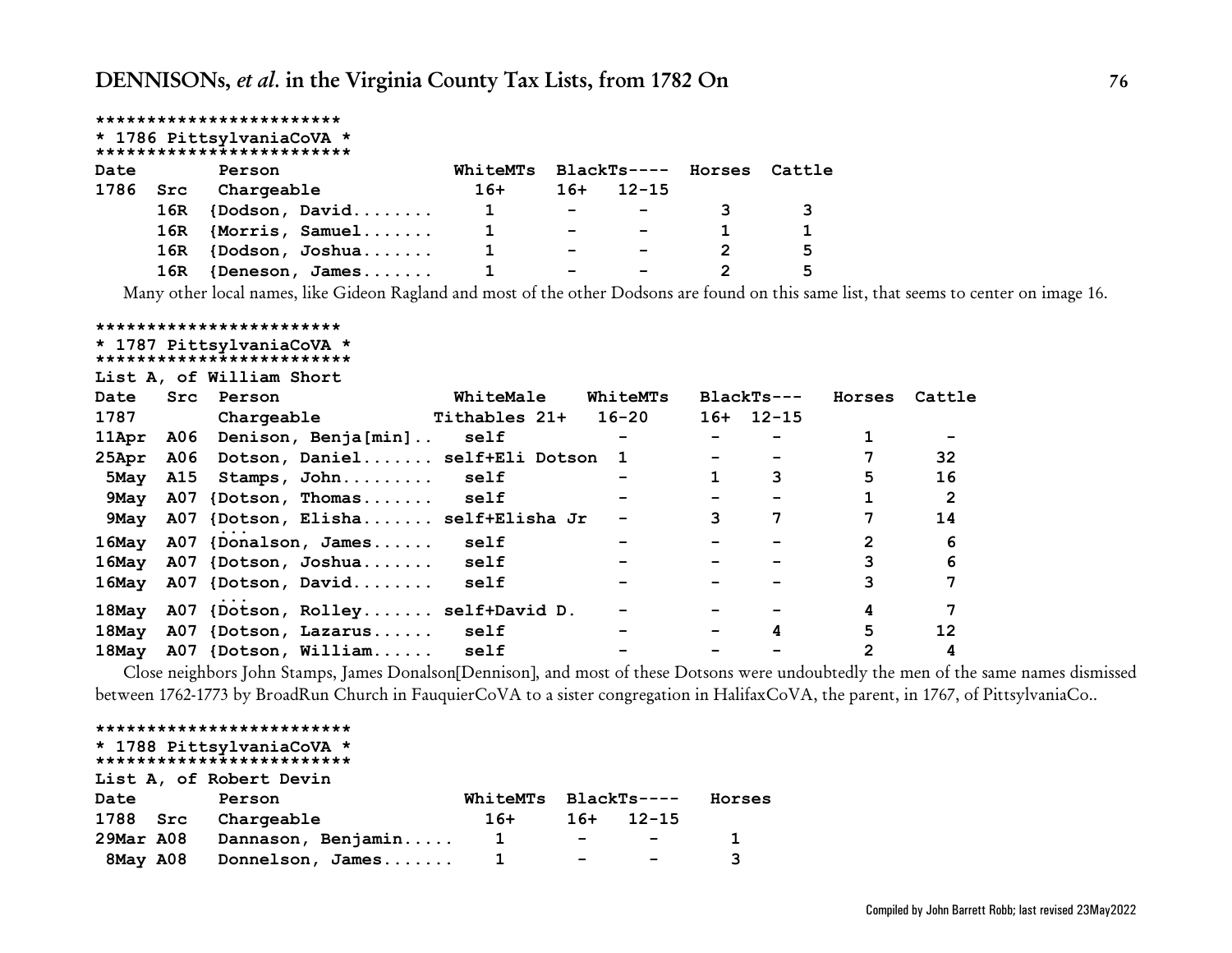|      |     | ************************                               |          |                          |                          |                    |        |
|------|-----|--------------------------------------------------------|----------|--------------------------|--------------------------|--------------------|--------|
|      |     | * 1786 PittsylvaniaCoVA *<br>************************* |          |                          |                          |                    |        |
|      |     |                                                        |          |                          |                          |                    |        |
| Date |     | Person                                                 | WhiteMTs |                          |                          | BlackTs---- Horses | Cattle |
| 1786 | Src | Chargeable                                             | $16+$    | $16+$                    | $12 - 15$                |                    |        |
|      | 16R | ${Dodson, David$                                       |          | $\overline{\phantom{a}}$ |                          |                    |        |
|      |     | 16R {Morris, Samuel                                    |          | $\overline{\phantom{0}}$ |                          |                    |        |
|      | 16R | {Dodson, Joshua                                        |          | $\overline{\phantom{0}}$ | $\overline{\phantom{0}}$ | 2                  | 5      |
|      | 16R | $\{D$ eneson, James                                    |          |                          |                          | 2                  | 5      |

Many other local names, like Gideon Ragland and most of the other Dodsons are found on this same list, that seems to center on image 16.

#### **\*\*\*\*\*\*\*\*\*\*\*\*\*\*\*\*\*\*\*\*\*\*\*\* \* 1787 PittsylvaniaCoVA \***

| " I'S' FICCSYLVANIACOVA"  |  |  |  |  |  |  |  |  |  |  |  |
|---------------------------|--|--|--|--|--|--|--|--|--|--|--|
| ************************* |  |  |  |  |  |  |  |  |  |  |  |

**List A, of William Short**

| Date  | Src        | Person                               | WhiteMale     | WhiteMTs |   | $BlackTs---$ | Horses         | Cattle         |
|-------|------------|--------------------------------------|---------------|----------|---|--------------|----------------|----------------|
| 1787  |            | Chargeable                           | Tithables 21+ | 16-20    |   | $16+ 12-15$  |                |                |
| 11Apr | <b>A06</b> | Denison, Benja[min]                  | self          |          |   |              |                |                |
| 25Apr |            | A06 Dotson, Daniel self+Eli Dotson 1 |               |          |   |              |                | 32             |
| 5Mav  |            | A15 Stamps, John self                |               |          |   | 3            | 5              | 16             |
| 9May  |            | A07 {Dotson, Thomas self             |               |          |   |              |                | $\overline{2}$ |
| 9May  |            | A07 {Dotson, Elisha self+Elisha Jr   |               |          | 3 |              |                | 14             |
| 16May |            | A07 {Donalson, James                 | self          |          |   |              | $\mathfrak{D}$ | 6              |
| 16May |            | A07 {Dotson, Joshua                  | self          |          |   |              |                | 6              |
| 16May |            | A07 {Dotson, David                   | self          |          |   |              |                |                |
| 18May |            | A07 {Dotson, Rolley self+David D.    |               |          |   |              |                | 7              |
| 18May |            | A07 {Dotson, Lazarus self            |               |          |   | 4            | 5.             | 12             |
| 18May |            | A07 {Dotson, William                 | self          |          |   |              | $\overline{2}$ | 4              |

Close neighbors John Stamps, James Donalson[Dennison], and most of these Dotsons were undoubtedly the men of the same names dismissed between 1762-1773 by BroadRun Church in FauquierCoVA to a sister congregation in HalifaxCoVA, the parent, in 1767, of PittsylvaniaCo..

#### **\*\*\*\*\*\*\*\*\*\*\*\*\*\*\*\*\*\*\*\*\*\*\*\*\***

#### **\* 1788 PittsylvaniaCoVA \* \*\*\*\*\*\*\*\*\*\*\*\*\*\*\*\*\*\*\*\*\*\*\*\*\***

|          | List A, of Robert Devin      |                      |        |                                                                                                                 |        |
|----------|------------------------------|----------------------|--------|-----------------------------------------------------------------------------------------------------------------|--------|
| Date     | Person                       | WhiteMTs BlackTs---- |        |                                                                                                                 | Horses |
| 1788 Src | Chargeable                   | 16+                  |        | $16+$ 12-15                                                                                                     |        |
|          | 29Mar A08 Dannason, Benjamin | $\mathbf{1}$         |        | the contract of the contract of the contract of the contract of the contract of the contract of the contract of |        |
|          | 8May A08 Donnelson, James    |                      | $\sim$ | <b>Contract Contract State</b>                                                                                  |        |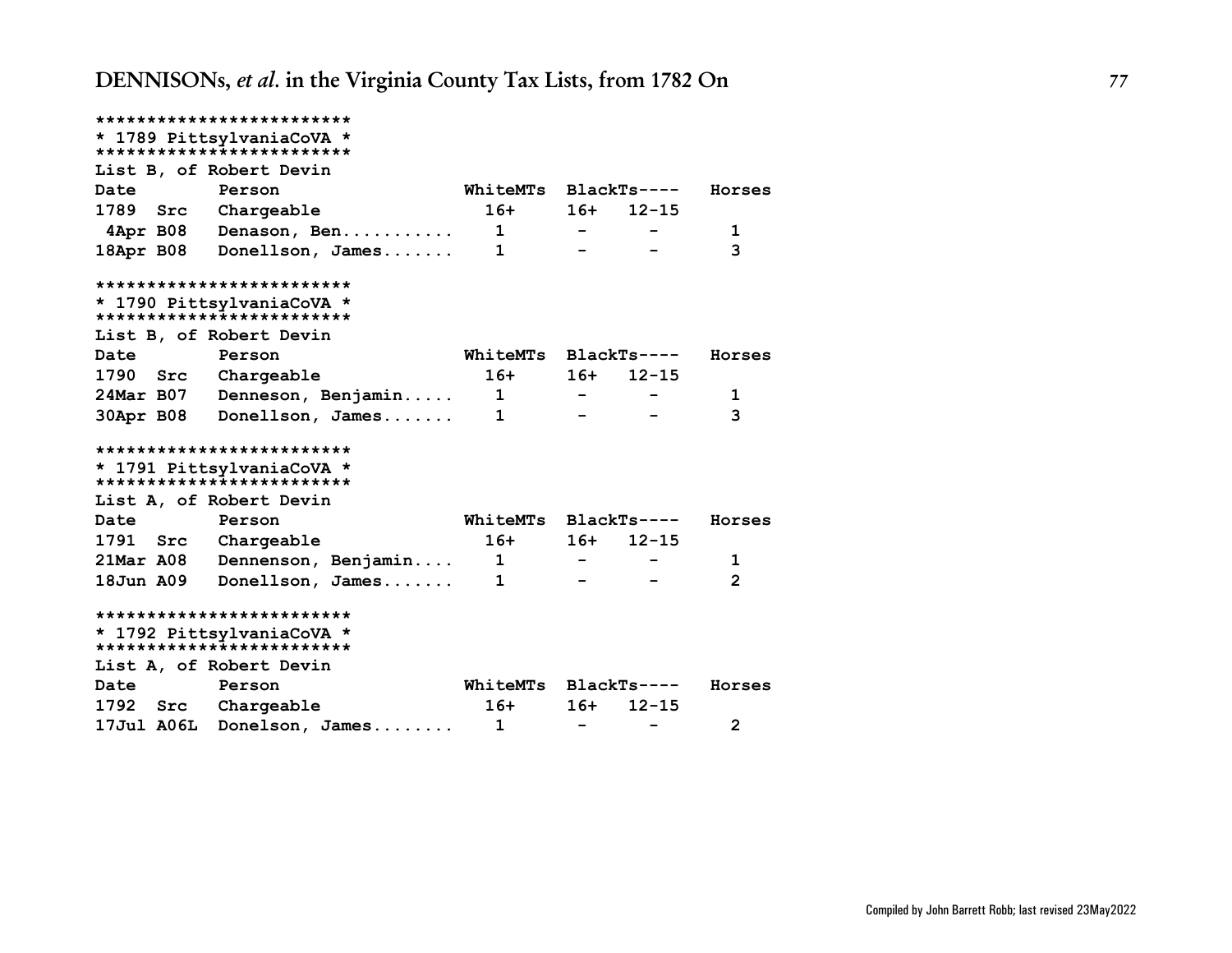|                                                        | *************************                               |                            |                          |             |                |  |  |  |  |  |
|--------------------------------------------------------|---------------------------------------------------------|----------------------------|--------------------------|-------------|----------------|--|--|--|--|--|
|                                                        | * 1789 PittsylvaniaCoVA *                               |                            |                          |             |                |  |  |  |  |  |
|                                                        | **************************                              |                            |                          |             |                |  |  |  |  |  |
| List B, of Robert Devin                                |                                                         |                            |                          |             |                |  |  |  |  |  |
| Date                                                   | Person                                                  | WhiteMTs BlackTs----       |                          |             | Horses         |  |  |  |  |  |
| 1789 Src Chargeable                                    |                                                         | $16+$                      |                          | $16+ 12-15$ |                |  |  |  |  |  |
|                                                        | 4Apr B08 Denason, Ben                                   | $\mathbf{1}$               |                          |             | 1              |  |  |  |  |  |
|                                                        | 18Apr B08 Donellson, James                              | $\mathbf{1}$               |                          |             | 3              |  |  |  |  |  |
| *************************                              |                                                         |                            |                          |             |                |  |  |  |  |  |
| * 1790 PittsylvaniaCoVA *<br>************************* |                                                         |                            |                          |             |                |  |  |  |  |  |
| List B, of Robert Devin                                |                                                         |                            |                          |             |                |  |  |  |  |  |
| Date                                                   | Person                                                  | WhiteMTs BlackTs----       |                          |             | Horses         |  |  |  |  |  |
| 1790 Src                                               | Chargeable                                              | $16+$                      |                          | $16+ 12-15$ |                |  |  |  |  |  |
| 24Mar B07                                              | Denneson, Benjamin                                      | $\overline{\phantom{0}}$ 1 |                          |             | 1              |  |  |  |  |  |
|                                                        | 30Apr B08 Donellson, James                              | 1                          |                          |             | 3              |  |  |  |  |  |
|                                                        | *************************                               |                            |                          |             |                |  |  |  |  |  |
|                                                        | * 1791 PittsylvaniaCoVA *                               |                            |                          |             |                |  |  |  |  |  |
|                                                        | **************************                              |                            |                          |             |                |  |  |  |  |  |
| List A, of Robert Devin                                |                                                         |                            |                          |             |                |  |  |  |  |  |
| Date                                                   | Person                                                  | WhiteMTs BlackTs----       |                          |             | Horses         |  |  |  |  |  |
| 1791 Src                                               | Chargeable                                              | $16+$                      | $16+$                    | $12 - 15$   |                |  |  |  |  |  |
| <b>21Mar A08</b>                                       | Dennenson, Benjamin                                     | $\overline{\mathbf{1}}$    |                          |             | 1              |  |  |  |  |  |
| 18Jun A09                                              | Donellson, James                                        | $\mathbf 1$                |                          |             | $\overline{2}$ |  |  |  |  |  |
|                                                        | *************************                               |                            |                          |             |                |  |  |  |  |  |
|                                                        | * 1792 PittsylvaniaCoVA *<br>************************** |                            |                          |             |                |  |  |  |  |  |
| List A, of Robert Devin                                |                                                         |                            |                          |             |                |  |  |  |  |  |
| Date                                                   | Person                                                  | WhiteMTs BlackTs----       |                          |             | Horses         |  |  |  |  |  |
| 1792 Src                                               |                                                         | $16+$                      | $16+$                    | $12 - 15$   |                |  |  |  |  |  |
|                                                        | Chargeable                                              |                            |                          |             |                |  |  |  |  |  |
| <b>17Jul A06L</b>                                      | Donelson, James                                         | $\mathbf{1}$               | $\overline{\phantom{m}}$ |             | $\mathbf{2}$   |  |  |  |  |  |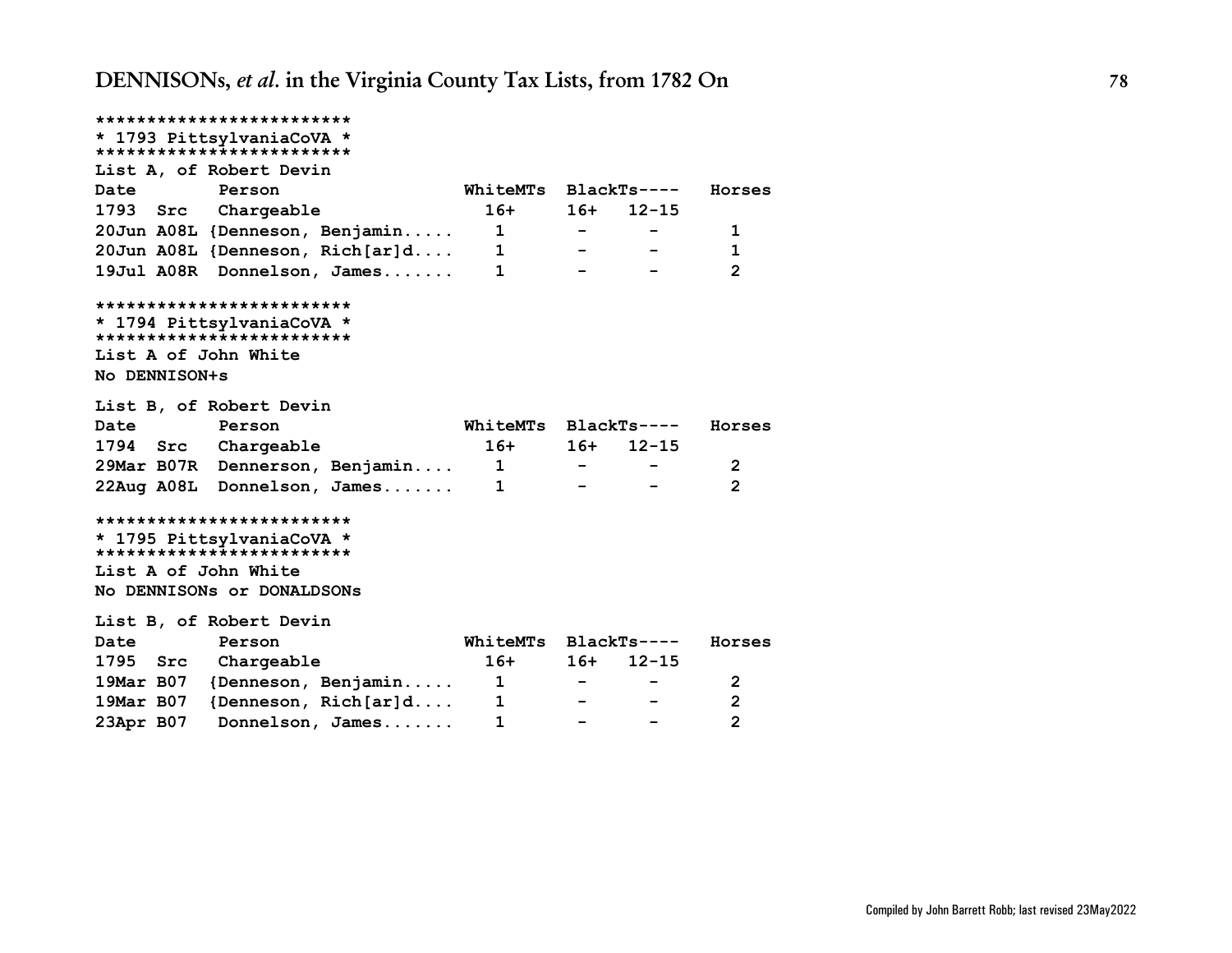**\*\*\*\*\*\*\*\*\*\*\*\*\*\*\*\*\*\*\*\*\*\*\*\*\* \* 1793 PittsylvaniaCoVA \* \*\*\*\*\*\*\*\*\*\*\*\*\*\*\*\*\*\*\*\*\*\*\*\*\* List A, of Robert Devin Date Person WhiteMTs BlackTs---- Horses 1793 Src Chargeable 16+ 16+ 12-15 20Jun A08L {Denneson, Benjamin..... 1 - - 1 20Jun A08L {Denneson, Rich[ar]d.... 1 - - 1 19Jul A08R Donnelson, James....... 1 - - 2 \*\*\*\*\*\*\*\*\*\*\*\*\*\*\*\*\*\*\*\*\*\*\*\*\* \* 1794 PittsylvaniaCoVA \* \*\*\*\*\*\*\*\*\*\*\*\*\*\*\*\*\*\*\*\*\*\*\*\*\* List A of John White No DENNISON+s List B, of Robert Devin Date Person WhiteMTs BlackTs---- Horses 1794 Src Chargeable 16+ 16+ 12-15 29Mar B07R Dennerson, Benjamin.... 1 - - 2 22Aug A08L Donnelson, James....... 1 - - 2 \*\*\*\*\*\*\*\*\*\*\*\*\*\*\*\*\*\*\*\*\*\*\*\*\* \* 1795 PittsylvaniaCoVA \* \*\*\*\*\*\*\*\*\*\*\*\*\*\*\*\*\*\*\*\*\*\*\*\*\* List A of John White No DENNISONs or DONALDSONs List B, of Robert Devin Date Person WhiteMTs BlackTs---- Horses 1795 Src Chargeable 16+ 16+ 12-15 19Mar B07 {Denneson, Benjamin..... 1 - - 2 19Mar B07 {Denneson, Rich[ar]d.... 1 - - 2 23Apr B07 Donnelson, James....... 1 - - 2**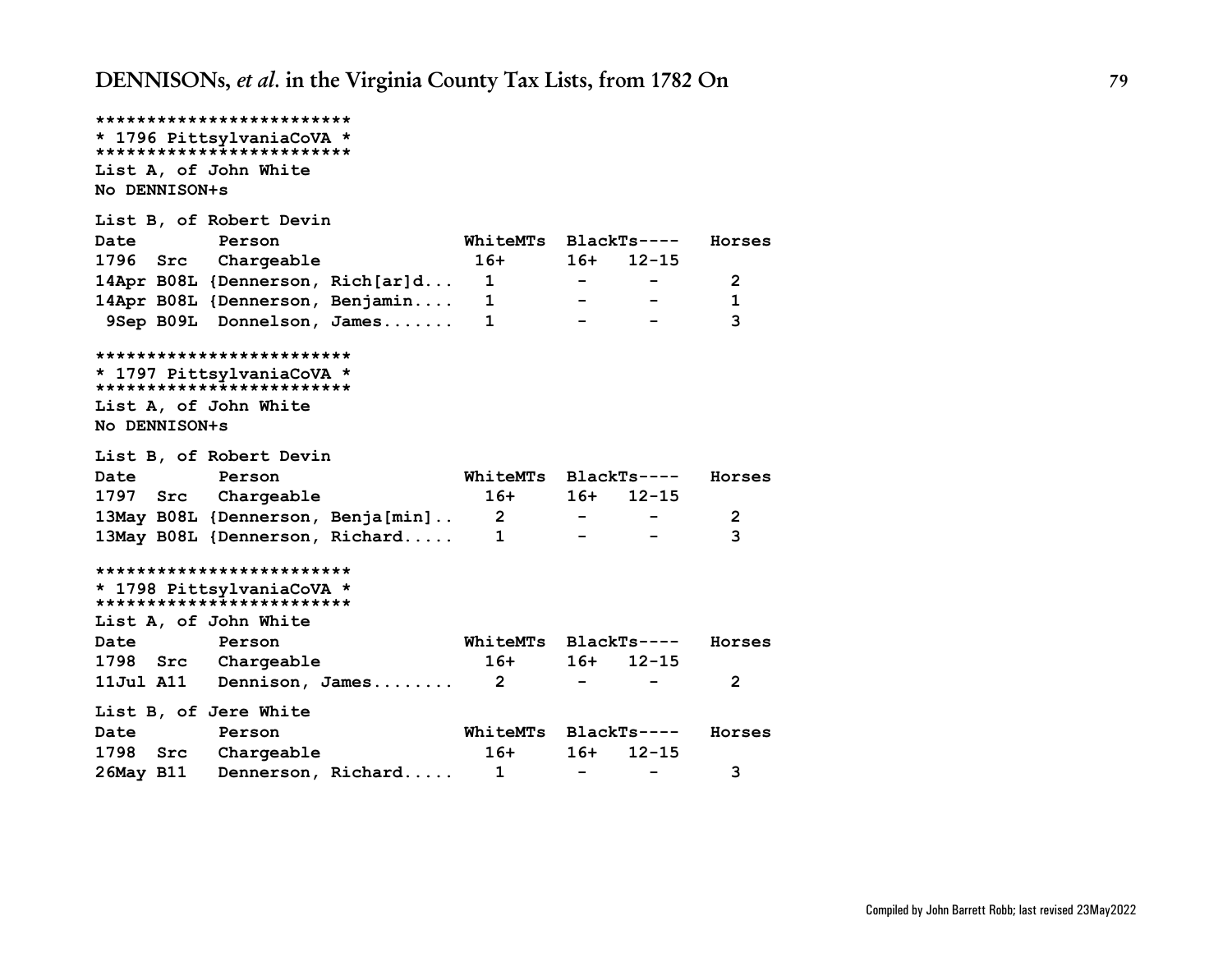```
*************************
* 1796 PittsylvaniaCoVA *
*************************
List A, of John White
No DENNISON+s
List B, of Robert Devin
Date Person WhiteMTs BlackTs---- Horses
1796 Src Chargeable 16+ 16+ 12-15
14Apr B08L {Dennerson, Rich[ar]d... 1 - - 2
14Apr B08L {Dennerson, Benjamin.... 1 - - 1
 9Sep B09L Donnelson, James....... 1 - - 3
*************************
* 1797 PittsylvaniaCoVA *
*************************
List A, of John White
No DENNISON+s
List B, of Robert Devin
Date Person WhiteMTs BlackTs---- Horses
1797 Src Chargeable 16+ 16+ 12-15
13May B08L {Dennerson, Benja[min].. 2 - - 2
13May B08L {Dennerson, Richard..... 1 - - 3
*************************
* 1798 PittsylvaniaCoVA *
*************************
List A, of John White
Date Person WhiteMTs BlackTs---- Horses
1798 Src Chargeable 16+ 16+ 12-15
11Jul A11 Dennison, James........ 2 - - 2
List B, of Jere White
Date Person WhiteMTs BlackTs---- Horses
1798 Src Chargeable 16+ 16+ 12-15
26May B11 Dennerson, Richard..... 1 - - 3
```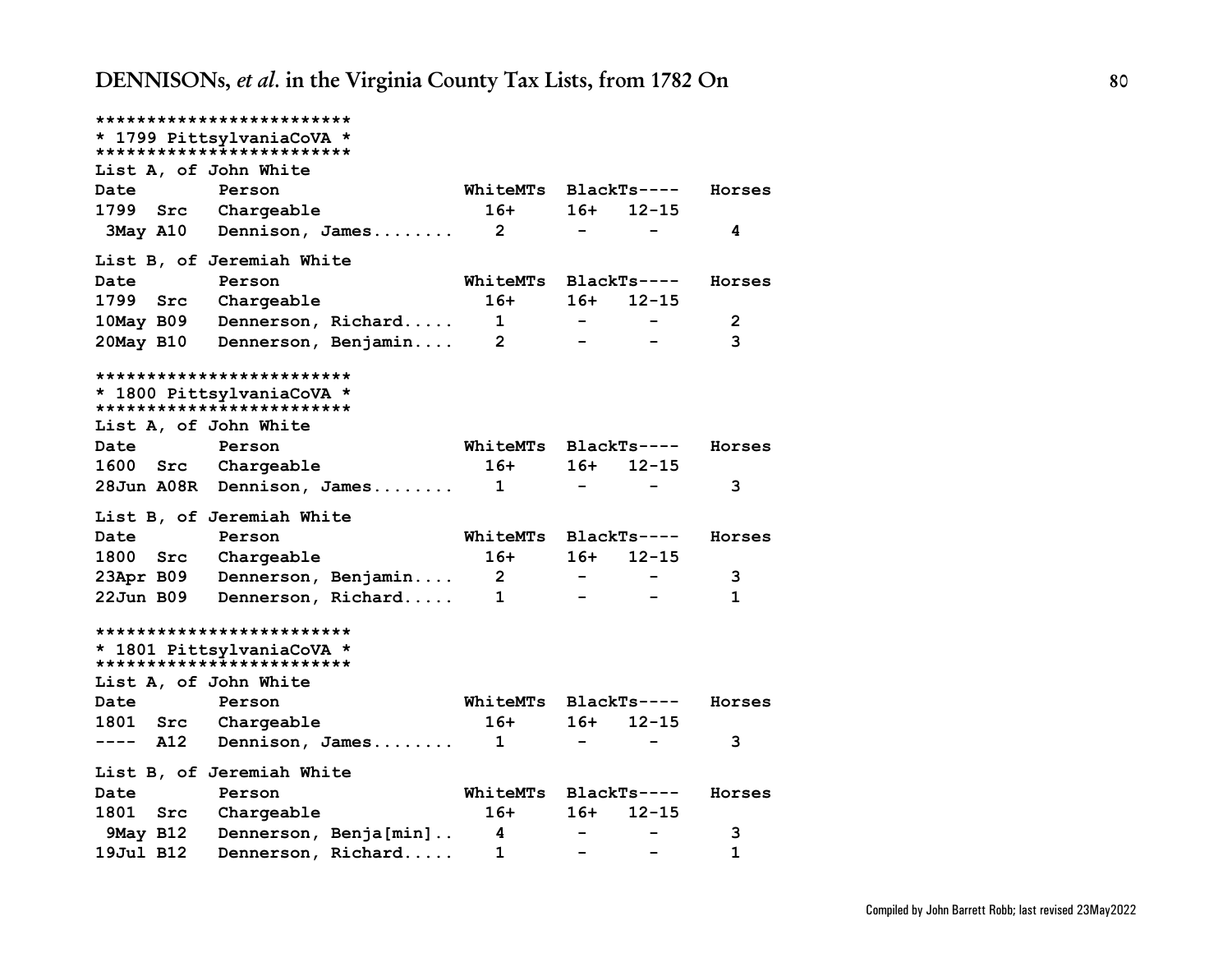|                       | *************************                               |                 |        |                          |        |
|-----------------------|---------------------------------------------------------|-----------------|--------|--------------------------|--------|
|                       | * 1799 PittsylvaniaCoVA *                               |                 |        |                          |        |
|                       | *************************                               |                 |        |                          |        |
| List A, of John White |                                                         |                 |        |                          |        |
| Date                  | Person                                                  | WhiteMTs        |        | BlackTs----              | Horses |
| 1799<br>Src           | Chargeable                                              | $16+$           | 16+    | $12 - 15$                |        |
| 3May A10              | Dennison, James                                         | $\overline{2}$  | -      |                          | 4      |
|                       | List B, of Jeremiah White                               |                 |        |                          |        |
| Date                  | Person                                                  | <b>WhiteMTs</b> |        | $BlackTs---$             | Horses |
| 1799<br>Src           | Chargeable                                              | $16+$           | 16+    | $12 - 15$                |        |
| 10May B09             | Dennerson, Richard                                      | $\mathbf{1}$    | $\sim$ |                          | 2      |
| 20May B10             | Dennerson, Benjamin                                     | $\overline{2}$  |        |                          | 3      |
|                       | **************************                              |                 |        |                          |        |
|                       | * 1800 PittsylvaniaCoVA *<br>************************** |                 |        |                          |        |
| List A, of John White |                                                         |                 |        |                          |        |
| Date                  | Person                                                  | WhiteMTs        |        | BlackTs----              | Horses |
| 1600<br>Src           | Chargeable                                              | $16+$           | 16+    | $12 - 15$                |        |
| 28Jun A08R            | Dennison, $James$                                       | 1               |        |                          | 3      |
|                       | List B, of Jeremiah White                               |                 |        |                          |        |
| Date                  | Person                                                  | WhiteMTs        |        | $BlackTs---$             | Horses |
| 1800<br>Src           | Chargeable                                              | $16+$           | 16+    | $12 - 15$                |        |
| 23Apr B09             | Dennerson, Benjamin                                     | $\mathbf{2}$    |        |                          | 3      |
| $22$ Jun B09          | Dennerson, Richard                                      | 1               |        |                          | 1      |
|                       | *************************                               |                 |        |                          |        |
|                       | * 1801 PittsylvaniaCoVA *                               |                 |        |                          |        |
|                       | **************************                              |                 |        |                          |        |
| List A, of John White |                                                         |                 |        |                          |        |
| Date                  | Person                                                  | <b>WhiteMTs</b> |        | $BlackTs---$             | Horses |
| 1801<br>Src           | Chargeable                                              | $16+$           | 16+    | $12 - 15$                |        |
| A12<br>$---$          | Dennison, James                                         | $\mathbf{1}$    |        |                          | 3      |
|                       | List B, of Jeremiah White                               |                 |        |                          |        |
| Date                  | Person                                                  | <b>WhiteMTs</b> |        | $BlackTs---$             | Horses |
| 1801<br>Src           | Chargeable                                              | $16+$           | 16+    | $12 - 15$                |        |
| 9May B12              | Dennerson, Benja[min]                                   | 4               |        |                          | 3      |
| 19Jul B12             | Dennerson, Richard                                      | 1               |        | $\overline{\phantom{m}}$ | 1      |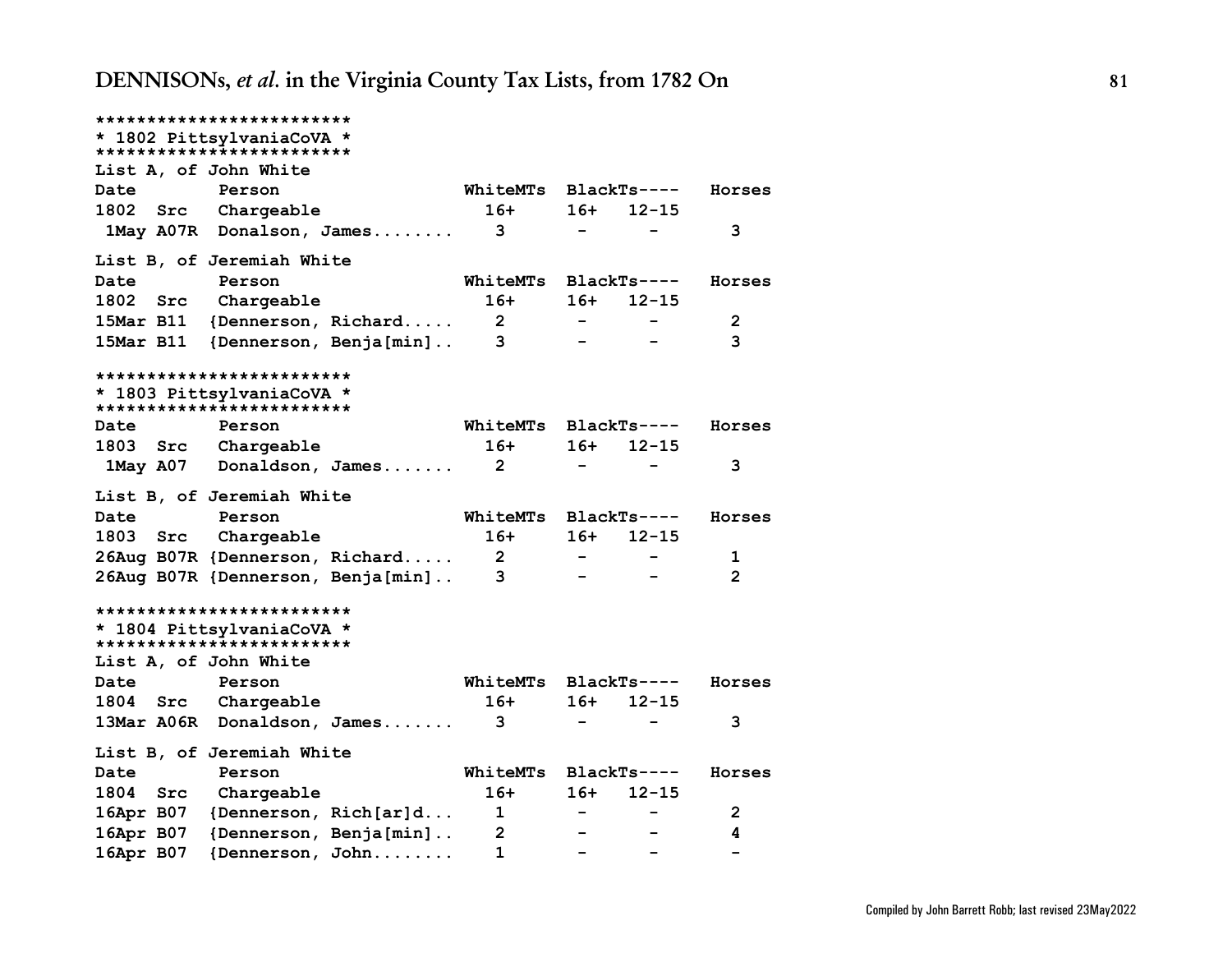|                       | *************************                               |                |                   |              |                |
|-----------------------|---------------------------------------------------------|----------------|-------------------|--------------|----------------|
|                       | * 1802 PittsylvaniaCoVA *<br>*************************  |                |                   |              |                |
| List A, of John White |                                                         |                |                   |              |                |
| Date                  | Person                                                  | WhiteMTs       |                   | $BlackTs---$ | Horses         |
| 1802<br>Src           | Chargeable                                              | $16+$          | $16+$             | $12 - 15$    |                |
| 1May A07R             | Donalson, James                                         | 3              | $\qquad \qquad -$ |              | 3              |
|                       | List B, of Jeremiah White                               |                |                   |              |                |
| Date                  | Person                                                  | WhiteMTs       |                   | $BlackTs---$ | Horses         |
| 1802<br>Src           | Chargeable                                              | $16+$          | 16+               | $12 - 15$    |                |
| 15Mar B11             | {Dennerson, Richard                                     | 2 <sub>2</sub> |                   |              | $\mathbf{2}$   |
| 15Mar B11             | {Dennerson, Benja[min]                                  | 3              |                   |              | 3              |
|                       | *************************                               |                |                   |              |                |
|                       | * 1803 PittsylvaniaCoVA *<br>************************** |                |                   |              |                |
| Date                  | Person                                                  | WhiteMTs       |                   | $BlackTs---$ | Horses         |
| 1803<br>Src           | Chargeable                                              | $16+$          | 16+               | $12 - 15$    |                |
| 1May A07              | Donaldson, James                                        | $\mathbf{2}$   |                   |              | 3              |
|                       | List B, of Jeremiah White                               |                |                   |              |                |
| Date                  | Person                                                  | WhiteMTs       |                   | $BlackTs---$ | Horses         |
| 1803<br>Src           | Chargeable                                              | $16+$          | 16+               | $12 - 15$    |                |
|                       | 26Aug B07R {Dennerson, Richard                          | $2^{\circ}$    |                   |              | 1              |
|                       | 26Aug B07R {Dennerson, Benja[min]                       | 3              |                   |              | $\overline{2}$ |
|                       | *************************                               |                |                   |              |                |
|                       | * 1804 PittsylvaniaCoVA *<br>************************** |                |                   |              |                |
| List A, of John White |                                                         |                |                   |              |                |
| Date                  | Person                                                  | WhiteMTs       |                   | $BlackTs---$ | Horses         |
| 1804<br>Src           | Chargeable                                              | $16+$          | 16+               | $12 - 15$    |                |
| 13Mar A06R            | Donaldson, James                                        | 3              |                   |              | 3              |
|                       | List B, of Jeremiah White                               |                |                   |              |                |
| Date                  | Person                                                  | WhiteMTs       |                   | $BlackTs---$ | Horses         |
| 1804<br>Src           | Chargeable                                              | $16+$          | 16+               | $12 - 15$    |                |
| 16Apr B07             | {Dennerson, Rich[ar]d                                   | $\mathbf 1$    |                   |              | $\overline{2}$ |
| 16Apr B07             | {Dennerson, Benja[min]                                  | $\mathbf{2}$   |                   |              | 4              |
| 16Apr B07             | {Dennerson, John                                        | 1              |                   |              |                |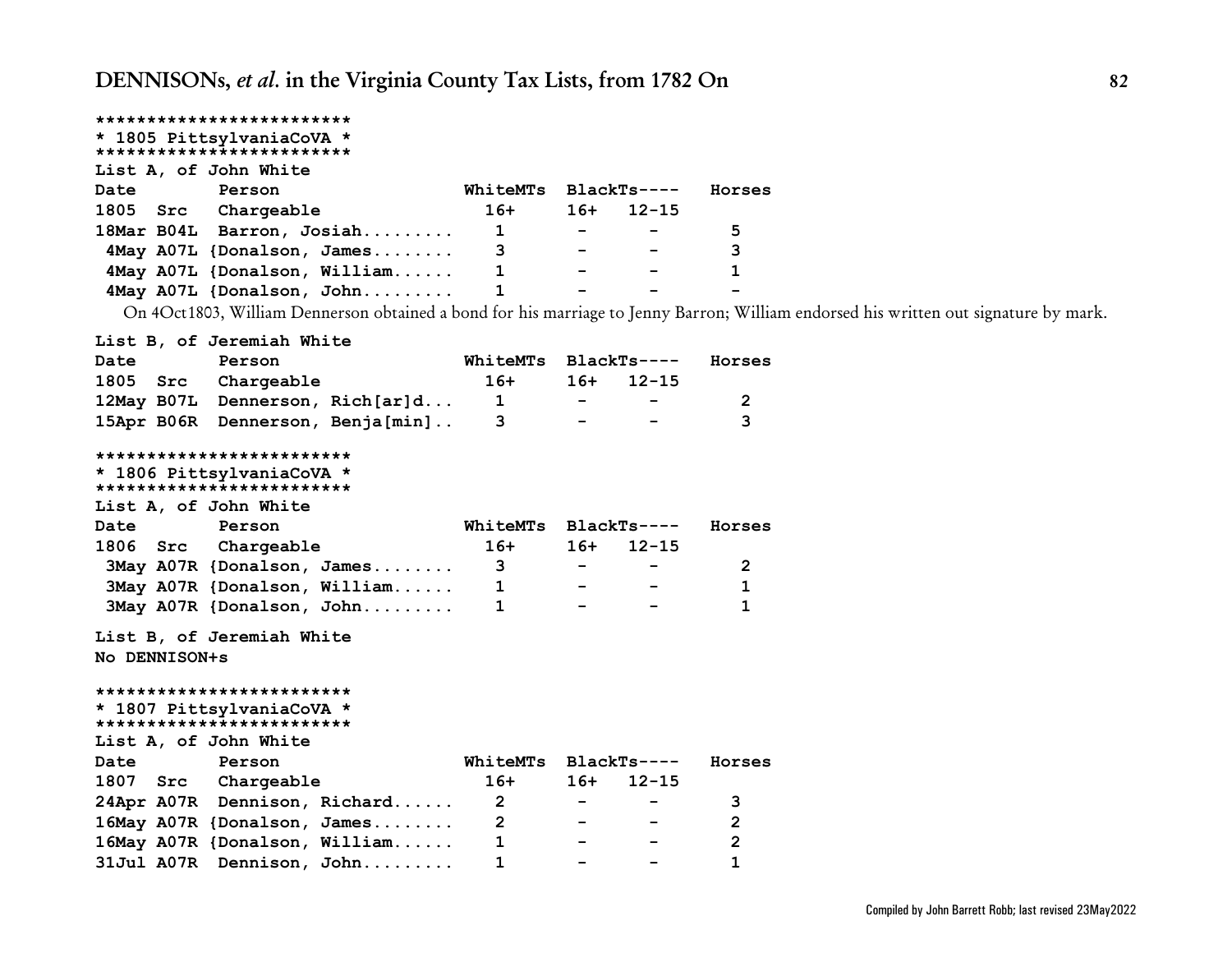## **\*\*\*\*\*\*\*\*\*\*\*\*\*\*\*\*\*\*\*\*\*\*\*\*\***

#### **\* 1805 PittsylvaniaCoVA \* \*\*\*\*\*\*\*\*\*\*\*\*\*\*\*\*\*\*\*\*\*\*\*\*\***

## **List A, of John White**

| Date     | Person                       | WhiteMTs BlackTs---- |                          |                          | Horses |
|----------|------------------------------|----------------------|--------------------------|--------------------------|--------|
| 1805 Src | Chargeable                   | $16+$                | $16+$                    | $12 - 15$                |        |
|          | 18Mar B04L Barron, Josiah    | 1                    | $\sim$                   | $\overline{\phantom{a}}$ | 5      |
|          | 4May A07L {Donalson, James   | 3                    | $\sim$ $\sim$            | $\sim$                   | 3      |
|          | 4May A07L {Donalson, William |                      | $\overline{\phantom{0}}$ | $\overline{\phantom{0}}$ |        |
|          | 4May A07L {Donalson, John    |                      | -                        | -                        | -      |

On 4Oct1803, William Dennerson obtained a bond for his marriage to Jenny Barron; William endorsed his written out signature by mark.

### **List B, of Jeremiah White**

| Date | Person              |                                  | WhiteMTs BlackTs---- |        |                                | Horses |
|------|---------------------|----------------------------------|----------------------|--------|--------------------------------|--------|
|      | 1805 Src Chargeable |                                  | 16+                  |        | 16+ 12-15                      |        |
|      |                     | 12May B07L Dennerson, Rich[ar]d  | $\mathbf{1}$         | $\sim$ | <b>Contract Contract State</b> |        |
|      |                     | 15Apr B06R Dennerson, Benja[min] |                      | $\sim$ | $\sim$                         |        |

#### **\*\*\*\*\*\*\*\*\*\*\*\*\*\*\*\*\*\*\*\*\*\*\*\*\***

**\* 1806 PittsylvaniaCoVA \***

**\*\*\*\*\*\*\*\*\*\*\*\*\*\*\*\*\*\*\*\*\*\*\*\*\* List A, of John White**

|      | ———————————————————— |                              |                      |               |                          |        |
|------|----------------------|------------------------------|----------------------|---------------|--------------------------|--------|
| Date | Person               |                              | WhiteMTs BlackTs---- |               |                          | Horses |
|      | 1806 Src Chargeable  |                              | 16+                  |               | $16+ 12-15$              |        |
|      |                      | 3May A07R {Donalson, James   | 3                    | $\sim$ $\sim$ | $\overline{\phantom{0}}$ |        |
|      |                      | 3May A07R {Donalson, William |                      | $\sim$ $\sim$ | $\overline{\phantom{0}}$ |        |
|      |                      | 3May A07R {Donalson, John    |                      | -             | $\sim$                   |        |

## **List B, of Jeremiah White**

**No DENNISON+s**

#### **\*\*\*\*\*\*\*\*\*\*\*\*\*\*\*\*\*\*\*\*\*\*\*\*\***

#### **\* 1807 PittsylvaniaCoVA \* \*\*\*\*\*\*\*\*\*\*\*\*\*\*\*\*\*\*\*\*\*\*\*\*\***

|      | List A, of John White |                               |                      |                          |                                  |                |
|------|-----------------------|-------------------------------|----------------------|--------------------------|----------------------------------|----------------|
| Date | Person                |                               | WhiteMTs BlackTs---- |                          |                                  | Horses         |
|      | 1807 Src Chargeable   |                               | 16+                  | 16+                      | $12 - 15$                        |                |
|      |                       | 24Apr A07R Dennison, Richard  | -2                   |                          | <b><i><u>Participate</u></i></b> | 3              |
|      |                       | 16May A07R {Donalson, James   |                      |                          |                                  | $\mathcal{P}$  |
|      |                       | 16May A07R {Donalson, William |                      | $\overline{\phantom{0}}$ |                                  | $\overline{2}$ |
|      |                       | 31Jul A07R Dennison, John     |                      |                          |                                  |                |
|      |                       |                               |                      |                          |                                  |                |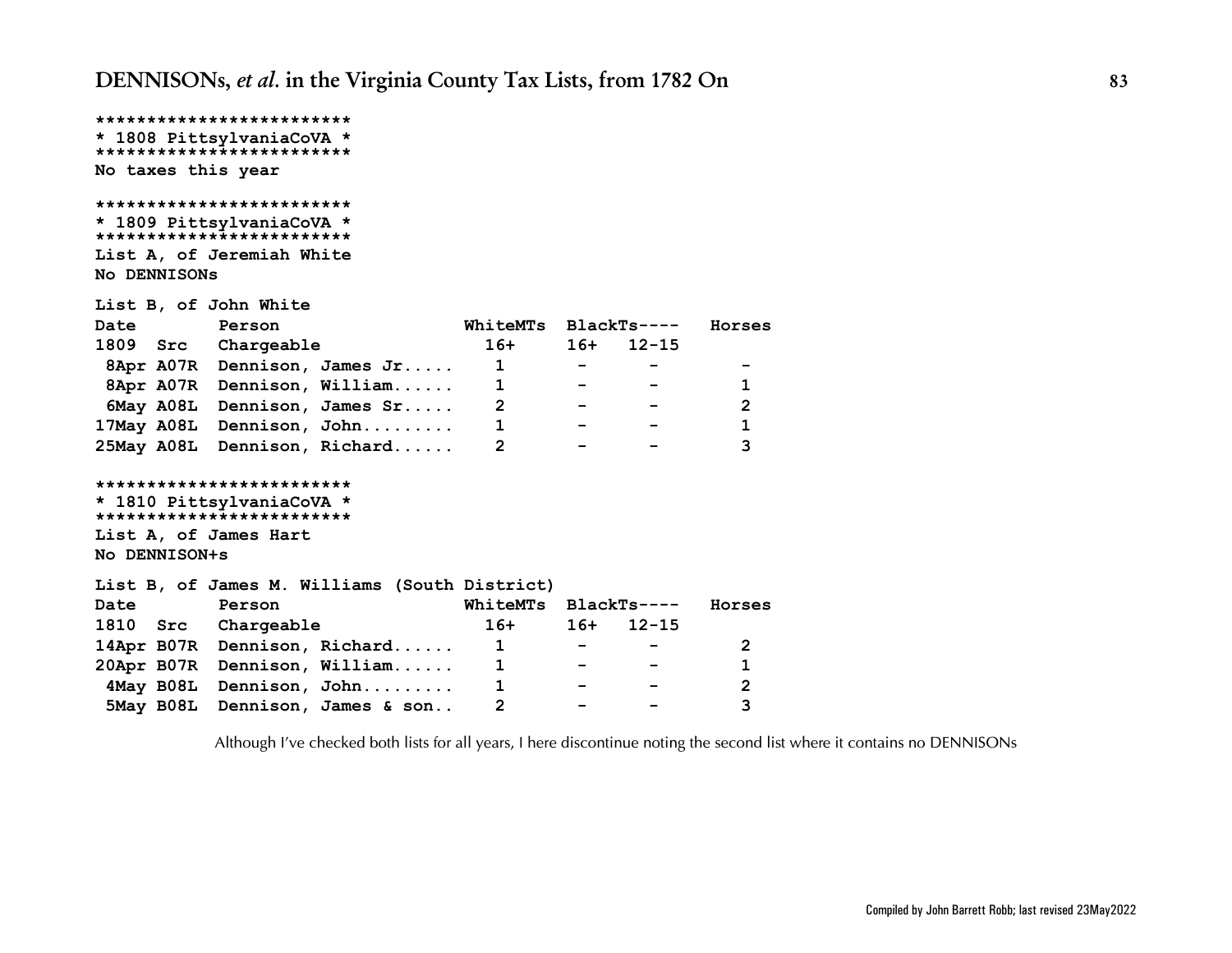```
*************************
* 1808 PittsylvaniaCoVA *
*************************
No taxes this year
*************************
* 1809 PittsylvaniaCoVA *
*************************
List A, of Jeremiah White
No DENNISONs
List B, of John White
Date Person WhiteMTs BlackTs---- Horses
1809 Src Chargeable 16+ 16+ 12-15
 8Apr A07R Dennison, James Jr..... 1 - - -
 8Apr A07R Dennison, William...... 1 - - 1
 6May A08L Dennison, James Sr..... 2 - - 2
17May A08L Dennison, John......... 1 - - 1
25May A08L Dennison, Richard...... 2 - - 3
*************************
* 1810 PittsylvaniaCoVA *
*************************
List A, of James Hart
No DENNISON+s
List B, of James M. Williams (South District)
Date Person WhiteMTs BlackTs---- Horses
1810 Src Chargeable 16+ 16+ 12-15
14Apr B07R Dennison, Richard...... 1 - - 2
20Apr B07R Dennison, William...... 1 - - 1
 4May B08L Dennison, John......... 1 - - 2
 5May B08L Dennison, James & son.. 2 - - 3
```
*Although I've checked both lists for all years, I here discontinue noting the second list where it contains no DENNISONs*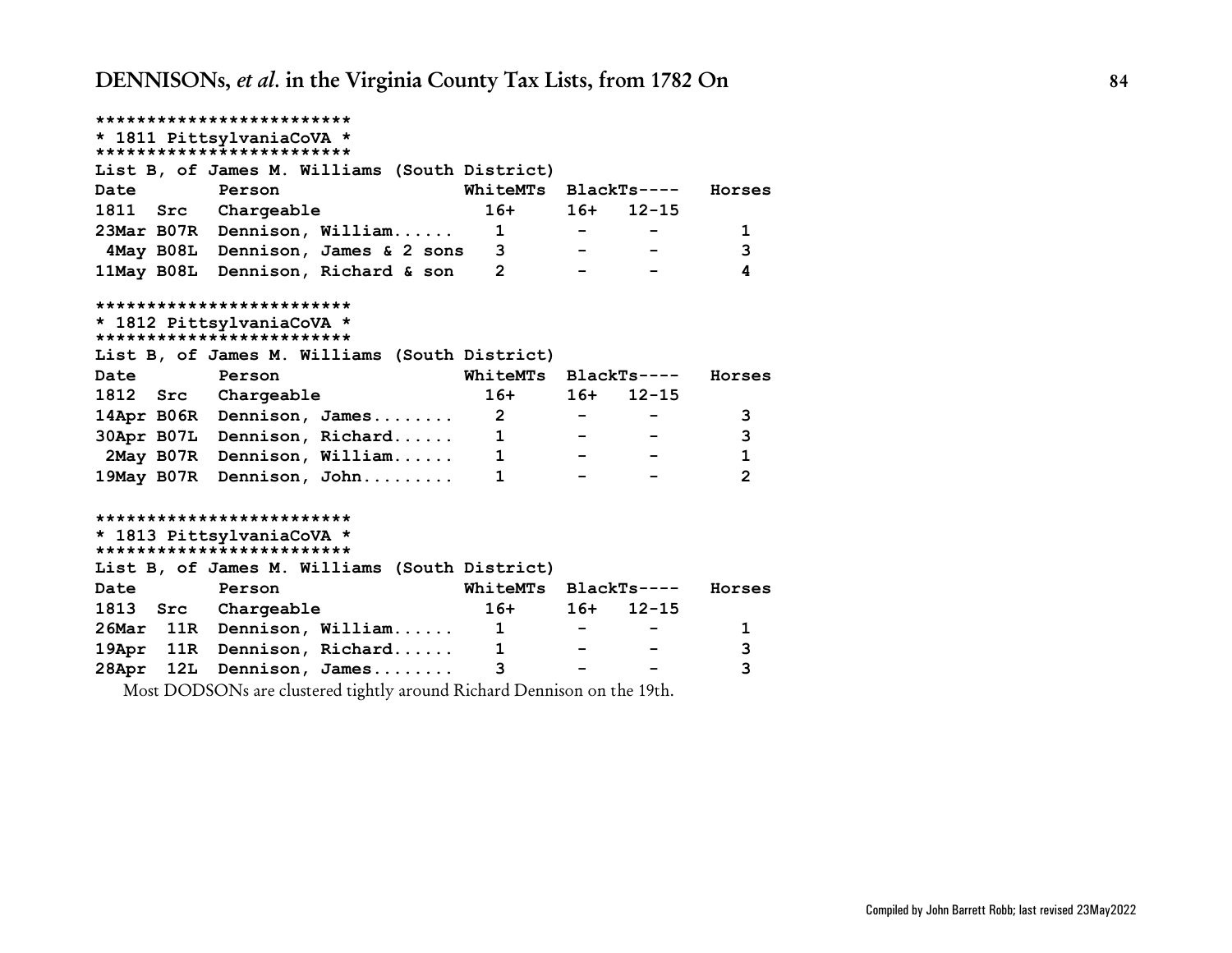**\*\*\*\*\*\*\*\*\*\*\*\*\*\*\*\*\*\*\*\*\*\*\*\*\* \* 1811 PittsylvaniaCoVA \* \*\*\*\*\*\*\*\*\*\*\*\*\*\*\*\*\*\*\*\*\*\*\*\*\* List B, of James M. Williams (South District) Date Person WhiteMTs BlackTs---- Horses 1811 Src Chargeable 16+ 16+ 12-15 23Mar B07R Dennison, William...... 1 - - 1 4May B08L Dennison, James & 2 sons 3 - - 3 11May B08L Dennison, Richard & son 2 - - 4 \*\*\*\*\*\*\*\*\*\*\*\*\*\*\*\*\*\*\*\*\*\*\*\*\* \* 1812 PittsylvaniaCoVA \* \*\*\*\*\*\*\*\*\*\*\*\*\*\*\*\*\*\*\*\*\*\*\*\*\* List B, of James M. Williams (South District) Date Person WhiteMTs BlackTs---- Horses 1812 Src Chargeable 16+ 16+ 12-15 14Apr B06R Dennison, James........ 2 - - 3 30Apr B07L Dennison, Richard...... 1 - - 3 2May B07R Dennison, William...... 1 - - 1 19May B07R Dennison, John......... 1 - - 2 \*\*\*\*\*\*\*\*\*\*\*\*\*\*\*\*\*\*\*\*\*\*\*\*\* \* 1813 PittsylvaniaCoVA \* \*\*\*\*\*\*\*\*\*\*\*\*\*\*\*\*\*\*\*\*\*\*\*\*\* List B, of James M. Williams (South District) Date Person WhiteMTs BlackTs---- Horses 1813 Src Chargeable 16+ 16+ 12-15 26Mar 11R Dennison, William...... 1 - - 1 19Apr 11R Dennison, Richard...... 1 - - 3 28Apr 12L Dennison, James........ 3 - - 3**

Most DODSONs are clustered tightly around Richard Dennison on the 19th.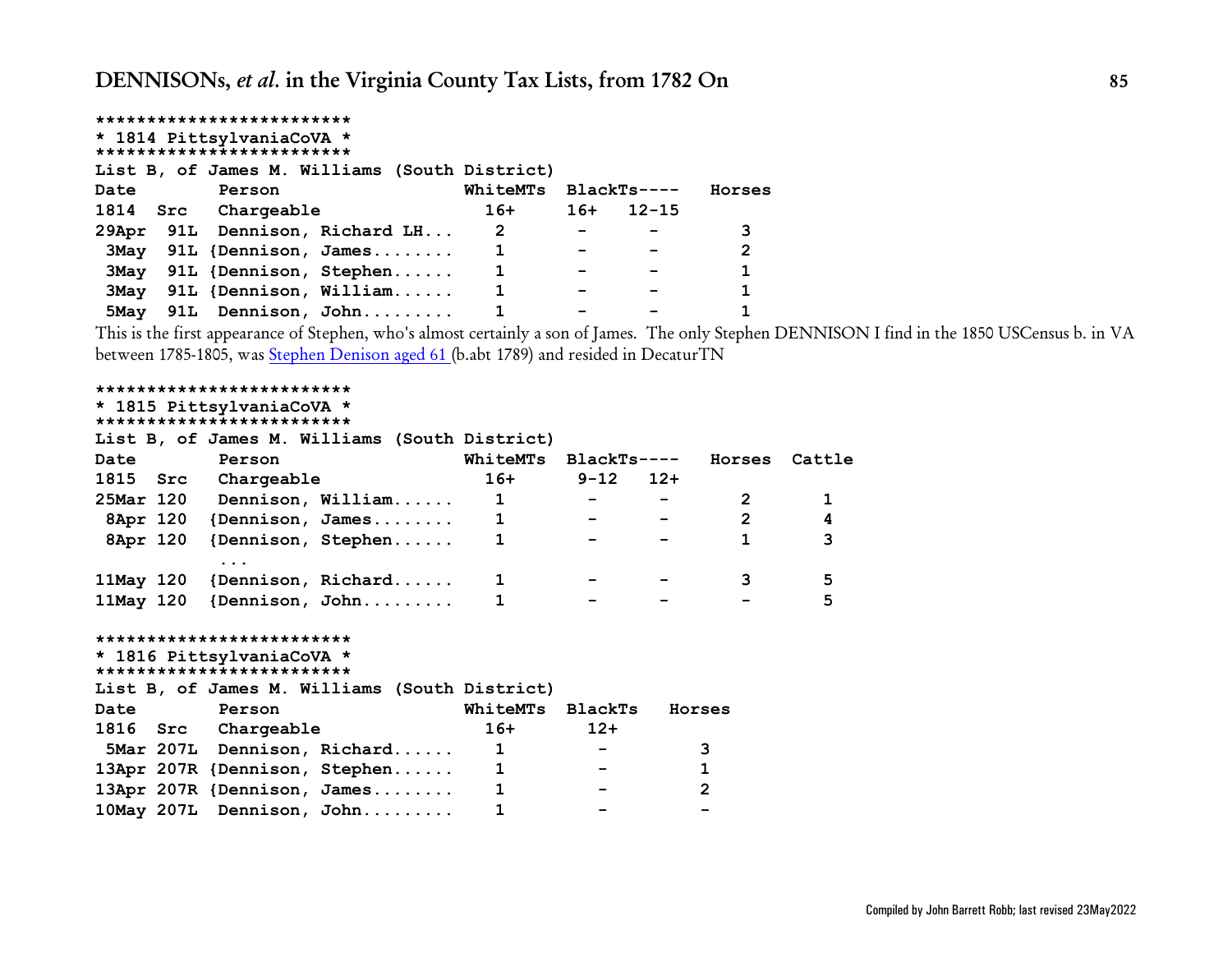|             | ************************* |                                               |  |  |          |       |             |        |
|-------------|---------------------------|-----------------------------------------------|--|--|----------|-------|-------------|--------|
|             |                           | * 1814 PittsylvaniaCoVA *                     |  |  |          |       |             |        |
|             |                           | *************************                     |  |  |          |       |             |        |
|             |                           | List B, of James M. Williams (South District) |  |  |          |       |             |        |
| Date        |                           | Person                                        |  |  | WhiteMTs |       | BlackTs---- | Horses |
|             |                           | 1814 Src Chargeable                           |  |  | 16+      | $16+$ | $12 - 15$   |        |
|             |                           | 29Apr 91L Dennison, Richard LH                |  |  | 2        |       |             | 3      |
|             |                           | 3May 91L {Dennison, James                     |  |  | 1        |       |             | 2      |
|             |                           | 3May 91L {Dennison, Stephen                   |  |  |          |       |             | 1      |
| <b>3May</b> |                           | 91L {Dennison, William                        |  |  |          |       |             |        |
|             |                           | 5May 91L Dennison, John                       |  |  |          |       |             |        |

This is the first appearance of Stephen, who's almost certainly a son of James. The only Stephen DENNISON I find in the 1850 USCensus b. in VA between 1785-1805, was [Stephen Denison aged 61](https://www.ancestry.com/imageviewer/collections/8054/images/4205422_00098?backlabel=ReturnSearchResults&queryId=423ae001e782699bdb4b635860ea92a0&pId=6067646) (b.abt 1789) and resided in DecaturTN

```
*************************
* 1815 PittsylvaniaCoVA *
*************************
List B, of James M. Williams (South District)
Date Person WhiteMTs BlackTs---- Horses Cattle
1815 Src Chargeable 16+ 9-12 12+
25Mar 120 Dennison, William...... 1 - - 2 1
 8Apr 120 {Dennison, James........ 1 - - 2 4
 8Apr 120 {Dennison, Stephen...... 1 - - 1 3
         ...
11May 120 {Dennison, Richard...... 1 - - 3 5
11May 120 {Dennison, John......... 1 - - - 5
*************************
* 1816 PittsylvaniaCoVA *
*************************
List B, of James M. Williams (South District)
Date Person WhiteMTs BlackTs Horses
1816 Src Chargeable 16+ 12+
 5Mar 207L Dennison, Richard...... 1 - 3
13Apr 207R {Dennison, Stephen...... 1 - 1
13Apr 207R {Dennison, James........ 1 - 2
10May 207L Dennison, John......... 1 - -
```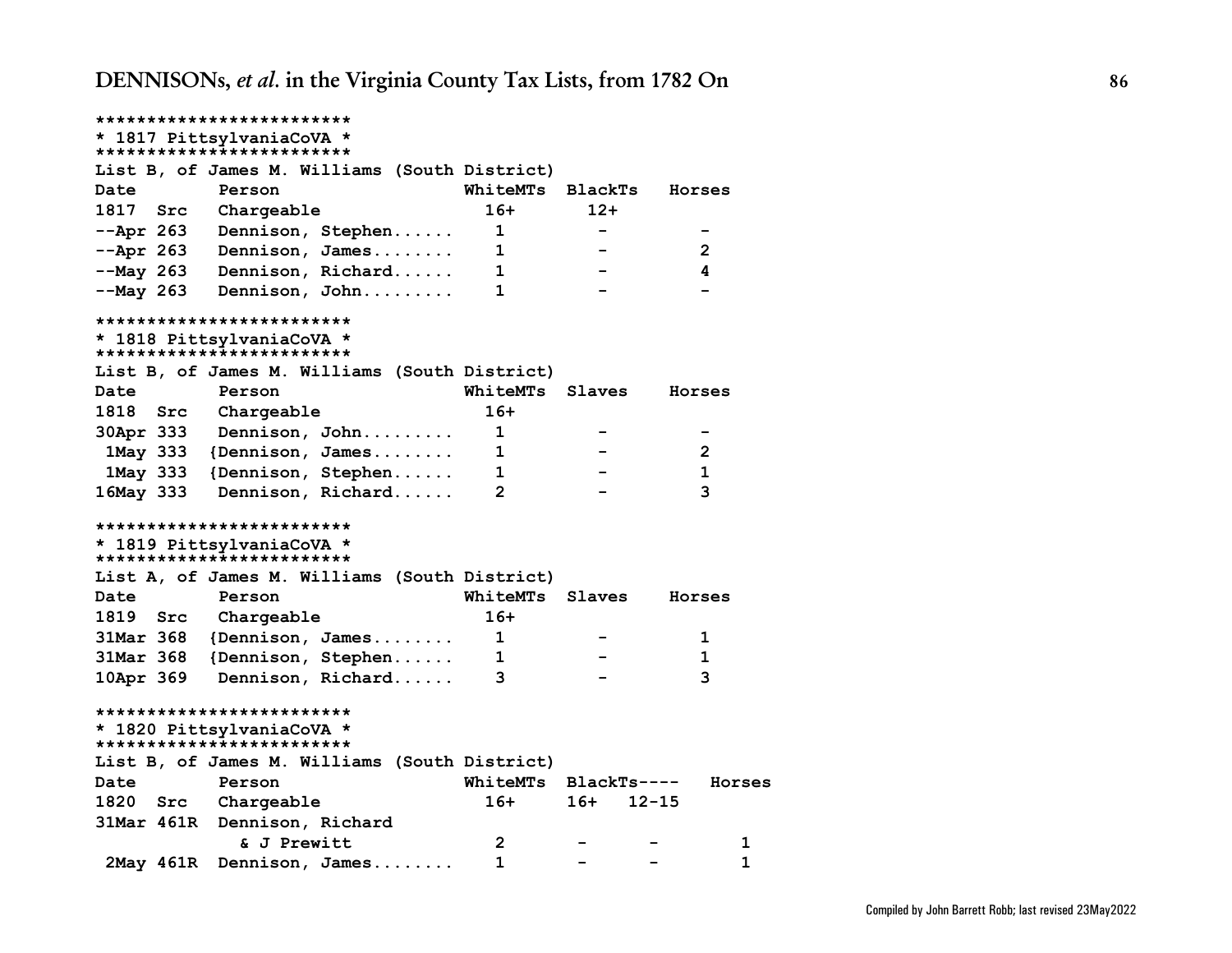| *************************                              |                      |             |                |
|--------------------------------------------------------|----------------------|-------------|----------------|
| * 1817 PittsylvaniaCoVA *                              |                      |             |                |
| *************************                              |                      |             |                |
| List B, of James M. Williams (South District)          |                      |             |                |
| Date<br>Person                                         | WhiteMTs             | BlackTs     | Horses         |
| 1817 Src<br>Chargeable                                 | $16+$                | $12+$       |                |
| $-\text{Apr}$ 263<br>Dennison, Stephen                 | 1                    |             |                |
| --Apr 263<br>Dennison, James                           | 1                    |             | 2              |
| --May 263<br>Dennison, Richard                         | 1                    |             | 4              |
| $-May$ 263<br>Dennison, John                           | 1                    |             |                |
| *************************                              |                      |             |                |
| * 1818 PittsylvaniaCoVA *<br>************************* |                      |             |                |
| List B, of James M. Williams (South District)          |                      |             |                |
| Date<br>Person                                         | WhiteMTs             | Slaves      | Horses         |
| <b>1818 Src</b><br>Chargeable                          | $16+$                |             |                |
| 30Apr 333<br>Dennison, John                            | 1                    |             |                |
| 1May 333 {Dennison, James                              | $\mathbf{1}$         |             | $\overline{2}$ |
| 1May 333 {Dennison, Stephen                            | 1                    |             | $\mathbf{1}$   |
| 16May 333<br>Dennison, Richard                         | $\overline{2}$       |             | 3              |
|                                                        |                      |             |                |
| *************************                              |                      |             |                |
| * 1819 PittsylvaniaCoVA *<br>************************* |                      |             |                |
| List A, of James M. Williams (South District)          |                      |             |                |
| <b>Date</b><br>Person                                  | WhiteMTs Slaves      |             | Horses         |
| 1819 Src<br>Chargeable                                 | $16+$                |             |                |
| 31Mar 368<br>${Dennison, James$                        | 1                    |             | 1              |
| 31Mar 368<br>{Dennison, Stephen                        | 1                    |             | 1              |
| 10Apr 369<br>Dennison, Richard                         | 3                    |             | 3              |
| *************************                              |                      |             |                |
| * 1820 PittsylvaniaCoVA *                              |                      |             |                |
| *************************                              |                      |             |                |
| List B, of James M. Williams (South District)          |                      |             |                |
| Date<br>Person                                         | WhiteMTs BlackTs---- |             | Horses         |
| 1820 Src<br>Chargeable                                 | $16+$                | $16+ 12-15$ |                |
| 31Mar 461R<br>Dennison, Richard                        |                      |             |                |
| & J Prewitt                                            | 2                    |             | 1              |
| Dennison, James<br>2May 461R                           | 1                    |             | 1              |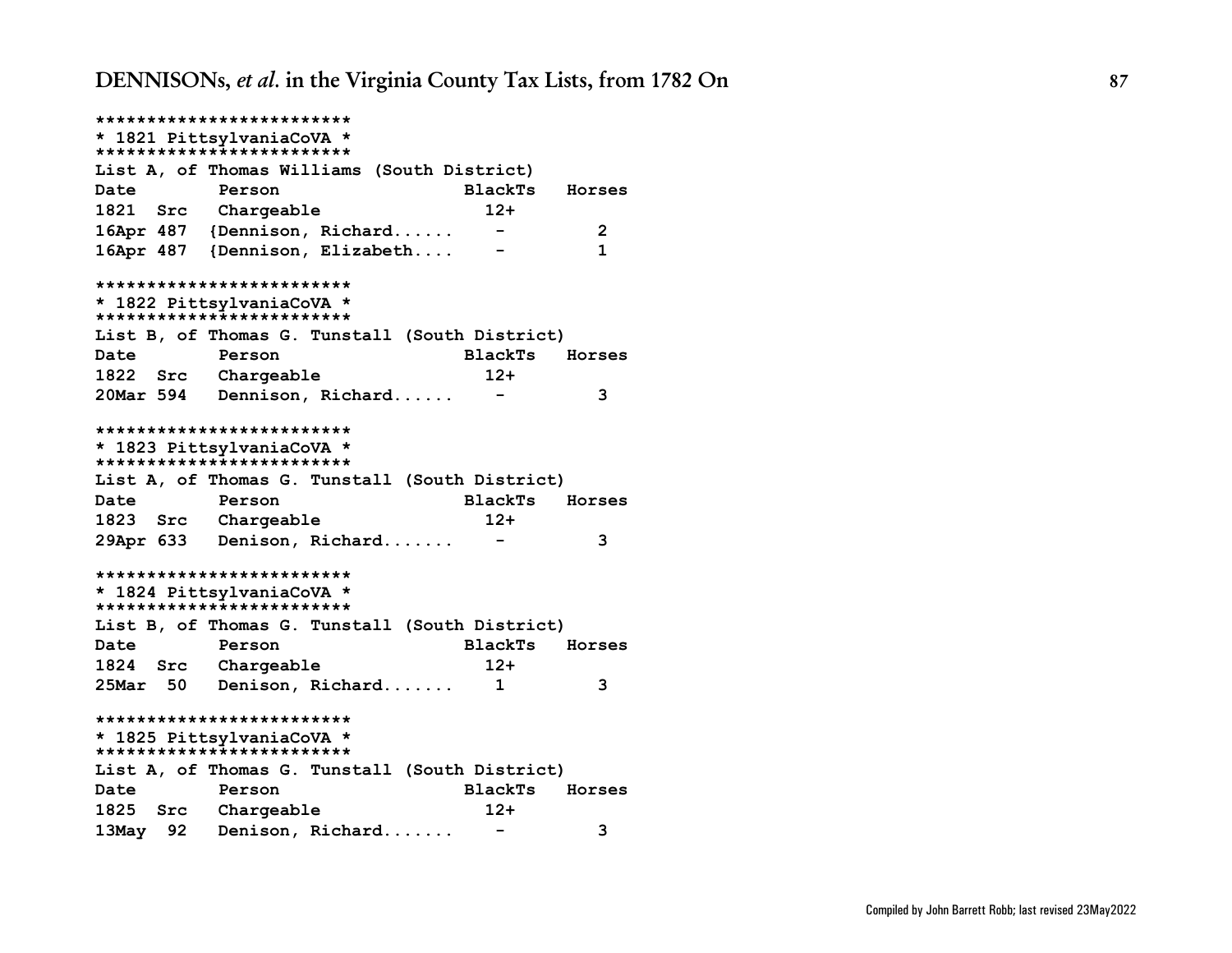**\*\*\*\*\*\*\*\*\*\*\*\*\*\*\*\*\*\*\*\*\*\*\*\*\* \* 1821 PittsylvaniaCoVA \* \*\*\*\*\*\*\*\*\*\*\*\*\*\*\*\*\*\*\*\*\*\*\*\*\* List A, of Thomas Williams (South District) Date Person BlackTs Horses 1821 Src Chargeable 12+ 16Apr 487 {Dennison, Richard...... - 2 16Apr 487 {Dennison, Elizabeth.... - 1 \*\*\*\*\*\*\*\*\*\*\*\*\*\*\*\*\*\*\*\*\*\*\*\*\* \* 1822 PittsylvaniaCoVA \* \*\*\*\*\*\*\*\*\*\*\*\*\*\*\*\*\*\*\*\*\*\*\*\*\* List B, of Thomas G. Tunstall (South District) Date Person BlackTs Horses 1822 Src Chargeable 12+ 20Mar 594 Dennison, Richard...... - 3 \*\*\*\*\*\*\*\*\*\*\*\*\*\*\*\*\*\*\*\*\*\*\*\*\* \* 1823 PittsylvaniaCoVA \* \*\*\*\*\*\*\*\*\*\*\*\*\*\*\*\*\*\*\*\*\*\*\*\*\* List A, of Thomas G. Tunstall (South District) Date Person BlackTs Horses 1823 Src Chargeable 12+ 29Apr 633 Denison, Richard....... - 3 \*\*\*\*\*\*\*\*\*\*\*\*\*\*\*\*\*\*\*\*\*\*\*\*\* \* 1824 PittsylvaniaCoVA \* \*\*\*\*\*\*\*\*\*\*\*\*\*\*\*\*\*\*\*\*\*\*\*\*\* List B, of Thomas G. Tunstall (South District) Date Person BlackTs Horses 1824 Src Chargeable 12+ 25Mar 50 Denison, Richard....... 1 3 \*\*\*\*\*\*\*\*\*\*\*\*\*\*\*\*\*\*\*\*\*\*\*\*\* \* 1825 PittsylvaniaCoVA \* \*\*\*\*\*\*\*\*\*\*\*\*\*\*\*\*\*\*\*\*\*\*\*\*\* List A, of Thomas G. Tunstall (South District) Date Person BlackTs Horses 1825 Src Chargeable 12+ 13May 92 Denison, Richard....... - 3**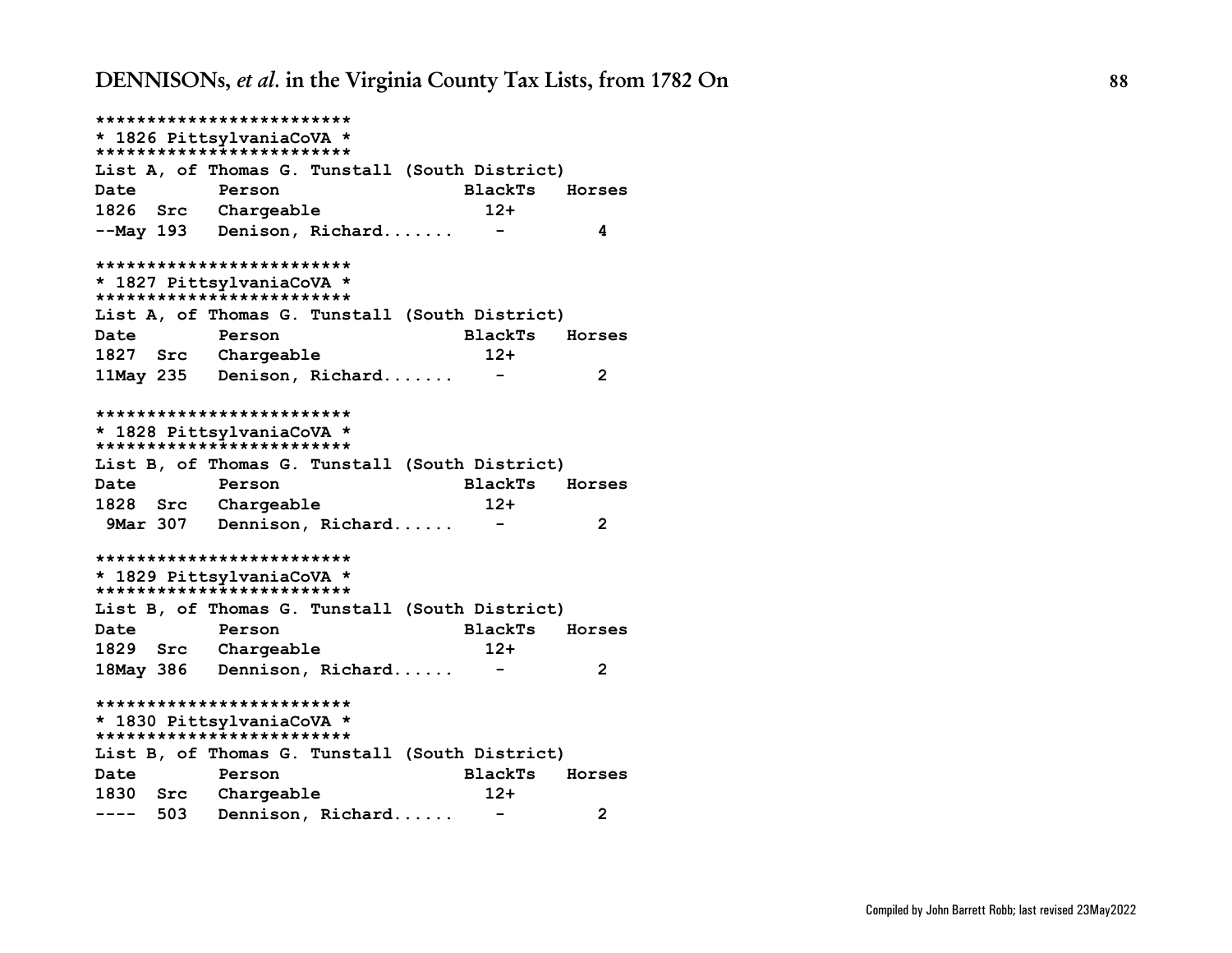**\*\*\*\*\*\*\*\*\*\*\*\*\*\*\*\*\*\*\*\*\*\*\*\*\* \* 1826 PittsylvaniaCoVA \* \*\*\*\*\*\*\*\*\*\*\*\*\*\*\*\*\*\*\*\*\*\*\*\*\* List A, of Thomas G. Tunstall (South District) Date Person BlackTs Horses 1826 Src Chargeable 12+ --May 193 Denison, Richard....... - 4 \*\*\*\*\*\*\*\*\*\*\*\*\*\*\*\*\*\*\*\*\*\*\*\*\* \* 1827 PittsylvaniaCoVA \* \*\*\*\*\*\*\*\*\*\*\*\*\*\*\*\*\*\*\*\*\*\*\*\*\* List A, of Thomas G. Tunstall (South District) Date Person BlackTs Horses 1827 Src Chargeable 12+ 11May 235 Denison, Richard....... - 2 \*\*\*\*\*\*\*\*\*\*\*\*\*\*\*\*\*\*\*\*\*\*\*\*\* \* 1828 PittsylvaniaCoVA \* \*\*\*\*\*\*\*\*\*\*\*\*\*\*\*\*\*\*\*\*\*\*\*\*\* List B, of Thomas G. Tunstall (South District) Date Person BlackTs Horses 1828 Src Chargeable 12+ 9Mar 307 Dennison, Richard...... - 2 \*\*\*\*\*\*\*\*\*\*\*\*\*\*\*\*\*\*\*\*\*\*\*\*\* \* 1829 PittsylvaniaCoVA \* \*\*\*\*\*\*\*\*\*\*\*\*\*\*\*\*\*\*\*\*\*\*\*\*\* List B, of Thomas G. Tunstall (South District) Date Person BlackTs Horses 1829 Src Chargeable 12+ 18May 386 Dennison, Richard...... - 2 \*\*\*\*\*\*\*\*\*\*\*\*\*\*\*\*\*\*\*\*\*\*\*\*\* \* 1830 PittsylvaniaCoVA \* \*\*\*\*\*\*\*\*\*\*\*\*\*\*\*\*\*\*\*\*\*\*\*\*\* List B, of Thomas G. Tunstall (South District) Date Person BlackTs Horses 1830 Src Chargeable 12+ ---- 503 Dennison, Richard...... - 2**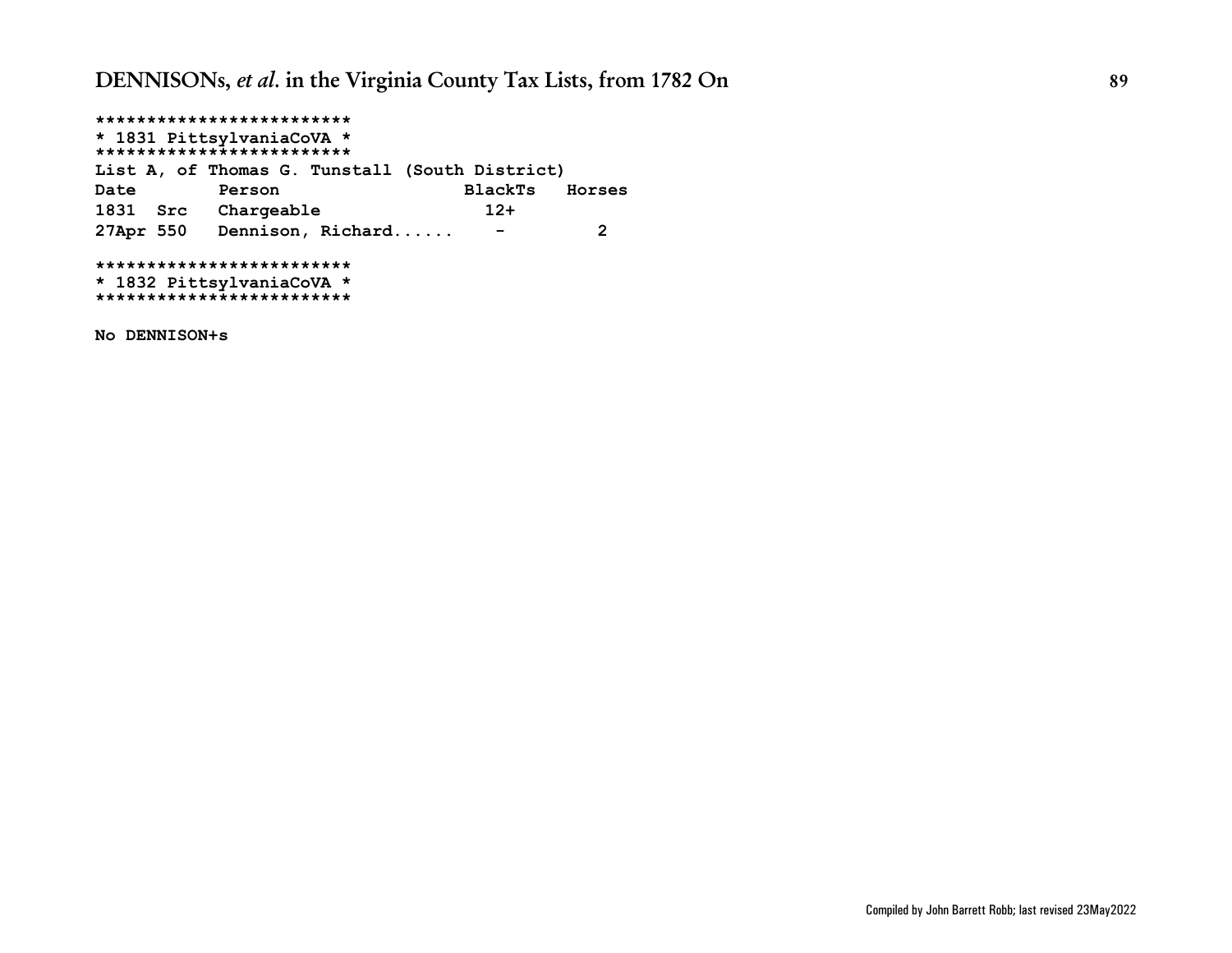**\*\*\*\*\*\*\*\*\*\*\*\*\*\*\*\*\*\*\*\*\*\*\*\*\* \* 1831 PittsylvaniaCoVA \* \*\*\*\*\*\*\*\*\*\*\*\*\*\*\*\*\*\*\*\*\*\*\*\*\* List A, of Thomas G. Tunstall (South District) Date Person BlackTs Horses 1831 Src Chargeable 12+ 27Apr 550 Dennison, Richard...... - 2 \*\*\*\*\*\*\*\*\*\*\*\*\*\*\*\*\*\*\*\*\*\*\*\*\* \* 1832 PittsylvaniaCoVA \* \*\*\*\*\*\*\*\*\*\*\*\*\*\*\*\*\*\*\*\*\*\*\*\*\***

**No DENNISON+s**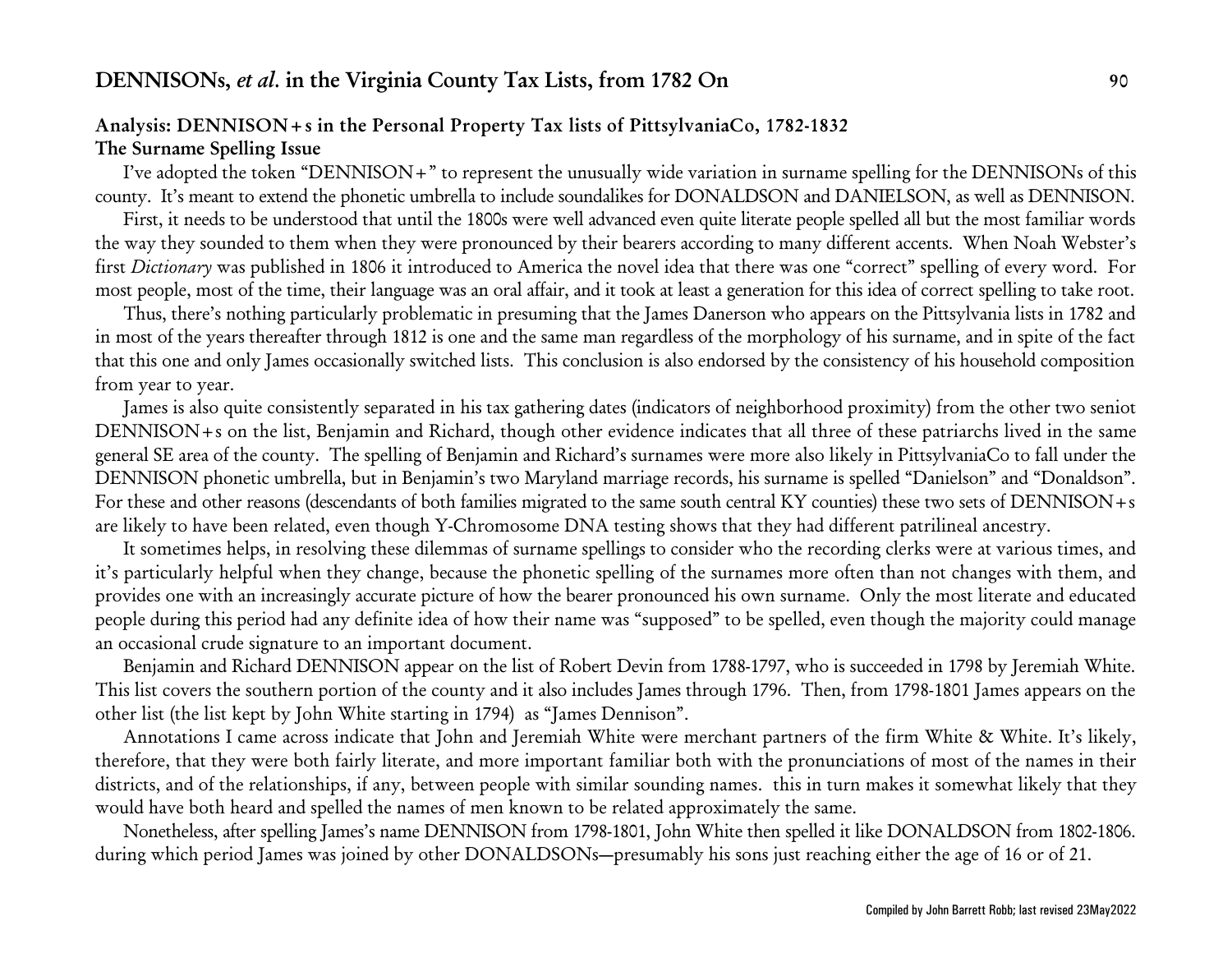## <span id="page-89-0"></span>**Analysis: DENNISON+s in the Personal Property Tax lists of PittsylvaniaCo, 1782-1832 The Surname Spelling Issue**

I've adopted the token "DENNISON+" to represent the unusually wide variation in surname spelling for the DENNISONs of this county. It's meant to extend the phonetic umbrella to include soundalikes for DONALDSON and DANIELSON, as well as DENNISON.

First, it needs to be understood that until the 1800s were well advanced even quite literate people spelled all but the most familiar words the way they sounded to them when they were pronounced by their bearers according to many different accents. When Noah Webster's first *Dictionary* was published in 1806 it introduced to America the novel idea that there was one "correct" spelling of every word. For most people, most of the time, their language was an oral affair, and it took at least a generation for this idea of correct spelling to take root.

Thus, there's nothing particularly problematic in presuming that the James Danerson who appears on the Pittsylvania lists in 1782 and in most of the years thereafter through 1812 is one and the same man regardless of the morphology of his surname, and in spite of the fact that this one and only James occasionally switched lists. This conclusion is also endorsed by the consistency of his household composition from year to year.

James is also quite consistently separated in his tax gathering dates (indicators of neighborhood proximity) from the other two seniot DENNISON+s on the list, Benjamin and Richard, though other evidence indicates that all three of these patriarchs lived in the same general SE area of the county. The spelling of Benjamin and Richard's surnames were more also likely in PittsylvaniaCo to fall under the DENNISON phonetic umbrella, but in Benjamin's two Maryland marriage records, his surname is spelled "Danielson" and "Donaldson". For these and other reasons (descendants of both families migrated to the same south central KY counties) these two sets of DENNISON+s are likely to have been related, even though Y-Chromosome DNA testing shows that they had different patrilineal ancestry.

It sometimes helps, in resolving these dilemmas of surname spellings to consider who the recording clerks were at various times, and it's particularly helpful when they change, because the phonetic spelling of the surnames more often than not changes with them, and provides one with an increasingly accurate picture of how the bearer pronounced his own surname. Only the most literate and educated people during this period had any definite idea of how their name was "supposed" to be spelled, even though the majority could manage an occasional crude signature to an important document.

Benjamin and Richard DENNISON appear on the list of Robert Devin from 1788-1797, who is succeeded in 1798 by Jeremiah White. This list covers the southern portion of the county and it also includes James through 1796. Then, from 1798-1801 James appears on the other list (the list kept by John White starting in 1794) as "James Dennison".

Annotations I came across indicate that John and Jeremiah White were merchant partners of the firm White & White. It's likely, therefore, that they were both fairly literate, and more important familiar both with the pronunciations of most of the names in their districts, and of the relationships, if any, between people with similar sounding names. this in turn makes it somewhat likely that they would have both heard and spelled the names of men known to be related approximately the same.

Nonetheless, after spelling James's name DENNISON from 1798-1801, John White then spelled it like DONALDSON from 1802-1806. during which period James was joined by other DONALDSONs—presumably his sons just reaching either the age of 16 or of 21.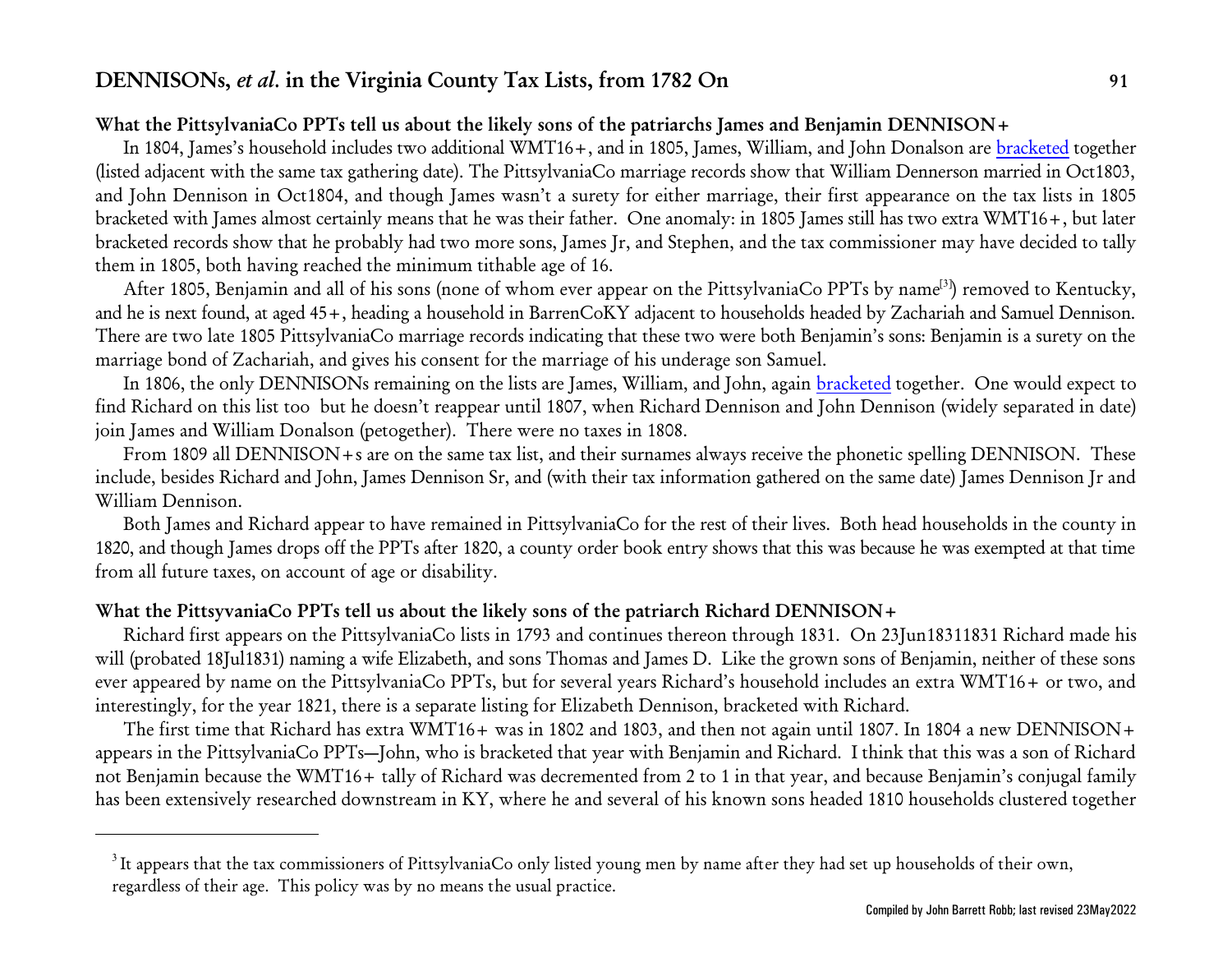## **What the PittsylvaniaCo PPTs tell us about the likely sons of the patriarchs James and Benjamin DENNISON+**

In 1804, James's household includes two additional WMT16+, and in 1805, James, William, and John Donalson are [bracketed](#page-91-0) together (listed adjacent with the same tax gathering date). The PittsylvaniaCo marriage records show that William Dennerson married in Oct1803, and John Dennison in Oct1804, and though James wasn't a surety for either marriage, their first appearance on the tax lists in 1805 bracketed with James almost certainly means that he was their father. One anomaly: in 1805 James still has two extra WMT16+, but later bracketed records show that he probably had two more sons, James Jr, and Stephen, and the tax commissioner may have decided to tally them in 1805, both having reached the minimum tithable age of 16.

After 1805, Benjamin and all of his sons (none of whom ever appear on the PittsylvaniaCo PPTs by name<sup>[3]</sup>) removed to Kentucky, and he is next found, at aged 45+, heading a household in BarrenCoKY adjacent to households headed by Zachariah and Samuel Dennison. There are two late 1805 PittsylvaniaCo marriage records indicating that these two were both Benjamin's sons: Benjamin is a surety on the marriage bond of Zachariah, and gives his consent for the marriage of his underage son Samuel.

In 1806, the only DENNISONs remaining on the lists are James, William, and John, again [bracketed](#page-91-0) together. One would expect to find Richard on this list too but he doesn't reappear until 1807, when Richard Dennison and John Dennison (widely separated in date) join James and William Donalson (petogether). There were no taxes in 1808.

From 1809 all DENNISON+s are on the same tax list, and their surnames always receive the phonetic spelling DENNISON. These include, besides Richard and John, James Dennison Sr, and (with their tax information gathered on the same date) James Dennison Jr and William Dennison.

Both James and Richard appear to have remained in PittsylvaniaCo for the rest of their lives. Both head households in the county in 1820, and though James drops off the PPTs after 1820, a county order book entry shows that this was because he was exempted at that time from all future taxes, on account of age or disability.

## **What the PittsyvaniaCo PPTs tell us about the likely sons of the patriarch Richard DENNISON+**

Richard first appears on the PittsylvaniaCo lists in 1793 and continues thereon through 1831. On 23Jun18311831 Richard made his will (probated 18Jul1831) naming a wife Elizabeth, and sons Thomas and James D. Like the grown sons of Benjamin, neither of these sons ever appeared by name on the PittsylvaniaCo PPTs, but for several years Richard's household includes an extra WMT16+ or two, and interestingly, for the year 1821, there is a separate listing for Elizabeth Dennison, bracketed with Richard.

The first time that Richard has extra WMT16+ was in 1802 and 1803, and then not again until 1807. In 1804 a new DENNISON+ appears in the PittsylvaniaCo PPTs—John, who is bracketed that year with Benjamin and Richard. I think that this was a son of Richard not Benjamin because the WMT16+ tally of Richard was decremented from 2 to 1 in that year, and because Benjamin's conjugal family has been extensively researched downstream in KY, where he and several of his known sons headed 1810 households clustered together

 $^3$ It appears that the tax commissioners of PittsylvaniaCo only listed young men by name after they had set up households of their own, regardless of their age. This policy was by no means the usual practice.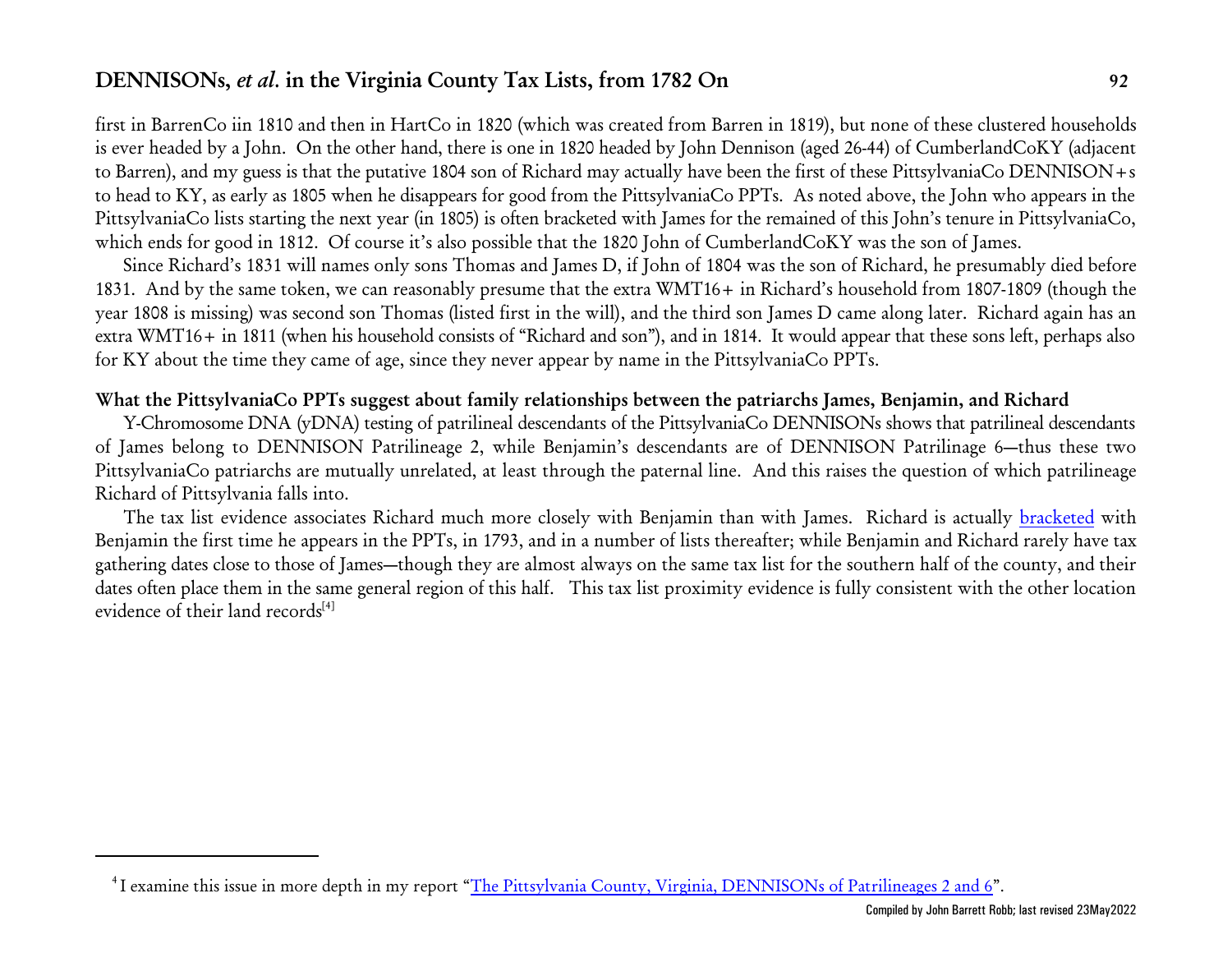first in BarrenCo iin 1810 and then in HartCo in 1820 (which was created from Barren in 1819), but none of these clustered households is ever headed by a John. On the other hand, there is one in 1820 headed by John Dennison (aged 26-44) of CumberlandCoKY (adjacent to Barren), and my guess is that the putative 1804 son of Richard may actually have been the first of these PittsylvaniaCo DENNISON+s to head to KY, as early as 1805 when he disappears for good from the PittsylvaniaCo PPTs. As noted above, the John who appears in the PittsylvaniaCo lists starting the next year (in 1805) is often bracketed with James for the remained of this John's tenure in PittsylvaniaCo, which ends for good in 1812. Of course it's also possible that the 1820 John of CumberlandCoKY was the son of James.

Since Richard's 1831 will names only sons Thomas and James D, if John of 1804 was the son of Richard, he presumably died before 1831. And by the same token, we can reasonably presume that the extra WMT16+ in Richard's household from 1807-1809 (though the year 1808 is missing) was second son Thomas (listed first in the will), and the third son James D came along later. Richard again has an extra WMT16+ in 1811 (when his household consists of "Richard and son"), and in 1814. It would appear that these sons left, perhaps also for KY about the time they came of age, since they never appear by name in the PittsylvaniaCo PPTs.

## **What the PittsylvaniaCo PPTs suggest about family relationships between the patriarchs James, Benjamin, and Richard**

Y-Chromosome DNA (yDNA) testing of patrilineal descendants of the PittsylvaniaCo DENNISONs shows that patrilineal descendants of James belong to DENNISON Patrilineage 2, while Benjamin's descendants are of DENNISON Patrilinage 6—thus these two PittsylvaniaCo patriarchs are mutually unrelated, at least through the paternal line. And this raises the question of which patrilineage Richard of Pittsylvania falls into.

The tax list evidence associates Richard much more closely with Benjamin than with James. Richard is actually [bracketed](#page-91-0) with Benjamin the first time he appears in the PPTs, in 1793, and in a number of lists thereafter; while Benjamin and Richard rarely have tax gathering dates close to those of James—though they are almost always on the same tax list for the southern half of the county, and their dates often place them in the same general region of this half. This tax list proximity evidence is fully consistent with the other location evidence of their land records $[4]$ 

<span id="page-91-0"></span><sup>&</sup>lt;sup>4</sup>I examine this issue in more depth in my report "<u>The Pittsylvania County, Virginia, DENNISONs of Patrilineages 2 and 6</u>".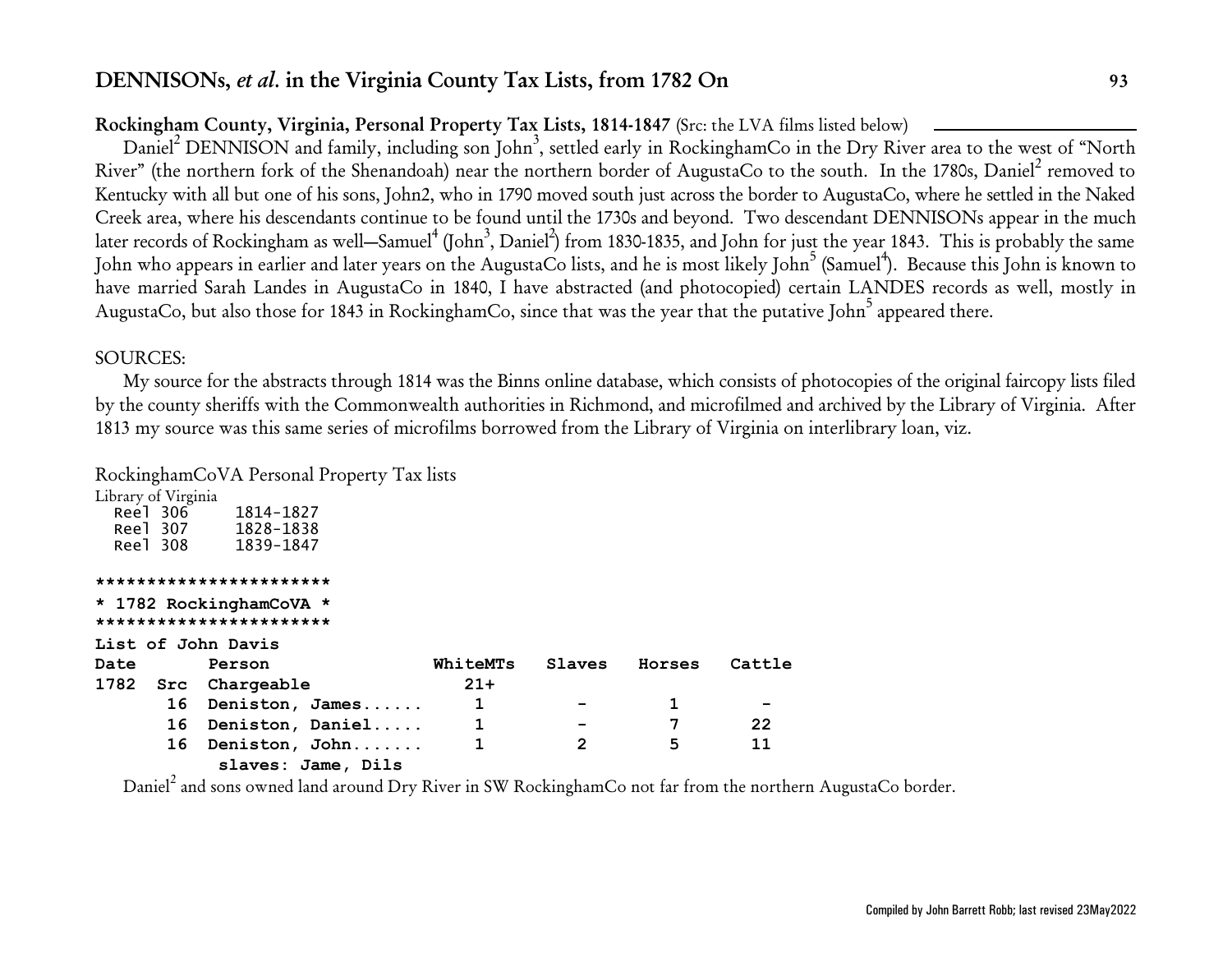# **Rockingham County, Virginia, Personal Property Tax Lists, 1814-1847** (Src: the LVA films listed below)

Daniel<sup>2</sup> DENNISON and family, including son John<sup>3</sup>, settled early in RockinghamCo in the Dry River area to the west of "North River" (the northern fork of the Shenandoah) near the northern border of AugustaCo to the south. In the 1780s, Daniel<sup>2</sup> removed to Kentucky with all but one of his sons, John2, who in 1790 moved south just across the border to AugustaCo, where he settled in the Naked Creek area, where his descendants continue to be found until the 1730s and beyond. Two descendant DENNISONs appear in the much later records of Rockingham as well—Samuel<sup>4</sup> (John<sup>3</sup>, Daniel<sup>2</sup>) from 1830-1835, and John for just the year 1843. This is probably the same John who appears in earlier and later years on the AugustaCo lists, and he is most likely John<sup>5</sup> (Samuel<sup>4</sup>). Because this John is known to have married Sarah Landes in AugustaCo in 1840, I have abstracted (and photocopied) certain LANDES records as well, mostly in AugustaCo, but also those for 1843 in RockinghamCo, since that was the year that the putative John<sup>5</sup> appeared there.

## SOURCES:

My source for the abstracts through 1814 was the Binns online database, which consists of photocopies of the original faircopy lists filed by the county sheriffs with the Commonwealth authorities in Richmond, and microfilmed and archived by the Library of Virginia. After 1813 my source was this same series of microfilms borrowed from the Library of Virginia on interlibrary loan, viz.

## RockinghamCoVA Personal Property Tax lists

|          | Library of Virginia |           |
|----------|---------------------|-----------|
| Reel 306 |                     | 1814-1827 |
| Reel 307 |                     | 1828-1838 |
| Reel 308 |                     | 1839-1847 |
|          |                     |           |

**\*\*\*\*\*\*\*\*\*\*\*\*\*\*\*\*\*\*\*\*\*\*\***

```
* 1782 RockinghamCoVA *
***********************
List of John Davis
Date Person WhiteMTs Slaves Horses Cattle
1782 Src Chargeable 21+
     16 Deniston, James...... 1 - 1 -
     16 Deniston, Daniel..... 1 - 7 22
     16 Deniston, John....... 1 2 5 11
         slaves: Jame, Dils
```
Daniel $^2$  and sons owned land around Dry River in SW RockinghamCo not far from the northern AugustaCo border.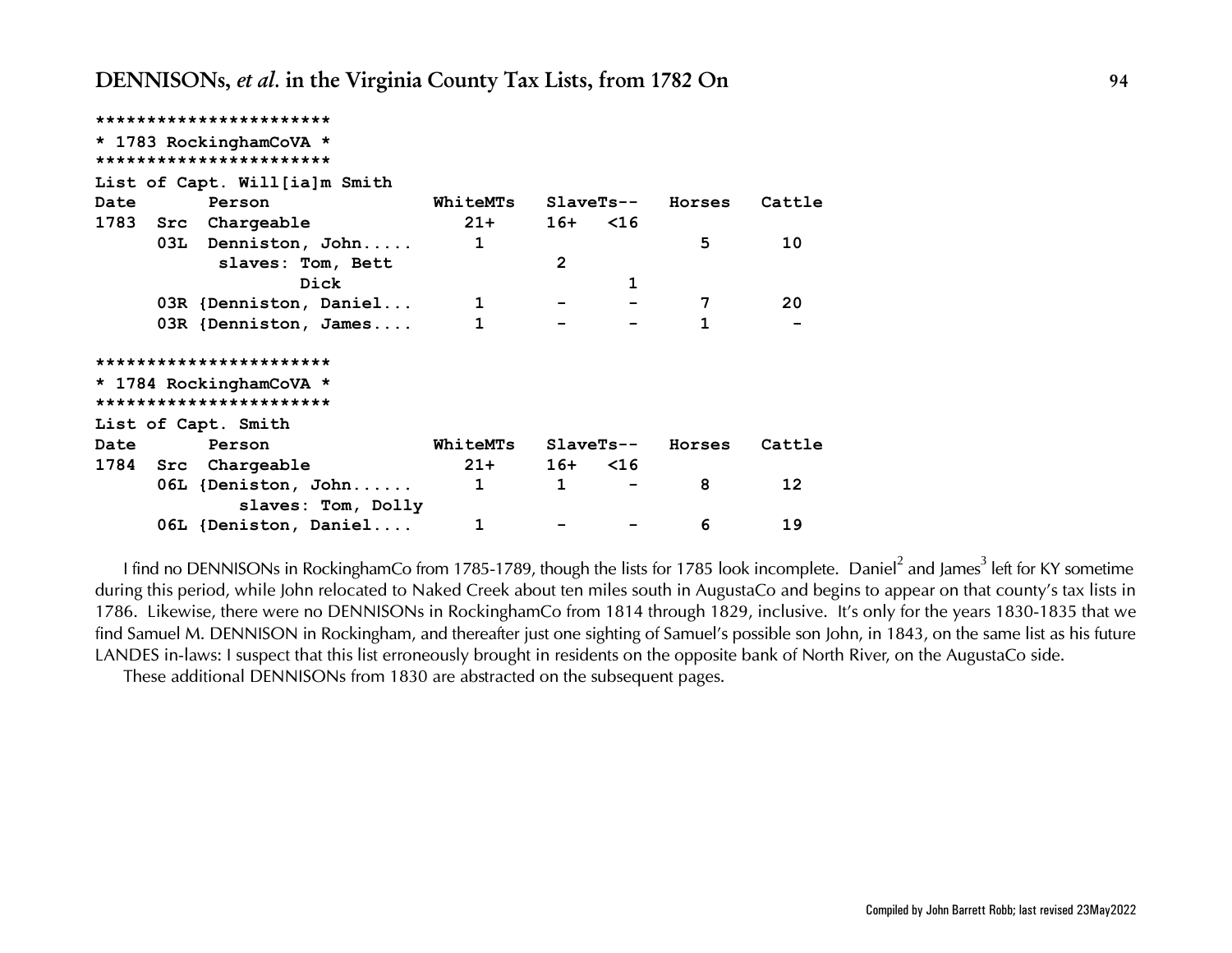|      | ***********************       |                    |          |                |           |        |        |
|------|-------------------------------|--------------------|----------|----------------|-----------|--------|--------|
|      | * 1783 RockinghamCoVA *       |                    |          |                |           |        |        |
|      | ***********************       |                    |          |                |           |        |        |
|      | List of Capt. Will[ia]m Smith |                    |          |                |           |        |        |
| Date | Person                        |                    | WhiteMTs |                | SlaveTs-- | Horses | Cattle |
|      | 1783 Src Chargeable           |                    | $21+$    | $16+ < 16$     |           |        |        |
|      | 03L Denniston, John           |                    | 1        |                |           | 5      | 10     |
|      | slaves: Tom, Bett             |                    |          | $\overline{2}$ |           |        |        |
|      |                               | Dick               |          |                | 1         |        |        |
|      | 03R {Denniston, Daniel        |                    | 1        |                |           | 7      | 20     |
|      | 03R {Denniston, James         |                    | 1        |                |           | 1      |        |
|      | ***********************       |                    |          |                |           |        |        |
|      | * 1784 RockinghamCoVA *       |                    |          |                |           |        |        |
|      | ***********************       |                    |          |                |           |        |        |
|      | List of Capt. Smith           |                    |          |                |           |        |        |
| Date | Person                        |                    | WhiteMTs |                | SlaveTs-- | Horses | Cattle |
|      | 1784 Src Chargeable           |                    | $21+$    | $16+ < 16$     |           |        |        |
|      | 06L {Deniston, John           |                    | 1        | $\mathbf{1}$   |           | 8      | 12     |
|      |                               | slaves: Tom, Dolly |          |                |           |        |        |
|      | 06L {Deniston, Daniel         |                    | 1        |                |           | 6      | 19     |

*I find no DENNISONs in RockinghamCo from 1785-1789, though the lists for 1785 look incomplete. Daniel 2 and James 3 left for KY sometime during this period, while John relocated to Naked Creek about ten miles south in AugustaCo and begins to appear on that county's tax lists in 1786. Likewise, there were no DENNISONs in RockinghamCo from 1814 through 1829, inclusive. It's only for the years 1830-1835 that we find Samuel M. DENNISON in Rockingham, and thereafter just one sighting of Samuel's possible son John, in 1843, on the same list as his future LANDES in-laws: I suspect that this list erroneously brought in residents on the opposite bank of North River, on the AugustaCo side.*

*These additional DENNISONs from 1830 are abstracted on the subsequent pages.*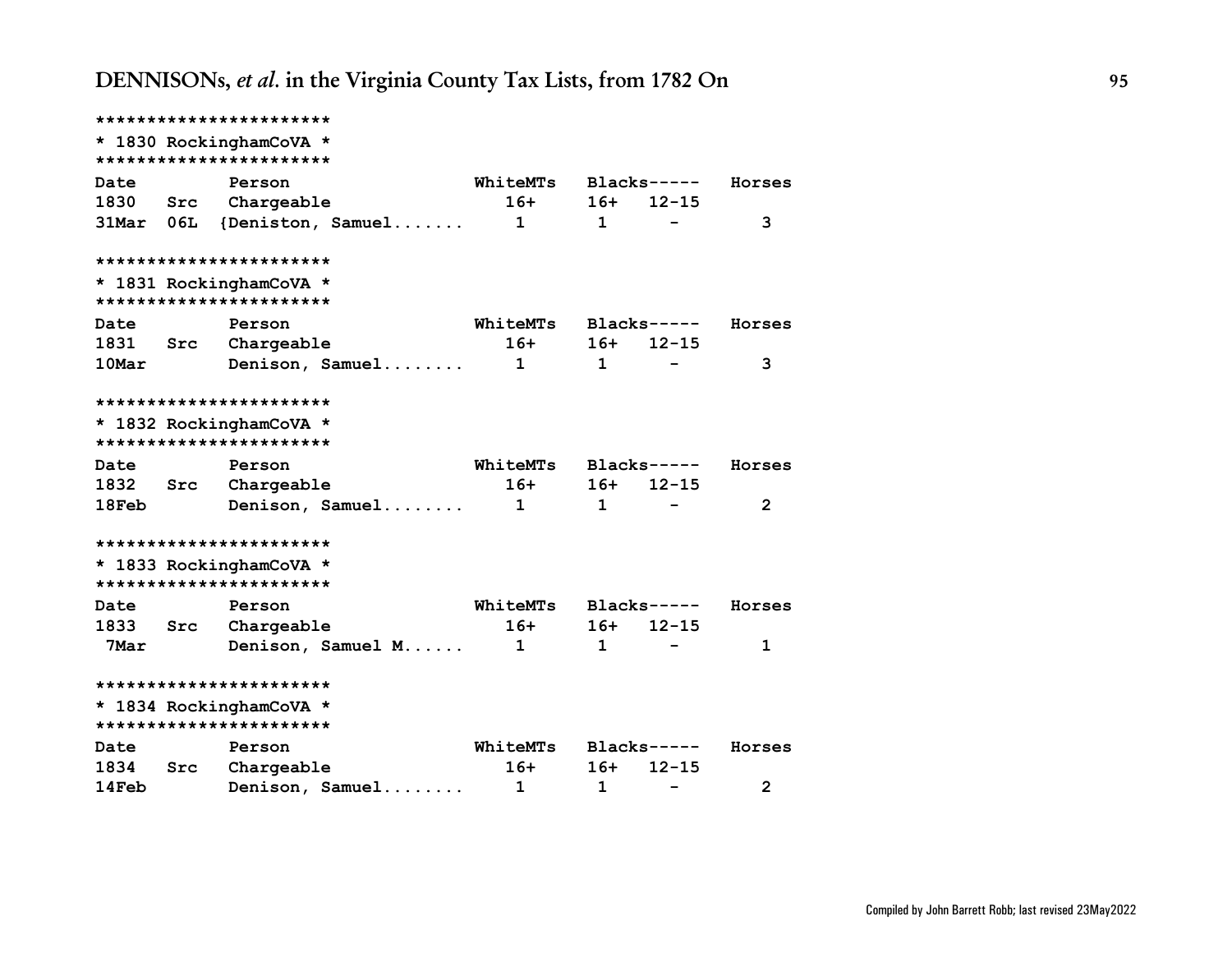**\*\*\*\*\*\*\*\*\*\*\*\*\*\*\*\*\*\*\*\*\*\*\* \* 1830 RockinghamCoVA \* \*\*\*\*\*\*\*\*\*\*\*\*\*\*\*\*\*\*\*\*\*\*\* Date Person WhiteMTs Blacks----- Horses 1830 Src Chargeable 16+ 16+ 12-15 31Mar 06L {Deniston, Samuel....... 1 1 - 3 \*\*\*\*\*\*\*\*\*\*\*\*\*\*\*\*\*\*\*\*\*\*\* \* 1831 RockinghamCoVA \* \*\*\*\*\*\*\*\*\*\*\*\*\*\*\*\*\*\*\*\*\*\*\* Date Person WhiteMTs Blacks----- Horses 1831 Src Chargeable 16+ 16+ 12-15 10Mar Denison, Samuel........ 1 1 - 3 \*\*\*\*\*\*\*\*\*\*\*\*\*\*\*\*\*\*\*\*\*\*\* \* 1832 RockinghamCoVA \* \*\*\*\*\*\*\*\*\*\*\*\*\*\*\*\*\*\*\*\*\*\*\* Date Person WhiteMTs Blacks----- Horses 1832 Src Chargeable 16+ 16+ 12-15 18Feb Denison, Samuel........ 1 1 - 2 \*\*\*\*\*\*\*\*\*\*\*\*\*\*\*\*\*\*\*\*\*\*\* \* 1833 RockinghamCoVA \* \*\*\*\*\*\*\*\*\*\*\*\*\*\*\*\*\*\*\*\*\*\*\* Date Person WhiteMTs Blacks----- Horses 1833 Src Chargeable 16+ 16+ 12-15 7Mar Denison, Samuel M...... 1 1 - 1 \*\*\*\*\*\*\*\*\*\*\*\*\*\*\*\*\*\*\*\*\*\*\* \* 1834 RockinghamCoVA \* \*\*\*\*\*\*\*\*\*\*\*\*\*\*\*\*\*\*\*\*\*\*\* Date Person WhiteMTs Blacks----- Horses 1834 Src Chargeable 16+ 16+ 12-15 14Feb Denison, Samuel........ 1 1 - 2**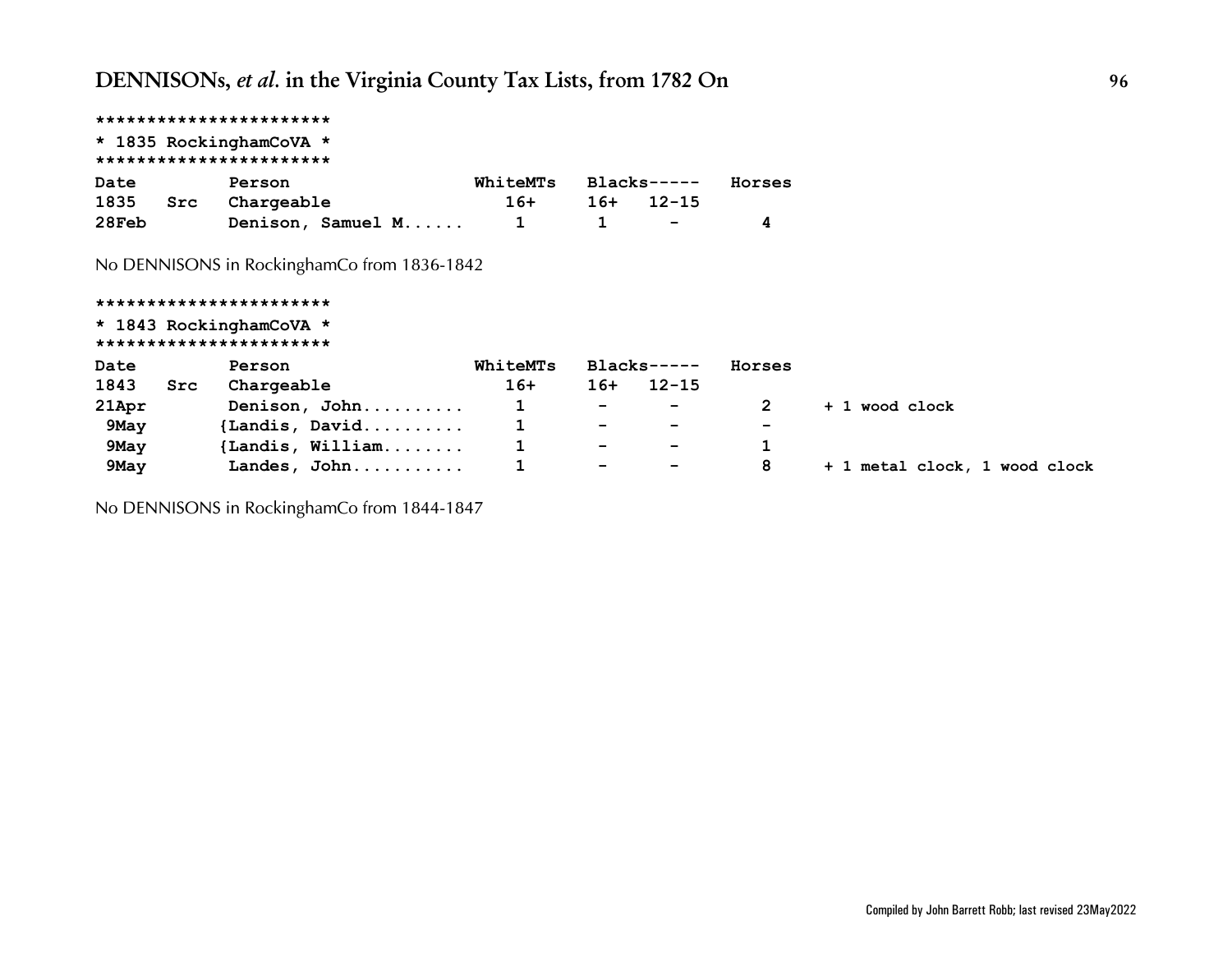## **\*\*\*\*\*\*\*\*\*\*\*\*\*\*\*\*\*\*\*\*\*\*\* \* 1835 RockinghamCoVA \* \*\*\*\*\*\*\*\*\*\*\*\*\*\*\*\*\*\*\*\*\*\*\* Date Person WhiteMTs Blacks----- Horses 1835 Src Chargeable 16+ 16+ 12-15 28Feb Denison, Samuel M...... 1 1 - 4**

*No DENNISONS in RockinghamCo from 1836-1842*

## **\*\*\*\*\*\*\*\*\*\*\*\*\*\*\*\*\*\*\*\*\*\*\* \* 1843 RockinghamCoVA \* \*\*\*\*\*\*\*\*\*\*\*\*\*\*\*\*\*\*\*\*\*\*\* Date Person WhiteMTs Blacks----- Horses 1843 Src Chargeable 16+ 16+ 12-15 21Apr Denison, John.......... 1 - - 2 + 1 wood clock 9May {Landis, David.......... 1 - - - 9May {Landis, William........ 1 - - 1 9May Landes, John........... 1 - - 8 + 1 metal clock, 1 wood clock**

*No DENNISONS in RockinghamCo from 1844-1847*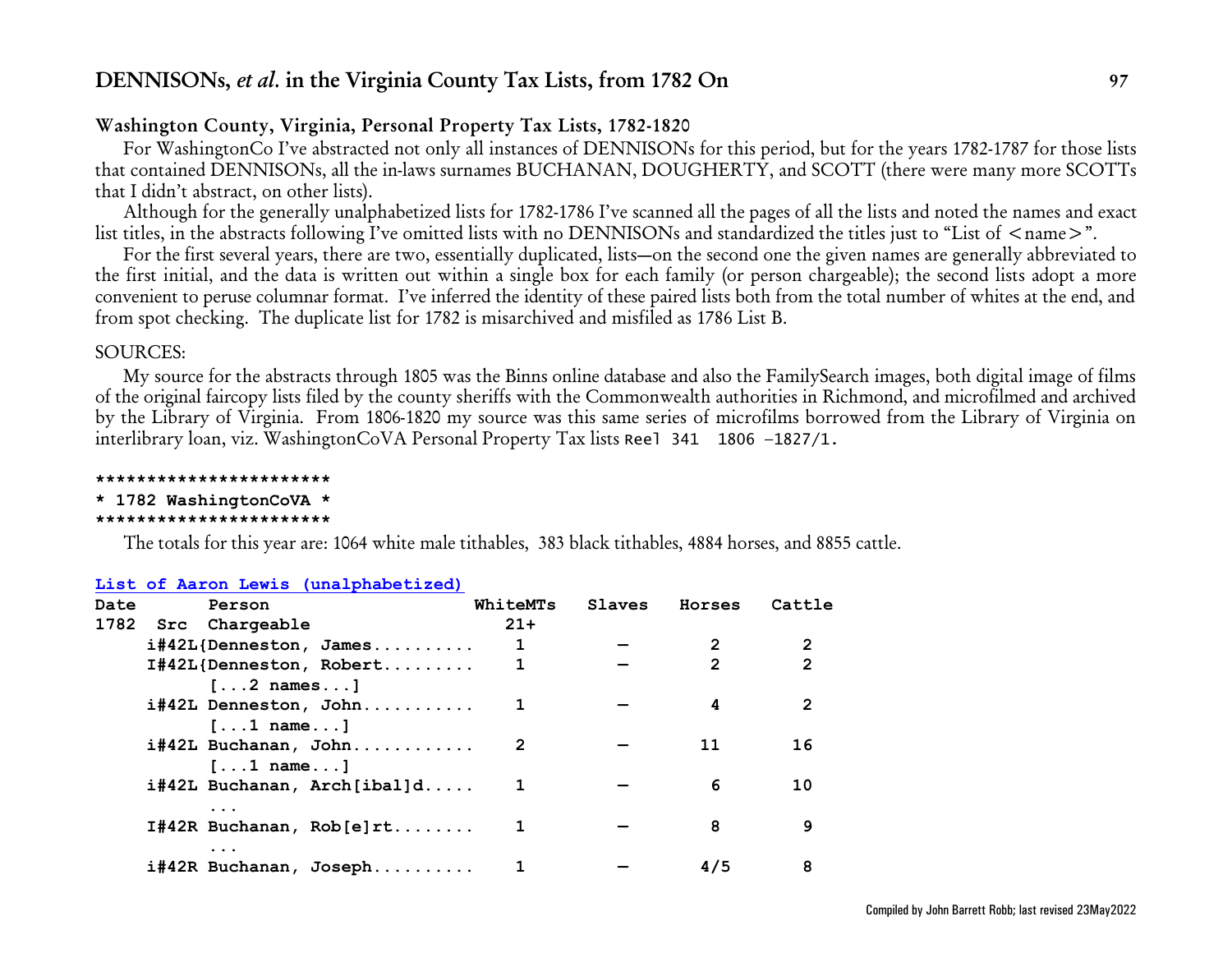## **Washington County, Virginia, Personal Property Tax Lists, 1782-1820**

For WashingtonCo I've abstracted not only all instances of DENNISONs for this period, but for the years 1782-1787 for those lists that contained DENNISONs, all the in-laws surnames BUCHANAN, DOUGHERTY, and SCOTT (there were many more SCOTTs that I didn't abstract, on other lists).

Although for the generally unalphabetized lists for 1782-1786 I've scanned all the pages of all the lists and noted the names and exact list titles, in the abstracts following I've omitted lists with no DENNISONs and standardized the titles just to "List of  $\langle$  name $\rangle$ ".

For the first several years, there are two, essentially duplicated, lists—on the second one the given names are generally abbreviated to the first initial, and the data is written out within a single box for each family (or person chargeable); the second lists adopt a more convenient to peruse columnar format. I've inferred the identity of these paired lists both from the total number of whites at the end, and from spot checking. The duplicate list for 1782 is misarchived and misfiled as 1786 List B.

## SOURCES:

My source for the abstracts through 1805 was the Binns online database and also the FamilySearch images, both digital image of films of the original faircopy lists filed by the county sheriffs with the Commonwealth authorities in Richmond, and microfilmed and archived by the Library of Virginia. From 1806-1820 my source was this same series of microfilms borrowed from the Library of Virginia on interlibrary loan, viz. WashingtonCoVA Personal Property Tax lists Reel 341 1806 —1827/1.

**\*\*\*\*\*\*\*\*\*\*\*\*\*\*\*\*\*\*\*\*\*\*\***

### **\* 1782 WashingtonCoVA \***

#### **\*\*\*\*\*\*\*\*\*\*\*\*\*\*\*\*\*\*\*\*\*\*\***

The totals for this year are: 1064 white male tithables, 383 black tithables, 4884 horses, and 8855 cattle.

### **[List of Aaron Lewis \(unalphabetized\)](https://www.familysearch.org/ark:/61903/3:1:3Q9M-CS79-LT8X?i=41&cat=408206)**

| Date | Person                            | WhiteMTs | Slaves | Horses        | Cattle         |
|------|-----------------------------------|----------|--------|---------------|----------------|
| 1782 | Src Chargeable                    | $21+$    |        |               |                |
|      | $i$ #42L{Denneston, James         |          |        |               |                |
|      | I#42L{Denneston, Robert           |          |        | $\mathcal{P}$ | $\overline{2}$ |
|      | $[\ldots 2 \text{ names} \ldots]$ |          |        |               |                |
|      | i#42L Denneston, John             |          |        | 4             |                |
|      | $[\ldots1$ name]                  |          |        |               |                |
|      | i#42L Buchanan, John              |          |        | 11            | 16             |
|      | $[\ldots1 \text{ name} \ldots]$   |          |        |               |                |
|      | i#42L Buchanan, Arch[ibal]d       |          |        | 6             | 10             |
|      |                                   |          |        |               |                |
|      | $I#42R$ Buchanan, $Rob[e]rt$      |          |        | 8             | 9              |
|      | $\cdots$                          |          |        |               |                |
|      | i#42R Buchanan, Joseph            |          |        | 4/5           | 8              |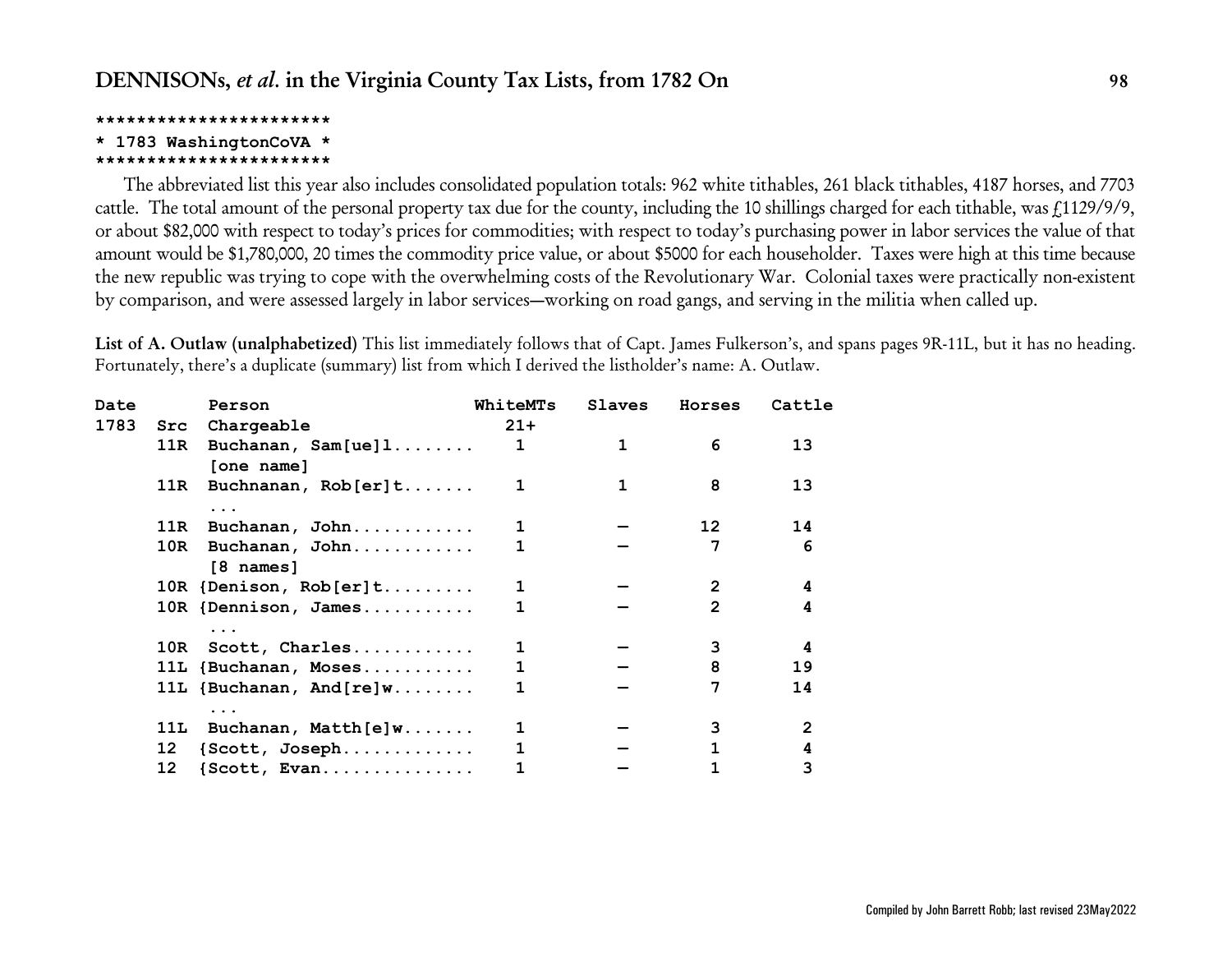### **\*\*\*\*\*\*\*\*\*\*\*\*\*\*\*\*\*\*\*\*\*\*\***

## **\* 1783 WashingtonCoVA \***

### **\*\*\*\*\*\*\*\*\*\*\*\*\*\*\*\*\*\*\*\*\*\*\***

The abbreviated list this year also includes consolidated population totals: 962 white tithables, 261 black tithables, 4187 horses, and 7703 cattle. The total amount of the personal property tax due for the county, including the 10 shillings charged for each tithable, was  $f(1129/9/9, 11129/9)$ or about \$82,000 with respect to today's prices for commodities; with respect to today's purchasing power in labor services the value of that amount would be \$1,780,000, 20 times the commodity price value, or about \$5000 for each householder. Taxes were high at this time because the new republic was trying to cope with the overwhelming costs of the Revolutionary War. Colonial taxes were practically non-existent by comparison, and were assessed largely in labor services—working on road gangs, and serving in the militia when called up.

**List of A. Outlaw (unalphabetized)** This list immediately follows that of Capt. James Fulkerson's, and spans pages 9R-11L, but it has no heading. Fortunately, there's a duplicate (summary) list from which I derived the listholder's name: A. Outlaw.

| Date |      | Person                             | WhiteMTs     | Slaves | Horses         | Cattle |
|------|------|------------------------------------|--------------|--------|----------------|--------|
| 1783 |      | Src Chargeable                     | $21 +$       |        |                |        |
|      | 11R  | Buchanan, $Sam[ue]1$<br>[one name] | $\mathbf{1}$ | 1      | 6              | 13     |
|      |      | 11R Buchnanan, Rob[er]t            | 1            |        | 8              | 13     |
|      |      | $\ddotsc$                          |              |        |                |        |
|      | 11R  | Buchanan, John                     | 1            |        | 12             | 14     |
|      | 10R  | Buchanan, John                     | 1            |        | 7              | 6      |
|      |      | [8 names]                          |              |        |                |        |
|      |      | 10R {Denison, Rob[er]t             | 1            |        | $\overline{2}$ | 4      |
|      |      | 10R {Dennison, James               | 1            |        | $\overline{2}$ | 4      |
|      |      | $\ddotsc$                          |              |        |                |        |
|      |      | 10R Scott, Charles                 | 1            |        | 3              | 4      |
|      |      | 11L {Buchanan, Moses               | 1            |        | 8              | 19     |
|      |      | 11L $\{Buchanan, And[re]w \dots$   | $\mathbf{1}$ |        | 7              | 14     |
|      |      | $\ddotsc$                          |              |        |                |        |
|      | 11L. | $Buchanan, Math[e] w \ldots$       |              |        | 3              | 2      |
|      | 12   | {Scott, Joseph                     | 1            |        |                | 4      |
|      | 12   | $\{Scott, Evan.$                   |              |        |                | 3      |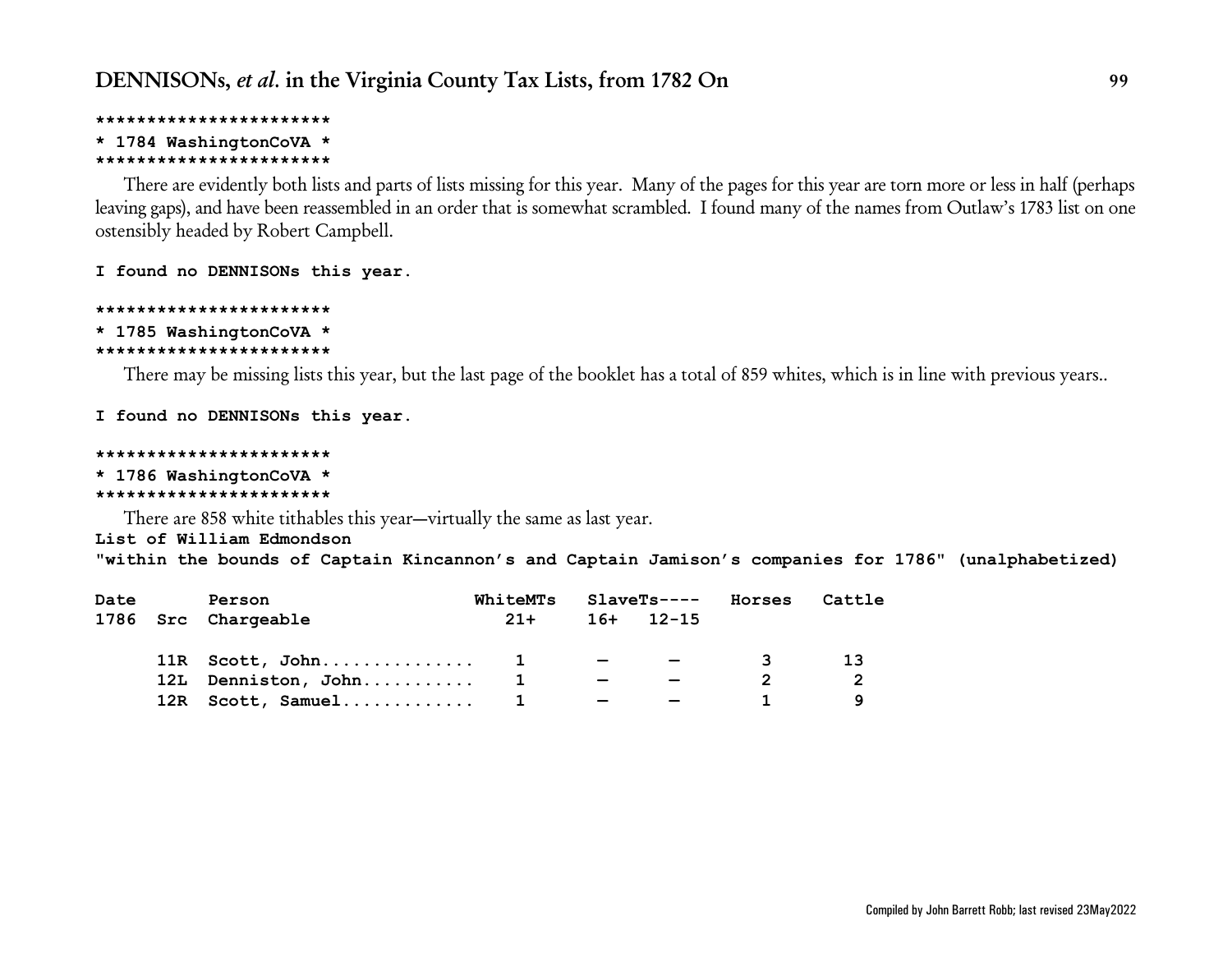### **\*\*\*\*\*\*\*\*\*\*\*\*\*\*\*\*\*\*\*\*\*\*\***

## **\* 1784 WashingtonCoVA \***

### **\*\*\*\*\*\*\*\*\*\*\*\*\*\*\*\*\*\*\*\*\*\*\***

There are evidently both lists and parts of lists missing for this year. Many of the pages for this year are torn more or less in half (perhaps leaving gaps), and have been reassembled in an order that is somewhat scrambled. I found many of the names from Outlaw's 1783 list on one ostensibly headed by Robert Campbell.

## **I found no DENNISONs this year.**

# **\*\*\*\*\*\*\*\*\*\*\*\*\*\*\*\*\*\*\*\*\*\*\***

#### **\* 1785 WashingtonCoVA \* \*\*\*\*\*\*\*\*\*\*\*\*\*\*\*\*\*\*\*\*\*\*\***

There may be missing lists this year, but the last page of the booklet has a total of 859 whites, which is in line with previous years..

## **I found no DENNISONs this year.**

# **\*\*\*\*\*\*\*\*\*\*\*\*\*\*\*\*\*\*\*\*\*\*\***

# **\* 1786 WashingtonCoVA \***

## **\*\*\*\*\*\*\*\*\*\*\*\*\*\*\*\*\*\*\*\*\*\*\***

There are 858 white tithables this year—virtually the same as last year.

## **List of William Edmondson**

**"within the bounds of Captain Kincannon's and Captain Jamison's companies for 1786" (unalphabetized)**

| Date | Person              | WhiteMTs |                                           | SlaveTs----              | Horses | Cattle |
|------|---------------------|----------|-------------------------------------------|--------------------------|--------|--------|
|      | 1786 Src Chargeable | $21+$    |                                           | $16+$ 12-15              |        |        |
|      | $11R$ Scott, John 1 |          |                                           |                          | ્રવ    |        |
|      | 12L Denniston, John |          | $\overline{\phantom{0}}$                  | $\overline{\phantom{0}}$ |        | າ      |
|      | 12R Scott, Samuel 1 |          | $\sim$ $\sim$ $\sim$ $\sim$ $\sim$ $\sim$ | $\overline{\phantom{0}}$ |        |        |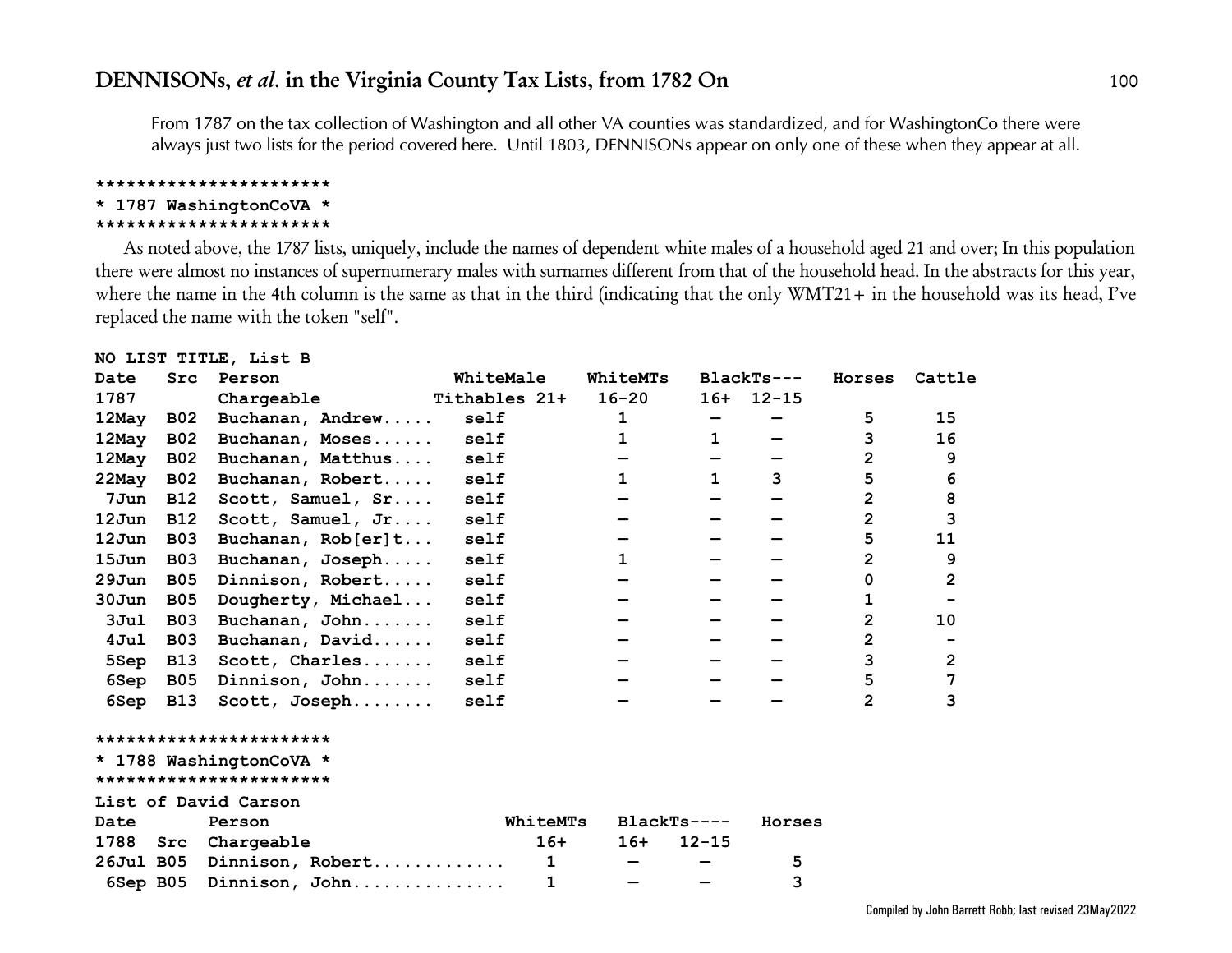*From 1787 on the tax collection of Washington and all other VA counties was standardized, and for WashingtonCo there were always just two lists for the period covered here. Until 1803, DENNISONs appear on only one of these when they appear at all.*

#### **\*\*\*\*\*\*\*\*\*\*\*\*\*\*\*\*\*\*\*\*\*\*\***

## **\* 1787 WashingtonCoVA \***

#### **\*\*\*\*\*\*\*\*\*\*\*\*\*\*\*\*\*\*\*\*\*\*\***

As noted above, the 1787 lists, uniquely, include the names of dependent white males of a household aged 21 and over; In this population there were almost no instances of supernumerary males with surnames different from that of the household head. In the abstracts for this year, where the name in the 4th column is the same as that in the third (indicating that the only WMT21+ in the household was its head, I've replaced the name with the token "self".

### **NO LIST TITLE, List B**

| Date     | Src        | Person                  | WhiteMale     | <b>WhiteMTs</b> |              | $BlackTs---$ | Horses         | Cattle         |
|----------|------------|-------------------------|---------------|-----------------|--------------|--------------|----------------|----------------|
| 1787     |            | Chargeable              | Tithables 21+ | $16 - 20$       |              | $16+ 12-15$  |                |                |
| 12May    | <b>B02</b> | Buchanan, Andrew        | self          | 1               |              |              | 5.             | 15             |
| 12May    | <b>B02</b> | Buchanan, Moses         | self          | 1               | $\mathbf{1}$ |              | 3              | 16             |
| 12May    | <b>B02</b> | Buchanan, Matthus       | self          |                 |              |              | $\overline{2}$ | 9              |
| $22$ May | <b>B02</b> | Buchanan, Robert        | self          | $\mathbf{1}$    | $\mathbf{1}$ | 3            | 5              | 6              |
| 7Jun     | <b>B12</b> | Scott, Samuel, Sr       | self          |                 |              |              | $\overline{2}$ | 8              |
| $12$ Jun | <b>B12</b> | Scott, Samuel, Jr       | self          |                 |              |              | $\overline{2}$ | 3              |
| 12Jun    | <b>B03</b> | Buchanan, $Rob[er]t$    | self          |                 |              |              | 5              | 11             |
| $15$ Jun | <b>B03</b> | Buchanan, Joseph        | self          | $\mathbf{1}$    |              |              | 2              | 9              |
| $29$ Jun | <b>B05</b> | Dinnison, Robert        | self          |                 |              |              | 0              | $\overline{2}$ |
| $30J$ un | <b>B05</b> | Dougherty, Michael      | self          |                 |              |              | 1              |                |
| 3Jul     | <b>B03</b> | Buchanan, John          | self          |                 |              |              | $\overline{2}$ | 10             |
| 4Jul     | <b>B03</b> | Buchanan, David         | self          |                 |              |              | $\overline{2}$ |                |
| 5Sep     | <b>B13</b> | Scott, Charles          | self          |                 |              |              | 3              | $\overline{2}$ |
| 6Sep     | <b>B05</b> | Dinnison, John          | self          |                 |              |              | 5              | 7              |
| 6Sep     | <b>B13</b> | Scott, Joseph           | self          |                 |              |              | $\mathbf{2}$   | 3              |
|          |            | *********************** |               |                 |              |              |                |                |
|          |            | * 1788 WashingtonCoVA * |               |                 |              |              |                |                |
|          |            | *********************** |               |                 |              |              |                |                |
|          |            | List of David Carson    |               |                 |              |              |                |                |
| Date     |            | Person                  | WhiteMTs      | $BlackTs---$    |              | Horses       |                |                |
|          |            |                         |               | $101 - 101$     |              |              |                |                |

|  | 1788 Src Chargeable          | 16+ | 16+ 12-15 |  |
|--|------------------------------|-----|-----------|--|
|  | 26Jul B05 Dinnison, Robert 1 |     |           |  |
|  |                              |     |           |  |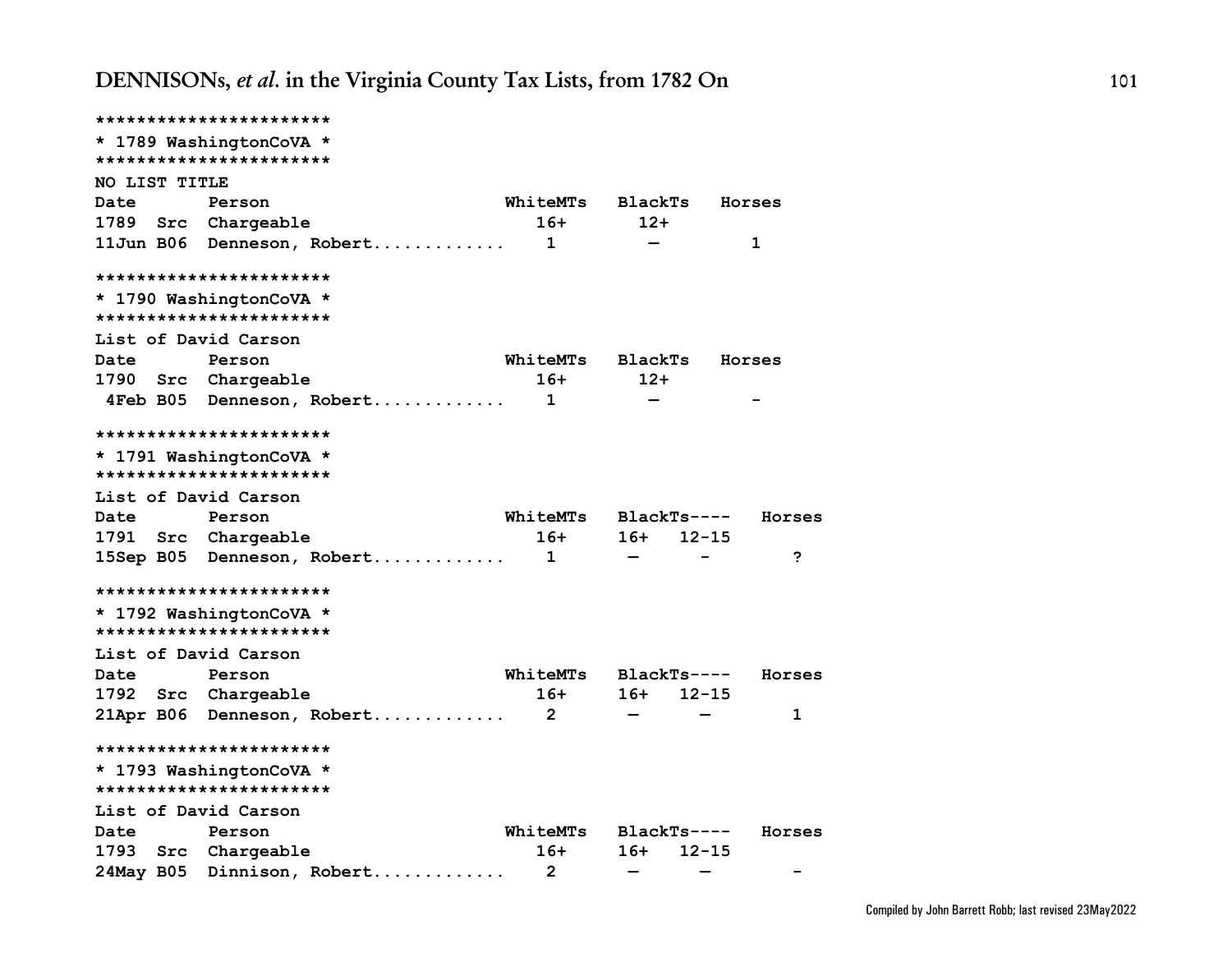|               | ***********************                            |                 |                              |           |
|---------------|----------------------------------------------------|-----------------|------------------------------|-----------|
|               | * 1789 WashingtonCoVA *                            |                 |                              |           |
|               | ***********************                            |                 |                              |           |
| NO LIST TITLE |                                                    |                 |                              |           |
| <b>Date</b>   | Person                                             | WhiteMTs        | <b>BlackTs</b>               | Horses    |
| 1789          | Src Chargeable                                     | 16+             | $12+$                        |           |
|               | 11Jun B06 Denneson, Robert                         | $\mathbf{1}$    |                              | 1         |
|               | ***********************                            |                 |                              |           |
|               | * 1790 WashingtonCoVA *<br>*********************** |                 |                              |           |
|               | List of David Carson                               |                 |                              |           |
| Date          | Person                                             | WhiteMTs        | <b>BlackTs</b>               | Horses    |
|               | 1790 Src Chargeable                                | 16+             | $12+$                        |           |
|               | 4Feb B05 Denneson, Robert                          | 1               |                              |           |
|               | ***********************                            |                 |                              |           |
|               | * 1791 WashingtonCoVA *                            |                 |                              |           |
|               | ***********************                            |                 |                              |           |
|               | List of David Carson                               |                 |                              |           |
| Date          | Person                                             | <b>WhiteMTs</b> | BlackTs----                  | Horses    |
|               | 1791 Src Chargeable                                | $16+$           | $16+$                        | $12 - 15$ |
|               | 15Sep B05 Denneson, Robert                         | $\mathbf{1}$    | $\qquad \qquad \blacksquare$ | ?         |
|               | ***********************                            |                 |                              |           |
|               | * 1792 WashingtonCoVA *<br>*********************** |                 |                              |           |
|               | List of David Carson                               |                 |                              |           |
| Date          | Person                                             | WhiteMTs        | BlackTs----                  | Horses    |
| 1792          | Src Chargeable                                     | 16+             | 16+                          | $12 - 15$ |
|               | 21Apr B06 Denneson, Robert                         | $\mathbf{2}$    |                              | 1         |
|               | ***********************                            |                 |                              |           |
|               | * 1793 WashingtonCoVA *                            |                 |                              |           |
|               | ***********************                            |                 |                              |           |
|               | List of David Carson                               |                 |                              |           |
| Date          | Person                                             | WhiteMTs        | BlackTs----                  | Horses    |
| 1793          | Src Chargeable                                     | $16+$           | 16+                          | $12 - 15$ |
|               | 24May B05 Dinnison, Robert                         | $\overline{2}$  |                              |           |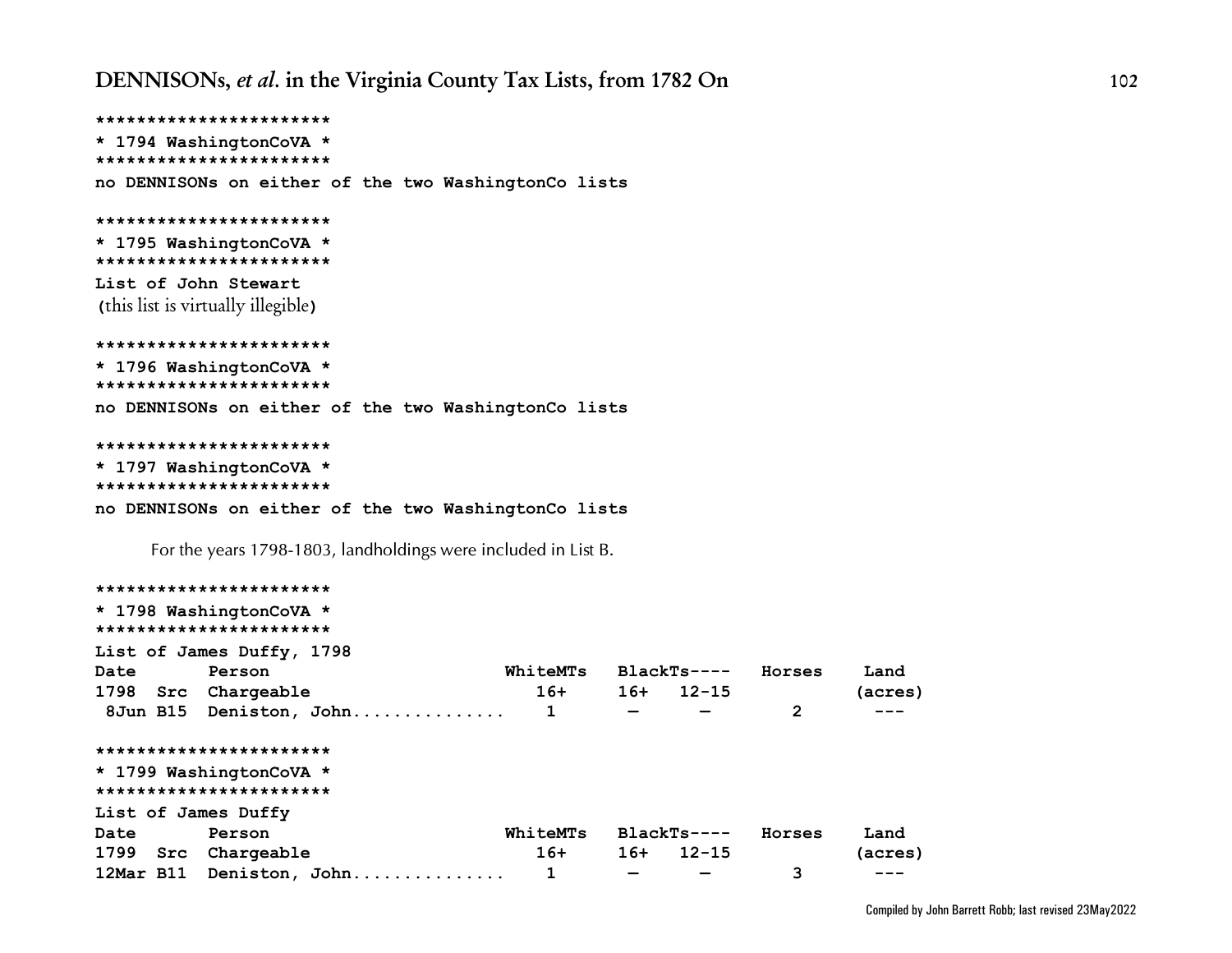```
***********************
* 1794 WashingtonCoVA *
***********************
no DENNISONs on either of the two WashingtonCo lists
***********************
* 1795 WashingtonCoVA *
***********************
List of John Stewart
(this list is virtually illegible)
***********************
* 1796 WashingtonCoVA *
***********************
no DENNISONs on either of the two WashingtonCo lists
***********************
* 1797 WashingtonCoVA *
***********************
no DENNISONs on either of the two WashingtonCo lists
     For the years 1798-1803, landholdings were included in List B.
***********************
* 1798 WashingtonCoVA *
***********************
List of James Duffy, 1798
```

| Date                | Person                   | WhiteMTs |                          | $BlackTs---$ | Horses | Land    |
|---------------------|--------------------------|----------|--------------------------|--------------|--------|---------|
| 1798                | Src Chargeable           | $16+$    | $16+$                    | $12 - 15$    |        | (acres) |
|                     | 8Jun B15 Deniston, John  |          | $\overline{\phantom{0}}$ |              | 2      |         |
|                     | ***********************  |          |                          |              |        |         |
|                     | * 1799 WashingtonCoVA *  |          |                          |              |        |         |
|                     | ***********************  |          |                          |              |        |         |
| List of James Duffy |                          |          |                          |              |        |         |
| Date                | Person                   | WhiteMTs |                          | $BlackTs---$ | Horses | Land    |
| 1799                | Src Chargeable           | $16+$    | $16+$                    | 12-15        |        | (acres) |
|                     | 12Mar B11 Deniston, John |          |                          |              | 3      |         |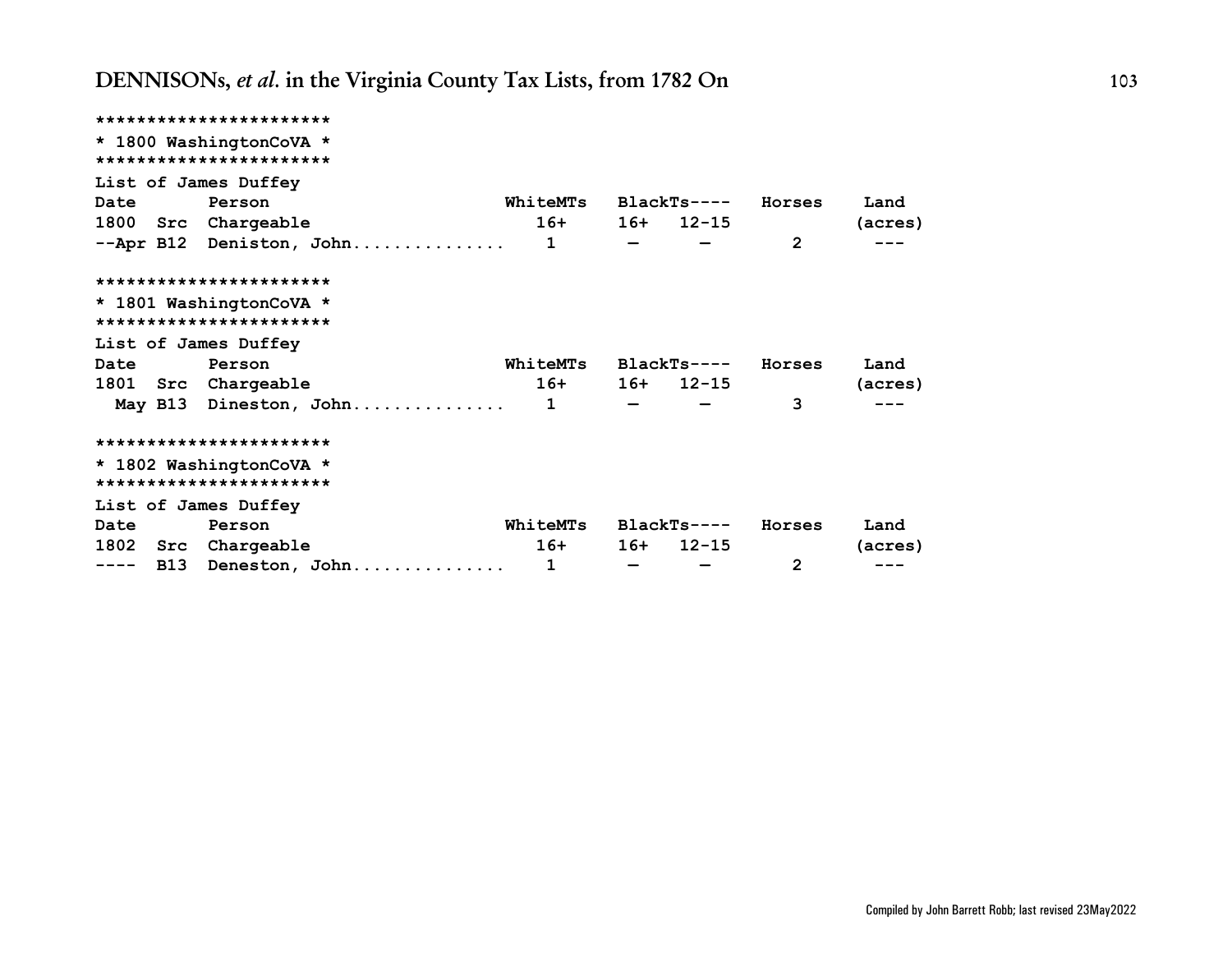|                      | ***********************                            |                      |             |                |         |
|----------------------|----------------------------------------------------|----------------------|-------------|----------------|---------|
|                      | * 1800 WashingtonCoVA *<br>*********************** |                      |             |                |         |
| List of James Duffey |                                                    |                      |             |                |         |
| Date                 | Person                                             | WhiteMTs             | BlackTs---- | Horses         | Land    |
|                      | 1800 Src Chargeable                                | $16+$                | $16+ 12-15$ |                | (acres) |
|                      | $--$ Apr B12 Deniston, John 1                      |                      |             | $\overline{2}$ |         |
|                      | ***********************                            |                      |             |                |         |
|                      | * 1801 WashingtonCoVA *                            |                      |             |                |         |
|                      | ***********************                            |                      |             |                |         |
| List of James Duffey |                                                    |                      |             |                |         |
| Date                 | Person                                             | WhiteMTs BlackTs---- |             | Horses         | Land    |
|                      | 1801 Src Chargeable                                | $16+$                | $16+ 12-15$ |                | (acres) |
|                      |                                                    |                      |             | 3              |         |
|                      | ***********************                            |                      |             |                |         |
|                      | * 1802 WashingtonCoVA *                            |                      |             |                |         |
|                      | ***********************                            |                      |             |                |         |
| List of James Duffey |                                                    |                      |             |                |         |
| Date                 | Person                                             | WhiteMTs             | BlackTs---- | Horses         | Land    |
|                      | 1802 Src Chargeable                                | $16+$                | $16+ 12-15$ |                | (acres) |
| <b>B13</b><br>----   | Deneston, John                                     | 1                    |             | 2              |         |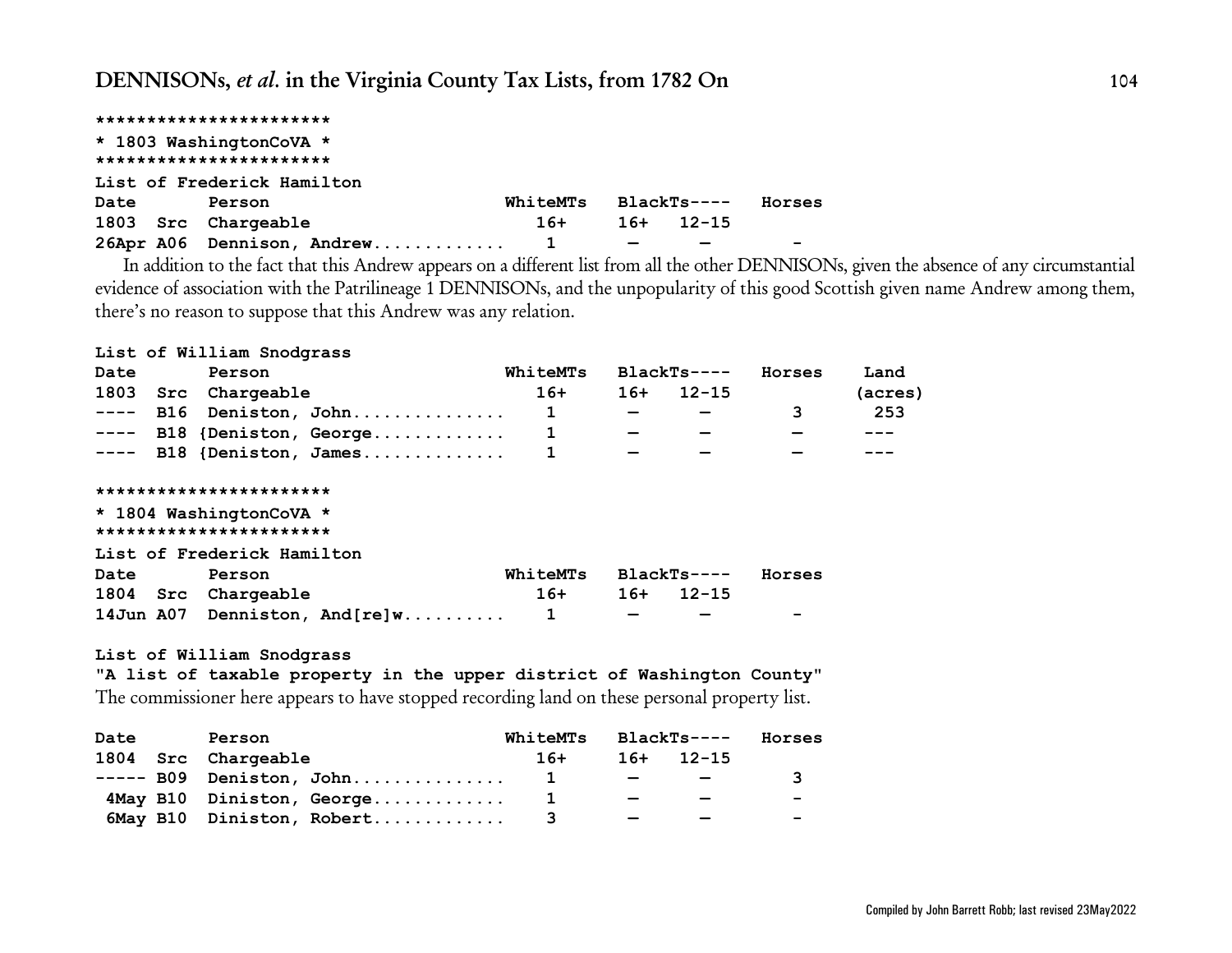|      | ***********************    |          |     |             |        |
|------|----------------------------|----------|-----|-------------|--------|
|      | * 1803 WashingtonCoVA *    |          |     |             |        |
|      | ***********************    |          |     |             |        |
|      | List of Frederick Hamilton |          |     |             |        |
| Date | Person                     | WhiteMTs |     | BlackTs---- | Horses |
|      | 1803 Src Chargeable        | $16+$    | 16+ | $12 - 15$   |        |
|      |                            |          |     |             |        |

In addition to the fact that this Andrew appears on a different list from all the other DENNISONs, given the absence of any circumstantial evidence of association with the Patrilineage 1 DENNISONs, and the unpopularity of this good Scottish given name Andrew among them, there's no reason to suppose that this Andrew was any relation.

#### **List of William Snodgrass**

| Date                                                                                                                                                                                                                                                                                                                                                                                         |     | Person                     |                               | WhiteMTs |                          | $BlackTs---$ | Horses | Land    |
|----------------------------------------------------------------------------------------------------------------------------------------------------------------------------------------------------------------------------------------------------------------------------------------------------------------------------------------------------------------------------------------------|-----|----------------------------|-------------------------------|----------|--------------------------|--------------|--------|---------|
| 1803                                                                                                                                                                                                                                                                                                                                                                                         |     | Src Chargeable             |                               | $16+$    | $16+$                    | $12 - 15$    |        | (acres) |
| $- - - - -$                                                                                                                                                                                                                                                                                                                                                                                  | B16 |                            | Deniston, John                |          | $\qquad \qquad$          |              | 3      | 253     |
| $\frac{1}{2} \frac{1}{2} \frac{1}{2} \frac{1}{2} \frac{1}{2} \frac{1}{2} \frac{1}{2} \frac{1}{2} \frac{1}{2} \frac{1}{2} \frac{1}{2} \frac{1}{2} \frac{1}{2} \frac{1}{2} \frac{1}{2} \frac{1}{2} \frac{1}{2} \frac{1}{2} \frac{1}{2} \frac{1}{2} \frac{1}{2} \frac{1}{2} \frac{1}{2} \frac{1}{2} \frac{1}{2} \frac{1}{2} \frac{1}{2} \frac{1}{2} \frac{1}{2} \frac{1}{2} \frac{1}{2} \frac{$ |     |                            | B18 {Deniston, George         |          |                          |              |        |         |
|                                                                                                                                                                                                                                                                                                                                                                                              |     |                            | $---$ B18 {Deniston, James    |          | $\overline{\phantom{0}}$ |              |        |         |
|                                                                                                                                                                                                                                                                                                                                                                                              |     |                            |                               |          |                          |              |        |         |
|                                                                                                                                                                                                                                                                                                                                                                                              |     | ***********************    |                               |          |                          |              |        |         |
|                                                                                                                                                                                                                                                                                                                                                                                              |     | * 1804 WashingtonCoVA *    |                               |          |                          |              |        |         |
|                                                                                                                                                                                                                                                                                                                                                                                              |     | ***********************    |                               |          |                          |              |        |         |
|                                                                                                                                                                                                                                                                                                                                                                                              |     | List of Frederick Hamilton |                               |          |                          |              |        |         |
| Date                                                                                                                                                                                                                                                                                                                                                                                         |     | Person                     |                               | WhiteMTs |                          | BlackTs----  | Horses |         |
|                                                                                                                                                                                                                                                                                                                                                                                              |     | 1804 Src Chargeable        |                               | $16+$    | $16+$                    | 12-15        |        |         |
|                                                                                                                                                                                                                                                                                                                                                                                              |     |                            | 14Jun A07 Denniston, And[re]w |          |                          |              |        |         |

#### **List of William Snodgrass**

**"A list of taxable property in the upper district of Washington County"** The commissioner here appears to have stopped recording land on these personal property list.

| Date<br>Person |  | WhiteMTs                  | BlackTs----  |                             | Horses                      |   |
|----------------|--|---------------------------|--------------|-----------------------------|-----------------------------|---|
|                |  | 1804 Src Chargeable       | $16+$        |                             | $16+ 12-15$                 |   |
|                |  | $---$ B09 Deniston, John  | $\mathbf{1}$ | $\sim$ $\sim$ $\sim$ $\sim$ | $\sim$ $\sim$ $\sim$ $\sim$ | ર |
|                |  | 4May B10 Diniston, George |              | $\overline{\phantom{0}}$    |                             | - |
|                |  | 6May B10 Diniston, Robert |              | $\overline{\phantom{0}}$    |                             | - |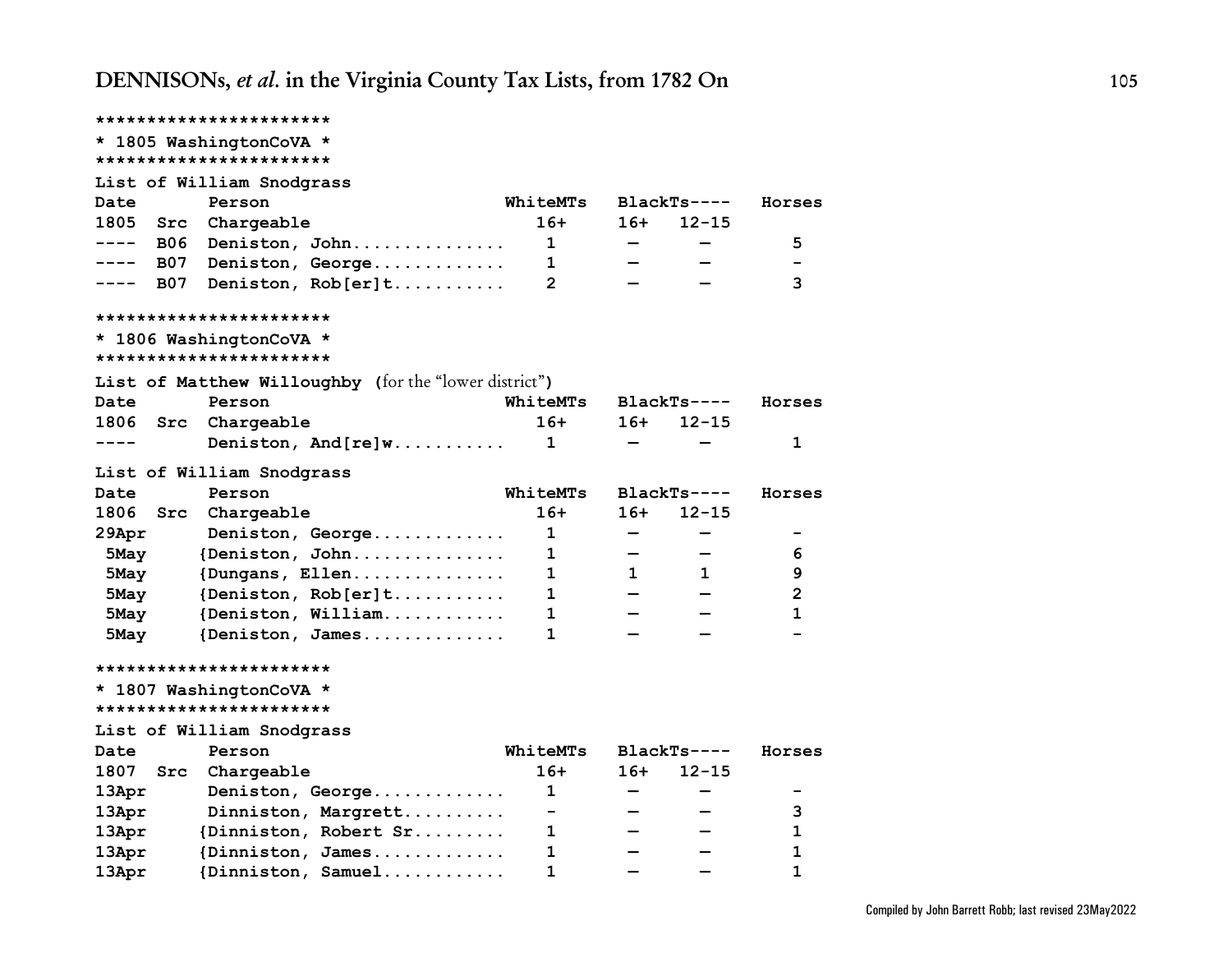|                    | ***********************                               |                              |                              |              |              |
|--------------------|-------------------------------------------------------|------------------------------|------------------------------|--------------|--------------|
|                    | * 1805 WashingtonCoVA *                               |                              |                              |              |              |
|                    | ***********************                               |                              |                              |              |              |
|                    | List of William Snodgrass                             |                              |                              |              |              |
| Date               | Person                                                | WhiteMTs                     |                              | $BlackTs---$ | Horses       |
| 1805<br>Src        | Chargeable                                            | $16+$                        | $16+$                        | $12 - 15$    |              |
| B06<br>----        | Deniston, John                                        | 1                            | $\qquad \qquad \blacksquare$ | -            | 5            |
| B07<br>.           | Deniston, George                                      | 1                            |                              |              |              |
| <b>B07</b><br>---- | Deniston, Rob[er]t                                    | $\overline{2}$               |                              |              | 3            |
|                    | ***********************                               |                              |                              |              |              |
|                    | * 1806 WashingtonCoVA *                               |                              |                              |              |              |
|                    | ***********************                               |                              |                              |              |              |
|                    | List of Matthew Willoughby (for the "lower district") |                              |                              |              |              |
| Date               | Person                                                | WhiteMTs                     |                              | $BlackTs---$ | Horses       |
| 1806<br>Src        | Chargeable                                            | $16+$                        | $16+$                        | $12 - 15$    |              |
| ----               | Deniston, $And[re]w$                                  | 1                            |                              |              | 1            |
|                    | List of William Snodgrass                             |                              |                              |              |              |
| Date               | Person                                                | WhiteMTs                     |                              | $BlackTs---$ | Horses       |
| 1806<br>Src        | Chargeable                                            | $16+$                        | $16+$                        | $12 - 15$    |              |
| 29Apr              | Deniston, George                                      | 1                            |                              | -            | -            |
| 5May               | {Deniston, John                                       | 1                            |                              |              | 6            |
| 5May               | {Dungans, Ellen                                       | 1                            | $\mathbf{1}$                 | 1            | 9            |
| 5May               | {Deniston, $Rob[er]t$                                 | 1.                           |                              |              | 2            |
| 5May               | {Deniston, William                                    | 1                            |                              |              | 1            |
| 5May               | {Deniston, James                                      | 1                            |                              |              |              |
|                    | ***********************                               |                              |                              |              |              |
|                    | * 1807 WashingtonCoVA *                               |                              |                              |              |              |
|                    | ***********************                               |                              |                              |              |              |
|                    | List of William Snodgrass                             |                              |                              |              |              |
| Date               | Person                                                | WhiteMTs                     |                              | $BlackTs---$ | Horses       |
| 1807<br>Src        | Chargeable                                            | $16+$                        | $16+$                        | $12 - 15$    |              |
| 13Apr              | Deniston, George                                      | 1                            |                              |              |              |
| 13Apr              | Dinniston, Margrett                                   | $\qquad \qquad \blacksquare$ |                              |              | 3            |
| 13Apr              | {Dinniston, Robert Sr                                 | 1                            |                              |              | 1            |
| 13Apr              | {Dinniston, James                                     | 1                            |                              |              | 1            |
| 13Apr              | ${Dinniston, Samuel$                                  | 1                            |                              |              | $\mathbf{1}$ |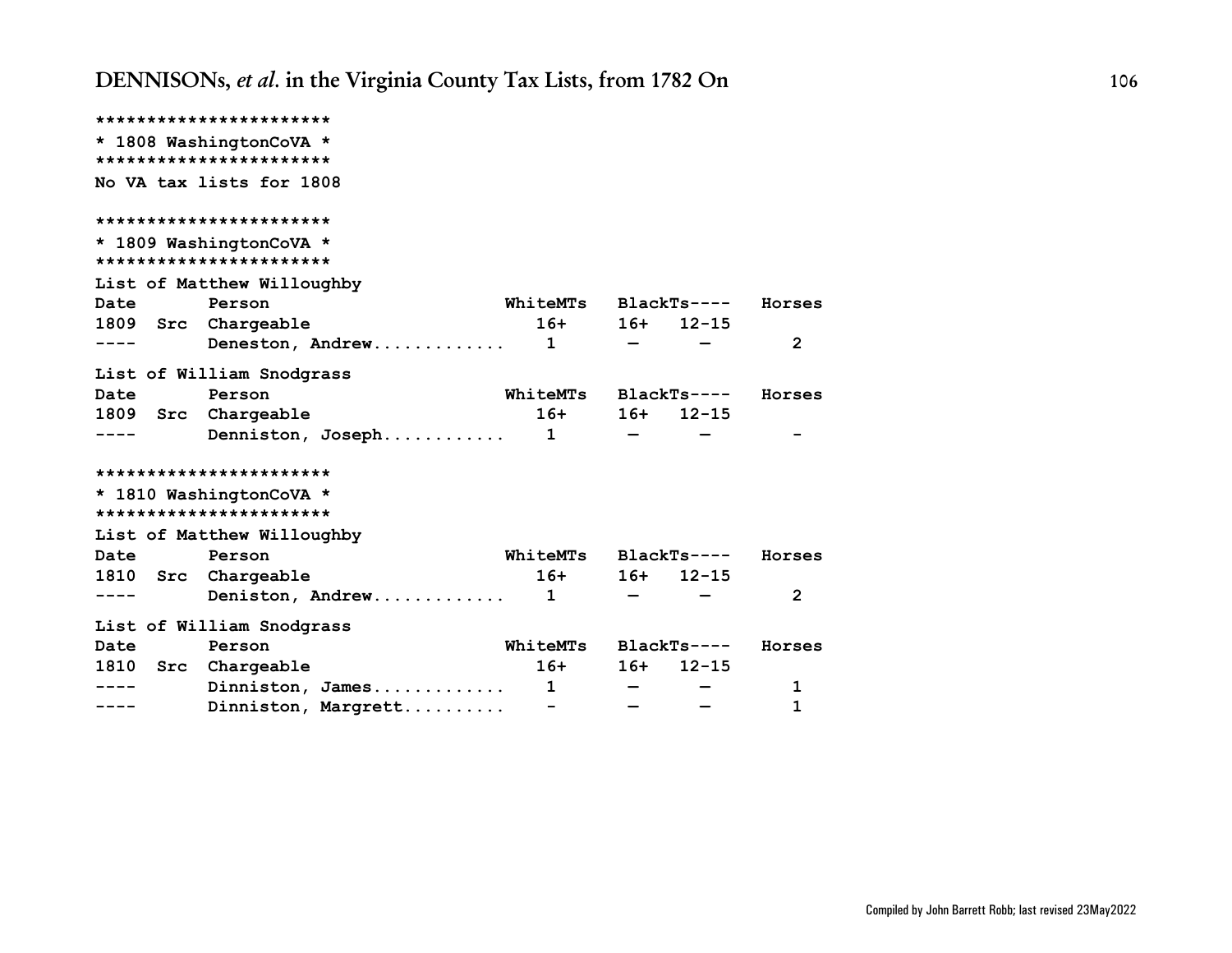|             | ***********************                            |                      |       |                 |                |
|-------------|----------------------------------------------------|----------------------|-------|-----------------|----------------|
|             | * 1808 WashingtonCoVA *                            |                      |       |                 |                |
|             | ***********************                            |                      |       |                 |                |
|             | No VA tax lists for 1808                           |                      |       |                 |                |
|             |                                                    |                      |       |                 |                |
|             | ***********************                            |                      |       |                 |                |
|             | * 1809 WashingtonCoVA *                            |                      |       |                 |                |
|             | ***********************                            |                      |       |                 |                |
|             | List of Matthew Willoughby                         |                      |       |                 |                |
| Date        | Person                                             | WhiteMTs BlackTs---- |       |                 | Horses         |
|             | 1809 Src Chargeable                                | $16+$                |       | $16+ 12-15$     |                |
|             |                                                    |                      |       |                 | $\overline{2}$ |
|             | List of William Snodgrass                          |                      |       |                 |                |
| <b>Date</b> | Person                                             | WhiteMTs BlackTs---- |       |                 | Horses         |
|             | 1809 Src Chargeable                                |                      |       | $16+ 16+ 12-15$ |                |
|             | Denniston, Joseph 1                                |                      |       |                 |                |
|             | ***********************                            |                      |       |                 |                |
|             |                                                    |                      |       |                 |                |
|             | * 1810 WashingtonCoVA *<br>*********************** |                      |       |                 |                |
|             | List of Matthew Willoughby                         |                      |       |                 |                |
| <b>Date</b> | Person                                             | WhiteMTs BlackTs---- |       |                 | Horses         |
|             | 1810 Src Chargeable                                |                      |       | $16+ 16+ 12-15$ |                |
|             |                                                    |                      |       |                 | 2              |
|             |                                                    |                      |       |                 |                |
|             | List of William Snodgrass                          |                      |       |                 |                |
| <b>Date</b> | Person                                             | WhiteMTs BlackTs---- |       |                 | Horses         |
|             | 1810 Src Chargeable                                | $16+$                | $16+$ | $12 - 15$       |                |
|             | Dinniston, James $1$                               |                      |       |                 | 1              |
| ----        | Dinniston, Margrett                                |                      |       |                 | $\mathbf 1$    |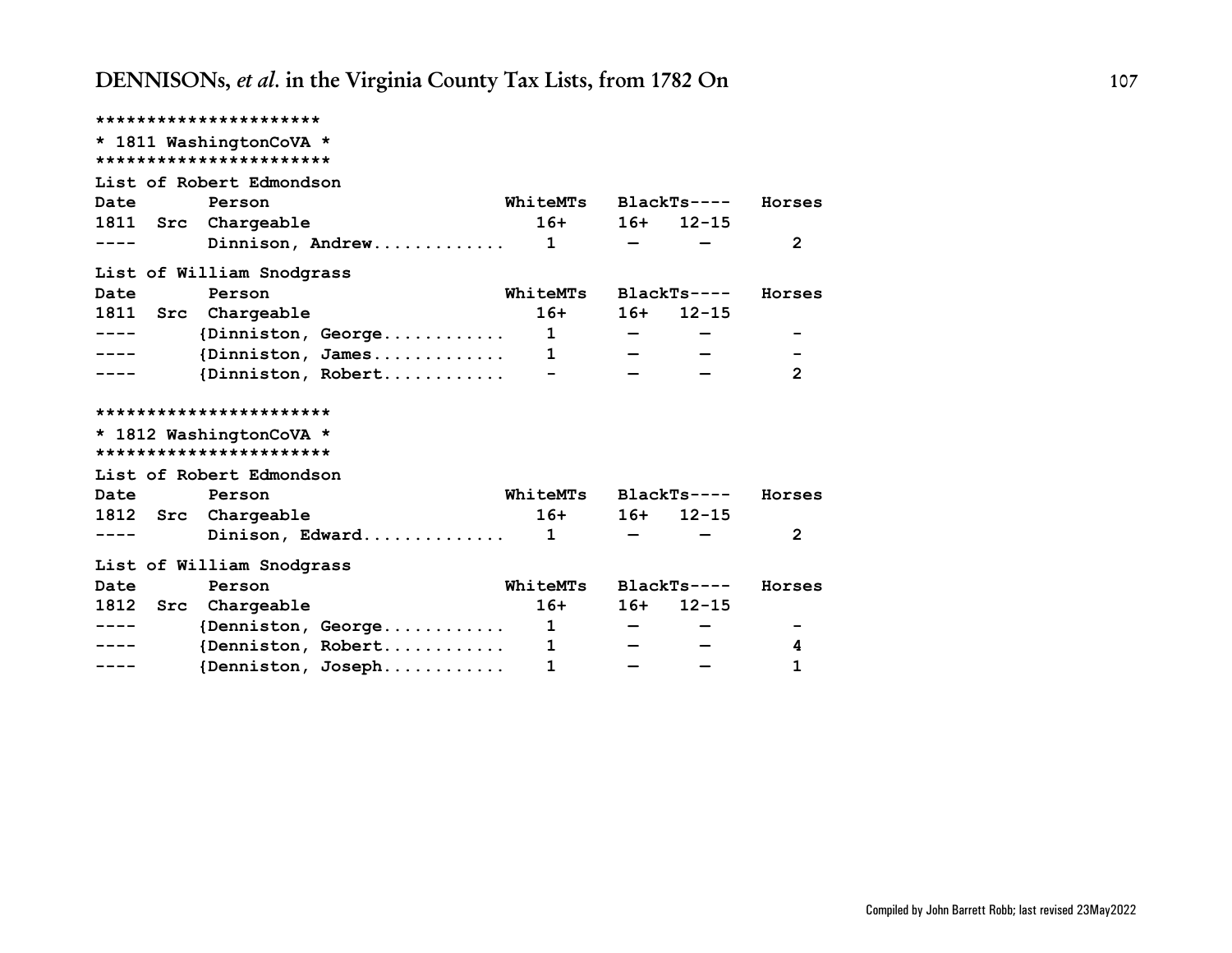|                 | **********************          |              |       |              |                |
|-----------------|---------------------------------|--------------|-------|--------------|----------------|
|                 | * 1811 WashingtonCoVA *         |              |       |              |                |
|                 | ***********************         |              |       |              |                |
|                 | List of Robert Edmondson        |              |       |              |                |
| Date            | Person                          | WhiteMTs     |       | BlackTs----  | Horses         |
| <b>1811 Src</b> | Chargeable                      | $16+$        | $16+$ | $12 - 15$    |                |
|                 | Dinnison, Andrew                | 1            |       |              | 2              |
|                 | List of William Snodgrass       |              |       |              |                |
| Date            | Person                          | WhiteMTs     |       | $BlackTs---$ | Horses         |
|                 | 1811 Src Chargeable             | $16+$        | $16+$ | $12 - 15$    |                |
|                 | $\{Dinniston, George \ldots  1$ |              |       |              |                |
|                 | {Dinniston, James $1$           |              |       |              |                |
|                 |                                 |              |       |              | $\overline{2}$ |
|                 | ***********************         |              |       |              |                |
|                 | * 1812 WashingtonCoVA *         |              |       |              |                |
|                 | ***********************         |              |       |              |                |
|                 | List of Robert Edmondson        |              |       |              |                |
| Date            | Person                          | WhiteMTs     |       | BlackTs----  | Horses         |
|                 | 1812 Src Chargeable             | $16+$        |       | $16+ 12-15$  |                |
| ----            | Dinison, Edward 1               |              |       |              | $\overline{2}$ |
|                 | List of William Snodgrass       |              |       |              |                |
| Date            | Person                          | WhiteMTs     |       | $BlackTs---$ | Horses         |
| 1812 Src        | Chargeable                      | $16+$        |       | $16+ 12-15$  |                |
| $- - - -$       | {Denniston, George              | $\mathbf{1}$ |       |              |                |
| ----            | {Denniston, Robert              | $\mathbf{1}$ |       |              | 4              |
|                 | {Denniston, Joseph              | 1            |       |              | $\mathbf 1$    |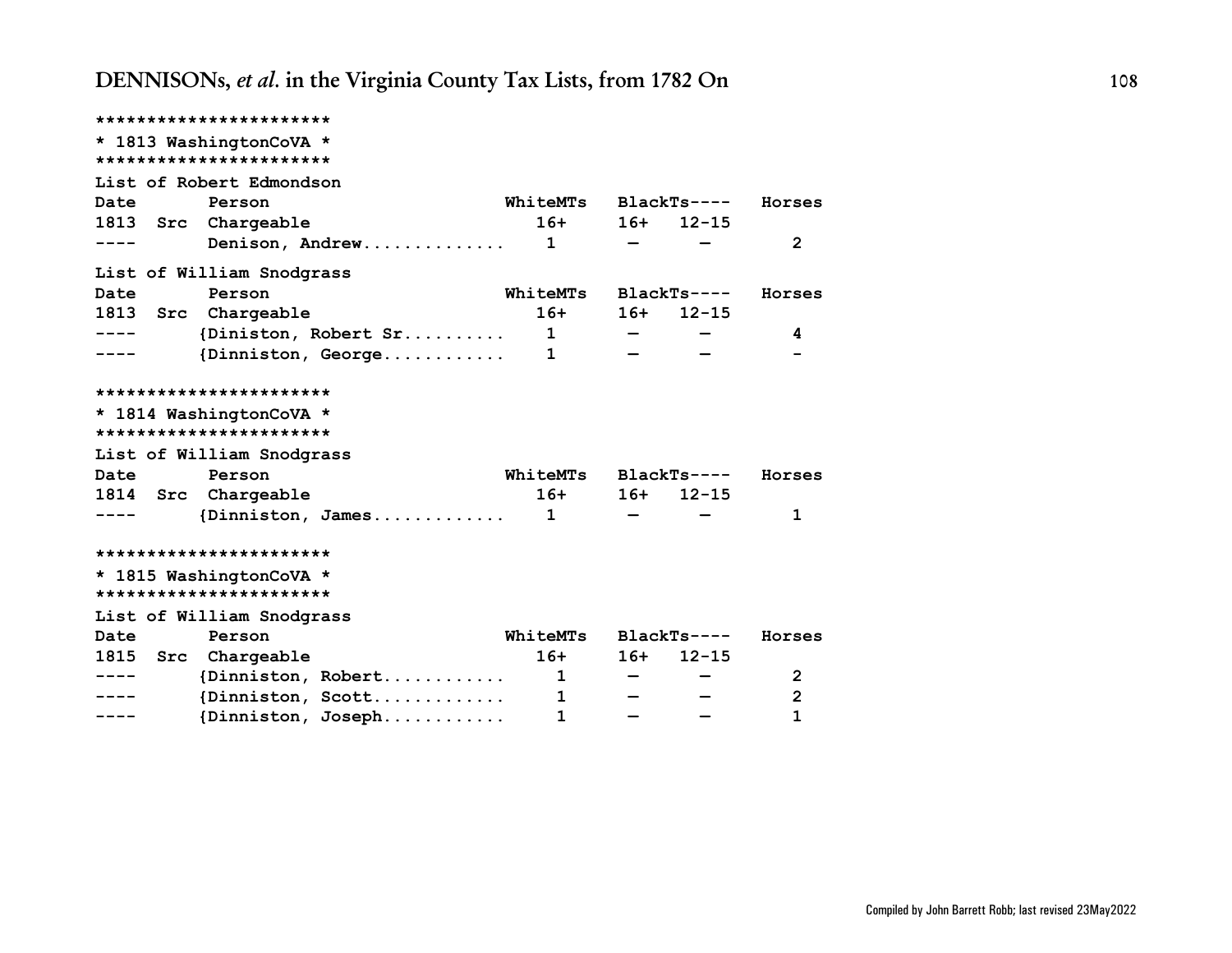|          | ***********************             |                      |       |              |                |
|----------|-------------------------------------|----------------------|-------|--------------|----------------|
|          | * 1813 WashingtonCoVA *             |                      |       |              |                |
|          | ***********************             |                      |       |              |                |
|          | List of Robert Edmondson            |                      |       |              |                |
| Date     | Person                              | WhiteMTs             |       | $BlackTs---$ | Horses         |
|          | 1813 Src Chargeable                 | $16+$                |       | $16+ 12-15$  |                |
| ----     | Denison, Andrew                     | $\mathbf{1}$         |       |              | $\overline{2}$ |
|          | List of William Snodgrass           |                      |       |              |                |
| Date     | Person                              | WhiteMTs BlackTs---- |       |              | Horses         |
| 1813 Src | Chargeable                          | $16+$                | $16+$ | $12 - 15$    |                |
|          | {Diniston, Robert Sr                | $\mathbf{1}$         |       |              | 4              |
|          | $\{Dinniston, George \ldots \ldots$ | $\mathbf{1}$         |       |              |                |
|          |                                     |                      |       |              |                |
|          | ***********************             |                      |       |              |                |
|          | * 1814 WashingtonCoVA *             |                      |       |              |                |
|          | ***********************             |                      |       |              |                |
|          | List of William Snodgrass           |                      |       |              |                |
| Date     | Person                              | WhiteMTs             |       | $BlackTs---$ | Horses         |
|          | 1814 Src Chargeable                 | $16+$                | $16+$ | $12 - 15$    |                |
|          | $\{Dinniston, James \ldots \ldots$  | $\mathbf{1}$         |       |              | 1              |
|          | ***********************             |                      |       |              |                |
|          | * 1815 WashingtonCoVA *             |                      |       |              |                |
|          | ***********************             |                      |       |              |                |
|          | List of William Snodgrass           |                      |       |              |                |
| Date     | Person                              | WhiteMTs BlackTs---- |       |              | Horses         |
| 1815 Src | Chargeable                          | $16+$                | $16+$ | $12 - 15$    |                |
|          | $\{Dinniston, Robert$               | $\mathbf{1}$         |       |              | 2              |
|          | $\{Dinniston, Scott$                | 1                    |       |              | $\overline{2}$ |
|          | {Dinniston, Joseph                  | $\mathbf{1}$         |       |              | 1              |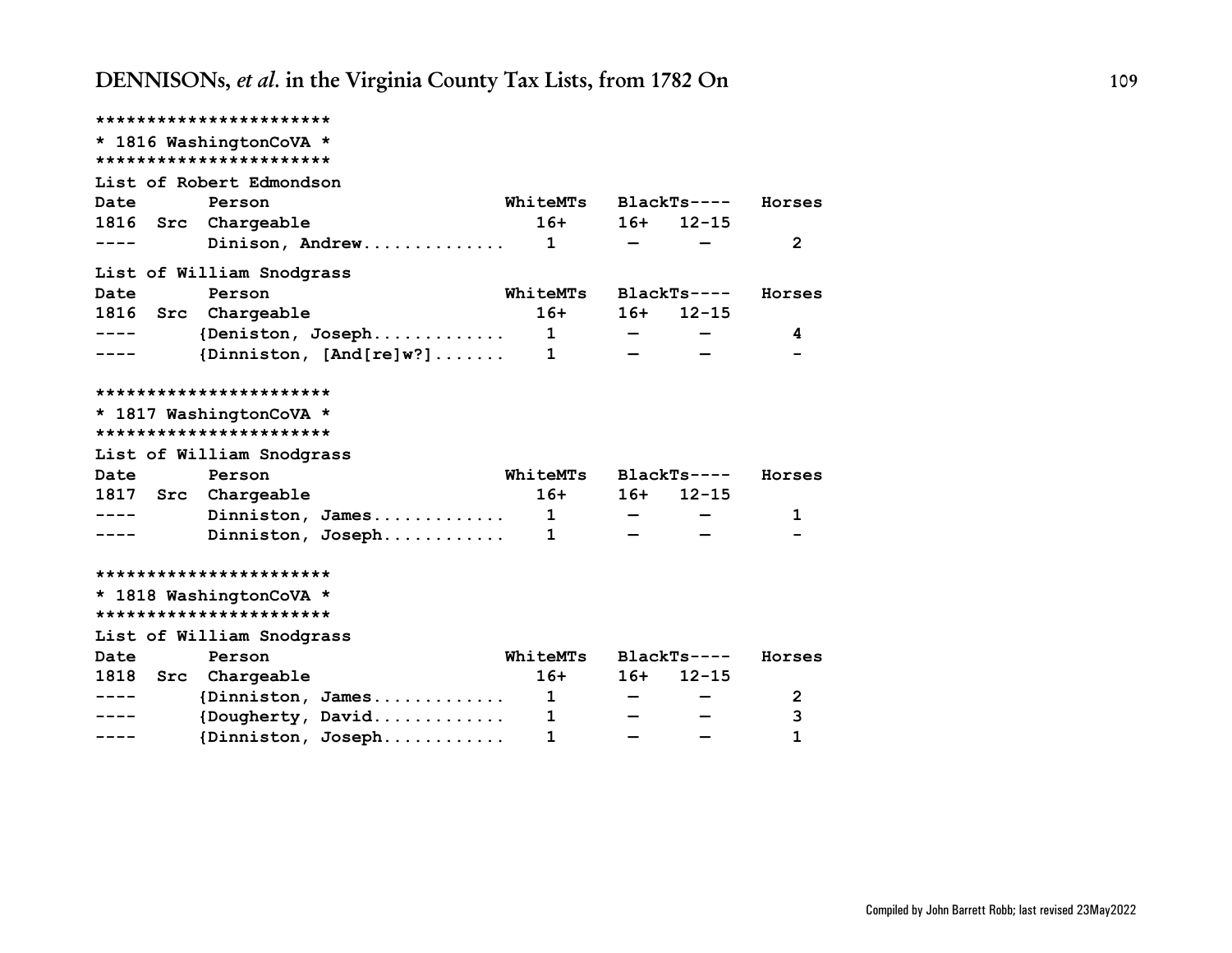|           | ***********************   |                                             |              |       |              |                |
|-----------|---------------------------|---------------------------------------------|--------------|-------|--------------|----------------|
|           | * 1816 WashingtonCoVA *   |                                             |              |       |              |                |
|           | ***********************   |                                             |              |       |              |                |
|           | List of Robert Edmondson  |                                             |              |       |              |                |
| Date      | Person                    |                                             | WhiteMTs     |       | BlackTs----  | Horses         |
|           | 1816 Src Chargeable       |                                             | $16+$        | $16+$ | $12 - 15$    |                |
| $- - - -$ |                           |                                             |              |       |              | $\overline{2}$ |
|           | List of William Snodgrass |                                             |              |       |              |                |
| Date      | Person                    |                                             | WhiteMTs     |       | BlackTs----  | Horses         |
|           | 1816 Src Chargeable       |                                             | $16+$        |       | $16+ 12-15$  |                |
| ——————    |                           | ${Deniston, Joseph.}\dots\dots\dots\dots 1$ |              |       |              | 4              |
| .         |                           | {Dinniston, $[And[re]w?] \ldots \ldots$     | $\mathbf{1}$ |       |              |                |
|           |                           |                                             |              |       |              |                |
|           | ***********************   |                                             |              |       |              |                |
|           | * 1817 WashingtonCoVA *   |                                             |              |       |              |                |
|           | ***********************   |                                             |              |       |              |                |
|           | List of William Snodgrass |                                             |              |       |              |                |
| Date      | Person                    |                                             | WhiteMTs     |       | $BlackTs---$ | Horses         |
|           | 1817 Src Chargeable       |                                             | $16+$        | $16+$ | $12 - 15$    |                |
| -----     |                           | Dinniston, James $1$                        |              |       |              | 1              |
|           |                           | Dinniston, Joseph                           | 1            |       |              |                |
|           |                           |                                             |              |       |              |                |
|           | ***********************   |                                             |              |       |              |                |
|           | * 1818 WashingtonCoVA *   |                                             |              |       |              |                |
|           | ***********************   |                                             |              |       |              |                |
|           | List of William Snodgrass |                                             |              |       |              |                |
| Date      | Person                    |                                             | WhiteMTs     |       | $BlackTs---$ | Horses         |
|           | 1818 Src Chargeable       |                                             | $16+$        | $16+$ | $12 - 15$    |                |
| -----     |                           | $\{Dinniston, James \ldots \ldots \ldots$   | $\mathbf{1}$ |       |              | 2              |
|           |                           | {Dougherty, David                           | $\mathbf{1}$ |       |              | 3              |
| ----      |                           | {Dinniston, Joseph                          | $\mathbf{1}$ |       |              | $\mathbf{1}$   |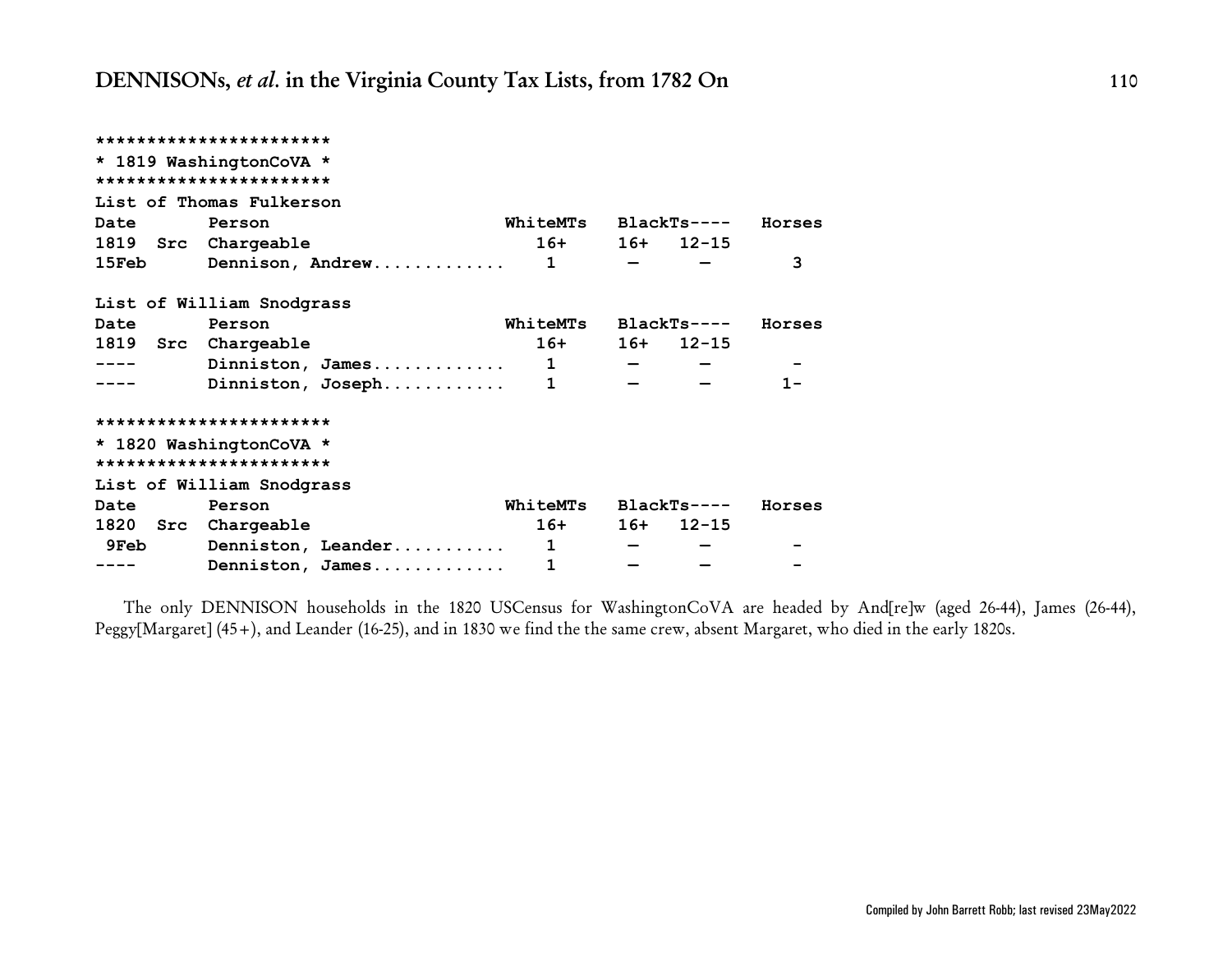|                            |             | Horses                                                                                                       |
|----------------------------|-------------|--------------------------------------------------------------------------------------------------------------|
|                            |             |                                                                                                              |
|                            |             | 3                                                                                                            |
|                            |             |                                                                                                              |
|                            |             | Horses                                                                                                       |
|                            |             |                                                                                                              |
| $16+$                      |             |                                                                                                              |
| Dinniston, James $1 - - -$ |             |                                                                                                              |
| Dinniston, Joseph 1        |             | $1 -$                                                                                                        |
|                            |             |                                                                                                              |
|                            |             |                                                                                                              |
|                            |             |                                                                                                              |
|                            |             |                                                                                                              |
| WhiteMTs BlackTs----       |             | Horses                                                                                                       |
| $16+$                      | $16+ 12-15$ |                                                                                                              |
| Denniston, Leander 1       |             |                                                                                                              |
|                            |             | WhiteMTs BlackTs----<br>$16+ 16+ 12-15$<br>15Feb Dennison, Andrew 1 -<br>WhiteMTs BlackTs----<br>$16+ 12-15$ |

The only DENNISON households in the 1820 USCensus for WashingtonCoVA are headed by And[re]w (aged 26-44), James (26-44), Peggy[Margaret] (45+), and Leander (16-25), and in 1830 we find the the same crew, absent Margaret, who died in the early 1820s.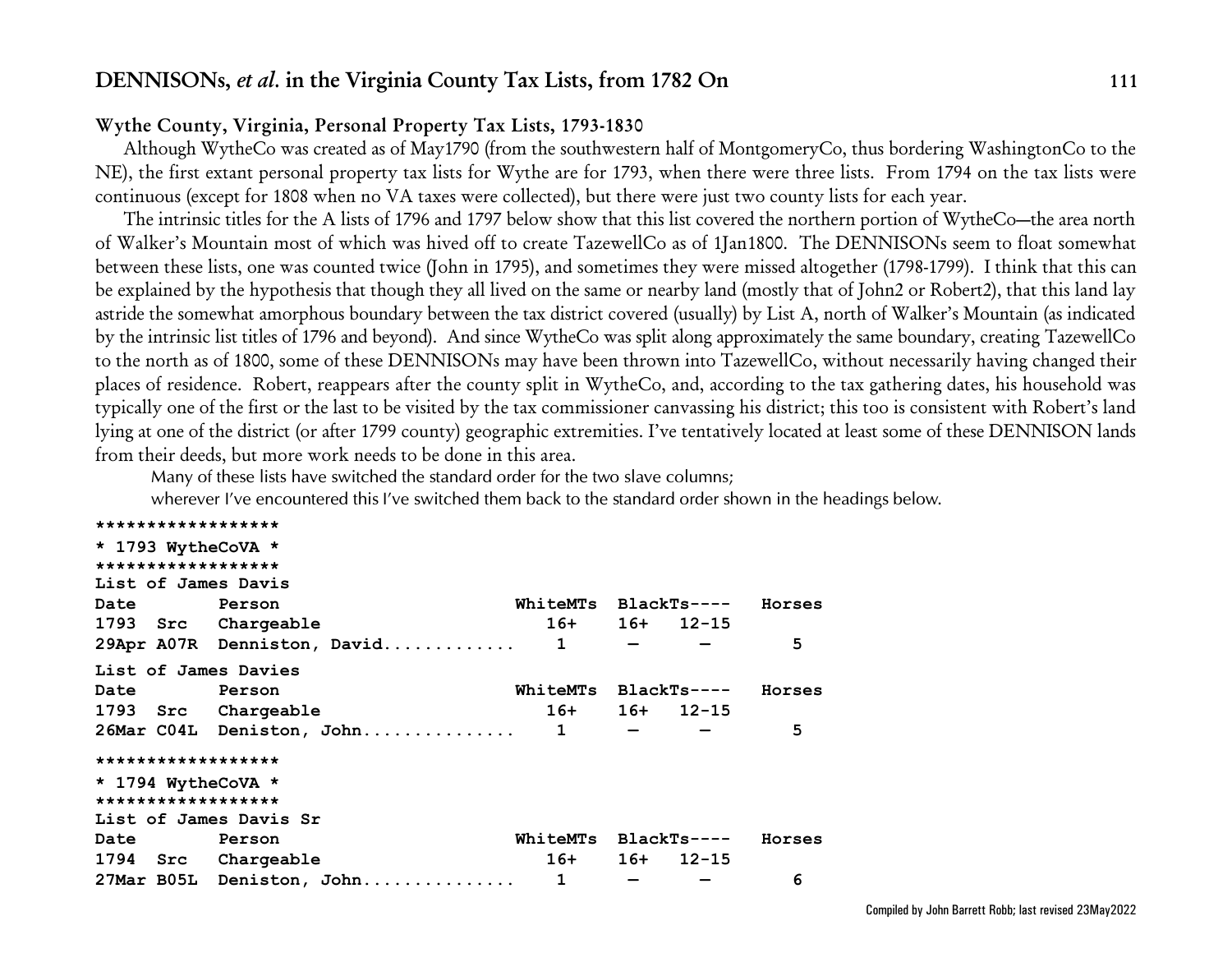## **Wythe County, Virginia, Personal Property Tax Lists, 1793-1830**

Although WytheCo was created as of May1790 (from the southwestern half of MontgomeryCo, thus bordering WashingtonCo to the NE), the first extant personal property tax lists for Wythe are for 1793, when there were three lists. From 1794 on the tax lists were continuous (except for 1808 when no VA taxes were collected), but there were just two county lists for each year.

The intrinsic titles for the A lists of 1796 and 1797 below show that this list covered the northern portion of WytheCo—the area north of Walker's Mountain most of which was hived off to create TazewellCo as of 1Jan1800. The DENNISONs seem to float somewhat between these lists, one was counted twice (John in 1795), and sometimes they were missed altogether (1798-1799). I think that this can be explained by the hypothesis that though they all lived on the same or nearby land (mostly that of John2 or Robert2), that this land lay astride the somewhat amorphous boundary between the tax district covered (usually) by List A, north of Walker's Mountain (as indicated by the intrinsic list titles of 1796 and beyond). And since WytheCo was split along approximately the same boundary, creating TazewellCo to the north as of 1800, some of these DENNISONs may have been thrown into TazewellCo, without necessarily having changed their places of residence. Robert, reappears after the county split in WytheCo, and, according to the tax gathering dates, his household was typically one of the first or the last to be visited by the tax commissioner canvassing his district; this too is consistent with Robert's land lying at one of the district (or after 1799 county) geographic extremities. I've tentatively located at least some of these DENNISON lands from their deeds, but more work needs to be done in this area.

*Many of these lists have switched the standard order for the two slave columns;*

*wherever I've encountered this I've switched them back to the standard order shown in the headings below.*

| ******************     |                                      |                             |              |  |        |  |  |  |
|------------------------|--------------------------------------|-----------------------------|--------------|--|--------|--|--|--|
| * 1793 WytheCoVA *     |                                      |                             |              |  |        |  |  |  |
| ******************     |                                      |                             |              |  |        |  |  |  |
| List of James Davis    |                                      |                             |              |  |        |  |  |  |
| Date                   | <b>Person</b>                        | WhiteMTs BlackTs---- Horses |              |  |        |  |  |  |
| 1793 Src Chargeable    |                                      | $16+ 16+ 12-15$             |              |  |        |  |  |  |
|                        | 29Apr A07R Denniston, David 1        |                             | $\sim$ $  -$ |  | 5      |  |  |  |
| List of James Davies   |                                      |                             |              |  |        |  |  |  |
| <b>Date</b>            | Person                               | WhiteMTs BlackTs----        |              |  | Horses |  |  |  |
| 1793 Src Chargeable    |                                      | $16+ 16+ 12-15$             |              |  |        |  |  |  |
|                        | $26$ Mar C04L Deniston, John 1 - - - |                             |              |  | 5      |  |  |  |
| ******************     |                                      |                             |              |  |        |  |  |  |
| * 1794 WytheCoVA *     |                                      |                             |              |  |        |  |  |  |
| ******************     |                                      |                             |              |  |        |  |  |  |
| List of James Davis Sr |                                      |                             |              |  |        |  |  |  |
| Date Person            |                                      | WhiteMTs BlackTs----        |              |  | Horses |  |  |  |
| 1794 Src Chargeable    |                                      | $16+ 16+ 12-15$             |              |  |        |  |  |  |
|                        | 27Mar B05L Deniston, John 1          |                             |              |  | 6      |  |  |  |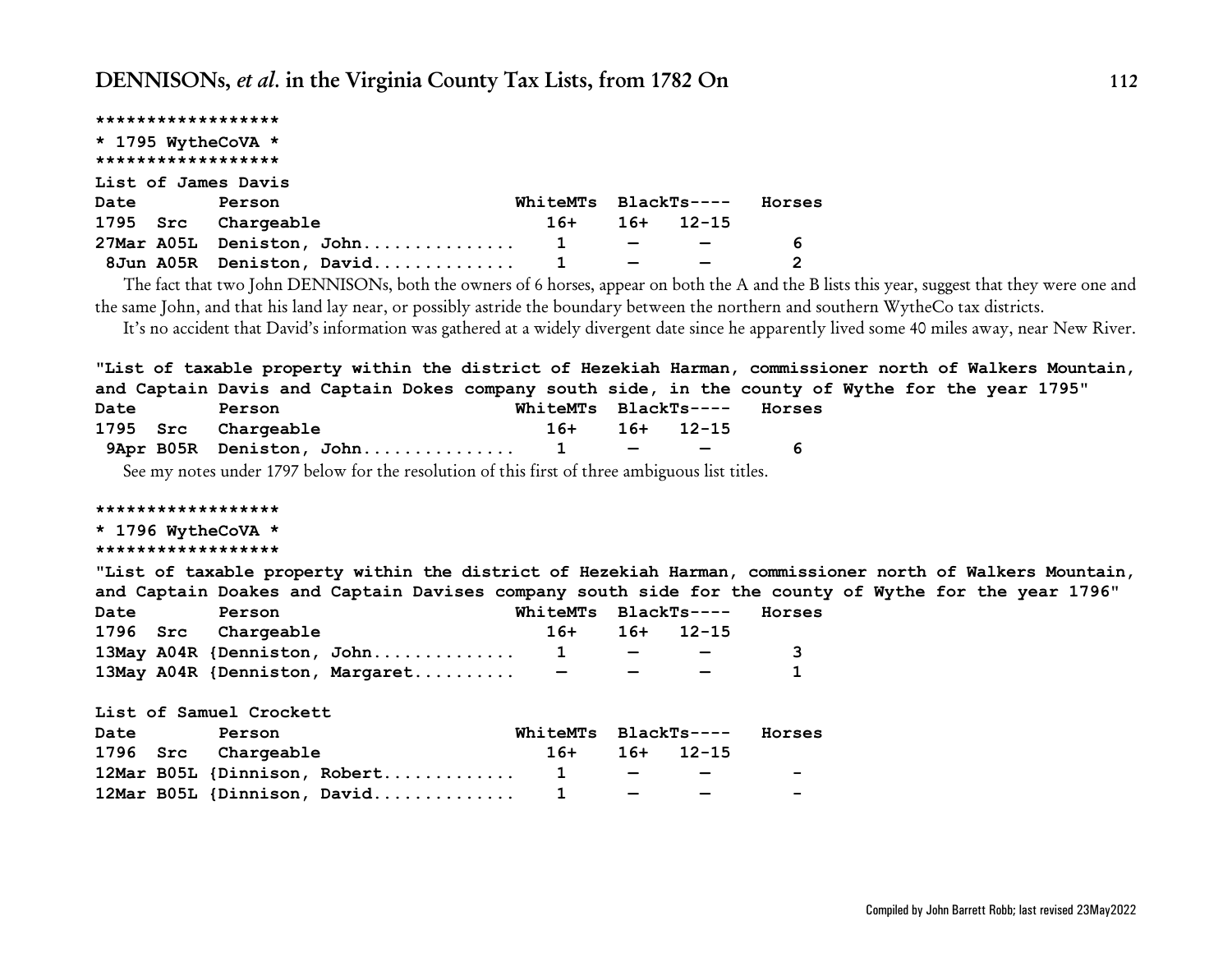|      | ******************  |                             |                      |               |           |              |
|------|---------------------|-----------------------------|----------------------|---------------|-----------|--------------|
|      | * 1795 WytheCoVA *  |                             |                      |               |           |              |
|      | ******************  |                             |                      |               |           |              |
|      | List of James Davis |                             |                      |               |           |              |
| Date | Person              |                             | WhiteMTs BlackTs---- |               |           | Horses       |
|      | 1795 Src Chargeable |                             | $16+$                | $16+$         | $12 - 15$ |              |
|      |                     | 27Mar A05L Deniston, John 1 |                      | $\sim$ $\sim$ |           | 6            |
|      |                     | 8Jun A05R Deniston, David 1 |                      |               |           | $\mathbf{2}$ |

The fact that two John DENNISONs, both the owners of 6 horses, appear on both the A and the B lists this year, suggest that they were one and the same John, and that his land lay near, or possibly astride the boundary between the northern and southern WytheCo tax districts.

It's no accident that David's information was gathered at a widely divergent date since he apparently lived some 40 miles away, near New River.

**"List of taxable property within the district of Hezekiah Harman, commissioner north of Walkers Mountain, and Captain Davis and Captain Dokes company south side, in the county of Wythe for the year 1795"**

| Date<br>Person |  | WhiteMTs BlackTs---- |  | Horses                                                  |  |
|----------------|--|----------------------|--|---------------------------------------------------------|--|
|                |  | 1795 Src Chargeable  |  | $16+$ 16+ 12-15                                         |  |
|                |  |                      |  | $\sim$ $\sim$ $\sim$ $\sim$ $\sim$ $\sim$ $\sim$ $\sim$ |  |

See my notes under 1797 below for the resolution of this first of three ambiguous list titles.

#### **\*\*\*\*\*\*\*\*\*\*\*\*\*\*\*\*\*\***

### **\* 1796 WytheCoVA \***

#### **\*\*\*\*\*\*\*\*\*\*\*\*\*\*\*\*\*\***

**"List of taxable property within the district of Hezekiah Harman, commissioner north of Walkers Mountain, and Captain Doakes and Captain Davises company south side for the county of Wythe for the year 1796"**

| Date<br>Person |  |                     |                                 |               | WhiteMTs BlackTs----               |                 | Horses |
|----------------|--|---------------------|---------------------------------|---------------|------------------------------------|-----------------|--------|
|                |  | 1796 Src Chargeable |                                 |               |                                    | $16+ 16+ 12-15$ |        |
|                |  |                     | 13May A04R {Denniston, John 1   |               |                                    |                 |        |
|                |  |                     | 13May A04R {Denniston, Margaret | $\sim$ $\sim$ | $\sim$ $\sim$ $\sim$ $\sim$ $\sim$ |                 |        |

**List of Samuel Crockett**

| Date | Person |                     | WhiteMTs BlackTs---- Horses       |  |                                                  |                          |
|------|--------|---------------------|-----------------------------------|--|--------------------------------------------------|--------------------------|
|      |        | 1796 Src Chargeable |                                   |  | $16+$ 16+ 12-15                                  |                          |
|      |        |                     | 12Mar B05L {Dinnison, Robert 1    |  | $\sim$ $\sim$ $\sim$ $\sim$ $\sim$ $\sim$ $\sim$ | $\sim$                   |
|      |        |                     | 12Mar B05L {Dinnison, David 1 - - |  |                                                  | $\overline{\phantom{0}}$ |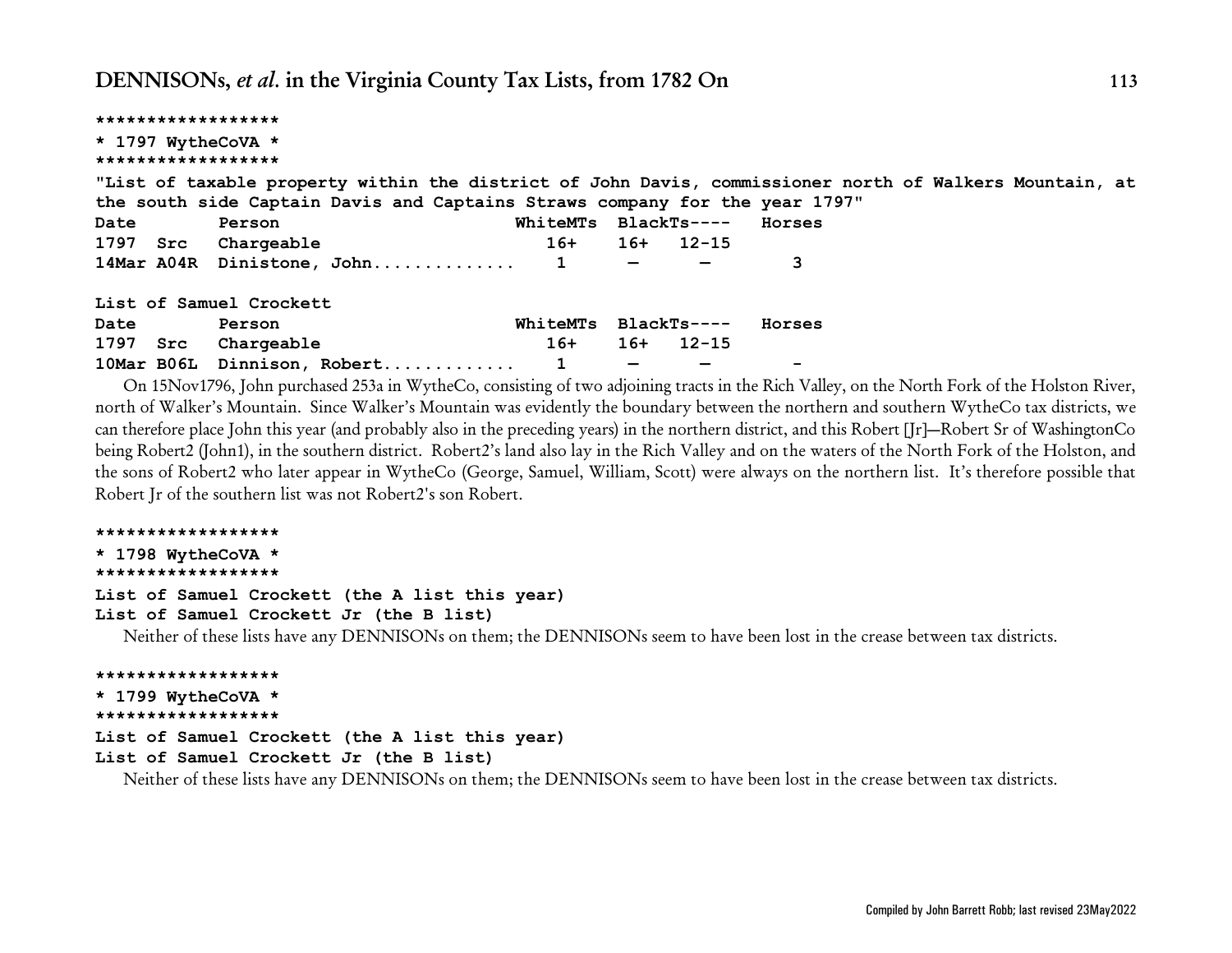| ****************** |                                                                                                                                             |          |                   |                 |        |  |  |
|--------------------|---------------------------------------------------------------------------------------------------------------------------------------------|----------|-------------------|-----------------|--------|--|--|
| * 1797 WytheCoVA * |                                                                                                                                             |          |                   |                 |        |  |  |
| ****************** |                                                                                                                                             |          |                   |                 |        |  |  |
|                    | "List of taxable property within the district of John Davis, commissioner north of Walkers Mountain, at                                     |          |                   |                 |        |  |  |
|                    | the south side Captain Davis and Captains Straws company for the year 1797"                                                                 |          |                   |                 |        |  |  |
| Date               | Person                                                                                                                                      | WhiteMTs |                   | BlackTs----     | Horses |  |  |
|                    | 1797 Src Chargeable                                                                                                                         |          |                   | $16+ 16+ 12-15$ |        |  |  |
|                    | 14Mar A04R Dinistone, John 1 - -                                                                                                            |          |                   |                 | 3      |  |  |
|                    | List of Samuel Crockett                                                                                                                     |          |                   |                 |        |  |  |
| Date               | Person                                                                                                                                      | WhiteMTs |                   | BlackTs----     | Horses |  |  |
|                    | 1797 Src Chargeable                                                                                                                         | 16+      |                   | 16+ 12-15       |        |  |  |
|                    | 10Mar B06L Dinnison, Robert 1                                                                                                               |          | $\qquad \qquad -$ |                 |        |  |  |
|                    | On 15Nov1700, John numbered 252+ in Worke Co-opposition of two edicining turets in the Digh Velley, on the North Foult of the Holston Diver |          |                   |                 |        |  |  |

On 15Nov1796, John purchased 253a in WytheCo, consisting of two adjoining tracts in the Rich Valley, on the North Fork of the Holston River, north of Walker's Mountain. Since Walker's Mountain was evidently the boundary between the northern and southern WytheCo tax districts, we can therefore place John this year (and probably also in the preceding years) in the northern district, and this Robert [Jr]—Robert Sr of WashingtonCo being Robert2 (John1), in the southern district. Robert2's land also lay in the Rich Valley and on the waters of the North Fork of the Holston, and the sons of Robert2 who later appear in WytheCo (George, Samuel, William, Scott) were always on the northern list. It's therefore possible that Robert Jr of the southern list was not Robert2's son Robert.

```
******************
* 1798 WytheCoVA *
******************
List of Samuel Crockett (the A list this year)
List of Samuel Crockett Jr (the B list)
  Neither of these lists have any DENNISONs on them; the DENNISONs seem to have been lost in the crease between tax districts.
******************
* 1799 WytheCoVA *
```
#### **\*\*\*\*\*\*\*\*\*\*\*\*\*\*\*\*\*\***

#### **List of Samuel Crockett (the A list this year)**

#### **List of Samuel Crockett Jr (the B list)**

Neither of these lists have any DENNISONs on them; the DENNISONs seem to have been lost in the crease between tax districts.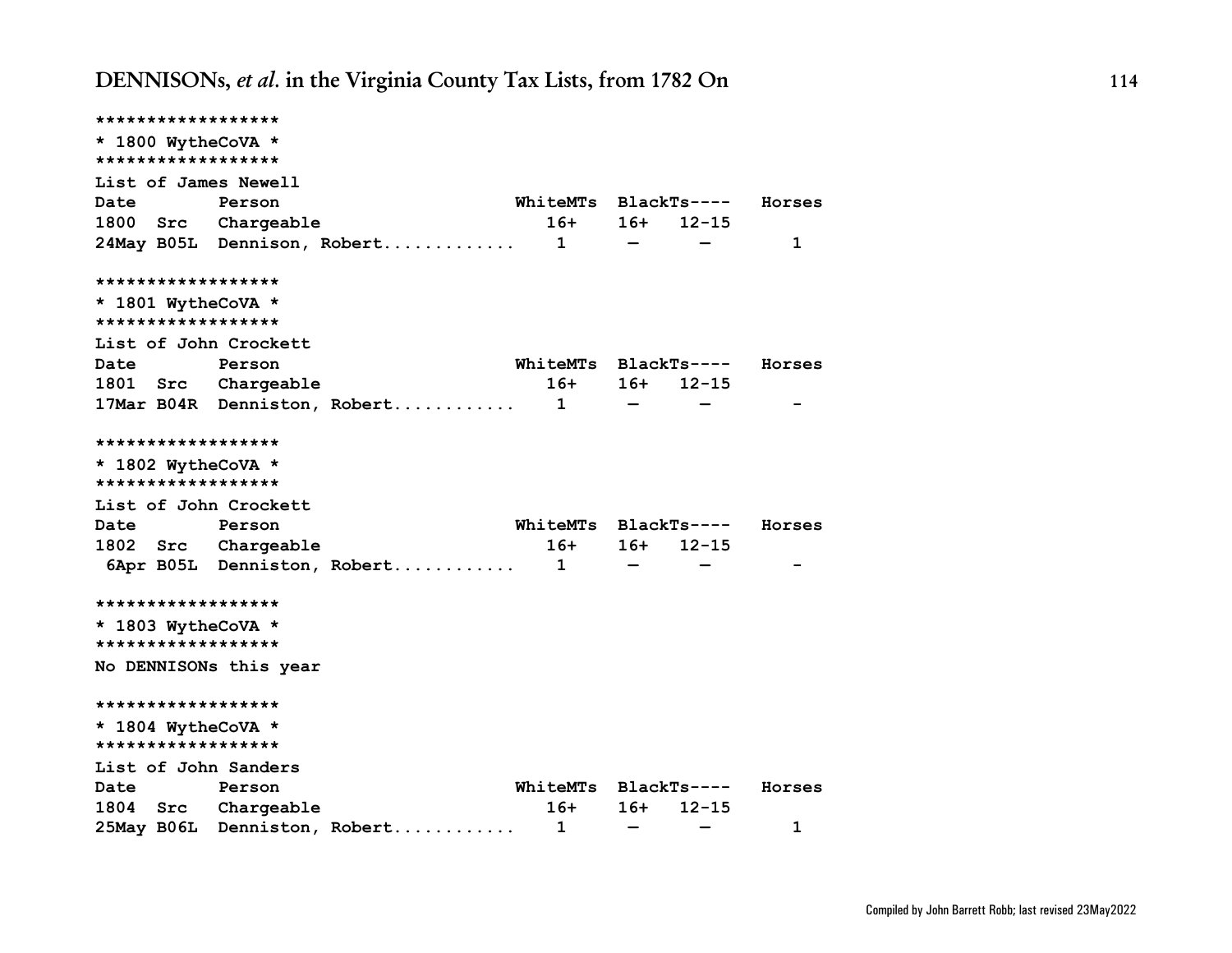**\*\*\*\*\*\*\*\*\*\*\*\*\*\*\*\*\*\* \* 1800 WytheCoVA \* \*\*\*\*\*\*\*\*\*\*\*\*\*\*\*\*\*\* List of James Newell Date Person WhiteMTs BlackTs---- Horses 1800 Src Chargeable 16+ 16+ 12-15 24May B05L Dennison, Robert............. 1 — — 1 \*\*\*\*\*\*\*\*\*\*\*\*\*\*\*\*\*\* \* 1801 WytheCoVA \* \*\*\*\*\*\*\*\*\*\*\*\*\*\*\*\*\*\* List of John Crockett Date Person WhiteMTs BlackTs---- Horses 1801 Src Chargeable 16+ 16+ 12-15 17Mar B04R Denniston, Robert............ 1 — — - \*\*\*\*\*\*\*\*\*\*\*\*\*\*\*\*\*\* \* 1802 WytheCoVA \* \*\*\*\*\*\*\*\*\*\*\*\*\*\*\*\*\*\* List of John Crockett Date Person WhiteMTs BlackTs---- Horses 1802 Src Chargeable 16+ 16+ 12-15 6Apr B05L Denniston, Robert............ 1 — — - \*\*\*\*\*\*\*\*\*\*\*\*\*\*\*\*\*\* \* 1803 WytheCoVA \* \*\*\*\*\*\*\*\*\*\*\*\*\*\*\*\*\*\* No DENNISONs this year \*\*\*\*\*\*\*\*\*\*\*\*\*\*\*\*\*\* \* 1804 WytheCoVA \* \*\*\*\*\*\*\*\*\*\*\*\*\*\*\*\*\*\* List of John Sanders Date Person WhiteMTs BlackTs---- Horses 1804 Src Chargeable 16+ 16+ 12-15 25May B06L Denniston, Robert............ 1 — — 1**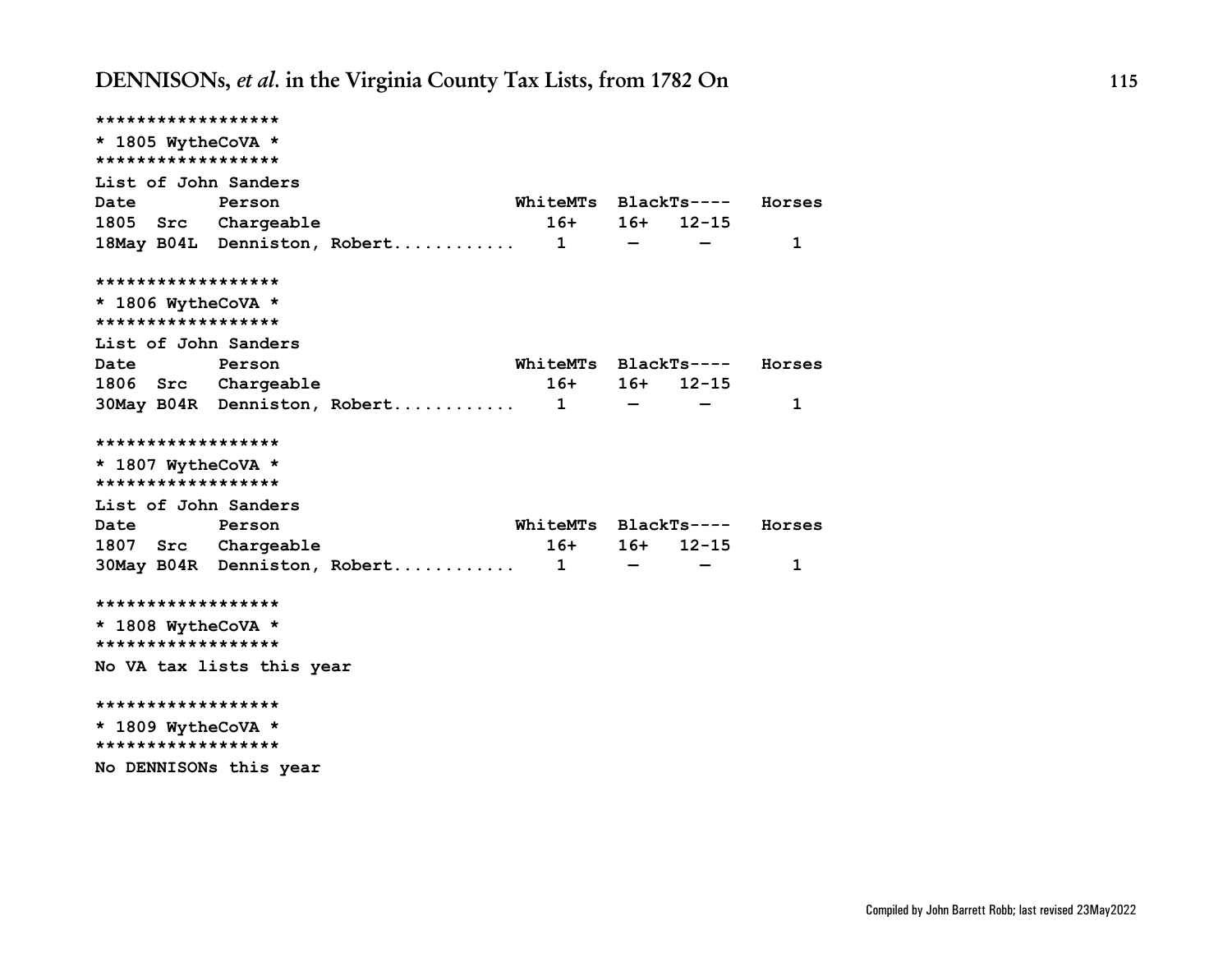| ******************   |                           |                              |                      |                                 |              |        |
|----------------------|---------------------------|------------------------------|----------------------|---------------------------------|--------------|--------|
| * 1805 WytheCoVA *   |                           |                              |                      |                                 |              |        |
| ******************   |                           |                              |                      |                                 |              |        |
| List of John Sanders |                           |                              |                      |                                 |              |        |
| Date                 | Person                    |                              | WhiteMTs             |                                 | $BlackTs---$ | Horses |
| 1805<br>Src          | Chargeable                |                              | $16+$                | 16+                             | $12 - 15$    |        |
|                      |                           | 18May B04L Denniston, Robert | $\mathbf 1$          | $\overline{\phantom{m}}$        |              | 1      |
| ******************   |                           |                              |                      |                                 |              |        |
| * 1806 WytheCoVA *   |                           |                              |                      |                                 |              |        |
| ******************   |                           |                              |                      |                                 |              |        |
| List of John Sanders |                           |                              |                      |                                 |              |        |
| Date                 | Person                    |                              | WhiteMTs             |                                 | $BlackTs---$ | Horses |
| 1806<br>Src          | Chargeable                |                              | $16+$                | 16+                             | 12-15        |        |
|                      |                           | 30May B04R Denniston, Robert | $\mathbf 1$          | $\qquad \qquad \  \  \, \bar{}$ |              | 1      |
| ******************   |                           |                              |                      |                                 |              |        |
| * 1807 WytheCoVA *   |                           |                              |                      |                                 |              |        |
| ******************   |                           |                              |                      |                                 |              |        |
| List of John Sanders |                           |                              |                      |                                 |              |        |
| <b>Date</b>          | Person                    |                              | WhiteMTs BlackTs---- |                                 |              | Horses |
| 1807 Src             | Chargeable                |                              | $16+$                | 16+                             | $12 - 15$    |        |
|                      |                           | 30May B04R Denniston, Robert | $\mathbf{1}$         | $\overline{\phantom{m}}$        |              | 1      |
| ******************   |                           |                              |                      |                                 |              |        |
| * 1808 WytheCoVA *   |                           |                              |                      |                                 |              |        |
| ******************   |                           |                              |                      |                                 |              |        |
|                      | No VA tax lists this year |                              |                      |                                 |              |        |
| ******************   |                           |                              |                      |                                 |              |        |
| * 1809 WytheCoVA *   |                           |                              |                      |                                 |              |        |
| ******************   |                           |                              |                      |                                 |              |        |
|                      | No DENNISONs this year    |                              |                      |                                 |              |        |
|                      |                           |                              |                      |                                 |              |        |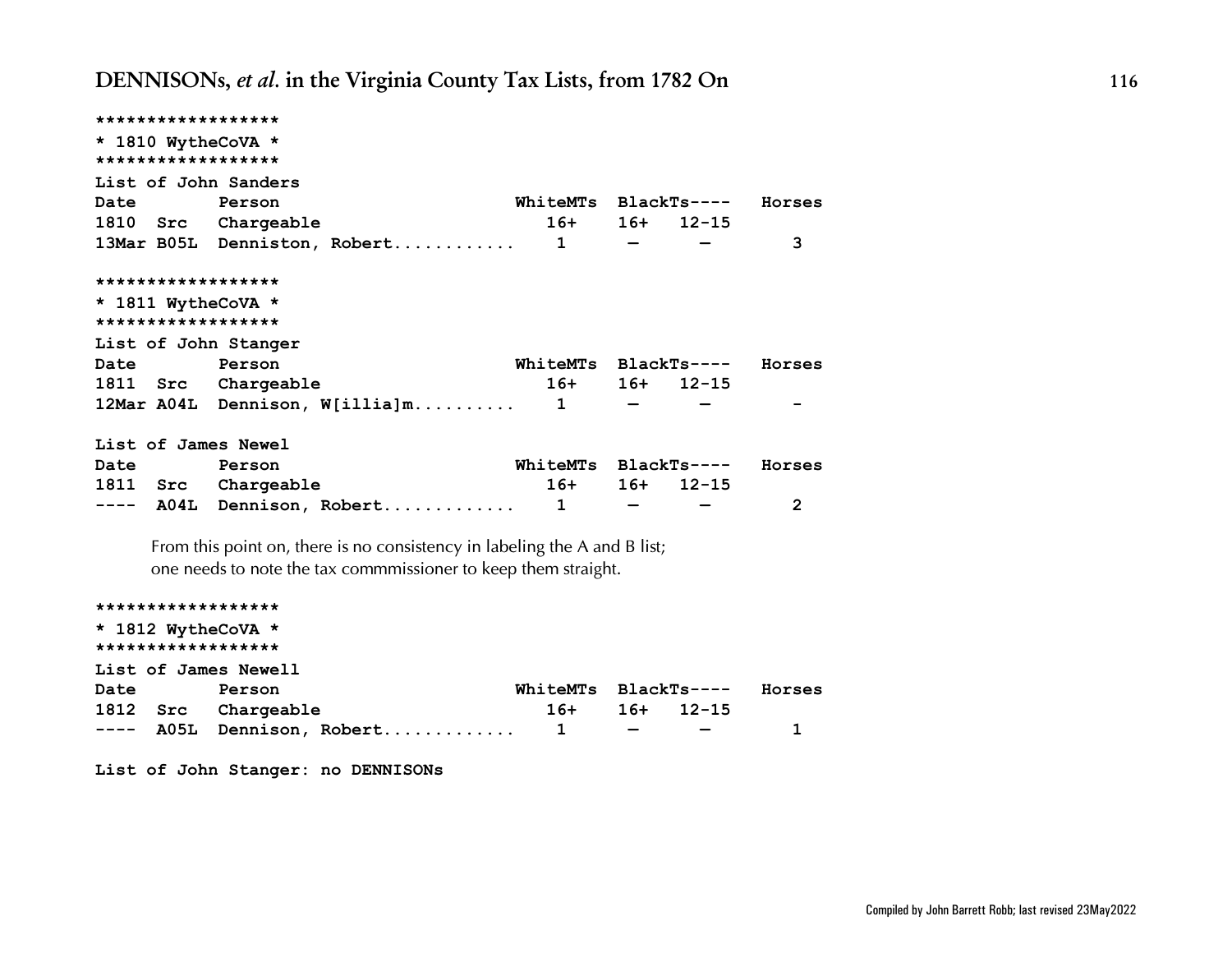|             | ******************                                                        |                      |                                                                     |             |                |
|-------------|---------------------------------------------------------------------------|----------------------|---------------------------------------------------------------------|-------------|----------------|
|             | * 1810 WytheCoVA *<br>******************                                  |                      |                                                                     |             |                |
|             | List of John Sanders                                                      |                      |                                                                     |             |                |
| Date        | <b>Person</b>                                                             | WhiteMTs BlackTs---- |                                                                     |             | Horses         |
|             | 1810 Src Chargeable                                                       | $16+$                |                                                                     | $16+ 12-15$ |                |
|             | 13Mar B05L Denniston, Robert 1                                            |                      |                                                                     |             | 3              |
|             | ******************                                                        |                      |                                                                     |             |                |
|             | * 1811 WytheCoVA *                                                        |                      |                                                                     |             |                |
|             | ******************                                                        |                      |                                                                     |             |                |
|             | List of John Stanger                                                      |                      |                                                                     |             |                |
| Date        | Person                                                                    |                      | WhiteMTs BlackTs----                                                |             | Horses         |
|             | 1811 Src Chargeable                                                       | $16+$                |                                                                     | $16+ 12-15$ |                |
|             | $12$ Mar A04L Dennison, W[illia]m 1                                       |                      | $\sim$ 100 $\sim$ 100 $\sim$                                        |             |                |
|             | List of James Newel                                                       |                      |                                                                     |             |                |
| <b>Date</b> | Person                                                                    | WhiteMTs BlackTs---- |                                                                     |             | Horses         |
|             | 1811 Src Chargeable                                                       | $16+$                | 16+                                                                 | $12 - 15$   |                |
|             | ---- A04L Dennison, Robert 1                                              |                      | $\frac{1}{2}$ and $\frac{1}{2}$ and $\frac{1}{2}$ and $\frac{1}{2}$ |             | $\overline{2}$ |
|             | From this point on, there is no consistency in labeling the A and B list; |                      |                                                                     |             |                |
|             | one needs to note the tax commmissioner to keep them straight.            |                      |                                                                     |             |                |
|             | ******************                                                        |                      |                                                                     |             |                |
|             | * 1812 WytheCoVA *                                                        |                      |                                                                     |             |                |
|             | ******************                                                        |                      |                                                                     |             |                |
|             | List of James Newell                                                      |                      |                                                                     |             |                |
| Date        | Person                                                                    | WhiteMTs BlackTs---- |                                                                     |             | Horses         |
|             | 1812 Src Chargeable                                                       | $16+$                | $16+$                                                               | $12 - 15$   |                |
|             | ---- A05L Dennison, Robert                                                | $\mathbf{1}$         |                                                                     |             | 1              |

**List of John Stanger: no DENNISONs**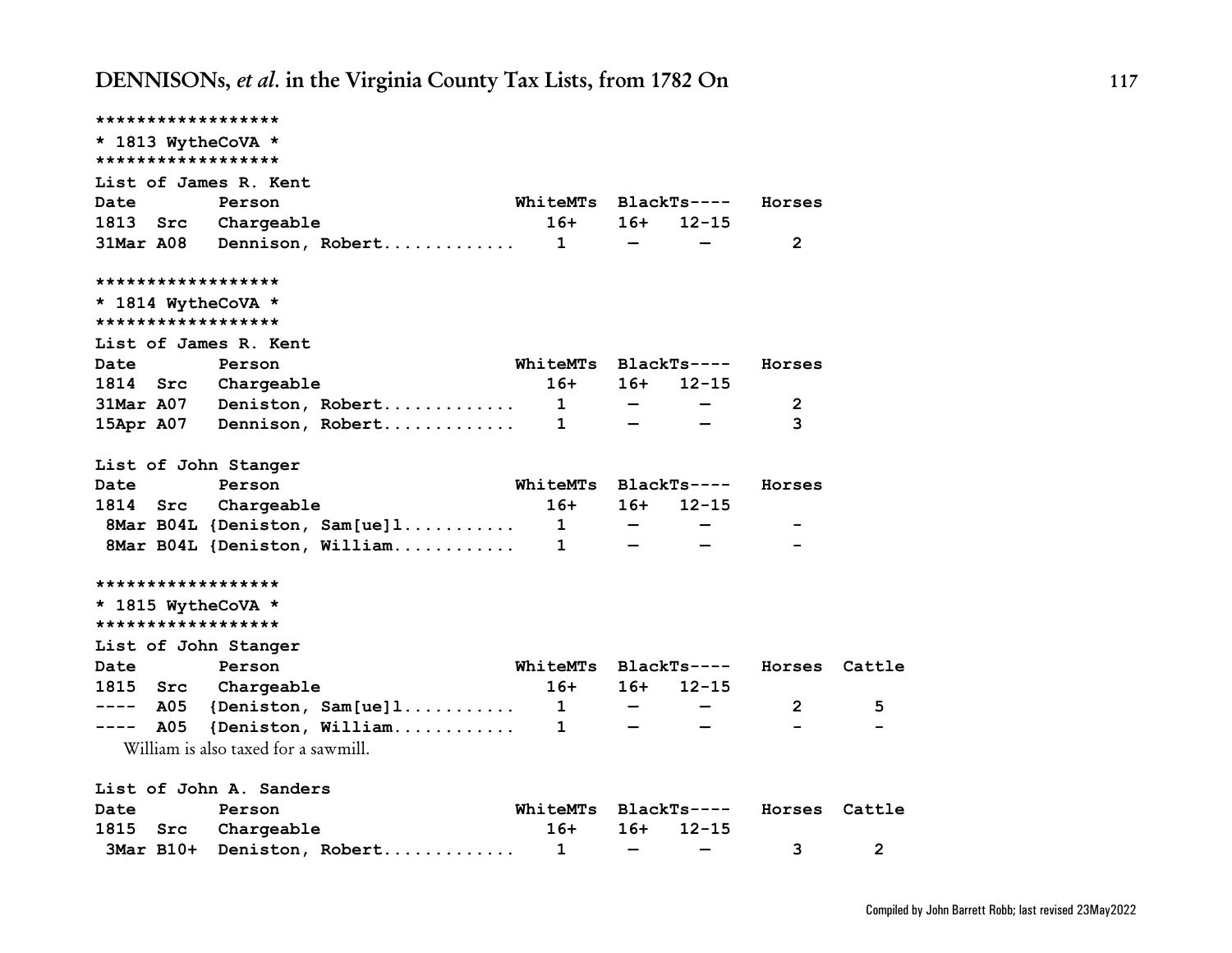| ******************    |                                        |                               |                              |                          |               |                |
|-----------------------|----------------------------------------|-------------------------------|------------------------------|--------------------------|---------------|----------------|
| * 1813 WytheCoVA *    |                                        |                               |                              |                          |               |                |
| ******************    |                                        |                               |                              |                          |               |                |
| List of James R. Kent |                                        |                               |                              |                          |               |                |
| Date                  | Person                                 | <b>WhiteMTs</b>               |                              | BlackTs----              | Horses        |                |
| 1813<br>Src           | Chargeable                             | 16+ 16+                       |                              | $12 - 15$                |               |                |
|                       | 31Mar A08 Dennison, Robert 1           |                               | $\qquad \qquad -$            |                          | 2             |                |
| ******************    |                                        |                               |                              |                          |               |                |
| * 1814 WytheCoVA *    |                                        |                               |                              |                          |               |                |
| ******************    |                                        |                               |                              |                          |               |                |
| List of James R. Kent |                                        |                               |                              |                          |               |                |
| Date                  | Person                                 | WhiteMTs BlackTs----          |                              |                          | Horses        |                |
| 1814                  | Src Chargeable                         | $16+ 16+$                     |                              | $12 - 15$                |               |                |
|                       | $31$ Mar A07 Deniston, Robert 1 -      |                               |                              |                          | 2             |                |
|                       | 15Apr A07 Dennison, Robert 1           |                               |                              |                          | 3             |                |
| List of John Stanger  |                                        |                               |                              |                          |               |                |
| Date                  | Person                                 | WhiteMTs BlackTs----          |                              |                          | Horses        |                |
| 1814<br>Src           | Chargeable                             | 16+                           | 16+                          | $12 - 15$                |               |                |
|                       | $8$ Mar B04L {Deniston, Sam[ue]1 1 -   |                               |                              |                          |               |                |
|                       | 8Mar B04L {Deniston, William           | $\mathbf{1}$ and $\mathbf{1}$ |                              |                          |               |                |
| ******************    |                                        |                               |                              |                          |               |                |
| * 1815 WytheCoVA *    |                                        |                               |                              |                          |               |                |
| ******************    |                                        |                               |                              |                          |               |                |
| List of John Stanger  |                                        |                               |                              |                          |               |                |
| Date                  | Person                                 | WhiteMTs BlackTs----          |                              |                          | Horses Cattle |                |
| 1815 Src              | Chargeable                             | $16+$                         | 16+                          | $12 - 15$                |               |                |
| ----                  | $\texttt{A05}$ {Deniston, Sam[ue]1 1 - |                               |                              |                          | $\mathbf{2}$  | 5              |
| A05<br>-----          | ${Definition, William$                 | $\mathbf{1}$                  | $\qquad \qquad \blacksquare$ |                          |               |                |
|                       | William is also taxed for a sawmill.   |                               |                              |                          |               |                |
|                       | List of John A. Sanders                |                               |                              |                          |               |                |
| Date                  | Person                                 | WhiteMTs BlackTs----          |                              |                          | Horses Cattle |                |
| 1815<br>Src           | Chargeable                             | 16+                           | 16+                          | $12 - 15$                |               |                |
|                       | 3Mar B10+ Deniston, Robert             | 1                             | $\overline{\phantom{0}}$     | $\overline{\phantom{m}}$ | 3             | $\overline{2}$ |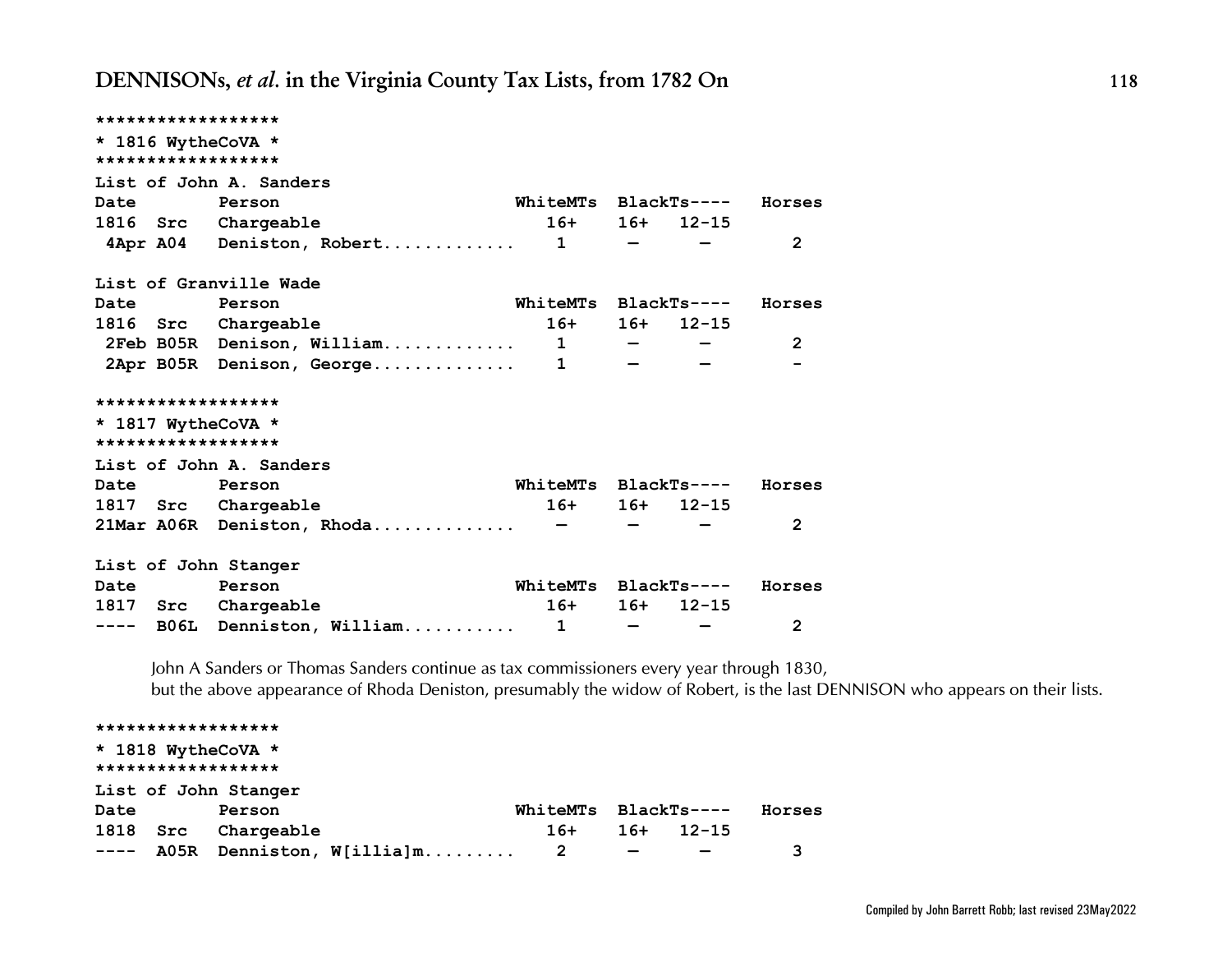| ******************   |                                    |                             |                             |                 |                |
|----------------------|------------------------------------|-----------------------------|-----------------------------|-----------------|----------------|
| * 1816 WytheCoVA *   |                                    |                             |                             |                 |                |
| ******************   |                                    |                             |                             |                 |                |
|                      | List of John A. Sanders            |                             |                             |                 |                |
| Date Person          |                                    | WhiteMTs BlackTs---- Horses |                             |                 |                |
|                      | 1816 Src Chargeable                |                             |                             | $16+ 16+ 12-15$ |                |
|                      | $4$ Apr A04 Deniston, Robert 1 - - |                             |                             |                 | $\overline{2}$ |
|                      | List of Granville Wade             |                             |                             |                 |                |
| Date                 | Person                             | WhiteMTs BlackTs---- Horses |                             |                 |                |
|                      | 1816 Src Chargeable                |                             |                             | $16+ 16+ 12-15$ |                |
|                      | 2Feb B05R Denison, William 1 - - - |                             |                             |                 | $\overline{2}$ |
|                      | 2Apr B05R Denison, George 1        |                             |                             |                 |                |
| ******************   |                                    |                             |                             |                 |                |
| * 1817 WytheCoVA *   |                                    |                             |                             |                 |                |
| ******************   |                                    |                             |                             |                 |                |
|                      | List of John A. Sanders            |                             |                             |                 |                |
| Date Person          |                                    | WhiteMTs BlackTs---- Horses |                             |                 |                |
|                      | 1817 Src Chargeable                |                             |                             | $16+ 16+ 12-15$ |                |
|                      | $21$ Mar A06R Deniston, Rhoda -    |                             |                             |                 | $\overline{2}$ |
| List of John Stanger |                                    |                             |                             |                 |                |
| Date                 | Person                             | WhiteMTs BlackTs----        |                             |                 | Horses         |
|                      | 1817 Src Chargeable                | $16+$                       | 16+                         | $12 - 15$       |                |
|                      | ---- BO6L Denniston, William 1     |                             | $\sim$ $\sim$ $\sim$ $\sim$ |                 | $\mathbf{2}$   |

*John A Sanders or Thomas Sanders continue as tax commissioners every year through 1830, but the above appearance of Rhoda Deniston, presumably the widow of Robert, is the last DENNISON who appears on their lists.*

### **\*\*\*\*\*\*\*\*\*\*\*\*\*\*\*\*\*\* \* 1818 WytheCoVA \* \*\*\*\*\*\*\*\*\*\*\*\*\*\*\*\*\*\* List of John Stanger Date Person WhiteMTs BlackTs---- Horses 1818 Src Chargeable 16+ 16+ 12-15 ---- A05R Denniston, W[illia]m......... 2 — — 3**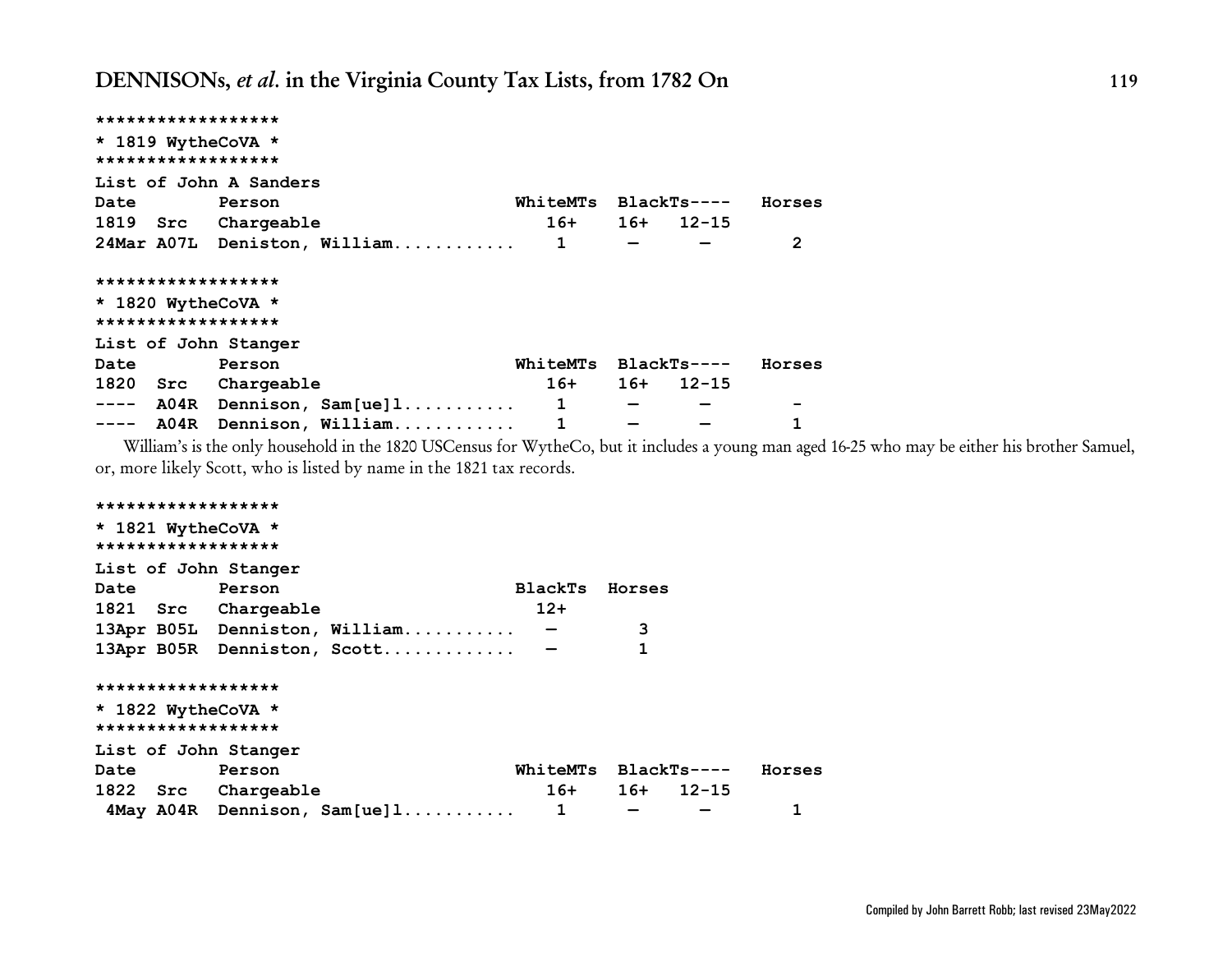| ******************                                                                                                                                                                                                                                                                                                                                                                           |                              |                          |                          |                 |              |
|----------------------------------------------------------------------------------------------------------------------------------------------------------------------------------------------------------------------------------------------------------------------------------------------------------------------------------------------------------------------------------------------|------------------------------|--------------------------|--------------------------|-----------------|--------------|
| * 1819 WytheCoVA *                                                                                                                                                                                                                                                                                                                                                                           |                              |                          |                          |                 |              |
| ******************                                                                                                                                                                                                                                                                                                                                                                           |                              |                          |                          |                 |              |
|                                                                                                                                                                                                                                                                                                                                                                                              | List of John A Sanders       |                          |                          |                 |              |
| Date Person                                                                                                                                                                                                                                                                                                                                                                                  |                              |                          | WhiteMTs BlackTs----     |                 | Horses       |
|                                                                                                                                                                                                                                                                                                                                                                                              | 1819 Src Chargeable          |                          |                          | $16+ 16+ 12-15$ |              |
|                                                                                                                                                                                                                                                                                                                                                                                              | 24Mar A07L Deniston, William | 1                        | $\overline{\phantom{m}}$ |                 | $\mathbf{2}$ |
| ******************                                                                                                                                                                                                                                                                                                                                                                           |                              |                          |                          |                 |              |
| * 1820 WytheCoVA *                                                                                                                                                                                                                                                                                                                                                                           |                              |                          |                          |                 |              |
| ******************                                                                                                                                                                                                                                                                                                                                                                           |                              |                          |                          |                 |              |
|                                                                                                                                                                                                                                                                                                                                                                                              | List of John Stanger         |                          |                          |                 |              |
| Date                                                                                                                                                                                                                                                                                                                                                                                         | Person                       | WhiteMTs BlackTs----     |                          |                 | Horses       |
|                                                                                                                                                                                                                                                                                                                                                                                              | 1820 Src Chargeable          | $16+$                    |                          | $16+ 12-15$     |              |
| $\frac{1}{2} \frac{1}{2} \frac{1}{2} \frac{1}{2} \frac{1}{2} \frac{1}{2} \frac{1}{2} \frac{1}{2} \frac{1}{2} \frac{1}{2} \frac{1}{2} \frac{1}{2} \frac{1}{2} \frac{1}{2} \frac{1}{2} \frac{1}{2} \frac{1}{2} \frac{1}{2} \frac{1}{2} \frac{1}{2} \frac{1}{2} \frac{1}{2} \frac{1}{2} \frac{1}{2} \frac{1}{2} \frac{1}{2} \frac{1}{2} \frac{1}{2} \frac{1}{2} \frac{1}{2} \frac{1}{2} \frac{$ | $A04R$ Dennison, $Sam[ue]1$  | $\overline{\phantom{a}}$ | $\overline{\phantom{m}}$ |                 |              |
|                                                                                                                                                                                                                                                                                                                                                                                              | ---- A04R Dennison, William  | $\mathbf 1$              |                          |                 | 1            |

William's is the only household in the 1820 USCensus for WytheCo, but it includes a young man aged 16-25 who may be either his brother Samuel, or, more likely Scott, who is listed by name in the 1821 tax records.

```
******************
* 1821 WytheCoVA *
******************
List of John Stanger
Date Person BlackTs Horses
1821 Src Chargeable 12+
13Apr B05L Denniston, William........... — 3
13Apr B05R Denniston, Scott............. — 1
******************
* 1822 WytheCoVA *
******************
List of John Stanger
Date Person WhiteMTs BlackTs---- Horses
1822 Src Chargeable 16+ 16+ 12-15
 4May A04R Dennison, Sam[ue]l........... 1 — — 1
```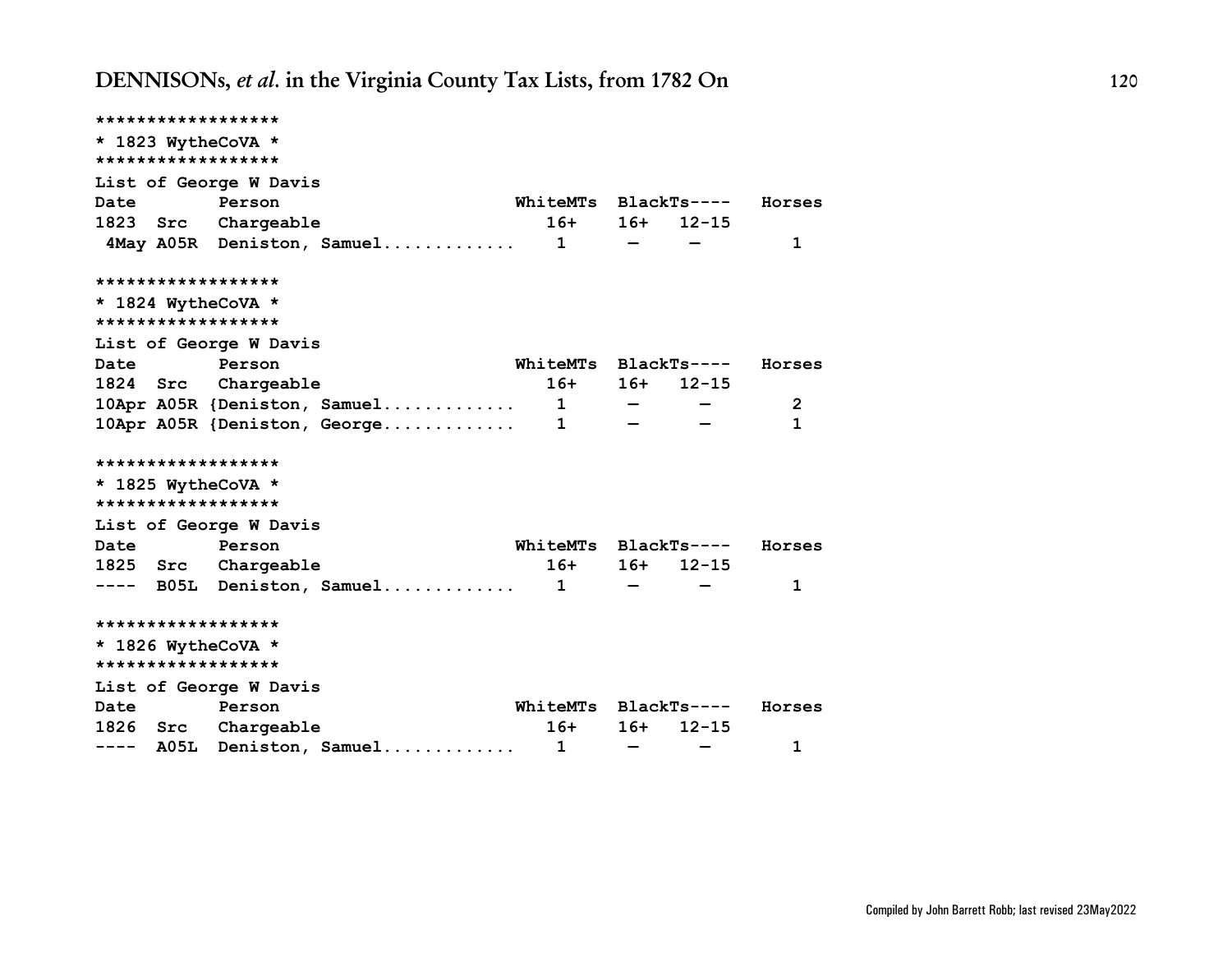| ****************** |                                |                      |                                                       |             |                |
|--------------------|--------------------------------|----------------------|-------------------------------------------------------|-------------|----------------|
| * 1823 WytheCoVA * |                                |                      |                                                       |             |                |
| ****************** |                                |                      |                                                       |             |                |
|                    | List of George W Davis         |                      |                                                       |             |                |
| Date Person        |                                | WhiteMTs BlackTs---- |                                                       |             | Horses         |
|                    | 1823 Src Chargeable            | $16+$                |                                                       | $16+ 12-15$ |                |
|                    | 4May A05R Deniston, Samuel 1   |                      | $\overline{\phantom{a}}$ and $\overline{\phantom{a}}$ |             | 1              |
| ****************** |                                |                      |                                                       |             |                |
| * 1824 WytheCoVA * |                                |                      |                                                       |             |                |
| ****************** |                                |                      |                                                       |             |                |
|                    | List of George W Davis         |                      |                                                       |             |                |
| Date               | <b>Person</b>                  | WhiteMTs BlackTs---- |                                                       |             | Horses         |
|                    | 1824 Src Chargeable            | $16+$                | 16+                                                   | $12 - 15$   |                |
|                    | 10Apr A05R {Deniston, Samuel 1 |                      | $\sim$ $\sim$ $\sim$ $\sim$ $\sim$                    |             | $\overline{2}$ |
|                    |                                |                      |                                                       |             | $\mathbf{1}$   |
| ****************** |                                |                      |                                                       |             |                |
| * 1825 WytheCoVA * |                                |                      |                                                       |             |                |
| ****************** |                                |                      |                                                       |             |                |
|                    | List of George W Davis         |                      |                                                       |             |                |
| Date Person        |                                | WhiteMTs BlackTs---- |                                                       |             | Horses         |
|                    | 1825 Src Chargeable            | $16+$                | $16+$                                                 | $12 - 15$   |                |
|                    | ---- B05L Deniston, Samuel 1   |                      |                                                       |             | 1              |
| ****************** |                                |                      |                                                       |             |                |
| * 1826 WytheCoVA * |                                |                      |                                                       |             |                |
| ****************** |                                |                      |                                                       |             |                |
|                    | List of George W Davis         |                      |                                                       |             |                |
| Date               | Person                         | WhiteMTs BlackTs---- |                                                       |             | Horses         |
|                    | 1826 Src Chargeable            | $16+$                | $16+$                                                 | $12 - 15$   |                |
|                    | ---- A05L Deniston, Samuel     | $\mathbf{1}$         | $\overline{\phantom{m}}$                              |             | 1              |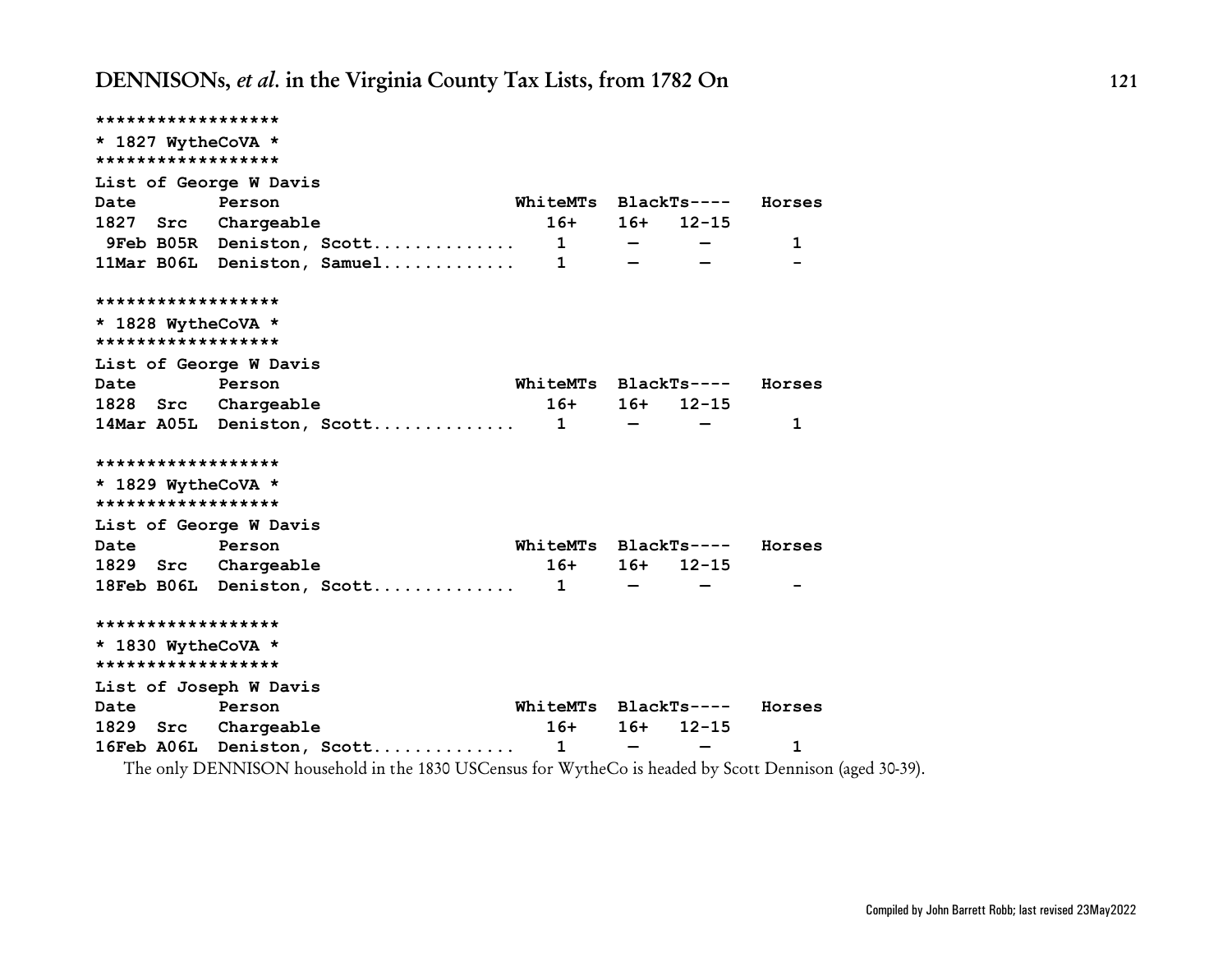**\*\*\*\*\*\*\*\*\*\*\*\*\*\*\*\*\*\* \* 1827 WytheCoVA \* \*\*\*\*\*\*\*\*\*\*\*\*\*\*\*\*\*\* List of George W Davis Date Person WhiteMTs BlackTs---- Horses 1827 Src Chargeable 16+ 16+ 12-15 9Feb B05R Deniston, Scott.............. 1 — — 1 11Mar B06L Deniston, Samuel............. 1 — — - \*\*\*\*\*\*\*\*\*\*\*\*\*\*\*\*\*\* \* 1828 WytheCoVA \* \*\*\*\*\*\*\*\*\*\*\*\*\*\*\*\*\*\* List of George W Davis Date Person WhiteMTs BlackTs---- Horses 1828 Src Chargeable 16+ 16+ 12-15 14Mar A05L Deniston, Scott.............. 1 — — 1 \*\*\*\*\*\*\*\*\*\*\*\*\*\*\*\*\*\* \* 1829 WytheCoVA \* \*\*\*\*\*\*\*\*\*\*\*\*\*\*\*\*\*\* List of George W Davis Date Person WhiteMTs BlackTs---- Horses 1829 Src Chargeable 16+ 16+ 12-15 18Feb B06L Deniston, Scott.............. 1 — — - \*\*\*\*\*\*\*\*\*\*\*\*\*\*\*\*\*\* \* 1830 WytheCoVA \* \*\*\*\*\*\*\*\*\*\*\*\*\*\*\*\*\*\* List of Joseph W Davis Date Person WhiteMTs BlackTs---- Horses 1829 Src Chargeable 16+ 16+ 12-15 16Feb A06L Deniston, Scott.............. 1 — — 1**

The only DENNISON household in the 1830 USCensus for WytheCo is headed by Scott Dennison (aged 30-39).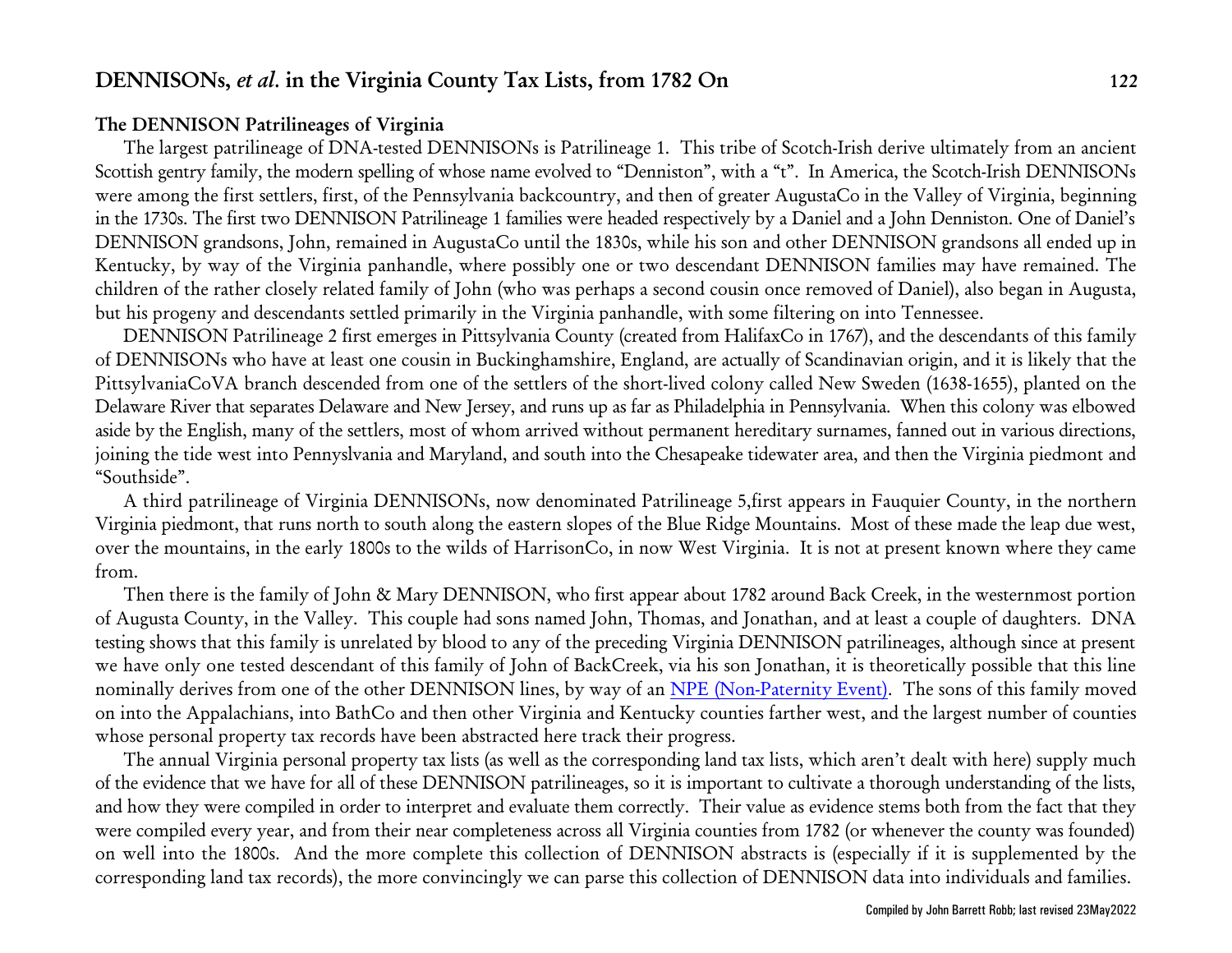### **The DENNISON Patrilineages of Virginia**

The largest patrilineage of DNA-tested DENNISONs is Patrilineage 1. This tribe of Scotch-Irish derive ultimately from an ancient Scottish gentry family, the modern spelling of whose name evolved to "Denniston", with a "t". In America, the Scotch-Irish DENNISONs were among the first settlers, first, of the Pennsylvania backcountry, and then of greater AugustaCo in the Valley of Virginia, beginning in the 1730s. The first two DENNISON Patrilineage 1 families were headed respectively by a Daniel and a John Denniston. One of Daniel's DENNISON grandsons, John, remained in AugustaCo until the 1830s, while his son and other DENNISON grandsons all ended up in Kentucky, by way of the Virginia panhandle, where possibly one or two descendant DENNISON families may have remained. The children of the rather closely related family of John (who was perhaps a second cousin once removed of Daniel), also began in Augusta, but his progeny and descendants settled primarily in the Virginia panhandle, with some filtering on into Tennessee.

DENNISON Patrilineage 2 first emerges in Pittsylvania County (created from HalifaxCo in 1767), and the descendants of this family of DENNISONs who have at least one cousin in Buckinghamshire, England, are actually of Scandinavian origin, and it is likely that the PittsylvaniaCoVA branch descended from one of the settlers of the short-lived colony called New Sweden (1638-1655), planted on the Delaware River that separates Delaware and New Jersey, and runs up as far as Philadelphia in Pennsylvania. When this colony was elbowed aside by the English, many of the settlers, most of whom arrived without permanent hereditary surnames, fanned out in various directions, joining the tide west into Pennyslvania and Maryland, and south into the Chesapeake tidewater area, and then the Virginia piedmont and "Southside".

A third patrilineage of Virginia DENNISONs, now denominated Patrilineage 5,first appears in Fauquier County, in the northern Virginia piedmont, that runs north to south along the eastern slopes of the Blue Ridge Mountains. Most of these made the leap due west, over the mountains, in the early 1800s to the wilds of HarrisonCo, in now West Virginia. It is not at present known where they came from.

Then there is the family of John & Mary DENNISON, who first appear about 1782 around Back Creek, in the westernmost portion of Augusta County, in the Valley. This couple had sons named John, Thomas, and Jonathan, and at least a couple of daughters. DNA testing shows that this family is unrelated by blood to any of the preceding Virginia DENNISON patrilineages, although since at present we have only one tested descendant of this family of John of BackCreek, via his son Jonathan, it is theoretically possible that this line nominally derives from one of the other DENNISON lines, by way of an [NPE \(Non-Paternity](http://www.johnbrobb.com/JBRdna.htm#NPE) Event). The sons of this family moved on into the Appalachians, into BathCo and then other Virginia and Kentucky counties farther west, and the largest number of counties whose personal property tax records have been abstracted here track their progress.

The annual Virginia personal property tax lists (as well as the corresponding land tax lists, which aren't dealt with here) supply much of the evidence that we have for all of these DENNISON patrilineages, so it is important to cultivate a thorough understanding of the lists, and how they were compiled in order to interpret and evaluate them correctly. Their value as evidence stems both from the fact that they were compiled every year, and from their near completeness across all Virginia counties from 1782 (or whenever the county was founded) on well into the 1800s. And the more complete this collection of DENNISON abstracts is (especially if it is supplemented by the corresponding land tax records), the more convincingly we can parse this collection of DENNISON data into individuals and families.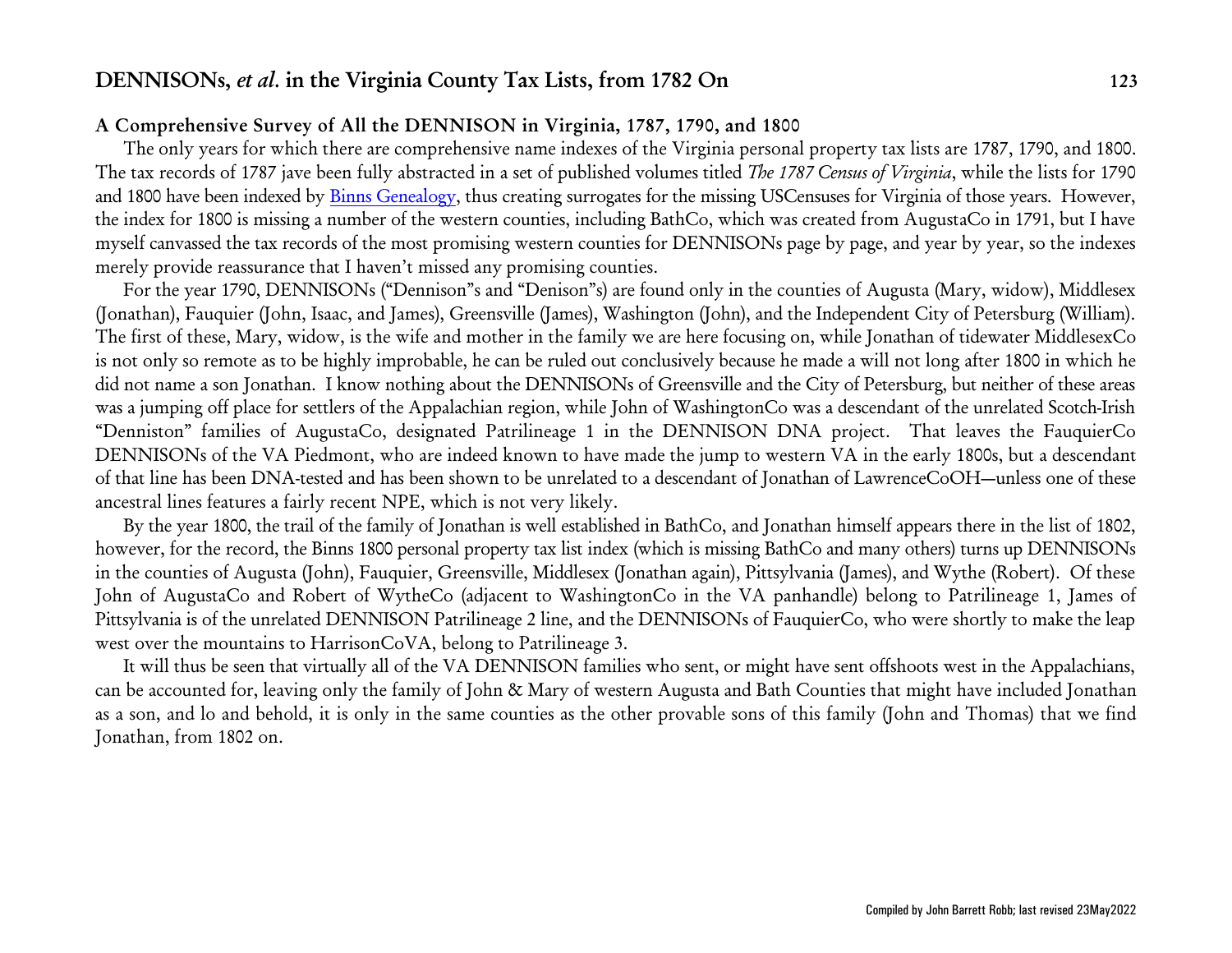### **A Comprehensive Survey of All the DENNISON in Virginia, 1787, 1790, and 1800**

The only years for which there are comprehensive name indexes of the Virginia personal property tax lists are 1787, 1790, and 1800. The tax records of 1787 jave been fully abstracted in a set of published volumes titled *The 1787 Census of Virginia*, while the lists for 1790 and 1800 have been indexed by [Binns Genealogy](http://www.binnsgenealogy.com/VirginiaTaxListCensuses/), thus creating surrogates for the missing USCensuses for Virginia of those years. However, the index for 1800 is missing a number of the western counties, including BathCo, which was created from AugustaCo in 1791, but I have myself canvassed the tax records of the most promising western counties for DENNISONs page by page, and year by year, so the indexes merely provide reassurance that I haven't missed any promising counties.

For the year 1790, DENNISONs ("Dennison"s and "Denison"s) are found only in the counties of Augusta (Mary, widow), Middlesex (Jonathan), Fauquier (John, Isaac, and James), Greensville (James), Washington (John), and the Independent City of Petersburg (William). The first of these, Mary, widow, is the wife and mother in the family we are here focusing on, while Jonathan of tidewater MiddlesexCo is not only so remote as to be highly improbable, he can be ruled out conclusively because he made a will not long after 1800 in which he did not name a son Jonathan. I know nothing about the DENNISONs of Greensville and the City of Petersburg, but neither of these areas was a jumping off place for settlers of the Appalachian region, while John of WashingtonCo was a descendant of the unrelated Scotch-Irish "Denniston" families of AugustaCo, designated Patrilineage 1 in the DENNISON DNA project. That leaves the FauquierCo DENNISONs of the VA Piedmont, who are indeed known to have made the jump to western VA in the early 1800s, but a descendant of that line has been DNA-tested and has been shown to be unrelated to a descendant of Jonathan of LawrenceCoOH—unless one of these ancestral lines features a fairly recent NPE, which is not very likely.

By the year 1800, the trail of the family of Jonathan is well established in BathCo, and Jonathan himself appears there in the list of 1802, however, for the record, the Binns 1800 personal property tax list index (which is missing BathCo and many others) turns up DENNISONs in the counties of Augusta (John), Fauquier, Greensville, Middlesex (Jonathan again), Pittsylvania (James), and Wythe (Robert). Of these John of AugustaCo and Robert of WytheCo (adjacent to WashingtonCo in the VA panhandle) belong to Patrilineage 1, James of Pittsylvania is of the unrelated DENNISON Patrilineage 2 line, and the DENNISONs of FauquierCo, who were shortly to make the leap west over the mountains to HarrisonCoVA, belong to Patrilineage 3.

It will thus be seen that virtually all of the VA DENNISON families who sent, or might have sent offshoots west in the Appalachians, can be accounted for, leaving only the family of John & Mary of western Augusta and Bath Counties that might have included Jonathan as a son, and lo and behold, it is only in the same counties as the other provable sons of this family (John and Thomas) that we find Jonathan, from 1802 on.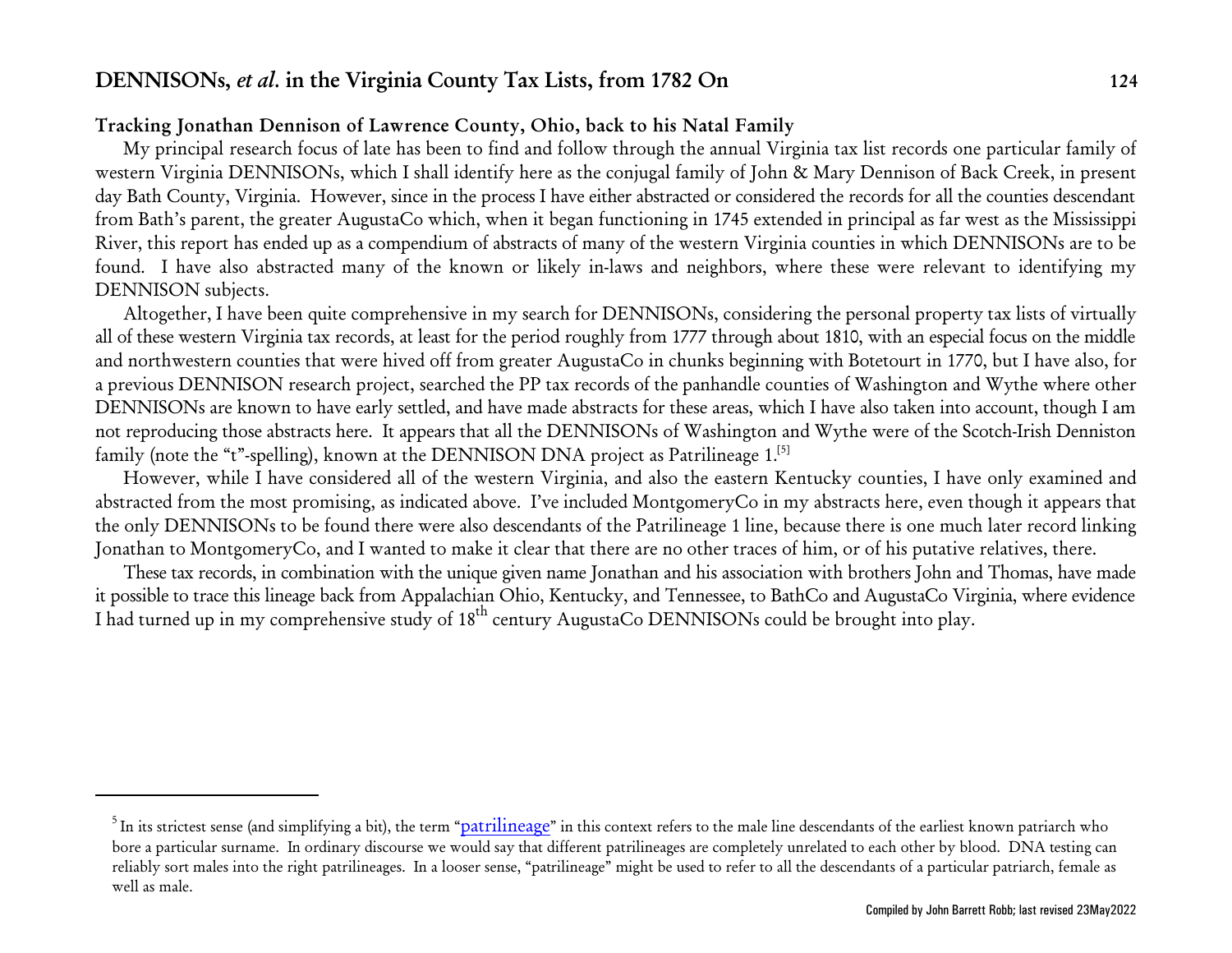## **Tracking Jonathan Dennison of Lawrence County, Ohio, back to his Natal Family**

My principal research focus of late has been to find and follow through the annual Virginia tax list records one particular family of western Virginia DENNISONs, which I shall identify here as the conjugal family of John & Mary Dennison of Back Creek, in present day Bath County, Virginia. However, since in the process I have either abstracted or considered the records for all the counties descendant from Bath's parent, the greater AugustaCo which, when it began functioning in 1745 extended in principal as far west as the Mississippi River, this report has ended up as a compendium of abstracts of many of the western Virginia counties in which DENNISONs are to be found. I have also abstracted many of the known or likely in-laws and neighbors, where these were relevant to identifying my DENNISON subjects.

Altogether, I have been quite comprehensive in my search for DENNISONs, considering the personal property tax lists of virtually all of these western Virginia tax records, at least for the period roughly from 1777 through about 1810, with an especial focus on the middle and northwestern counties that were hived off from greater AugustaCo in chunks beginning with Botetourt in 1770, but I have also, for a previous DENNISON research project, searched the PP tax records of the panhandle counties of Washington and Wythe where other DENNISONs are known to have early settled, and have made abstracts for these areas, which I have also taken into account, though I am not reproducing those abstracts here. It appears that all the DENNISONs of Washington and Wythe were of the Scotch-Irish Denniston family (note the "t"-spelling), known at the DENNISON DNA project as Patrilineage 1.<sup>[5]</sup>

However, while I have considered all of the western Virginia, and also the eastern Kentucky counties, I have only examined and abstracted from the most promising, as indicated above. I've included MontgomeryCo in my abstracts here, even though it appears that the only DENNISONs to be found there were also descendants of the Patrilineage 1 line, because there is one much later record linking Jonathan to MontgomeryCo, and I wanted to make it clear that there are no other traces of him, or of his putative relatives, there.

These tax records, in combination with the unique given name Jonathan and his association with brothers John and Thomas, have made it possible to trace this lineage back from Appalachian Ohio, Kentucky, and Tennessee, to BathCo and AugustaCo Virginia, where evidence I had turned up in my comprehensive study of  $18^{\text{th}}$  century AugustaCo DENNISONs could be brought into play.

 $^5$ In its strictest sense (and simplifying a bit), the term "<u>[patrilineage](http://www.johnbrobb.com/JBRdna.htm#patrilineage)</u>" in this context refers to the male line descendants of the earliest known patriarch who bore a particular surname. In ordinary discourse we would say that different patrilineages are completely unrelated to each other by blood. DNA testing can reliably sort males into the right patrilineages. In a looser sense, "patrilineage" might be used to refer to all the descendants of a particular patriarch, female as well as male.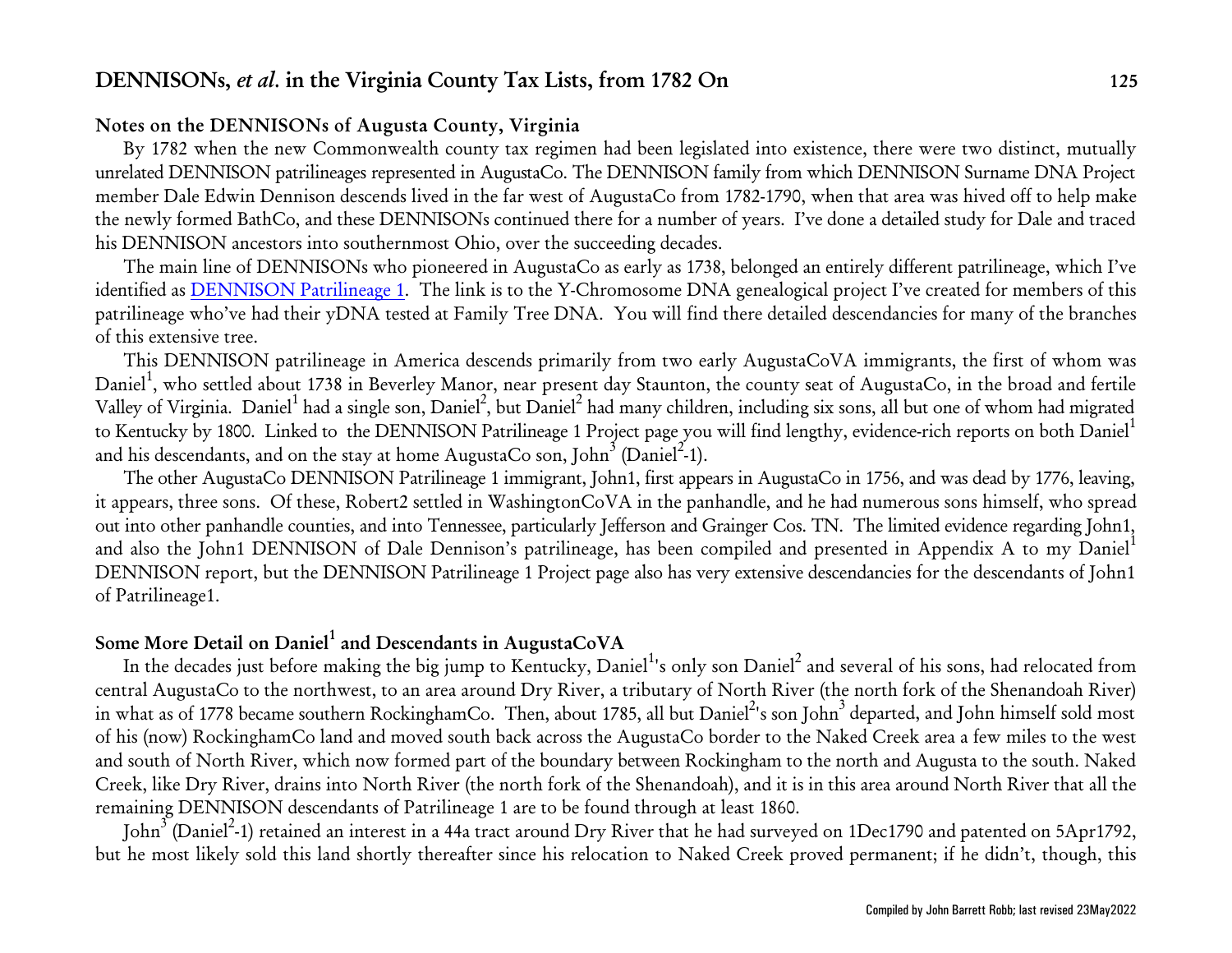### **Notes on the DENNISONs of Augusta County, Virginia**

By 1782 when the new Commonwealth county tax regimen had been legislated into existence, there were two distinct, mutually unrelated DENNISON patrilineages represented in AugustaCo. The DENNISON family from which DENNISON Surname DNA Project member Dale Edwin Dennison descends lived in the far west of AugustaCo from 1782-1790, when that area was hived off to help make the newly formed BathCo, and these DENNISONs continued there for a number of years. I've done a detailed study for Dale and traced his DENNISON ancestors into southernmost Ohio, over the succeeding decades.

The main line of DENNISONs who pioneered in AugustaCo as early as 1738, belonged an entirely different patrilineage, which I've identified as [DENNISON Patrilineage 1](http://www.johnbrobb.com/JBR-DEN-1.htm). The link is to the Y-Chromosome DNA genealogical project I've created for members of this patrilineage who've had their yDNA tested at Family Tree DNA. You will find there detailed descendancies for many of the branches of this extensive tree.

This DENNISON patrilineage in America descends primarily from two early AugustaCoVA immigrants, the first of whom was Daniel<sup>1</sup>, who settled about 1738 in Beverley Manor, near present day Staunton, the county seat of AugustaCo, in the broad and fertile Valley of Virginia. Daniel<sup>1</sup> had a single son, Daniel<sup>2</sup>, but Daniel<sup>2</sup> had many children, including six sons, all but one of whom had migrated to Kentucky by 1800. Linked to the DENNISON Patrilineage 1 Project page you will find lengthy, evidence-rich reports on both Daniel<sup>1</sup> and his descendants, and on the stay at home AugustaCo son, John $^3$  (Daniel $^{2^\prime}\!\!\!.1$ ).

The other AugustaCo DENNISON Patrilineage 1 immigrant, John1, first appears in AugustaCo in 1756, and was dead by 1776, leaving, it appears, three sons. Of these, Robert2 settled in WashingtonCoVA in the panhandle, and he had numerous sons himself, who spread out into other panhandle counties, and into Tennessee, particularly Jefferson and Grainger Cos. TN. The limited evidence regarding John1, and also the John1 DENNISON of Dale Dennison's patrilineage, has been compiled and presented in Appendix A to my Daniel<sup>1</sup> DENNISON report, but the DENNISON Patrilineage 1 Project page also has very extensive descendancies for the descendants of John1 of Patrilineage1.

## **Some More Detail on Daniel<sup>1</sup> and Descendants in AugustaCoVA**

In the decades just before making the big jump to Kentucky, Daniel $^1$ 's only son Daniel $^2$  and several of his sons, had relocated from central AugustaCo to the northwest, to an area around Dry River, a tributary of North River (the north fork of the Shenandoah River) in what as of 1778 became southern RockinghamCo. Then, about 1785, all but Daniel<sup>2</sup>'s son John<sup>3</sup> departed, and John himself sold most of his (now) RockinghamCo land and moved south back across the AugustaCo border to the Naked Creek area a few miles to the west and south of North River, which now formed part of the boundary between Rockingham to the north and Augusta to the south. Naked Creek, like Dry River, drains into North River (the north fork of the Shenandoah), and it is in this area around North River that all the remaining DENNISON descendants of Patrilineage 1 are to be found through at least 1860.

John<sup>3</sup> (Daniel<sup>2</sup>-1) retained an interest in a 44a tract around Dry River that he had surveyed on 1Dec1790 and patented on 5Apr1792, but he most likely sold this land shortly thereafter since his relocation to Naked Creek proved permanent; if he didn't, though, this